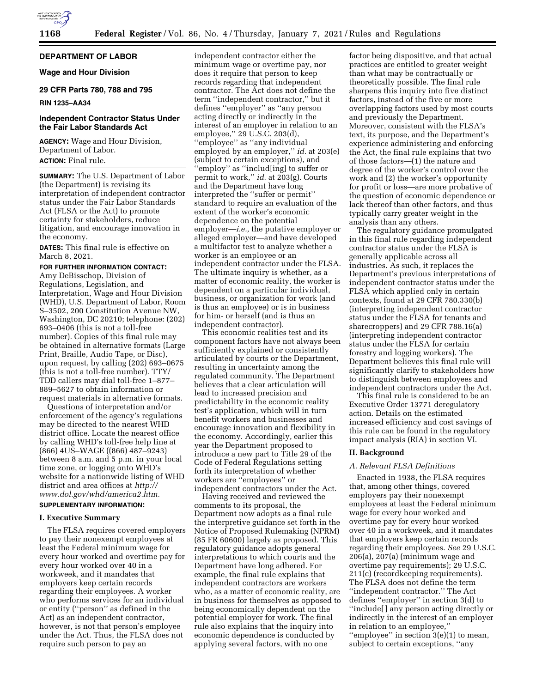

## **DEPARTMENT OF LABOR**

**Wage and Hour Division** 

### **29 CFR Parts 780, 788 and 795**

#### **RIN 1235–AA34**

# **Independent Contractor Status Under the Fair Labor Standards Act**

**AGENCY:** Wage and Hour Division, Department of Labor. **ACTION:** Final rule.

**SUMMARY:** The U.S. Department of Labor (the Department) is revising its interpretation of independent contractor status under the Fair Labor Standards Act (FLSA or the Act) to promote certainty for stakeholders, reduce litigation, and encourage innovation in the economy.

**DATES:** This final rule is effective on March 8, 2021.

#### **FOR FURTHER INFORMATION CONTACT:**

Amy DeBisschop, Division of Regulations, Legislation, and Interpretation, Wage and Hour Division (WHD), U.S. Department of Labor, Room S–3502, 200 Constitution Avenue NW, Washington, DC 20210; telephone: (202) 693–0406 (this is not a toll-free number). Copies of this final rule may be obtained in alternative formats (Large Print, Braille, Audio Tape, or Disc), upon request, by calling (202) 693–0675 (this is not a toll-free number). TTY/ TDD callers may dial toll-free 1–877– 889–5627 to obtain information or request materials in alternative formats.

Questions of interpretation and/or enforcement of the agency's regulations may be directed to the nearest WHD district office. Locate the nearest office by calling WHD's toll-free help line at (866) 4US–WAGE ((866) 487–9243) between 8 a.m. and 5 p.m. in your local time zone, or logging onto WHD's website for a nationwide listing of WHD district and area offices at *[http://](http://www.dol.gov/whd/america2.htm) [www.dol.gov/whd/america2.htm.](http://www.dol.gov/whd/america2.htm)* 

# **SUPPLEMENTARY INFORMATION:**

### **I. Executive Summary**

The FLSA requires covered employers to pay their nonexempt employees at least the Federal minimum wage for every hour worked and overtime pay for every hour worked over 40 in a workweek, and it mandates that employers keep certain records regarding their employees. A worker who performs services for an individual or entity (''person'' as defined in the Act) as an independent contractor, however, is not that person's employee under the Act. Thus, the FLSA does not require such person to pay an

independent contractor either the minimum wage or overtime pay, nor does it require that person to keep records regarding that independent contractor. The Act does not define the term ''independent contractor,'' but it defines ''employer'' as ''any person acting directly or indirectly in the interest of an employer in relation to an employee,'' 29 U.S.C. 203(d), ''employee'' as ''any individual employed by an employer,'' *id.* at 203(e) (subject to certain exceptions), and ''employ'' as ''includ[ing] to suffer or permit to work,'' *id.* at 203(g). Courts and the Department have long interpreted the ''suffer or permit'' standard to require an evaluation of the extent of the worker's economic dependence on the potential employer—*i.e.,* the putative employer or alleged employer—and have developed a multifactor test to analyze whether a worker is an employee or an independent contractor under the FLSA. The ultimate inquiry is whether, as a matter of economic reality, the worker is dependent on a particular individual, business, or organization for work (and is thus an employee) or is in business for him- or herself (and is thus an independent contractor).

This economic realities test and its component factors have not always been sufficiently explained or consistently articulated by courts or the Department, resulting in uncertainty among the regulated community. The Department believes that a clear articulation will lead to increased precision and predictability in the economic reality test's application, which will in turn benefit workers and businesses and encourage innovation and flexibility in the economy. Accordingly, earlier this year the Department proposed to introduce a new part to Title 29 of the Code of Federal Regulations setting forth its interpretation of whether workers are ''employees'' or independent contractors under the Act.

Having received and reviewed the comments to its proposal, the Department now adopts as a final rule the interpretive guidance set forth in the Notice of Proposed Rulemaking (NPRM) (85 FR 60600) largely as proposed. This regulatory guidance adopts general interpretations to which courts and the Department have long adhered. For example, the final rule explains that independent contractors are workers who, as a matter of economic reality, are in business for themselves as opposed to being economically dependent on the potential employer for work. The final rule also explains that the inquiry into economic dependence is conducted by applying several factors, with no one

factor being dispositive, and that actual practices are entitled to greater weight than what may be contractually or theoretically possible. The final rule sharpens this inquiry into five distinct factors, instead of the five or more overlapping factors used by most courts and previously the Department. Moreover, consistent with the FLSA's text, its purpose, and the Department's experience administering and enforcing the Act, the final rule explains that two of those factors—(1) the nature and degree of the worker's control over the work and (2) the worker's opportunity for profit or loss—are more probative of the question of economic dependence or lack thereof than other factors, and thus typically carry greater weight in the analysis than any others.

The regulatory guidance promulgated in this final rule regarding independent contractor status under the FLSA is generally applicable across all industries. As such, it replaces the Department's previous interpretations of independent contractor status under the FLSA which applied only in certain contexts, found at 29 CFR 780.330(b) (interpreting independent contractor status under the FLSA for tenants and sharecroppers) and 29 CFR 788.16(a) (interpreting independent contractor status under the FLSA for certain forestry and logging workers). The Department believes this final rule will significantly clarify to stakeholders how to distinguish between employees and independent contractors under the Act.

This final rule is considered to be an Executive Order 13771 deregulatory action. Details on the estimated increased efficiency and cost savings of this rule can be found in the regulatory impact analysis (RIA) in section VI.

#### **II. Background**

#### *A. Relevant FLSA Definitions*

Enacted in 1938, the FLSA requires that, among other things, covered employers pay their nonexempt employees at least the Federal minimum wage for every hour worked and overtime pay for every hour worked over 40 in a workweek, and it mandates that employers keep certain records regarding their employees. *See* 29 U.S.C.  $206(a)$ ,  $207(a)$  (minimum wage and overtime pay requirements); 29 U.S.C. 211(c) (recordkeeping requirements). The FLSA does not define the term ''independent contractor.'' The Act defines ''employer'' in section 3(d) to ''include[ ] any person acting directly or indirectly in the interest of an employer in relation to an employee,'' ''employee'' in section 3(e)(1) to mean, subject to certain exceptions, ''any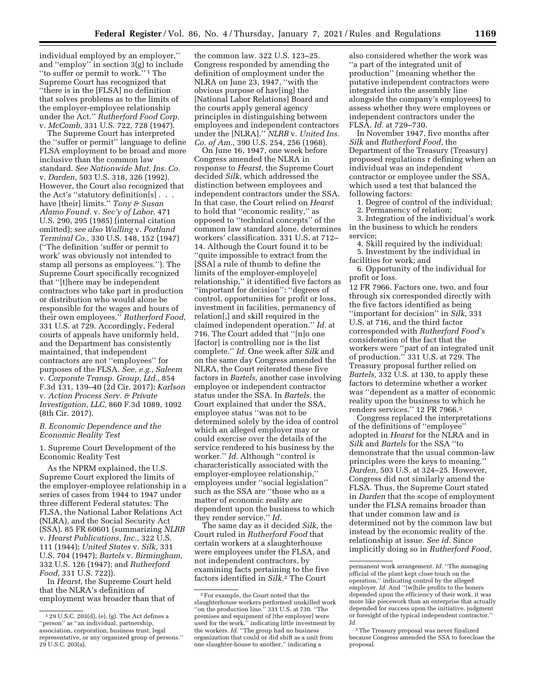individual employed by an employer,'' and ''employ'' in section 3(g) to include ''to suffer or permit to work.'' 1 The Supreme Court has recognized that ''there is in the [FLSA] no definition that solves problems as to the limits of the employer-employee relationship under the Act.'' *Rutherford Food Corp.*  v. *McComb,* 331 U.S. 722, 728 (1947).

The Supreme Court has interpreted the ''suffer or permit'' language to define FLSA employment to be broad and more inclusive than the common law standard. *See Nationwide Mut. Ins. Co.*  v. *Darden,* 503 U.S. 318, 326 (1992). However, the Court also recognized that the Act's ''statutory definition[s] . . . have [their] limits.'' *Tony & Susan Alamo Found.* v. *Sec'y of Labor,* 471 U.S. 290, 295 (1985) (internal citation omitted); *see also Walling* v. *Portland Terminal Co.,* 330 U.S. 148, 152 (1947) (''The definition 'suffer or permit to work' was obviously not intended to stamp all persons as employees.''). The Supreme Court specifically recognized that ''[t]here may be independent contractors who take part in production or distribution who would alone be responsible for the wages and hours of their own employees.'' *Rutherford Food,*  331 U.S. at 729. Accordingly, Federal courts of appeals have uniformly held, and the Department has consistently maintained, that independent contractors are not ''employees'' for purposes of the FLSA. *See, e.g., Saleem*  v. *Corporate Transp. Group, Ltd.,* 854 F.3d 131, 139–40 (2d Cir. 2017); *Karlson*  v. *Action Process Serv. & Private Investigation, LLC,* 860 F.3d 1089, 1092 (8th Cir. 2017).

#### *B. Economic Dependence and the Economic Reality Test*

1. Supreme Court Development of the Economic Reality Test

As the NPRM explained, the U.S. Supreme Court explored the limits of the employer-employee relationship in a series of cases from 1944 to 1947 under three different Federal statutes: The FLSA, the National Labor Relations Act (NLRA), and the Social Security Act (SSA). 85 FR 60601 (summarizing *NLRB*  v. *Hearst Publications, Inc.,* 322 U.S. 111 (1944); *United States* v. *Silk,* 331 U.S. 704 (1947); *Bartels* v. *Birmingham,*  332 U.S. 126 (1947); and *Rutherford Food,* 331 U.S. 722)).

In *Hearst,* the Supreme Court held that the NLRA's definition of employment was broader than that of

the common law. 322 U.S. 123–25. Congress responded by amending the definition of employment under the NLRA on June 23, 1947, ''with the obvious purpose of hav[ing] the [National Labor Relations] Board and the courts apply general agency principles in distinguishing between employees and independent contractors under the [NLRA].'' *NLRB* v. *United Ins. Co. of Am.,* 390 U.S. 254, 256 (1968).

On June 16, 1947, one week before Congress amended the NLRA in response to *Hearst,* the Supreme Court decided *Silk,* which addressed the distinction between employees and independent contractors under the SSA. In that case, the Court relied on *Hearst*  to hold that ''economic reality,'' as opposed to ''technical concepts'' of the common law standard alone, determines workers' classification. 331 U.S. at 712– 14. Although the Court found it to be ''quite impossible to extract from the [SSA] a rule of thumb to define the limits of the employer-employe[e] relationship,'' it identified five factors as ''important for decision'': ''degrees of control, opportunities for profit or loss, investment in facilities, permanency of relation[,] and skill required in the claimed independent operation.'' *Id.* at 716. The Court added that ''[n]o one [factor] is controlling nor is the list complete.'' *Id.* One week after *Silk* and on the same day Congress amended the NLRA, the Court reiterated these five factors in *Bartels,* another case involving employee or independent contractor status under the SSA. In *Bartels,* the Court explained that under the SSA, employee status ''was not to be determined solely by the idea of control which an alleged employer may or could exercise over the details of the service rendered to his business by the worker.'' *Id.* Although ''control is characteristically associated with the employer-employee relationship,'' employees under ''social legislation'' such as the SSA are ''those who as a matter of economic reality are dependent upon the business to which they render service.'' *Id.* 

The same day as it decided *Silk,* the Court ruled in *Rutherford Food* that certain workers at a slaughterhouse were employees under the FLSA, and not independent contractors, by examining facts pertaining to the five factors identified in *Silk.*2 The Court

also considered whether the work was ''a part of the integrated unit of production'' (meaning whether the putative independent contractors were integrated into the assembly line alongside the company's employees) to assess whether they were employees or independent contractors under the FLSA. *Id.* at 729–730.

In November 1947, five months after *Silk* and *Rutherford Food,* the Department of the Treasury (Treasury) proposed regulations r defining when an individual was an independent contractor or employee under the SSA, which used a test that balanced the following factors:

1. Degree of control of the individual;

2. Permanency of relation;

3. Integration of the individual's work in the business to which he renders service;

4. Skill required by the individual;

5. Investment by the individual in facilities for work; and

6. Opportunity of the individual for profit or loss.

12 FR 7966. Factors one, two, and four through six corresponded directly with the five factors identified as being ''important for decision'' in *Silk,* 331 U.S. at 716, and the third factor corresponded with *Rutherford Food'*s consideration of the fact that the workers were ''part of an integrated unit of production.'' 331 U.S. at 729. The Treasury proposal further relied on *Bartels,* 332 U.S. at 130, to apply these factors to determine whether a worker was ''dependent as a matter of economic reality upon the business to which he renders services.'' 12 FR 7966.3

Congress replaced the interpretations of the definitions of ''employee'' adopted in *Hearst* for the NLRA and in *Silk* and *Bartels* for the SSA ''to demonstrate that the usual common-law principles were the keys to meaning.'' *Darden,* 503 U.S. at 324–25. However, Congress did not similarly amend the FLSA. Thus, the Supreme Court stated in *Darden* that the scope of employment under the FLSA remains broader than that under common law and is determined not by the common law but instead by the economic reality of the relationship at issue. *See id.* Since implicitly doing so in *Rutherford Food,* 

<sup>1</sup> 29 U.S.C. 203(d), (e), (g). The Act defines a ''person'' as ''an individual, partnership, association, corporation, business trust, legal representative, or any organized group of persons.'' 29 U.S.C. 203(a).

<sup>2</sup>For example, the Court noted that the slaughterhouse workers performed unskilled work ''on the production line.'' 331 U.S. at 730. ''The premises and equipment of [the employer] were used for the work,'' indicating little investment by the workers. *Id.* "The group had no business organization that could or did shift as a unit from one slaughter-house to another,'' indicating a

permanent work arrangement. *Id.* ''The managing official of the plant kept close touch on the operation,'' indicating control by the alleged employer. *Id.* And ''[w]hile profits to the boners depended upon the efficiency of their work, it was more like piecework than an enterprise that actually depended for success upon the initiative, judgment or foresight of the typical independent contractor.'' *Id.* 

<sup>3</sup>The Treasury proposal was never finalized because Congress amended the SSA to foreclose the proposal.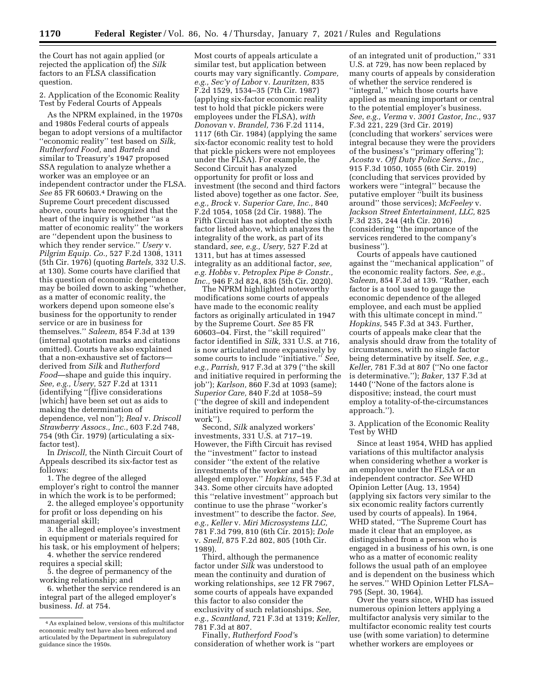the Court has not again applied (or rejected the application of) the *Silk*  factors to an FLSA classification question.

2. Application of the Economic Reality Test by Federal Courts of Appeals

As the NPRM explained, in the 1970s and 1980s Federal courts of appeals began to adopt versions of a multifactor ''economic reality'' test based on *Silk, Rutherford Food,* and *Bartels* and similar to Treasury's 1947 proposed SSA regulation to analyze whether a worker was an employee or an independent contractor under the FLSA. *See* 85 FR 60603.4 Drawing on the Supreme Court precedent discussed above, courts have recognized that the heart of the inquiry is whether ''as a matter of economic reality'' the workers are ''dependent upon the business to which they render service.'' *Usery* v. *Pilgrim Equip. Co.,* 527 F.2d 1308, 1311 (5th Cir. 1976) (quoting *Bartels,* 332 U.S. at 130). Some courts have clarified that this question of economic dependence may be boiled down to asking ''whether, as a matter of economic reality, the workers depend upon someone else's business for the opportunity to render service or are in business for themselves.'' *Saleem,* 854 F.3d at 139 (internal quotation marks and citations omitted). Courts have also explained that a non-exhaustive set of factors derived from *Silk* and *Rutherford Food*—shape and guide this inquiry. *See, e.g., Usery,* 527 F.2d at 1311 (identifying ''[f]ive considerations [which] have been set out as aids to making the determination of dependence, vel non''); *Real* v. *Driscoll Strawberry Assocs., Inc.,* 603 F.2d 748, 754 (9th Cir. 1979) (articulating a sixfactor test).

In *Driscoll,* the Ninth Circuit Court of Appeals described its six-factor test as follows:

1. The degree of the alleged employer's right to control the manner in which the work is to be performed;

2. the alleged employee's opportunity for profit or loss depending on his managerial skill;

3. the alleged employee's investment in equipment or materials required for his task, or his employment of helpers;

4. whether the service rendered requires a special skill;

5. the degree of permanency of the working relationship; and

6. whether the service rendered is an integral part of the alleged employer's business. *Id.* at 754.

Most courts of appeals articulate a similar test, but application between courts may vary significantly. *Compare, e.g., Sec'y of Labor* v. *Lauritzen,* 835 F.2d 1529, 1534–35 (7th Cir. 1987) (applying six-factor economic reality test to hold that pickle pickers were employees under the FLSA), *with Donovan* v. *Brandel,* 736 F.2d 1114, 1117 (6th Cir. 1984) (applying the same six-factor economic reality test to hold that pickle pickers were not employees under the FLSA). For example, the Second Circuit has analyzed opportunity for profit or loss and investment (the second and third factors listed above) together as one factor. *See, e.g., Brock* v. *Superior Care, Inc.,* 840 F.2d 1054, 1058 (2d Cir. 1988). The Fifth Circuit has not adopted the sixth factor listed above, which analyzes the integrality of the work, as part of its standard, *see, e.g., Usery,* 527 F.2d at 1311, but has at times assessed integrality as an additional factor, *see, e.g. Hobbs* v. *Petroplex Pipe & Constr., Inc.,* 946 F.3d 824, 836 (5th Cir. 2020).

The NPRM highlighted noteworthy modifications some courts of appeals have made to the economic reality factors as originally articulated in 1947 by the Supreme Court. *See* 85 FR 60603–04. First, the ''skill required'' factor identified in *Silk,* 331 U.S. at 716, is now articulated more expansively by some courts to include ''initiative.'' *See, e.g., Parrish,* 917 F.3d at 379 (''the skill and initiative required in performing the job''); *Karlson,* 860 F.3d at 1093 (same); *Superior Care,* 840 F.2d at 1058–59 (''the degree of skill and independent initiative required to perform the work'').

Second, *Silk* analyzed workers' investments, 331 U.S. at 717–19. However, the Fifth Circuit has revised the ''investment'' factor to instead consider ''the extent of the relative investments of the worker and the alleged employer.'' *Hopkins,* 545 F.3d at 343. Some other circuits have adopted this ''relative investment'' approach but continue to use the phrase ''worker's investment'' to describe the factor. *See, e.g., Keller* v. *Miri Microsystems LLC,*  781 F.3d 799, 810 (6th Cir. 2015); *Dole*  v. *Snell,* 875 F.2d 802, 805 (10th Cir. 1989).

Third, although the permanence factor under *Silk* was understood to mean the continuity and duration of working relationships, *see* 12 FR 7967, some courts of appeals have expanded this factor to also consider the exclusivity of such relationships. *See, e.g., Scantland,* 721 F.3d at 1319; *Keller,*  781 F.3d at 807.

Finally, *Rutherford Food'*s consideration of whether work is ''part

of an integrated unit of production,'' 331 U.S. at 729, has now been replaced by many courts of appeals by consideration of whether the service rendered is ''integral,'' which those courts have applied as meaning important or central to the potential employer's business. *See, e.g., Verma* v. *3001 Castor, Inc.,* 937 F.3d 221, 229 (3rd Cir. 2019) (concluding that workers' services were integral because they were the providers of the business's ''primary offering''); *Acosta* v. *Off Duty Police Servs., Inc.,*  915 F.3d 1050, 1055 (6th Cir. 2019) (concluding that services provided by workers were ''integral'' because the putative employer ''built its business around'' those services); *McFeeley* v. *Jackson Street Entertainment, LLC,* 825 F.3d 235, 244 (4th Cir. 2016) (considering ''the importance of the services rendered to the company's business'').

Courts of appeals have cautioned against the ''mechanical application'' of the economic reality factors. *See, e.g., Saleem,* 854 F.3d at 139. ''Rather, each factor is a tool used to gauge the economic dependence of the alleged employee, and each must be applied with this ultimate concept in mind.'' *Hopkins,* 545 F.3d at 343. Further, courts of appeals make clear that the analysis should draw from the totality of circumstances, with no single factor being determinative by itself. *See, e.g., Keller,* 781 F.3d at 807 (''No one factor is determinative.''); *Baker,* 137 F.3d at 1440 (''None of the factors alone is dispositive; instead, the court must employ a totality-of-the-circumstances approach.'').

3. Application of the Economic Reality Test by WHD

Since at least 1954, WHD has applied variations of this multifactor analysis when considering whether a worker is an employee under the FLSA or an independent contractor. *See* WHD Opinion Letter (Aug. 13, 1954) (applying six factors very similar to the six economic reality factors currently used by courts of appeals). In 1964, WHD stated, ''The Supreme Court has made it clear that an employee, as distinguished from a person who is engaged in a business of his own, is one who as a matter of economic reality follows the usual path of an employee and is dependent on the business which he serves.'' WHD Opinion Letter FLSA– 795 (Sept. 30, 1964).

Over the years since, WHD has issued numerous opinion letters applying a multifactor analysis very similar to the multifactor economic reality test courts use (with some variation) to determine whether workers are employees or

<sup>4</sup>As explained below, versions of this multifactor economic realty test have also been enforced and articulated by the Department in subregulatory guidance since the 1950s.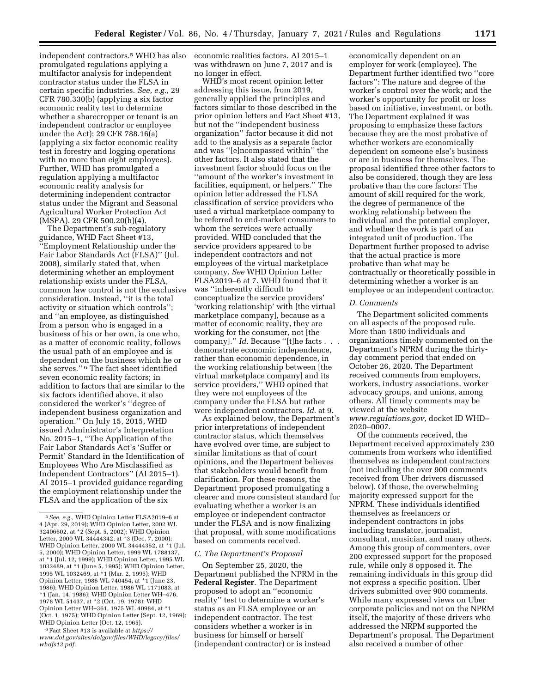independent contractors.5 WHD has also promulgated regulations applying a multifactor analysis for independent contractor status under the FLSA in certain specific industries. *See, e.g.,* 29 CFR 780.330(b) (applying a six factor economic reality test to determine whether a sharecropper or tenant is an independent contractor or employee under the Act); 29 CFR 788.16(a) (applying a six factor economic reality test in forestry and logging operations with no more than eight employees). Further, WHD has promulgated a regulation applying a multifactor economic reality analysis for determining independent contractor status under the Migrant and Seasonal Agricultural Worker Protection Act (MSPA). 29 CFR 500.20(h)(4).

The Department's sub-regulatory guidance, WHD Fact Sheet #13, ''Employment Relationship under the Fair Labor Standards Act (FLSA)'' (Jul. 2008), similarly stated that, when determining whether an employment relationship exists under the FLSA, common law control is not the exclusive consideration. Instead, ''it is the total activity or situation which controls''; and ''an employee, as distinguished from a person who is engaged in a business of his or her own, is one who, as a matter of economic reality, follows the usual path of an employee and is dependent on the business which he or she serves.'' 6 The fact sheet identified seven economic reality factors; in addition to factors that are similar to the six factors identified above, it also considered the worker's ''degree of independent business organization and operation.'' On July 15, 2015, WHD issued Administrator's Interpretation No. 2015–1, ''The Application of the Fair Labor Standards Act's 'Suffer or Permit' Standard in the Identification of Employees Who Are Misclassified as Independent Contractors'' (AI 2015–1). AI 2015–1 provided guidance regarding the employment relationship under the FLSA and the application of the six

6Fact Sheet #13 is available at *[https://](https://www.dol.gov/sites/dolgov/files/WHD/legacy/files/whdfs13.pdf) [www.dol.gov/sites/dolgov/files/WHD/legacy/files/](https://www.dol.gov/sites/dolgov/files/WHD/legacy/files/whdfs13.pdf)  [whdfs13.pdf.](https://www.dol.gov/sites/dolgov/files/WHD/legacy/files/whdfs13.pdf)* 

economic realities factors. AI 2015–1 was withdrawn on June 7, 2017 and is no longer in effect.

WHD's most recent opinion letter addressing this issue, from 2019, generally applied the principles and factors similar to those described in the prior opinion letters and Fact Sheet #13, but not the ''independent business organization'' factor because it did not add to the analysis as a separate factor and was ''[e]ncompassed within'' the other factors. It also stated that the investment factor should focus on the ''amount of the worker's investment in facilities, equipment, or helpers.'' The opinion letter addressed the FLSA classification of service providers who used a virtual marketplace company to be referred to end-market consumers to whom the services were actually provided. WHD concluded that the service providers appeared to be independent contractors and not employees of the virtual marketplace company. *See* WHD Opinion Letter FLSA2019–6 at 7. WHD found that it was ''inherently difficult to conceptualize the service providers' 'working relationship' with [the virtual marketplace company], because as a matter of economic reality, they are working for the consumer, not [the company]." *Id.* Because "[t]he facts . . demonstrate economic independence, rather than economic dependence, in the working relationship between [the virtual marketplace company] and its service providers,'' WHD opined that they were not employees of the company under the FLSA but rather were independent contractors. *Id.* at 9.

As explained below, the Department's prior interpretations of independent contractor status, which themselves have evolved over time, are subject to similar limitations as that of court opinions, and the Department believes that stakeholders would benefit from clarification. For these reasons, the Department proposed promulgating a clearer and more consistent standard for evaluating whether a worker is an employee or independent contractor under the FLSA and is now finalizing that proposal, with some modifications based on comments received.

#### *C. The Department's Proposal*

On September 25, 2020, the Department published the NPRM in the **Federal Register**. The Department proposed to adopt an ''economic reality'' test to determine a worker's status as an FLSA employee or an independent contractor. The test considers whether a worker is in business for himself or herself (independent contractor) or is instead

economically dependent on an employer for work (employee). The Department further identified two ''core factors'': The nature and degree of the worker's control over the work; and the worker's opportunity for profit or loss based on initiative, investment, or both. The Department explained it was proposing to emphasize these factors because they are the most probative of whether workers are economically dependent on someone else's business or are in business for themselves. The proposal identified three other factors to also be considered, though they are less probative than the core factors: The amount of skill required for the work, the degree of permanence of the working relationship between the individual and the potential employer, and whether the work is part of an integrated unit of production. The Department further proposed to advise that the actual practice is more probative than what may be contractually or theoretically possible in determining whether a worker is an employee or an independent contractor.

#### *D. Comments*

The Department solicited comments on all aspects of the proposed rule. More than 1800 individuals and organizations timely commented on the Department's NPRM during the thirtyday comment period that ended on October 26, 2020. The Department received comments from employers, workers, industry associations, worker advocacy groups, and unions, among others. All timely comments may be viewed at the website *[www.regulations.gov,](http://www.regulations.gov)* docket ID WHD– 2020–0007.

Of the comments received, the Department received approximately 230 comments from workers who identified themselves as independent contractors (not including the over 900 comments received from Uber drivers discussed below). Of those, the overwhelming majority expressed support for the NPRM. These individuals identified themselves as freelancers or independent contractors in jobs including translator, journalist, consultant, musician, and many others. Among this group of commenters, over 200 expressed support for the proposed rule, while only 8 opposed it. The remaining individuals in this group did not express a specific position. Uber drivers submitted over 900 comments. While many expressed views on Uber corporate policies and not on the NPRM itself, the majority of these drivers who addressed the NRPM supported the Department's proposal. The Department also received a number of other

<sup>5</sup>*See, e.g.,* WHD Opinion Letter FLSA2019–6 at 4 (Apr. 29, 2019); WHD Opinion Letter, 2002 WL 32406602, at \*2 (Sept. 5, 2002); WHD Opinion Letter, 2000 WL 34444342, at \*3 (Dec. 7, 2000); WHD Opinion Letter, 2000 WL 34444352, at \*1 (Jul. 5, 2000); WHD Opinion Letter, 1999 WL 1788137, at \*1 (Jul. 12, 1999); WHD Opinion Letter, 1995 WL 1032489, at \*1 (June 5, 1995); WHD Opinion Letter, 1995 WL 1032469, at \*1 (Mar. 2, 1995); WHD Opinion Letter, 1986 WL 740454, at \*1 (June 23, 1986); WHD Opinion Letter, 1986 WL 1171083, at  $*1$  (Jan. 14, 1986); WHD Opinion Letter WH-476, 1978 WL 51437, at \*2 (Oct. 19, 1978); WHD Opinion Letter WH–361, 1975 WL 40984, at \*1 (Oct. 1, 1975); WHD Opinion Letter (Sept. 12, 1969); WHD Opinion Letter (Oct. 12, 1965).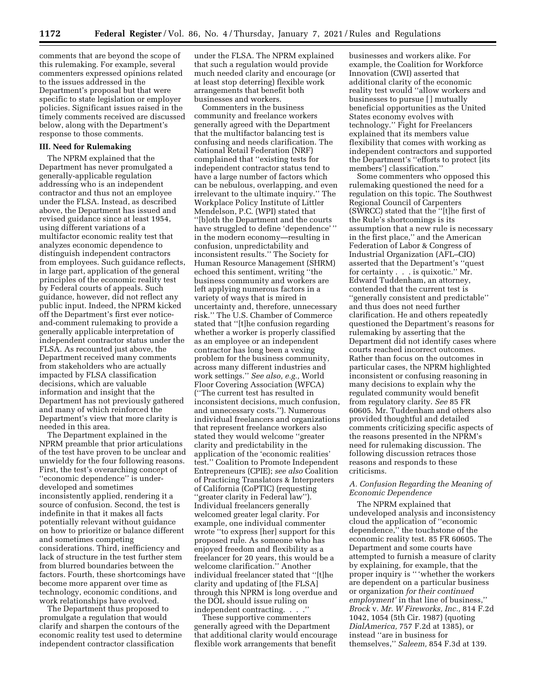comments that are beyond the scope of this rulemaking. For example, several commenters expressed opinions related to the issues addressed in the Department's proposal but that were specific to state legislation or employer policies. Significant issues raised in the timely comments received are discussed below, along with the Department's response to those comments.

#### **III. Need for Rulemaking**

The NPRM explained that the Department has never promulgated a generally-applicable regulation addressing who is an independent contractor and thus not an employee under the FLSA. Instead, as described above, the Department has issued and revised guidance since at least 1954, using different variations of a multifactor economic reality test that analyzes economic dependence to distinguish independent contractors from employees. Such guidance reflects, in large part, application of the general principles of the economic reality test by Federal courts of appeals. Such guidance, however, did not reflect any public input. Indeed, the NPRM kicked off the Department's first ever noticeand-comment rulemaking to provide a generally applicable interpretation of independent contractor status under the FLSA. As recounted just above, the Department received many comments from stakeholders who are actually impacted by FLSA classification decisions, which are valuable information and insight that the Department has not previously gathered and many of which reinforced the Department's view that more clarity is needed in this area.

The Department explained in the NPRM preamble that prior articulations of the test have proven to be unclear and unwieldy for the four following reasons. First, the test's overarching concept of ''economic dependence'' is underdeveloped and sometimes inconsistently applied, rendering it a source of confusion. Second, the test is indefinite in that it makes all facts potentially relevant without guidance on how to prioritize or balance different and sometimes competing considerations. Third, inefficiency and lack of structure in the test further stem from blurred boundaries between the factors. Fourth, these shortcomings have become more apparent over time as technology, economic conditions, and work relationships have evolved.

The Department thus proposed to promulgate a regulation that would clarify and sharpen the contours of the economic reality test used to determine independent contractor classification

under the FLSA. The NPRM explained that such a regulation would provide much needed clarity and encourage (or at least stop deterring) flexible work arrangements that benefit both businesses and workers.

Commenters in the business community and freelance workers generally agreed with the Department that the multifactor balancing test is confusing and needs clarification. The National Retail Federation (NRF) complained that ''existing tests for independent contractor status tend to have a large number of factors which can be nebulous, overlapping, and even irrelevant to the ultimate inquiry.'' The Workplace Policy Institute of Littler Mendelson, P.C. (WPI) stated that ''[b]oth the Department and the courts have struggled to define 'dependence' '' in the modern economy—resulting in confusion, unpredictability and inconsistent results.'' The Society for Human Resource Management (SHRM) echoed this sentiment, writing ''the business community and workers are left applying numerous factors in a variety of ways that is mired in uncertainty and, therefore, unnecessary risk.'' The U.S. Chamber of Commerce stated that ''[t]he confusion regarding whether a worker is properly classified as an employee or an independent contractor has long been a vexing problem for the business community, across many different industries and work settings.'' *See also, e.g.,* World Floor Covering Association (WFCA) (''The current test has resulted in inconsistent decisions, much confusion, and unnecessary costs.''). Numerous individual freelancers and organizations that represent freelance workers also stated they would welcome ''greater clarity and predictability in the application of the 'economic realities' test.'' Coalition to Promote Independent Entrepreneurs (CPIE); *see also* Coalition of Practicing Translators & Interpreters of California (CoPTIC) (requesting ''greater clarity in Federal law''). Individual freelancers generally welcomed greater legal clarity. For example, one individual commenter wrote ''to express [her] support for this proposed rule. As someone who has enjoyed freedom and flexibility as a freelancer for 20 years, this would be a welcome clarification.'' Another individual freelancer stated that ''[t]he clarity and updating of [the FLSA] through this NPRM is long overdue and the DOL should issue ruling on independent contracting. . . .

These supportive commenters generally agreed with the Department that additional clarity would encourage flexible work arrangements that benefit

businesses and workers alike. For example, the Coalition for Workforce Innovation (CWI) asserted that additional clarity of the economic reality test would ''allow workers and businesses to pursue [ ] mutually beneficial opportunities as the United States economy evolves with technology.'' Fight for Freelancers explained that its members value flexibility that comes with working as independent contractors and supported the Department's ''efforts to protect [its members'] classification.''

Some commenters who opposed this rulemaking questioned the need for a regulation on this topic. The Southwest Regional Council of Carpenters (SWRCC) stated that the ''[t]he first of the Rule's shortcomings is its assumption that a new rule is necessary in the first place,'' and the American Federation of Labor & Congress of Industrial Organization (AFL–CIO) asserted that the Department's ''quest for certainty . . . is quixotic.'' Mr. Edward Tuddenham, an attorney, contended that the current test is ''generally consistent and predictable'' and thus does not need further clarification. He and others repeatedly questioned the Department's reasons for rulemaking by asserting that the Department did not identify cases where courts reached incorrect outcomes. Rather than focus on the outcomes in particular cases, the NPRM highlighted inconsistent or confusing reasoning in many decisions to explain why the regulated community would benefit from regulatory clarity. *See* 85 FR 60605. Mr. Tuddenham and others also provided thoughtful and detailed comments criticizing specific aspects of the reasons presented in the NPRM's need for rulemaking discussion. The following discussion retraces those reasons and responds to these criticisms.

### *A. Confusion Regarding the Meaning of Economic Dependence*

The NPRM explained that undeveloped analysis and inconsistency cloud the application of ''economic dependence,'' the touchstone of the economic reality test. 85 FR 60605. The Department and some courts have attempted to furnish a measure of clarity by explaining, for example, that the proper inquiry is '' 'whether the workers are dependent on a particular business or organization *for their continued employment'* in that line of business,'' *Brock* v. *Mr. W Fireworks, Inc.,* 814 F.2d 1042, 1054 (5th Cir. 1987) (quoting *DialAmerica,* 757 F.2d at 1385), or instead ''are in business for themselves,'' *Saleem,* 854 F.3d at 139.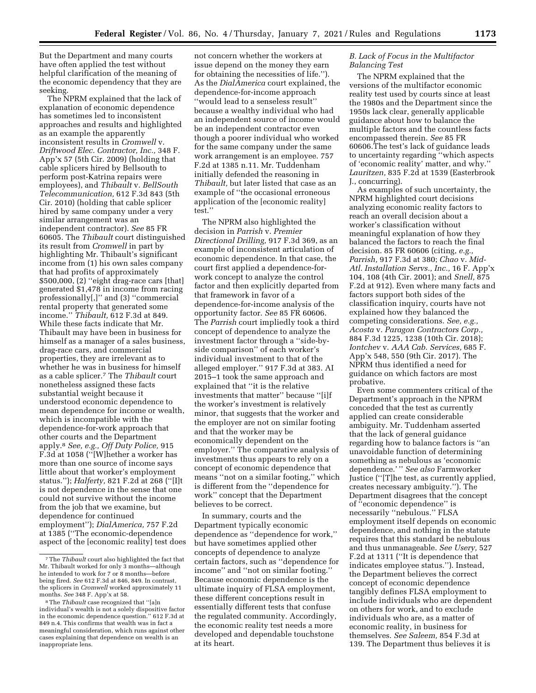But the Department and many courts have often applied the test without helpful clarification of the meaning of the economic dependency that they are seeking.

The NPRM explained that the lack of explanation of economic dependence has sometimes led to inconsistent approaches and results and highlighted as an example the apparently inconsistent results in *Cromwell* v. *Driftwood Elec. Contractor, Inc.,* 348 F. App'x 57 (5th Cir. 2009) (holding that cable splicers hired by Bellsouth to perform post-Katrina repairs were employees), and *Thibault* v. *BellSouth Telecommunication,* 612 F.3d 843 (5th Cir. 2010) (holding that cable splicer hired by same company under a very similar arrangement was an independent contractor). *See* 85 FR 60605. The *Thibault* court distinguished its result from *Cromwell* in part by highlighting Mr. Thibault's significant income from (1) his own sales company that had profits of approximately \$500,000, (2) ''eight drag-race cars [that] generated \$1,478 in income from racing professionally[,]'' and (3) ''commercial rental property that generated some income.'' *Thibault,* 612 F.3d at 849. While these facts indicate that Mr. Thibault may have been in business for himself as a manager of a sales business, drag-race cars, and commercial properties, they are irrelevant as to whether he was in business for himself as a cable splicer.7 The *Thibault* court nonetheless assigned these facts substantial weight because it understood economic dependence to mean dependence for income or wealth, which is incompatible with the dependence-for-work approach that other courts and the Department apply.8 *See, e.g., Off Duty Police,* 915 F.3d at 1058 (''[W]hether a worker has more than one source of income says little about that worker's employment status.''); *Halferty,* 821 F.2d at 268 (''[I]t is not dependence in the sense that one could not survive without the income from the job that we examine, but dependence for continued employment''); *DialAmerica,* 757 F.2d at 1385 (''The economic-dependence aspect of the [economic reality] test does not concern whether the workers at issue depend on the money they earn for obtaining the necessities of life.''). As the *DialAmerica* court explained, the dependence-for-income approach ''would lead to a senseless result'' because a wealthy individual who had an independent source of income would be an independent contractor even though a poorer individual who worked for the same company under the same work arrangement is an employee. 757 F.2d at 1385 n.11. Mr. Tuddenham initially defended the reasoning in *Thibault,* but later listed that case as an example of ''the occasional erroneous application of the [economic reality] test.''

The NPRM also highlighted the decision in *Parrish* v. *Premier Directional Drilling,* 917 F.3d 369, as an example of inconsistent articulation of economic dependence. In that case, the court first applied a dependence-forwork concept to analyze the control factor and then explicitly departed from that framework in favor of a dependence-for-income analysis of the opportunity factor. *See* 85 FR 60606. The *Parrish* court impliedly took a third concept of dependence to analyze the investment factor through a ''side-byside comparison'' of each worker's individual investment to that of the alleged employer.'' 917 F.3d at 383. AI 2015–1 took the same approach and explained that ''it is the relative investments that matter'' because ''[i]f the worker's investment is relatively minor, that suggests that the worker and the employer are not on similar footing and that the worker may be economically dependent on the employer.'' The comparative analysis of investments thus appears to rely on a concept of economic dependence that means ''not on a similar footing,'' which is different from the ''dependence for work'' concept that the Department believes to be correct.

In summary, courts and the Department typically economic dependence as ''dependence for work,'' but have sometimes applied other concepts of dependence to analyze certain factors, such as ''dependence for income'' and ''not on similar footing.'' Because economic dependence is the ultimate inquiry of FLSA employment, these different conceptions result in essentially different tests that confuse the regulated community. Accordingly, the economic reality test needs a more developed and dependable touchstone at its heart.

### *B. Lack of Focus in the Multifactor Balancing Test*

The NPRM explained that the versions of the multifactor economic reality test used by courts since at least the 1980s and the Department since the 1950s lack clear, generally applicable guidance about how to balance the multiple factors and the countless facts encompassed therein. *See* 85 FR 60606.The test's lack of guidance leads to uncertainty regarding ''which aspects of 'economic reality' matter, and why.'' *Lauritzen,* 835 F.2d at 1539 (Easterbrook J., concurring).

As examples of such uncertainty, the NPRM highlighted court decisions analyzing economic reality factors to reach an overall decision about a worker's classification without meaningful explanation of how they balanced the factors to reach the final decision. 85 FR 60606 (citing, *e.g., Parrish,* 917 F.3d at 380; *Chao* v. *Mid-Atl. Installation Servs., Inc.,* 16 F. App'x 104, 108 (4th Cir. 2001); and *Snell,* 875 F.2d at 912). Even where many facts and factors support both sides of the classification inquiry, courts have not explained how they balanced the competing considerations. *See, e.g., Acosta* v. *Paragon Contractors Corp.,*  884 F.3d 1225, 1238 (10th Cir. 2018); *Iontchev* v. *AAA Cab. Services,* 685 F. App'x 548, 550 (9th Cir. 2017). The NPRM thus identified a need for guidance on which factors are most probative.

Even some commenters critical of the Department's approach in the NPRM conceded that the test as currently applied can create considerable ambiguity. Mr. Tuddenham asserted that the lack of general guidance regarding how to balance factors is ''an unavoidable function of determining something as nebulous as 'economic dependence.' '' *See also* Farmworker Justice (''[T]he test, as currently applied, creates necessary ambiguity.''). The Department disagrees that the concept of ''economic dependence'' is necessarily ''nebulous.'' FLSA employment itself depends on economic dependence, and nothing in the statute requires that this standard be nebulous and thus unmanageable. *See Usery,* 527 F.2d at 1311 (''It is dependence that indicates employee status.''). Instead, the Department believes the correct concept of economic dependence tangibly defines FLSA employment to include individuals who are dependent on others for work, and to exclude individuals who are, as a matter of economic reality, in business for themselves. *See Saleem,* 854 F.3d at 139. The Department thus believes it is

<sup>7</sup>The *Thibault* court also highlighted the fact that Mr. Thibault worked for only 3 months—although he intended to work for 7 or 8 months—before being fired. *See* 612 F.3d at 846, 849. In contrast, the splicers in *Cromwell* worked approximately 11 months. *See* 348 F. App'x at 58.

<sup>8</sup>The *Thibault* case recognized that ''[a]n individual's wealth is not a solely dispositive factor in the economic dependence question.'' 612 F.3d at 849 n.4. This confirms that wealth was in fact a meaningful consideration, which runs against other cases explaining that dependence on wealth is an inappropriate lens.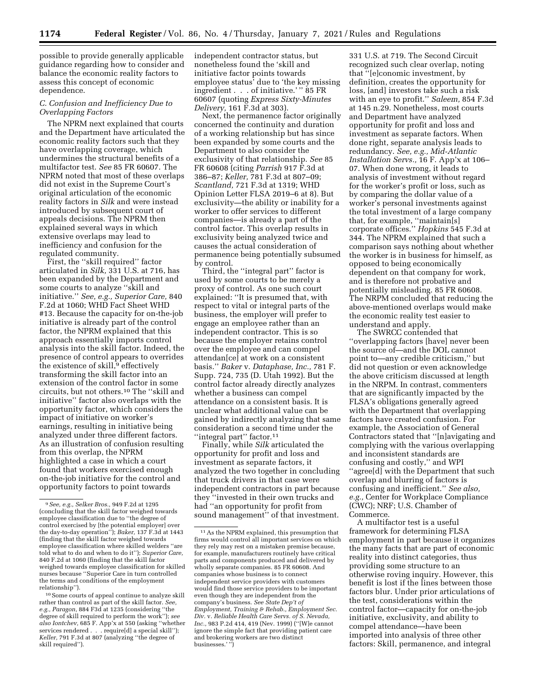possible to provide generally applicable guidance regarding how to consider and balance the economic reality factors to assess this concept of economic dependence.

### *C. Confusion and Inefficiency Due to Overlapping Factors*

The NPRM next explained that courts and the Department have articulated the economic reality factors such that they have overlapping coverage, which undermines the structural benefits of a multifactor test. *See* 85 FR 60607. The NPRM noted that most of these overlaps did not exist in the Supreme Court's original articulation of the economic reality factors in *Silk* and were instead introduced by subsequent court of appeals decisions. The NPRM then explained several ways in which extensive overlaps may lead to inefficiency and confusion for the regulated community.

First, the ''skill required'' factor articulated in *Silk,* 331 U.S. at 716, has been expanded by the Department and some courts to analyze ''skill and initiative.'' *See, e.g., Superior Care,* 840 F.2d at 1060; WHD Fact Sheet WHD #13. Because the capacity for on-the-job initiative is already part of the control factor, the NPRM explained that this approach essentially imports control analysis into the skill factor. Indeed, the presence of control appears to overrides the existence of skill, $9$  effectively transforming the skill factor into an extension of the control factor in some circuits, but not others.10 The ''skill and initiative'' factor also overlaps with the opportunity factor, which considers the impact of initiative on worker's earnings, resulting in initiative being analyzed under three different factors. As an illustration of confusion resulting from this overlap, the NPRM highlighted a case in which a court found that workers exercised enough on-the-job initiative for the control and opportunity factors to point towards

10Some courts of appeal continue to analyze skill rather than control as part of the skill factor. *See, e.g., Paragon,* 884 F3d at 1235 (considering ''the degree of skill required to perform the work''); *see also Iontchev,* 685 F. App'x at 550 (asking ''whether services rendered . . . require[d] a special skill''); *Keller,* 791 F.3d at 807 (analyzing ''the degree of skill required'').

independent contractor status, but nonetheless found the 'skill and initiative factor points towards employee status' due to 'the key missing ingredient . . . of initiative.' '' 85 FR 60607 (quoting *Express Sixty-Minutes Delivery,* 161 F.3d at 303).

Next, the permanence factor originally concerned the continuity and duration of a working relationship but has since been expanded by some courts and the Department to also consider the exclusivity of that relationship. *See* 85 FR 60608 (citing *Parrish* 917 F.3d at 386–87; *Keller,* 781 F.3d at 807–09; *Scantland,* 721 F.3d at 1319; WHD Opinion Letter FLSA 2019–6 at 8). But exclusivity—the ability or inability for a worker to offer services to different companies—is already a part of the control factor. This overlap results in exclusivity being analyzed twice and causes the actual consideration of permanence being potentially subsumed by control.

Third, the ''integral part'' factor is used by some courts to be merely a proxy of control. As one such court explained: ''It is presumed that, with respect to vital or integral parts of the business, the employer will prefer to engage an employee rather than an independent contractor. This is so because the employer retains control over the employee and can compel attendan[ce] at work on a consistent basis.'' *Baker* v. *Dataphase, Inc.,* 781 F. Supp. 724, 735 (D. Utah 1992). But the control factor already directly analyzes whether a business can compel attendance on a consistent basis. It is unclear what additional value can be gained by indirectly analyzing that same consideration a second time under the "integral part" factor.<sup>11</sup>

Finally, while *Silk* articulated the opportunity for profit and loss and investment as separate factors, it analyzed the two together in concluding that truck drivers in that case were independent contractors in part because they ''invested in their own trucks and had ''an opportunity for profit from sound management'' of that investment.

331 U.S. at 719. The Second Circuit recognized such clear overlap, noting that ''[e]conomic investment, by definition, creates the opportunity for loss, [and] investors take such a risk with an eye to profit.'' *Saleem,* 854 F.3d at 145 n.29. Nonetheless, most courts and Department have analyzed opportunity for profit and loss and investment as separate factors. When done right, separate analysis leads to redundancy. *See, e.g., Mid-Atlantic Installation Servs.,* 16 F. App'x at 106– 07. When done wrong, it leads to analysis of investment without regard for the worker's profit or loss, such as by comparing the dollar value of a worker's personal investments against the total investment of a large company that, for example, ''maintain[s] corporate offices.'' *Hopkins* 545 F.3d at 344. The NPRM explained that such a comparison says nothing about whether the worker is in business for himself, as opposed to being economically dependent on that company for work, and is therefore not probative and potentially misleading. 85 FR 60608. The NRPM concluded that reducing the above-mentioned overlaps would make the economic reality test easier to understand and apply.

The SWRCC contended that ''overlapping factors [have] never been the source of—and the DOL cannot point to—any credible criticism,'' but did not question or even acknowledge the above criticism discussed at length in the NRPM. In contrast, commenters that are significantly impacted by the FLSA's obligations generally agreed with the Department that overlapping factors have created confusion. For example, the Association of General Contractors stated that ''[n]avigating and complying with the various overlapping and inconsistent standards are confusing and costly,'' and WPI ''agree[d] with the Department that such overlap and blurring of factors is confusing and inefficient.'' *See also, e.g.,* Center for Workplace Compliance (CWC); NRF; U.S. Chamber of Commerce.

A multifactor test is a useful framework for determining FLSA employment in part because it organizes the many facts that are part of economic reality into distinct categories, thus providing some structure to an otherwise roving inquiry. However, this benefit is lost if the lines between those factors blur. Under prior articulations of the test, considerations within the control factor—capacity for on-the-job initiative, exclusivity, and ability to compel attendance—have been imported into analysis of three other factors: Skill, permanence, and integral

<sup>9</sup>*See, e.g., Selker Bros.,* 949 F.2d at 1295 (concluding that the skill factor weighed towards employee classification due to ''the degree of control exercised by [the potential employer] over the day-to-day operation''); *Baker,* 137 F.3d at 1443 (finding that the skill factor weighed towards employee classification where skilled welders ''are told what to do and when to do it''); *Superior Care,*  840 F.2d at 1060 (finding that the skill factor weighed towards employee classification for skilled nurses because ''Superior Care in turn controlled the terms and conditions of the employment relationship'').

 $^{\rm 11}\hspace{0.1cm}{\rm As}$  the NPRM explained, this presumption that firms would control all important services on which they rely may rest on a mistaken premise because, for example, manufacturers routinely have critical parts and components produced and delivered by wholly separate companies. 85 FR 60608. And companies whose business is to connect independent service providers with customers would find those service providers to be important even though they are independent from the company's business. *See State Dep't of Employment, Training & Rehab., Employment Sec. Div.* v. *Reliable Health Care Servs. of S. Nevada, Inc.,* 983 P.2d 414, 419 (Nev. 1999) (''[W]e cannot ignore the simple fact that providing patient care and brokering workers are two distinct businesses.'"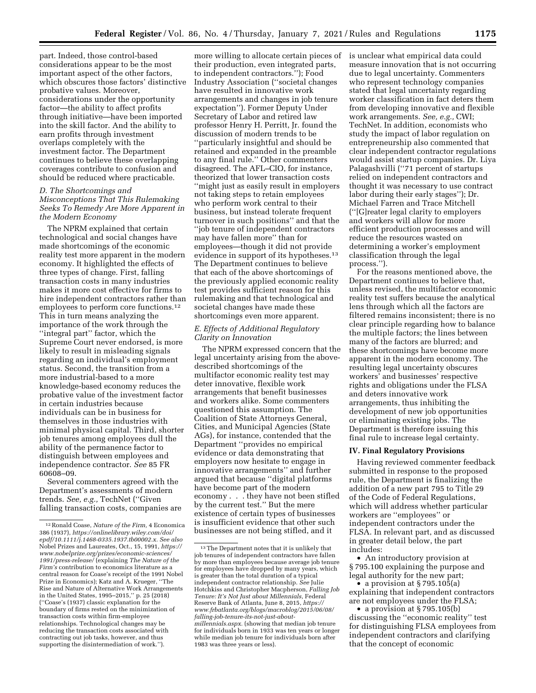part. Indeed, those control-based considerations appear to be the most important aspect of the other factors, which obscures those factors' distinctive probative values. Moreover, considerations under the opportunity factor—the ability to affect profits through initiative—have been imported into the skill factor. And the ability to

earn profits through investment overlaps completely with the investment factor. The Department continues to believe these overlapping coverages contribute to confusion and should be reduced where practicable.

### *D. The Shortcomings and Misconceptions That This Rulemaking Seeks To Remedy Are More Apparent in the Modern Economy*

The NPRM explained that certain technological and social changes have made shortcomings of the economic reality test more apparent in the modern economy. It highlighted the effects of three types of change. First, falling transaction costs in many industries makes it more cost effective for firms to hire independent contractors rather than employees to perform core functions.12 This in turn means analyzing the importance of the work through the ''integral part'' factor, which the Supreme Court never endorsed, is more likely to result in misleading signals regarding an individual's employment status. Second, the transition from a more industrial-based to a more knowledge-based economy reduces the probative value of the investment factor in certain industries because individuals can be in business for themselves in those industries with minimal physical capital. Third, shorter job tenures among employees dull the ability of the permanence factor to distinguish between employees and independence contractor. *See* 85 FR 60608–09.

Several commenters agreed with the Department's assessments of modern trends. *See, e.g.,* TechNet (''Given falling transaction costs, companies are

more willing to allocate certain pieces of their production, even integrated parts, to independent contractors.''); Food Industry Association (''societal changes have resulted in innovative work arrangements and changes in job tenure expectation''). Former Deputy Under Secretary of Labor and retired law professor Henry H. Perritt, Jr. found the discussion of modern trends to be ''particularly insightful and should be retained and expanded in the preamble to any final rule.'' Other commenters disagreed. The AFL–CIO, for instance, theorized that lower transaction costs ''might just as easily result in employers not taking steps to retain employees who perform work central to their business, but instead tolerate frequent turnover in such positions'' and that the ''job tenure of independent contractors may have fallen more'' than for employees—though it did not provide evidence in support of its hypotheses.<sup>13</sup> The Department continues to believe that each of the above shortcomings of the previously applied economic reality test provides sufficient reason for this rulemaking and that technological and societal changes have made these shortcomings even more apparent.

## *E. Effects of Additional Regulatory Clarity on Innovation*

The NPRM expressed concern that the legal uncertainty arising from the abovedescribed shortcomings of the multifactor economic reality test may deter innovative, flexible work arrangements that benefit businesses and workers alike. Some commenters questioned this assumption. The Coalition of State Attorneys General, Cities, and Municipal Agencies (State AGs), for instance, contended that the Department ''provides no empirical evidence or data demonstrating that employers now hesitate to engage in innovative arrangements'' and further argued that because ''digital platforms have become part of the modern economy . . . they have not been stifled by the current test.'' But the mere existence of certain types of businesses is insufficient evidence that other such businesses are not being stifled, and it

is unclear what empirical data could measure innovation that is not occurring due to legal uncertainty. Commenters who represent technology companies stated that legal uncertainty regarding worker classification in fact deters them from developing innovative and flexible work arrangements. *See, e.g.,* CWI; TechNet. In addition, economists who study the impact of labor regulation on entrepreneurship also commented that clear independent contractor regulations would assist startup companies. Dr. Liya Palagashvilli (''71 percent of startups relied on independent contractors and thought it was necessary to use contract labor during their early stages''); Dr. Michael Farren and Trace Mitchell (''[G]reater legal clarity to employers and workers will allow for more efficient production processes and will reduce the resources wasted on determining a worker's employment classification through the legal process.'').

For the reasons mentioned above, the Department continues to believe that, unless revised, the multifactor economic reality test suffers because the analytical lens through which all the factors are filtered remains inconsistent; there is no clear principle regarding how to balance the multiple factors; the lines between many of the factors are blurred; and these shortcomings have become more apparent in the modern economy. The resulting legal uncertainty obscures workers' and businesses' respective rights and obligations under the FLSA and deters innovative work arrangements, thus inhibiting the development of new job opportunities or eliminating existing jobs. The Department is therefore issuing this final rule to increase legal certainty.

### **IV. Final Regulatory Provisions**

Having reviewed commenter feedback submitted in response to the proposed rule, the Department is finalizing the addition of a new part 795 to Title 29 of the Code of Federal Regulations, which will address whether particular workers are ''employees'' or independent contractors under the FLSA. In relevant part, and as discussed in greater detail below, the part includes:

• An introductory provision at § 795.100 explaining the purpose and legal authority for the new part;

• a provision at §795.105(a) explaining that independent contractors are not employees under the FLSA;

• a provision at § 795.105(b) discussing the ''economic reality'' test for distinguishing FLSA employees from independent contractors and clarifying that the concept of economic

<sup>12</sup>Ronald Coase, *Nature of the Firm,* 4 Economica 386 (1937), *[https://onlinelibrary.wiley.com/doi/](https://onlinelibrary.wiley.com/doi/epdf/10.1111/j.1468-0335.1937.tb00002.x) [epdf/10.1111/j.1468-0335.1937.tb00002.x.](https://onlinelibrary.wiley.com/doi/epdf/10.1111/j.1468-0335.1937.tb00002.x) See also*  Nobel Prizes and Laureates, Oct., 15, 1991, *[https://](https://www.nobelprize.org/prizes/economic-sciences/1991/press-release/)  [www.nobelprize.org/prizes/economic-sciences/](https://www.nobelprize.org/prizes/economic-sciences/1991/press-release/) [1991/press-release/](https://www.nobelprize.org/prizes/economic-sciences/1991/press-release/)* (explaining *The Nature of the Firm's* contribution to economics literature as a central reason for Coase's receipt of the 1991 Nobel Prize in Economics); Katz and A. Krueger, ''The Rise and Nature of Alternative Work Arrangements in the United States, 1995–2015,'' p. 25 (2018) (''Coase's (1937) classic explanation for the boundary of firms rested on the minimization of transaction costs within firm-employee relationships. Technological changes may be reducing the transaction costs associated with contracting out job tasks, however, and thus supporting the disintermediation of work.'').

<sup>&</sup>lt;sup>13</sup>The Department notes that it is unlikely that job tenures of independent contractors have fallen by more than employees because average job tenure for employees have dropped by many years, which is greater than the total duration of a typical independent contractor relationship. *See* Julie Hotchkiss and Christopher Macpherson, *Falling Job Tenure: It's Not Just about Millennials,* Federal Reserve Bank of Atlanta, June 8, 2015, *[https://](https://www.frbatlanta.org/blogs/macroblog/2015/06/08/falling-job-tenure-its-not-just-about-millennials.aspx) [www.frbatlanta.org/blogs/macroblog/2015/06/08/](https://www.frbatlanta.org/blogs/macroblog/2015/06/08/falling-job-tenure-its-not-just-about-millennials.aspx)  [falling-job-tenure-its-not-just-about](https://www.frbatlanta.org/blogs/macroblog/2015/06/08/falling-job-tenure-its-not-just-about-millennials.aspx)[millennials.aspx.](https://www.frbatlanta.org/blogs/macroblog/2015/06/08/falling-job-tenure-its-not-just-about-millennials.aspx)* (showing that median job tenure for individuals born in 1933 was ten years or longer while median job tenure for individuals born after 1983 was three years or less).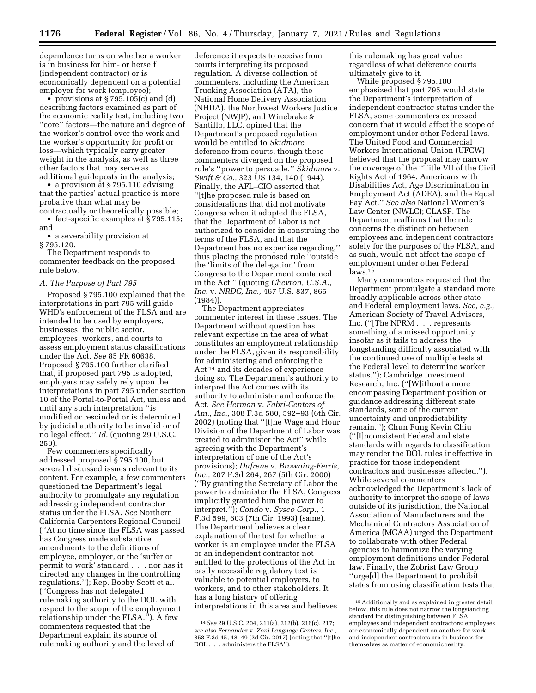dependence turns on whether a worker is in business for him- or herself (independent contractor) or is economically dependent on a potential employer for work (employee);

• provisions at §795.105(c) and (d) describing factors examined as part of the economic reality test, including two ''core'' factors—the nature and degree of the worker's control over the work and the worker's opportunity for profit or loss—which typically carry greater weight in the analysis, as well as three other factors that may serve as additional guideposts in the analysis;

• a provision at §795.110 advising that the parties' actual practice is more probative than what may be

contractually or theoretically possible; • fact-specific examples at § 795.115; and

• a severability provision at § 795.120.

The Department responds to commenter feedback on the proposed rule below.

#### *A. The Purpose of Part 795*

Proposed § 795.100 explained that the interpretations in part 795 will guide WHD's enforcement of the FLSA and are intended to be used by employers, businesses, the public sector, employees, workers, and courts to assess employment status classifications under the Act. *See* 85 FR 60638. Proposed § 795.100 further clarified that, if proposed part 795 is adopted, employers may safely rely upon the interpretations in part 795 under section 10 of the Portal-to-Portal Act, unless and until any such interpretation ''is modified or rescinded or is determined by judicial authority to be invalid or of no legal effect.'' *Id.* (quoting 29 U.S.C. 259).

Few commenters specifically addressed proposed § 795.100, but several discussed issues relevant to its content. For example, a few commenters questioned the Department's legal authority to promulgate any regulation addressing independent contractor status under the FLSA. *See* Northern California Carpenters Regional Council (''At no time since the FLSA was passed has Congress made substantive amendments to the definitions of employee, employer, or the 'suffer or permit to work' standard . . . nor has it directed any changes in the controlling regulations.''); Rep. Bobby Scott et al. (''Congress has not delegated rulemaking authority to the DOL with respect to the scope of the employment relationship under the FLSA.''). A few commenters requested that the Department explain its source of rulemaking authority and the level of

deference it expects to receive from courts interpreting its proposed regulation. A diverse collection of commenters, including the American Trucking Association (ATA), the National Home Delivery Association (NHDA), the Northwest Workers Justice Project (NWJP), and Winebrake & Santillo, LLC, opined that the Department's proposed regulation would be entitled to *Skidmore*  deference from courts, though these commenters diverged on the proposed rule's ''power to persuade.'' *Skidmore* v. *Swift & Co.,* 323 US 134, 140 (1944). Finally, the AFL–CIO asserted that ''[t]he proposed rule is based on considerations that did not motivate Congress when it adopted the FLSA, that the Department of Labor is not authorized to consider in construing the terms of the FLSA, and that the Department has no expertise regarding,'' thus placing the proposed rule ''outside the 'limits of the delegation' from Congress to the Department contained in the Act.'' (quoting *Chevron, U.S.A., Inc.* v. *NRDC, Inc.,* 467 U.S. 837, 865 (1984)).

The Department appreciates commenter interest in these issues. The Department without question has relevant expertise in the area of what constitutes an employment relationship under the FLSA, given its responsibility for administering and enforcing the Act 14 and its decades of experience doing so. The Department's authority to interpret the Act comes with its authority to administer and enforce the Act. *See Herman* v. *Fabri-Centers of Am., Inc.,* 308 F.3d 580, 592–93 (6th Cir. 2002) (noting that ''[t]he Wage and Hour Division of the Department of Labor was created to administer the Act'' while agreeing with the Department's interpretation of one of the Act's provisions); *Dufrene* v. *Browning-Ferris, Inc.,* 207 F.3d 264, 267 (5th Cir. 2000) (''By granting the Secretary of Labor the power to administer the FLSA, Congress implicitly granted him the power to interpret.''); *Condo* v. *Sysco Corp.,* 1 F.3d 599, 603 (7th Cir. 1993) (same). The Department believes a clear explanation of the test for whether a worker is an employee under the FLSA or an independent contractor not entitled to the protections of the Act in easily accessible regulatory text is valuable to potential employers, to workers, and to other stakeholders. It has a long history of offering interpretations in this area and believes

this rulemaking has great value regardless of what deference courts ultimately give to it.

While proposed § 795.100 emphasized that part 795 would state the Department's interpretation of independent contractor status under the FLSA, some commenters expressed concern that it would affect the scope of employment under other Federal laws. The United Food and Commercial Workers International Union (UFCW) believed that the proposal may narrow the coverage of the ''Title VII of the Civil Rights Act of 1964, Americans with Disabilities Act, Age Discrimination in Employment Act (ADEA), and the Equal Pay Act.'' *See also* National Women's Law Center (NWLC); CLASP. The Department reaffirms that the rule concerns the distinction between employees and independent contractors solely for the purposes of the FLSA, and as such, would not affect the scope of employment under other Federal laws.15

Many commenters requested that the Department promulgate a standard more broadly applicable across other state and Federal employment laws. *See, e.g.,*  American Society of Travel Advisors, Inc. (''[The NPRM . . . represents something of a missed opportunity insofar as it fails to address the longstanding difficulty associated with the continued use of multiple tests at the Federal level to determine worker status.''); Cambridge Investment Research, Inc. (''[W]ithout a more encompassing Department position or guidance addressing different state standards, some of the current uncertainty and unpredictability remain.''); Chun Fung Kevin Chiu (''[I]nconsistent Federal and state standards with regards to classification may render the DOL rules ineffective in practice for those independent contractors and businesses affected.''). While several commenters acknowledged the Department's lack of authority to interpret the scope of laws outside of its jurisdiction, the National Association of Manufacturers and the Mechanical Contractors Association of America (MCAA) urged the Department to collaborate with other Federal agencies to harmonize the varying employment definitions under Federal law. Finally, the Zobrist Law Group ''urge[d] the Department to prohibit states from using classification tests that

<sup>14</sup>*See* 29 U.S.C. 204, 211(a), 212(b), 216(c), 217; *see also Fernandez* v. *Zoni Language Centers, Inc.,*  858 F.3d 45, 48–49 (2d Cir. 2017) (noting that ''[t]he DOL . . . administers the FLSA'').

<sup>15</sup>Additionally and as explained in greater detail below, this rule does not narrow the longstanding standard for distinguishing between FLSA employees and independent contractors; employees are economically dependent on another for work, and independent contractors are in business for themselves as matter of economic reality.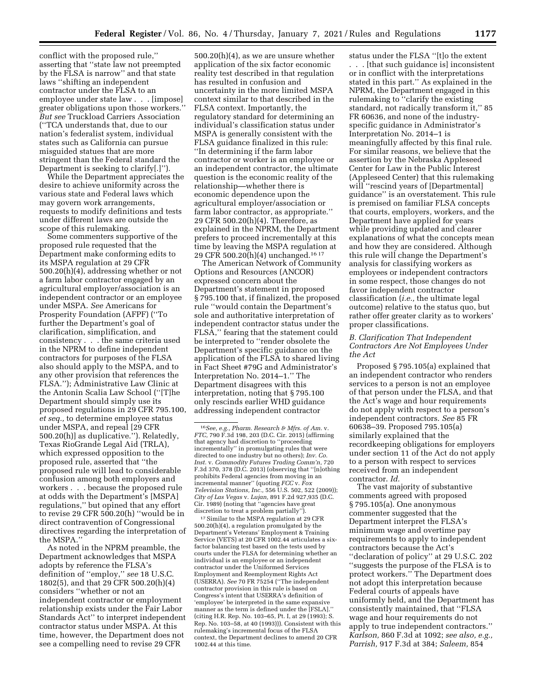conflict with the proposed rule,'' asserting that ''state law not preempted by the FLSA is narrow'' and that state laws ''shifting an independent contractor under the FLSA to an employee under state law . . . [impose] greater obligations upon those workers.'' *But see* Truckload Carriers Association (''TCA understands that, due to our nation's federalist system, individual states such as California can pursue misguided statues that are more stringent than the Federal standard the Department is seeking to clarify[.]'').

While the Department appreciates the desire to achieve uniformity across the various state and Federal laws which may govern work arrangements, requests to modify definitions and tests under different laws are outside the scope of this rulemaking.

Some commenters supportive of the proposed rule requested that the Department make conforming edits to its MSPA regulation at 29 CFR 500.20(h)(4), addressing whether or not a farm labor contractor engaged by an agricultural employer/association is an independent contractor or an employee under MSPA. *See* Americans for Prosperity Foundation (AFPF) (''To further the Department's goal of clarification, simplification, and consistency . . . the same criteria used in the NPRM to define independent contractors for purposes of the FLSA also should apply to the MSPA, and to any other provision that references the FLSA.''); Administrative Law Clinic at the Antonin Scalia Law School (''[T]he Department should simply use its proposed regulations in 29 CFR 795.100, *et seq.,* to determine employee status under MSPA, and repeal [29 CFR 500.20(h)] as duplicative.''). Relatedly, Texas RioGrande Legal Aid (TRLA), which expressed opposition to the proposed rule, asserted that ''the proposed rule will lead to considerable confusion among both employers and workers . . . because the proposed rule at odds with the Department's [MSPA] regulations,'' but opined that any effort to revise 29 CFR 500.20(h) ''would be in direct contravention of Congressional directives regarding the interpretation of the MSPA.''

As noted in the NPRM preamble, the Department acknowledges that MSPA adopts by reference the FLSA's definition of ''employ,'' *see* 18 U.S.C. 1802(5), and that 29 CFR 500.20(h)(4) considers ''whether or not an independent contractor or employment relationship exists under the Fair Labor Standards Act'' to interpret independent contractor status under MSPA. At this time, however, the Department does not see a compelling need to revise 29 CFR

500.20(h)(4), as we are unsure whether application of the six factor economic reality test described in that regulation has resulted in confusion and uncertainty in the more limited MSPA context similar to that described in the FLSA context. Importantly, the regulatory standard for determining an individual's classification status under MSPA is generally consistent with the FLSA guidance finalized in this rule: ''In determining if the farm labor contractor or worker is an employee or an independent contractor, the ultimate question is the economic reality of the relationship—whether there is economic dependence upon the agricultural employer/association or farm labor contractor, as appropriate.'' 29 CFR 500.20(h)(4). Therefore, as explained in the NPRM, the Department prefers to proceed incrementally at this time by leaving the MSPA regulation at 29 CFR 500.20(h)(4) unchanged.16 17

The American Network of Community Options and Resources (ANCOR) expressed concern about the Department's statement in proposed § 795.100 that, if finalized, the proposed rule ''would contain the Department's sole and authoritative interpretation of independent contractor status under the FLSA,'' fearing that the statement could be interpreted to ''render obsolete the Department's specific guidance on the application of the FLSA to shared living in Fact Sheet #79G and Administrator's Interpretation No. 2014–1.'' The Department disagrees with this interpretation, noting that § 795.100 only rescinds earlier WHD guidance addressing independent contractor

17 Similar to the MSPA regulation at 29 CFR 500.20(h)(4), a regulation promulgated by the Department's Veterans' Employment & Training Service (VETS) at 20 CFR 1002.44 articulates a sixfactor balancing test based on the tests used by courts under the FLSA for determining whether an individual is an employee or an independent contractor under the Uniformed Services Employment and Reemployment Rights Act (USERRA). *See* 70 FR 75254 (''The independent contractor provision in this rule is based on Congress's intent that USERRA's definition of 'employee' be interpreted in the same expansive manner as the term is defined under the [FSLA].'' (citing H.R. Rep. No. 103–65, Pt. I, at 29 (1993); S. Rep. No. 103–58, at 40 (1993))). Consistent with this rulemaking's incremental focus of the FLSA context, the Department declines to amend 20 CFR 1002.44 at this time.

status under the FLSA ''[t]o the extent . . . [that such guidance is] inconsistent or in conflict with the interpretations stated in this part.'' As explained in the NPRM, the Department engaged in this rulemaking to ''clarify the existing standard, not radically transform it,'' 85 FR 60636, and none of the industryspecific guidance in Administrator's Interpretation No. 2014–1 is meaningfully affected by this final rule. For similar reasons, we believe that the assertion by the Nebraska Appleseed Center for Law in the Public Interest (Appleseed Center) that this rulemaking will "rescind years of [Departmental] guidance'' is an overstatement. This rule is premised on familiar FLSA concepts that courts, employers, workers, and the Department have applied for years while providing updated and clearer explanations of what the concepts mean and how they are considered. Although this rule will change the Department's analysis for classifying workers as employees or independent contractors in some respect, those changes do not favor independent contractor classification (*i.e.,* the ultimate legal outcome) relative to the status quo, but rather offer greater clarity as to workers' proper classifications.

#### *B. Clarification That Independent Contractors Are Not Employees Under the Act*

Proposed § 795.105(a) explained that an independent contractor who renders services to a person is not an employee of that person under the FLSA, and that the Act's wage and hour requirements do not apply with respect to a person's independent contractors. *See* 85 FR 60638–39. Proposed 795.105(a) similarly explained that the recordkeeping obligations for employers under section 11 of the Act do not apply to a person with respect to services received from an independent contractor. *Id.* 

The vast majority of substantive comments agreed with proposed § 795.105(a). One anonymous commenter suggested that the Department interpret the FLSA's minimum wage and overtime pay requirements to apply to independent contractors because the Act's ''declaration of policy'' at 29 U.S.C. 202 ''suggests the purpose of the FLSA is to protect workers.'' The Department does not adopt this interpretation because Federal courts of appeals have uniformly held, and the Department has consistently maintained, that ''FLSA wage and hour requirements do not apply to true independent contractors.'' *Karlson,* 860 F.3d at 1092; *see also, e.g., Parrish,* 917 F.3d at 384; *Saleem,* 854

<sup>16</sup>*See, e.g., Pharm. Research & Mfrs. of Am.* v. *FTC,* 790 F.3d 198, 203 (D.C. Cir. 2015) (affirming that agency had discretion to ''proceeding incrementally'' in promulgating rules that were directed to one industry but no others); *Inv. Co. Inst.* v. *Commodity Futures Trading Comm'n,* 720 F.3d 370, 378 (D.C. 2013) (observing that ''[n]othing prohibits Federal agencies from moving in an incremental manner'' (quoting *FCC* v. *Fox Television Stations, Inc.,* 556 U.S. 502, 522 (2009)); *City of Las Vegas* v. *Lujan,* 891 F.2d 927,935 (D.C. Cir. 1989) (noting that ''agencies have great discretion to treat a problem partially'').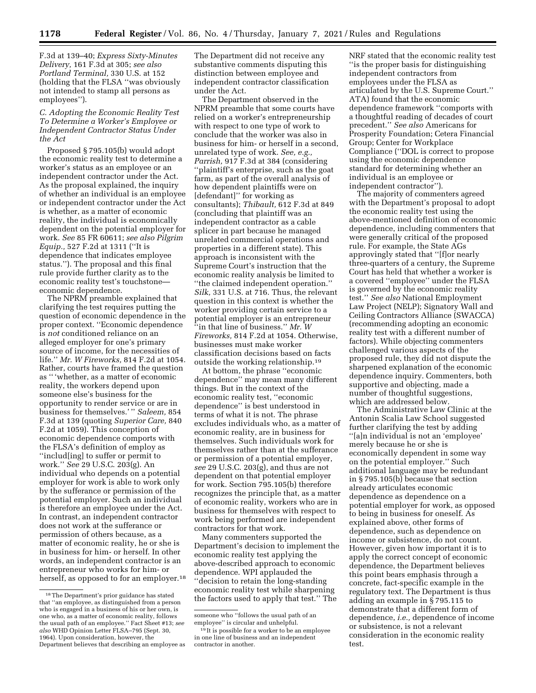F.3d at 139–40; *Express Sixty-Minutes Delivery,* 161 F.3d at 305; *see also Portland Terminal,* 330 U.S. at 152 (holding that the FLSA ''was obviously not intended to stamp all persons as employees'').

*C. Adopting the Economic Reality Test To Determine a Worker's Employee or Independent Contractor Status Under the Act* 

Proposed § 795.105(b) would adopt the economic reality test to determine a worker's status as an employee or an independent contractor under the Act. As the proposal explained, the inquiry of whether an individual is an employee or independent contractor under the Act is whether, as a matter of economic reality, the individual is economically dependent on the potential employer for work. *See* 85 FR 60611; *see also Pilgrim Equip.,* 527 F.2d at 1311 (''It is dependence that indicates employee status.''). The proposal and this final rule provide further clarity as to the economic reality test's touchstone economic dependence.

The NPRM preamble explained that clarifying the test requires putting the question of economic dependence in the proper context. ''Economic dependence is *not* conditioned reliance on an alleged employer for one's primary source of income, for the necessities of life.'' *Mr. W Fireworks,* 814 F.2d at 1054. Rather, courts have framed the question as '' 'whether, as a matter of economic reality, the workers depend upon someone else's business for the opportunity to render service or are in business for themselves.' '' *Saleem,* 854 F.3d at 139 (quoting *Superior Care,* 840 F.2d at 1059). This conception of economic dependence comports with the FLSA's definition of employ as ''includ[ing] to suffer or permit to work.'' *See* 29 U.S.C. 203(g). An individual who depends on a potential employer for work is able to work only by the sufferance or permission of the potential employer. Such an individual is therefore an employee under the Act. In contrast, an independent contractor does not work at the sufferance or permission of others because, as a matter of economic reality, he or she is in business for him- or herself. In other words, an independent contractor is an entrepreneur who works for him- or herself, as opposed to for an employer.<sup>18</sup>

The Department did not receive any substantive comments disputing this distinction between employee and independent contractor classification under the Act.

The Department observed in the NPRM preamble that some courts have relied on a worker's entrepreneurship with respect to one type of work to conclude that the worker was also in business for him- or herself in a second, unrelated type of work. *See, e.g., Parrish,* 917 F.3d at 384 (considering ''plaintiff's enterprise, such as the goat farm, as part of the overall analysis of how dependent plaintiffs were on [defendant]'' for working as consultants); *Thibault,* 612 F.3d at 849 (concluding that plaintiff was an independent contractor as a cable splicer in part because he managed unrelated commercial operations and properties in a different state). This approach is inconsistent with the Supreme Court's instruction that the economic reality analysis be limited to ''the claimed independent operation.'' *Silk,* 331 U.S. at 716. Thus, the relevant question in this context is whether the worker providing certain service to a potential employer is an entrepreneur ''in that line of business.'' *Mr. W Fireworks,* 814 F.2d at 1054. Otherwise, businesses must make worker classification decisions based on facts outside the working relationship.19

At bottom, the phrase ''economic dependence'' may mean many different things. But in the context of the economic reality test, ''economic dependence'' is best understood in terms of what it is not. The phrase excludes individuals who, as a matter of economic reality, are in business for themselves. Such individuals work for themselves rather than at the sufferance or permission of a potential employer, *see* 29 U.S.C. 203(g), and thus are not dependent on that potential employer for work. Section 795.105(b) therefore recognizes the principle that, as a matter of economic reality, workers who are in business for themselves with respect to work being performed are independent contractors for that work.

Many commenters supported the Department's decision to implement the economic reality test applying the above-described approach to economic dependence. WPI applauded the ''decision to retain the long-standing economic reality test while sharpening the factors used to apply that test.'' The

NRF stated that the economic reality test ''is the proper basis for distinguishing independent contractors from employees under the FLSA as articulated by the U.S. Supreme Court.'' ATA) found that the economic dependence framework ''comports with a thoughtful reading of decades of court precedent.'' *See also* Americans for Prosperity Foundation; Cetera Financial Group; Center for Workplace Compliance (''DOL is correct to propose using the economic dependence standard for determining whether an individual is an employee or independent contractor'').

The majority of commenters agreed with the Department's proposal to adopt the economic reality test using the above-mentioned definition of economic dependence, including commenters that were generally critical of the proposed rule. For example, the State AGs approvingly stated that ''[f]or nearly three-quarters of a century, the Supreme Court has held that whether a worker is a covered ''employee'' under the FLSA is governed by the economic reality test.'' *See also* National Employment Law Project (NELP); Signatory Wall and Ceiling Contractors Alliance (SWACCA) (recommending adopting an economic reality test with a different number of factors). While objecting commenters challenged various aspects of the proposed rule, they did not dispute the sharpened explanation of the economic dependence inquiry. Commenters, both supportive and objecting, made a number of thoughtful suggestions, which are addressed below.

The Administrative Law Clinic at the Antonin Scalia Law School suggested further clarifying the test by adding ''[a]n individual is not an 'employee' merely because he or she is economically dependent in some way on the potential employer.'' Such additional language may be redundant in § 795.105(b) because that section already articulates economic dependence as dependence on a potential employer for work, as opposed to being in business for oneself. As explained above, other forms of dependence, such as dependence on income or subsistence, do not count. However, given how important it is to apply the correct concept of economic dependence, the Department believes this point bears emphasis through a concrete, fact-specific example in the regulatory text. The Department is thus adding an example in § 795.115 to demonstrate that a different form of dependence, *i.e.,* dependence of income or subsistence, is not a relevant consideration in the economic reality test.

<sup>18</sup>The Department's prior guidance has stated that ''an employee, as distinguished from a person who is engaged in a business of his or her own, is one who, as a matter of economic reality, follows the usual path of an employee.'' Fact Sheet #13; *see also* WHD Opinion Letter FLSA–795 (Sept. 30, 1964). Upon consideration, however, the Department believes that describing an employee as

someone who ''follows the usual path of an employee'' is circular and unhelpful.

<sup>&</sup>lt;sup>19</sup> It is possible for a worker to be an employee in one line of business and an independent contractor in another.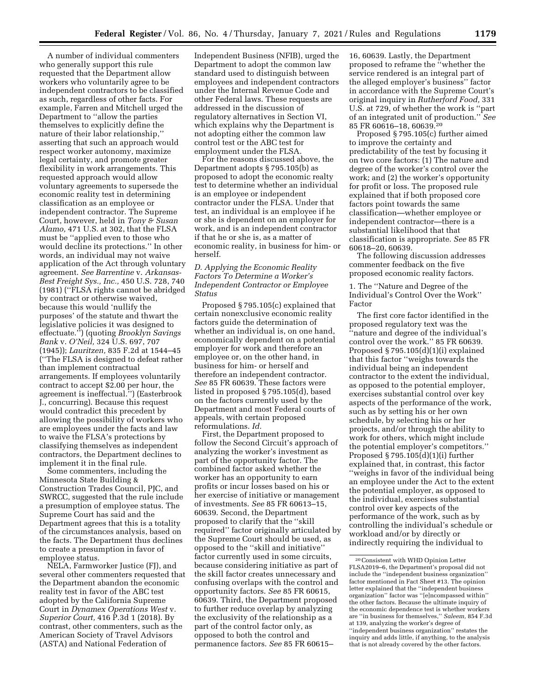A number of individual commenters who generally support this rule requested that the Department allow workers who voluntarily agree to be independent contractors to be classified as such, regardless of other facts. For example, Farren and Mitchell urged the Department to ''allow the parties themselves to explicitly define the nature of their labor relationship,'' asserting that such an approach would respect worker autonomy, maximize legal certainty, and promote greater flexibility in work arrangements. This requested approach would allow voluntary agreements to supersede the economic reality test in determining classification as an employee or independent contractor. The Supreme Court, however, held in *Tony & Susan Alamo,* 471 U.S. at 302, that the FLSA must be ''applied even to those who would decline its protections.'' In other words, an individual may not waive application of the Act through voluntary agreement. *See Barrentine* v. *Arkansas-Best Freight Sys., Inc.,* 450 U.S. 728, 740 (1981) (''FLSA rights cannot be abridged by contract or otherwise waived, because this would 'nullify the purposes' of the statute and thwart the legislative policies it was designed to effectuate.'') (quoting *Brooklyn Savings Bank* v. *O'Neil,* 324 U.S. 697, 707 (1945)); *Lauritzen,* 835 F.2d at 1544–45 (''The FLSA is designed to defeat rather than implement contractual arrangements. If employees voluntarily contract to accept \$2.00 per hour, the agreement is ineffectual.'') (Easterbrook J., concurring). Because this request would contradict this precedent by allowing the possibility of workers who are employees under the facts and law to waive the FLSA's protections by classifying themselves as independent contractors, the Department declines to implement it in the final rule.

Some commenters, including the Minnesota State Building & Construction Trades Council, PJC, and SWRCC, suggested that the rule include a presumption of employee status. The Supreme Court has said and the Department agrees that this is a totality of the circumstances analysis, based on the facts. The Department thus declines to create a presumption in favor of employee status.

NELA, Farmworker Justice (FJ), and several other commenters requested that the Department abandon the economic reality test in favor of the ABC test adopted by the California Supreme Court in *Dynamex Operations West* v. *Superior Court,* 416 P.3d 1 (2018). By contrast, other commenters, such as the American Society of Travel Advisors (ASTA) and National Federation of

Independent Business (NFIB), urged the Department to adopt the common law standard used to distinguish between employees and independent contractors under the Internal Revenue Code and other Federal laws. These requests are addressed in the discussion of regulatory alternatives in Section VI, which explains why the Department is not adopting either the common law control test or the ABC test for employment under the FLSA.

For the reasons discussed above, the Department adopts § 795.105(b) as proposed to adopt the economic realty test to determine whether an individual is an employee or independent contractor under the FLSA. Under that test, an individual is an employee if he or she is dependent on an employer for work, and is an independent contractor if that he or she is, as a matter of economic reality, in business for him- or herself.

### *D. Applying the Economic Reality Factors To Determine a Worker's Independent Contractor or Employee Status*

Proposed § 795.105(c) explained that certain nonexclusive economic reality factors guide the determination of whether an individual is, on one hand, economically dependent on a potential employer for work and therefore an employee or, on the other hand, in business for him- or herself and therefore an independent contractor. *See* 85 FR 60639. These factors were listed in proposed § 795.105(d), based on the factors currently used by the Department and most Federal courts of appeals, with certain proposed reformulations. *Id.* 

First, the Department proposed to follow the Second Circuit's approach of analyzing the worker's investment as part of the opportunity factor. The combined factor asked whether the worker has an opportunity to earn profits or incur losses based on his or her exercise of initiative or management of investments. *See* 85 FR 60613–15, 60639. Second, the Department proposed to clarify that the ''skill required'' factor originally articulated by the Supreme Court should be used, as opposed to the ''skill and initiative'' factor currently used in some circuits, because considering initiative as part of the skill factor creates unnecessary and confusing overlaps with the control and opportunity factors. *See* 85 FR 60615, 60639. Third, the Department proposed to further reduce overlap by analyzing the exclusivity of the relationship as a part of the control factor only, as opposed to both the control and permanence factors. *See* 85 FR 60615–

16, 60639. Lastly, the Department proposed to reframe the ''whether the service rendered is an integral part of the alleged employer's business'' factor in accordance with the Supreme Court's original inquiry in *Rutherford Food,* 331 U.S. at 729, of whether the work is ''part of an integrated unit of production.'' *See*  85 FR 60616–18, 60639.20

Proposed § 795.105(c) further aimed to improve the certainty and predictability of the test by focusing it on two core factors: (1) The nature and degree of the worker's control over the work; and (2) the worker's opportunity for profit or loss. The proposed rule explained that if both proposed core factors point towards the same classification—whether employee or independent contractor—there is a substantial likelihood that that classification is appropriate. *See* 85 FR 60618–20, 60639.

The following discussion addresses commenter feedback on the five proposed economic reality factors.

1. The ''Nature and Degree of the Individual's Control Over the Work'' Factor

The first core factor identified in the proposed regulatory text was the 'nature and degree of the individual's control over the work.'' 85 FR 60639. Proposed § 795.105(d)(1)(i) explained that this factor ''weighs towards the individual being an independent contractor to the extent the individual, as opposed to the potential employer, exercises substantial control over key aspects of the performance of the work, such as by setting his or her own schedule, by selecting his or her projects, and/or through the ability to work for others, which might include the potential employer's competitors.'' Proposed  $\S 795.105(d)(1)(i)$  further explained that, in contrast, this factor ''weighs in favor of the individual being an employee under the Act to the extent the potential employer, as opposed to the individual, exercises substantial control over key aspects of the performance of the work, such as by controlling the individual's schedule or workload and/or by directly or indirectly requiring the individual to

<sup>20</sup>Consistent with WHD Opinion Letter FLSA2019–6, the Department's proposal did not include the ''independent business organization'' factor mentioned in Fact Sheet #13. The opinion letter explained that the ''independent business organization'' factor was ''[e]ncompassed within'' the other factors. Because the ultimate inquiry of the economic dependence test is whether workers are ''in business for themselves,'' *Saleem,* 854 F.3d at 139, analyzing the worker's degree of ''independent business organization'' restates the inquiry and adds little, if anything, to the analysis that is not already covered by the other factors.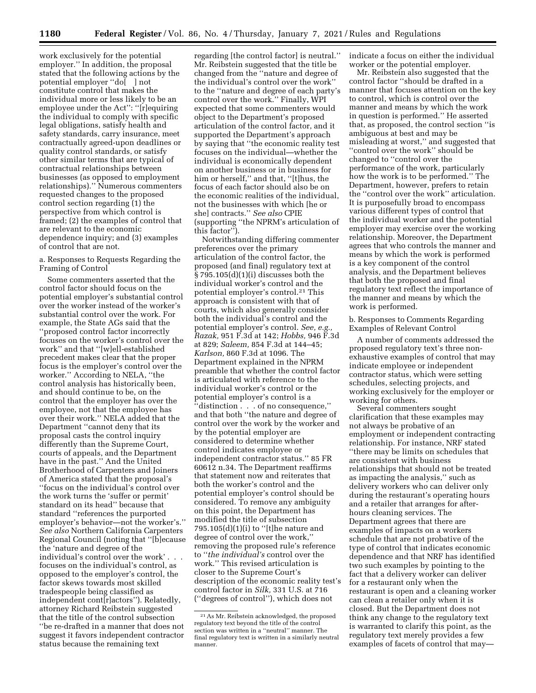work exclusively for the potential employer.'' In addition, the proposal stated that the following actions by the potential employer ''do[ ] not constitute control that makes the individual more or less likely to be an employee under the Act'': ''[r]equiring the individual to comply with specific legal obligations, satisfy health and safety standards, carry insurance, meet contractually agreed-upon deadlines or quality control standards, or satisfy other similar terms that are typical of contractual relationships between businesses (as opposed to employment relationships).'' Numerous commenters requested changes to the proposed control section regarding (1) the perspective from which control is framed; (2) the examples of control that are relevant to the economic dependence inquiry; and (3) examples of control that are not.

a. Responses to Requests Regarding the Framing of Control

Some commenters asserted that the control factor should focus on the potential employer's substantial control over the worker instead of the worker's substantial control over the work. For example, the State AGs said that the ''proposed control factor incorrectly focuses on the worker's control over the work'' and that ''[w]ell-established precedent makes clear that the proper focus is the employer's control over the worker.'' According to NELA, ''the control analysis has historically been, and should continue to be, on the control that the employer has over the employee, not that the employee has over their work.'' NELA added that the Department ''cannot deny that its proposal casts the control inquiry differently than the Supreme Court, courts of appeals, and the Department have in the past.'' And the United Brotherhood of Carpenters and Joiners of America stated that the proposal's ''focus on the individual's control over the work turns the 'suffer or permit' standard on its head'' because that standard ''references the purported employer's behavior—not the worker's.'' *See also* Northern California Carpenters Regional Council (noting that ''[b]ecause the 'nature and degree of the individual's control over the work' . . . focuses on the individual's control, as opposed to the employer's control, the factor skews towards most skilled tradespeople being classified as independent cont[r]actors''). Relatedly, attorney Richard Reibstein suggested that the title of the control subsection ''be re-drafted in a manner that does not suggest it favors independent contractor status because the remaining text

regarding [the control factor] is neutral.'' Mr. Reibstein suggested that the title be changed from the ''nature and degree of the individual's control over the work'' to the ''nature and degree of each party's control over the work.'' Finally, WPI expected that some commenters would object to the Department's proposed articulation of the control factor, and it supported the Department's approach by saying that ''the economic reality test focuses on the individual—whether the individual is economically dependent on another business or in business for him or herself,'' and that, ''[t]hus, the focus of each factor should also be on the economic realities of the individual, not the businesses with which [he or she] contracts.'' *See also* CPIE (supporting ''the NPRM's articulation of this factor'').

Notwithstanding differing commenter preferences over the primary articulation of the control factor, the proposed (and final) regulatory text at § 795.105(d)(1)(i) discusses both the individual worker's control and the potential employer's control.21 This approach is consistent with that of courts, which also generally consider both the individual's control and the potential employer's control. *See, e.g., Razak,* 951 F.3d at 142; *Hobbs,* 946 F.3d at 829; *Saleem,* 854 F.3d at 144–45; *Karlson,* 860 F.3d at 1096. The Department explained in the NPRM preamble that whether the control factor is articulated with reference to the individual worker's control or the potential employer's control is a ''distinction . . . of no consequence,'' and that both ''the nature and degree of control over the work by the worker and by the potential employer are considered to determine whether control indicates employee or independent contractor status.'' 85 FR 60612 n.34. The Department reaffirms that statement now and reiterates that both the worker's control and the potential employer's control should be considered. To remove any ambiguity on this point, the Department has modified the title of subsection 795.105 $(d)(1)(i)$  to "[t]he nature and degree of control over the work,'' removing the proposed rule's reference to ''*the individual's* control over the work.'' This revised articulation is closer to the Supreme Court's description of the economic reality test's control factor in *Silk,* 331 U.S. at 716 (''degrees of control''), which does not

indicate a focus on either the individual worker or the potential employer.

Mr. Reibstein also suggested that the control factor ''should be drafted in a manner that focuses attention on the key to control, which is control over the manner and means by which the work in question is performed.'' He asserted that, as proposed, the control section ''is ambiguous at best and may be misleading at worst,'' and suggested that ''control over the work'' should be changed to ''control over the performance of the work, particularly how the work is to be performed.'' The Department, however, prefers to retain the ''control over the work'' articulation. It is purposefully broad to encompass various different types of control that the individual worker and the potential employer may exercise over the working relationship. Moreover, the Department agrees that who controls the manner and means by which the work is performed is a key component of the control analysis, and the Department believes that both the proposed and final regulatory text reflect the importance of the manner and means by which the work is performed.

b. Responses to Comments Regarding Examples of Relevant Control

A number of comments addressed the proposed regulatory text's three nonexhaustive examples of control that may indicate employee or independent contractor status, which were setting schedules, selecting projects, and working exclusively for the employer or working for others.

Several commenters sought clarification that these examples may not always be probative of an employment or independent contracting relationship. For instance, NRF stated ''there may be limits on schedules that are consistent with business relationships that should not be treated as impacting the analysis,'' such as delivery workers who can deliver only during the restaurant's operating hours and a retailer that arranges for afterhours cleaning services. The Department agrees that there are examples of impacts on a workers schedule that are not probative of the type of control that indicates economic dependence and that NRF has identified two such examples by pointing to the fact that a delivery worker can deliver for a restaurant only when the restaurant is open and a cleaning worker can clean a retailer only when it is closed. But the Department does not think any change to the regulatory text is warranted to clarify this point, as the regulatory text merely provides a few examples of facets of control that may—

<sup>21</sup>As Mr. Reibstein acknowledged, the proposed regulatory text beyond the title of the control section was written in a ''neutral'' manner. The final regulatory text is written in a similarly neutral manner.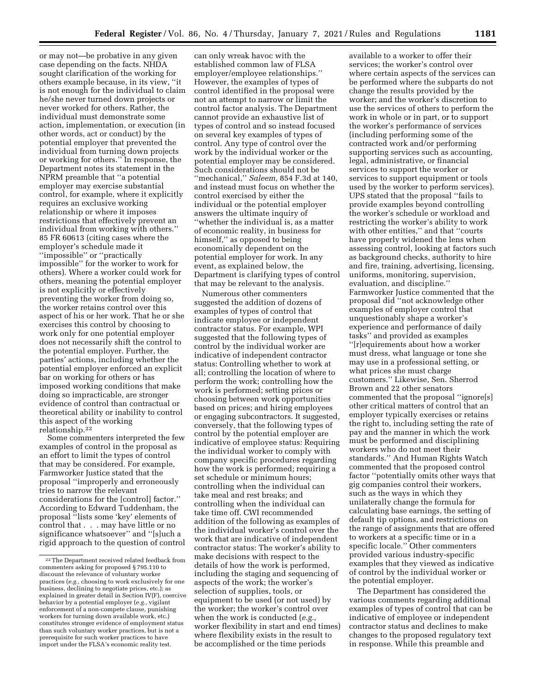or may not—be probative in any given case depending on the facts. NHDA sought clarification of the working for others example because, in its view, ''it is not enough for the individual to claim he/she never turned down projects or never worked for others. Rather, the individual must demonstrate some action, implementation, or execution (in other words, act or conduct) by the potential employer that prevented the individual from turning down projects or working for others.'' In response, the Department notes its statement in the NPRM preamble that ''a potential employer may exercise substantial control, for example, where it explicitly requires an exclusive working relationship or where it imposes restrictions that effectively prevent an individual from working with others.'' 85 FR 60613 (citing cases where the employer's schedule made it ''impossible'' or ''practically impossible'' for the worker to work for others). Where a worker could work for others, meaning the potential employer is not explicitly or effectively preventing the worker from doing so, the worker retains control over this aspect of his or her work. That he or she exercises this control by choosing to work only for one potential employer does not necessarily shift the control to the potential employer. Further, the parties' actions, including whether the potential employer enforced an explicit bar on working for others or has imposed working conditions that make doing so impracticable, are stronger evidence of control than contractual or theoretical ability or inability to control this aspect of the working relationship.22

Some commenters interpreted the few examples of control in the proposal as an effort to limit the types of control that may be considered. For example, Farmworker Justice stated that the proposal ''improperly and erroneously tries to narrow the relevant considerations for the [control] factor.'' According to Edward Tuddenham, the proposal ''lists some 'key' elements of control that . . . may have little or no significance whatsoever'' and ''[s]uch a rigid approach to the question of control

can only wreak havoc with the established common law of FLSA employer/employee relationships.'' However, the examples of types of control identified in the proposal were not an attempt to narrow or limit the control factor analysis. The Department cannot provide an exhaustive list of types of control and so instead focused on several key examples of types of control. Any type of control over the work by the individual worker or the potential employer may be considered. Such considerations should not be ''mechanical,'' *Saleem,* 854 F.3d at 140, and instead must focus on whether the control exercised by either the individual or the potential employer answers the ultimate inquiry of ''whether the individual is, as a matter of economic reality, in business for himself," as opposed to being economically dependent on the potential employer for work. In any event, as explained below, the Department is clarifying types of control that may be relevant to the analysis.

Numerous other commenters suggested the addition of dozens of examples of types of control that indicate employee or independent contractor status. For example, WPI suggested that the following types of control by the individual worker are indicative of independent contractor status: Controlling whether to work at all; controlling the location of where to perform the work; controlling how the work is performed; setting prices or choosing between work opportunities based on prices; and hiring employees or engaging subcontractors. It suggested, conversely, that the following types of control by the potential employer are indicative of employee status: Requiring the individual worker to comply with company specific procedures regarding how the work is performed; requiring a set schedule or minimum hours; controlling when the individual can take meal and rest breaks; and controlling when the individual can take time off. CWI recommended addition of the following as examples of the individual worker's control over the work that are indicative of independent contractor status: The worker's ability to make decisions with respect to the details of how the work is performed, including the staging and sequencing of aspects of the work; the worker's selection of supplies, tools, or equipment to be used (or not used) by the worker; the worker's control over when the work is conducted (*e.g.,*  worker flexibility in start and end times) where flexibility exists in the result to be accomplished or the time periods

available to a worker to offer their services; the worker's control over where certain aspects of the services can be performed where the subparts do not change the results provided by the worker; and the worker's discretion to use the services of others to perform the work in whole or in part, or to support the worker's performance of services (including performing some of the contracted work and/or performing supporting services such as accounting, legal, administrative, or financial services to support the worker or services to support equipment or tools used by the worker to perform services). UPS stated that the proposal ''fails to provide examples beyond controlling the worker's schedule or workload and restricting the worker's ability to work with other entities,'' and that ''courts have properly widened the lens when assessing control, looking at factors such as background checks, authority to hire and fire, training, advertising, licensing, uniforms, monitoring, supervision, evaluation, and discipline.'' Farmworker Justice commented that the proposal did ''not acknowledge other examples of employer control that unquestionably shape a worker's experience and performance of daily tasks'' and provided as examples ''[r]equirements about how a worker must dress, what language or tone she may use in a professional setting, or what prices she must charge customers.'' Likewise, Sen. Sherrod Brown and 22 other senators commented that the proposal ''ignore[s] other critical matters of control that an employer typically exercises or retains the right to, including setting the rate of pay and the manner in which the work must be performed and disciplining workers who do not meet their standards.'' And Human Rights Watch commented that the proposed control factor ''potentially omits other ways that gig companies control their workers, such as the ways in which they unilaterally change the formula for calculating base earnings, the setting of default tip options, and restrictions on the range of assignments that are offered to workers at a specific time or in a specific locale.'' Other commenters provided various industry-specific examples that they viewed as indicative of control by the individual worker or the potential employer.

The Department has considered the various comments regarding additional examples of types of control that can be indicative of employee or independent contractor status and declines to make changes to the proposed regulatory text in response. While this preamble and

<sup>22</sup>The Department received related feedback from commenters asking for proposed § 795.110 to discount the relevance of voluntary worker practices (*e.g.,* choosing to work exclusively for one business, declining to negotiate prices, etc.); as explained in greater detail in Section IV(F), coercive behavior by a potential employer (*e.g.,* vigilant enforcement of a non-compete clause, punishing workers for turning down available work, etc.) constitutes stronger evidence of employment status than such voluntary worker practices, but is not a prerequisite for such worker practices to have import under the FLSA's economic reality test.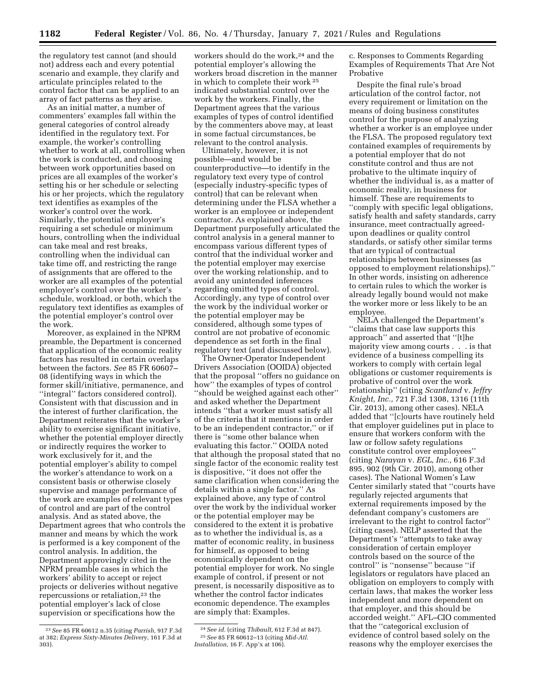the regulatory test cannot (and should not) address each and every potential scenario and example, they clarify and articulate principles related to the control factor that can be applied to an array of fact patterns as they arise.

As an initial matter, a number of commenters' examples fall within the general categories of control already identified in the regulatory text. For example, the worker's controlling whether to work at all, controlling when the work is conducted, and choosing between work opportunities based on prices are all examples of the worker's setting his or her schedule or selecting his or her projects, which the regulatory text identifies as examples of the worker's control over the work. Similarly, the potential employer's requiring a set schedule or minimum hours, controlling when the individual can take meal and rest breaks, controlling when the individual can take time off, and restricting the range of assignments that are offered to the worker are all examples of the potential employer's control over the worker's schedule, workload, or both, which the regulatory text identifies as examples of the potential employer's control over the work.

Moreover, as explained in the NPRM preamble, the Department is concerned that application of the economic reality factors has resulted in certain overlaps between the factors. *See* 85 FR 60607– 08 (identifying ways in which the former skill/initiative, permanence, and ''integral'' factors considered control). Consistent with that discussion and in the interest of further clarification, the Department reiterates that the worker's ability to exercise significant initiative, whether the potential employer directly or indirectly requires the worker to work exclusively for it, and the potential employer's ability to compel the worker's attendance to work on a consistent basis or otherwise closely supervise and manage performance of the work are examples of relevant types of control and are part of the control analysis. And as stated above, the Department agrees that who controls the manner and means by which the work is performed is a key component of the control analysis. In addition, the Department approvingly cited in the NPRM preamble cases in which the workers' ability to accept or reject projects or deliveries without negative repercussions or retaliation,<sup>23</sup> the potential employer's lack of close supervision or specifications how the

workers should do the work,<sup>24</sup> and the potential employer's allowing the workers broad discretion in the manner in which to complete their work 25 indicated substantial control over the work by the workers. Finally, the Department agrees that the various examples of types of control identified by the commenters above may, at least in some factual circumstances, be relevant to the control analysis.

Ultimately, however, it is not possible—and would be counterproductive—to identify in the regulatory text every type of control (especially industry-specific types of control) that can be relevant when determining under the FLSA whether a worker is an employee or independent contractor. As explained above, the Department purposefully articulated the control analysis in a general manner to encompass various different types of control that the individual worker and the potential employer may exercise over the working relationship, and to avoid any unintended inferences regarding omitted types of control. Accordingly, any type of control over the work by the individual worker or the potential employer may be considered, although some types of control are not probative of economic dependence as set forth in the final regulatory text (and discussed below).

The Owner-Operator Independent Drivers Association (OOIDA) objected that the proposal ''offers no guidance on how'' the examples of types of control ''should be weighed against each other'' and asked whether the Department intends ''that a worker must satisfy all of the criteria that it mentions in order to be an independent contractor,'' or if there is ''some other balance when evaluating this factor.'' OOIDA noted that although the proposal stated that no single factor of the economic reality test is dispositive, ''it does not offer the same clarification when considering the details within a single factor.'' As explained above, any type of control over the work by the individual worker or the potential employer may be considered to the extent it is probative as to whether the individual is, as a matter of economic reality, in business for himself, as opposed to being economically dependent on the potential employer for work. No single example of control, if present or not present, is necessarily dispositive as to whether the control factor indicates economic dependence. The examples are simply that: Examples.

24*See id.* (citing *Thibault,* 612 F.3d at 847). 25*See* 85 FR 60612–13 (citing *Mid-Atl. Installation,* 16 F. App'x at 106).

c. Responses to Comments Regarding Examples of Requirements That Are Not Probative

Despite the final rule's broad articulation of the control factor, not every requirement or limitation on the means of doing business constitutes control for the purpose of analyzing whether a worker is an employee under the FLSA. The proposed regulatory text contained examples of requirements by a potential employer that do not constitute control and thus are not probative to the ultimate inquiry of whether the individual is, as a matter of economic reality, in business for himself. These are requirements to ''comply with specific legal obligations, satisfy health and safety standards, carry insurance, meet contractually agreedupon deadlines or quality control standards, or satisfy other similar terms that are typical of contractual relationships between businesses (as opposed to employment relationships).'' In other words, insisting on adherence to certain rules to which the worker is already legally bound would not make the worker more or less likely to be an employee.

NELA challenged the Department's ''claims that case law supports this approach'' and asserted that ''[t]he majority view among courts . . . is that evidence of a business compelling its workers to comply with certain legal obligations or customer requirements is probative of control over the work relationship'' (citing *Scantland* v. *Jeffry Knight, Inc.,* 721 F.3d 1308, 1316 (11th Cir. 2013), among other cases). NELA added that ''[c]ourts have routinely held that employer guidelines put in place to ensure that workers conform with the law or follow safety regulations constitute control over employees'' (citing *Narayan* v. *EGL, Inc.,* 616 F.3d 895, 902 (9th Cir. 2010), among other cases). The National Women's Law Center similarly stated that ''courts have regularly rejected arguments that external requirements imposed by the defendant company's customers are irrelevant to the right to control factor'' (citing cases). NELP asserted that the Department's ''attempts to take away consideration of certain employer controls based on the source of the control'' is ''nonsense'' because ''if legislators or regulators have placed an obligation on employers to comply with certain laws, that makes the worker less independent and more dependent on that employer, and this should be accorded weight.'' AFL–CIO commented that the ''categorical exclusion of evidence of control based solely on the reasons why the employer exercises the

<sup>23</sup>*See* 85 FR 60612 n.35 (citing *Parrish,* 917 F.3d at 382; *Express Sixty-Minutes Delivery,* 161 F.3d at 303).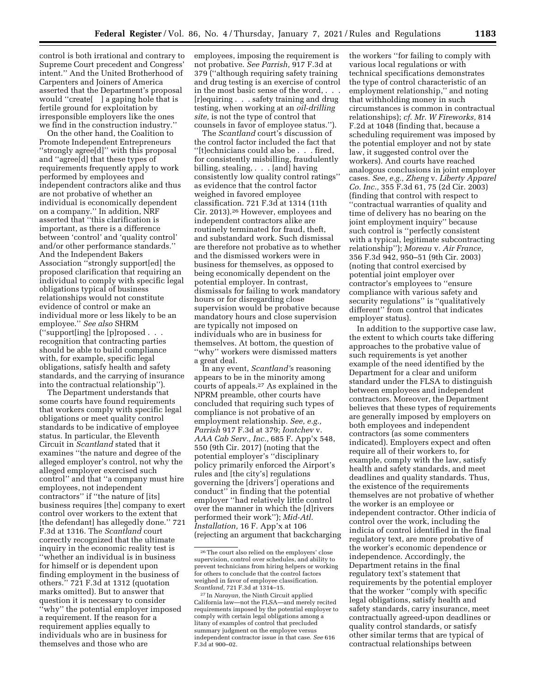control is both irrational and contrary to Supreme Court precedent and Congress' intent.'' And the United Brotherhood of Carpenters and Joiners of America asserted that the Department's proposal would ''create[ ] a gaping hole that is fertile ground for exploitation by irresponsible employers like the ones we find in the construction industry.''

On the other hand, the Coalition to Promote Independent Entrepreneurs ''strongly agree[d]'' with this proposal and ''agree[d] that these types of requirements frequently apply to work performed by employees and independent contractors alike and thus are not probative of whether an individual is economically dependent on a company.'' In addition, NRF asserted that ''this clarification is important, as there is a difference between 'control' and 'quality control' and/or other performance standards.'' And the Independent Bakers Association ''strongly support[ed] the proposed clarification that requiring an individual to comply with specific legal obligations typical of business relationships would not constitute evidence of control or make an individual more or less likely to be an employee.'' *See also* SHRM (''support[ing] the [p]roposed . . . recognition that contracting parties should be able to build compliance with, for example, specific legal obligations, satisfy health and safety standards, and the carrying of insurance into the contractual relationship'').

The Department understands that some courts have found requirements that workers comply with specific legal obligations or meet quality control standards to be indicative of employee status. In particular, the Eleventh Circuit in *Scantland* stated that it examines ''the nature and degree of the alleged employer's control, not why the alleged employer exercised such control'' and that ''a company must hire employees, not independent contractors'' if ''the nature of [its] business requires [the] company to exert control over workers to the extent that [the defendant] has allegedly done." 721 F.3d at 1316. The *Scantland* court correctly recognized that the ultimate inquiry in the economic reality test is ''whether an individual is in business for himself or is dependent upon finding employment in the business of others.'' 721 F.3d at 1312 (quotation marks omitted). But to answer that question it is necessary to consider ''why'' the potential employer imposed a requirement. If the reason for a requirement applies equally to individuals who are in business for themselves and those who are

employees, imposing the requirement is not probative. *See Parrish,* 917 F.3d at 379 (''although requiring safety training and drug testing is an exercise of control in the most basic sense of the word, . . . [r]equiring . . . safety training and drug testing, when working at an *oil-drilling site,* is not the type of control that counsels in favor of employee status.'').

The *Scantland* court's discussion of the control factor included the fact that ''[t]echnicians could also be . . . fired, for consistently misbilling, fraudulently billing, stealing, . . . [and] having consistently low quality control ratings'' as evidence that the control factor weighed in favored employee classification. 721 F.3d at 1314 (11th Cir. 2013).26 However, employees and independent contractors alike are routinely terminated for fraud, theft, and substandard work. Such dismissal are therefore not probative as to whether and the dismissed workers were in business for themselves, as opposed to being economically dependent on the potential employer. In contrast, dismissals for failing to work mandatory hours or for disregarding close supervision would be probative because mandatory hours and close supervision are typically not imposed on individuals who are in business for themselves. At bottom, the question of ''why'' workers were dismissed matters a great deal.

In any event, *Scantland'*s reasoning appears to be in the minority among courts of appeals.27 As explained in the NPRM preamble, other courts have concluded that requiring such types of compliance is not probative of an employment relationship. *See, e.g., Parrish* 917 F.3d at 379; *Iontchev* v. *AAA Cab Serv., Inc.,* 685 F. App'x 548, 550 (9th Cir. 2017) (noting that the potential employer's ''disciplinary policy primarily enforced the Airport's rules and [the city's] regulations governing the [drivers'] operations and conduct'' in finding that the potential employer ''had relatively little control over the manner in which the [d]rivers performed their work''); *Mid-Atl. Installation,* 16 F. App'x at 106 (rejecting an argument that backcharging the workers ''for failing to comply with various local regulations or with technical specifications demonstrates the type of control characteristic of an employment relationship,'' and noting that withholding money in such circumstances is common in contractual relationships); *cf. Mr. W Fireworks,* 814 F.2d at 1048 (finding that, because a scheduling requirement was imposed by the potential employer and not by state law, it suggested control over the workers). And courts have reached analogous conclusions in joint employer cases. *See, e.g., Zheng* v. *Liberty Apparel Co. Inc.,* 355 F.3d 61, 75 (2d Cir. 2003) (finding that control with respect to ''contractual warranties of quality and time of delivery has no bearing on the joint employment inquiry'' because such control is ''perfectly consistent with a typical, legitimate subcontracting relationship''); *Moreau* v. *Air France,*  356 F.3d 942, 950–51 (9th Cir. 2003) (noting that control exercised by potential joint employer over contractor's employees to ''ensure compliance with various safety and security regulations'' is ''qualitatively different'' from control that indicates employer status).

In addition to the supportive case law, the extent to which courts take differing approaches to the probative value of such requirements is yet another example of the need identified by the Department for a clear and uniform standard under the FLSA to distinguish between employees and independent contractors. Moreover, the Department believes that these types of requirements are generally imposed by employers on both employees and independent contractors (as some commenters indicated). Employers expect and often require all of their workers to, for example, comply with the law, satisfy health and safety standards, and meet deadlines and quality standards. Thus, the existence of the requirements themselves are not probative of whether the worker is an employee or independent contractor. Other indicia of control over the work, including the indicia of control identified in the final regulatory text, are more probative of the worker's economic dependence or independence. Accordingly, the Department retains in the final regulatory text's statement that requirements by the potential employer that the worker ''comply with specific legal obligations, satisfy health and safety standards, carry insurance, meet contractually agreed-upon deadlines or quality control standards, or satisfy other similar terms that are typical of contractual relationships between

<sup>26</sup>The court also relied on the employers' close supervision, control over schedules, and ability to prevent technicians from hiring helpers or working for others to conclude that the control factors weighed in favor of employee classification. *Scantland,* 721 F.3d at 1314–15.

<sup>27</sup> In *Narayan,* the Ninth Circuit applied California law—not the FLSA—and merely recited requirements imposed by the potential employer to comply with certain legal obligations among a litany of examples of control that precluded summary judgment on the employee versus independent contractor issue in that case. *See* 616 F.3d at 900–02.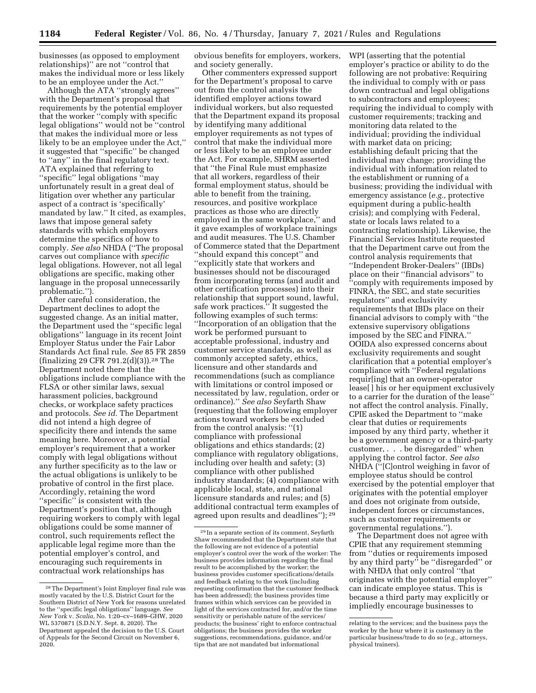businesses (as opposed to employment relationships)'' are not ''control that makes the individual more or less likely to be an employee under the Act.''

Although the ATA ''strongly agrees'' with the Department's proposal that requirements by the potential employer that the worker ''comply with specific legal obligations'' would not be ''control that makes the individual more or less likely to be an employee under the Act,'' it suggested that ''specific'' be changed to ''any'' in the final regulatory text. ATA explained that referring to ''specific'' legal obligations ''may unfortunately result in a great deal of litigation over whether any particular aspect of a contract is 'specifically' mandated by law.'' It cited, as examples, laws that impose general safety standards with which employers determine the specifics of how to comply. *See also* NHDA (''The proposal carves out compliance with *specific*  legal obligations. However, not all legal obligations are specific, making other language in the proposal unnecessarily problematic.'').

After careful consideration, the Department declines to adopt the suggested change. As an initial matter, the Department used the ''specific legal obligations'' language in its recent Joint Employer Status under the Fair Labor Standards Act final rule. *See* 85 FR 2859 (finalizing 29 CFR 791.2(d)(3)).28 The Department noted there that the obligations include compliance with the FLSA or other similar laws, sexual harassment policies, background checks, or workplace safety practices and protocols. *See id.* The Department did not intend a high degree of specificity there and intends the same meaning here. Moreover, a potential employer's requirement that a worker comply with legal obligations without any further specificity as to the law or the actual obligations is unlikely to be probative of control in the first place. Accordingly, retaining the word ''specific'' is consistent with the Department's position that, although requiring workers to comply with legal obligations could be some manner of control, such requirements reflect the applicable legal regime more than the potential employer's control, and encouraging such requirements in contractual work relationships has

obvious benefits for employers, workers, and society generally.

Other commenters expressed support for the Department's proposal to carve out from the control analysis the identified employer actions toward individual workers, but also requested that the Department expand its proposal by identifying many additional employer requirements as not types of control that make the individual more or less likely to be an employee under the Act. For example, SHRM asserted that ''the Final Rule must emphasize that all workers, regardless of their formal employment status, should be able to benefit from the training, resources, and positive workplace practices as those who are directly employed in the same workplace,'' and it gave examples of workplace trainings and audit measures. The U.S. Chamber of Commerce stated that the Department ''should expand this concept'' and ''explicitly state that workers and businesses should not be discouraged from incorporating terms (and audit and other certification processes) into their relationship that support sound, lawful, safe work practices.'' It suggested the following examples of such terms: ''Incorporation of an obligation that the work be performed pursuant to acceptable professional, industry and customer service standards, as well as commonly accepted safety, ethics, licensure and other standards and recommendations (such as compliance with limitations or control imposed or necessitated by law, regulation, order or ordinance).'' *See also* Seyfarth Shaw (requesting that the following employer actions toward workers be excluded from the control analysis: ''(1) compliance with professional obligations and ethics standards; (2) compliance with regulatory obligations, including over health and safety; (3) compliance with other published industry standards; (4) compliance with applicable local, state, and national licensure standards and rules; and (5) additional contractual term examples of agreed upon results and deadlines''); 29

WPI (asserting that the potential employer's practice or ability to do the following are not probative: Requiring the individual to comply with or pass down contractual and legal obligations to subcontractors and employees; requiring the individual to comply with customer requirements; tracking and monitoring data related to the individual; providing the individual with market data on pricing; establishing default pricing that the individual may change; providing the individual with information related to the establishment or running of a business; providing the individual with emergency assistance (*e.g.,* protective equipment during a public-health crisis); and complying with Federal, state or locals laws related to a contracting relationship). Likewise, the Financial Services Institute requested that the Department carve out from the control analysis requirements that ''Independent Broker-Dealers'' (IBDs) place on their ''financial advisors'' to ''comply with requirements imposed by FINRA, the SEC, and state securities regulators'' and exclusivity requirements that IBDs place on their financial advisors to comply with ''the extensive supervisory obligations imposed by the SEC and FINRA.'' OOIDA also expressed concerns about exclusivity requirements and sought clarification that a potential employer's compliance with ''Federal regulations requir[ing] that an owner-operator lease[ ] his or her equipment exclusively to a carrier for the duration of the lease'' not affect the control analysis. Finally, CPIE asked the Department to ''make clear that duties or requirements imposed by any third party, whether it be a government agency or a third-party customer, . . . be disregarded'' when applying the control factor. *See also*  NHDA (''[C]ontrol weighing in favor of employee status should be control exercised by the potential employer that originates with the potential employer and does not originate from outside, independent forces or circumstances, such as customer requirements or governmental regulations.'').

The Department does not agree with CPIE that any requirement stemming from ''duties or requirements imposed by any third party'' be ''disregarded'' or with NHDA that only control ''that originates with the potential employer'' can indicate employee status. This is because a third party may explicitly or impliedly encourage businesses to

<sup>28</sup>The Department's Joint Employer final rule was mostly vacated by the U.S. District Court for the Southern District of New York for reasons unrelated to the ''specific legal obligations'' language. *See New York* v. *Scalia,* No. 1:20–cv–1689–GHW, 2020 WL 5370871 (S.D.N.Y. Sept. 8, 2020). The Department appealed the decision to the U.S. Court of Appeals for the Second Circuit on November 6, 2020.

 $^{\rm 29}$  In a separate section of its comment, Seyfarth Shaw recommended that the Department state that the following are not evidence of a potential employer's control over the work of the worker: The business provides information regarding the final result to be accomplished by the worker; the business provides customer specifications/details and feedback relating to the work (including requesting confirmation that the customer feedback has been addressed); the business provides time frames within which services can be provided in light of the services contracted for, and/or the time sensitivity or perishable nature of the services/ products; the business' right to enforce contractual obligations; the business provides the worker suggestions, recommendations, guidance, and/or tips that are not mandated but informational

relating to the services; and the business pays the worker by the hour where it is customary in the particular business/trade to do so (*e.g.,* attorneys, physical trainers).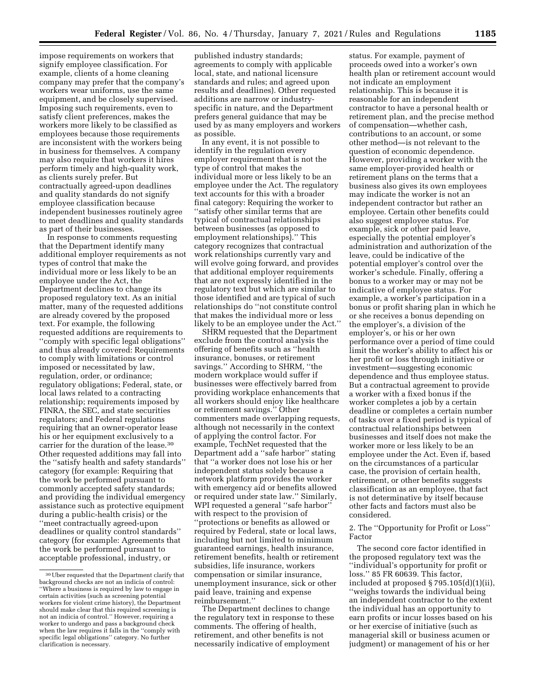impose requirements on workers that signify employee classification. For example, clients of a home cleaning company may prefer that the company's workers wear uniforms, use the same equipment, and be closely supervised. Imposing such requirements, even to satisfy client preferences, makes the workers more likely to be classified as employees because those requirements are inconsistent with the workers being in business for themselves. A company may also require that workers it hires perform timely and high-quality work, as clients surely prefer. But contractually agreed-upon deadlines and quality standards do not signify employee classification because independent businesses routinely agree to meet deadlines and quality standards as part of their businesses.

In response to comments requesting that the Department identify many additional employer requirements as not types of control that make the individual more or less likely to be an employee under the Act, the Department declines to change its proposed regulatory text. As an initial matter, many of the requested additions are already covered by the proposed text. For example, the following requested additions are requirements to ''comply with specific legal obligations'' and thus already covered: Requirements to comply with limitations or control imposed or necessitated by law, regulation, order, or ordinance; regulatory obligations; Federal, state, or local laws related to a contracting relationship; requirements imposed by FINRA, the SEC, and state securities regulators; and Federal regulations requiring that an owner-operator lease his or her equipment exclusively to a carrier for the duration of the lease.30 Other requested additions may fall into the ''satisfy health and safety standards'' category (for example: Requiring that the work be performed pursuant to commonly accepted safety standards; and providing the individual emergency assistance such as protective equipment during a public-health crisis) or the ''meet contractually agreed-upon deadlines or quality control standards'' category (for example: Agreements that the work be performed pursuant to acceptable professional, industry, or

published industry standards; agreements to comply with applicable local, state, and national licensure standards and rules; and agreed upon results and deadlines). Other requested additions are narrow or industryspecific in nature, and the Department prefers general guidance that may be used by as many employers and workers as possible.

In any event, it is not possible to identify in the regulation every employer requirement that is not the type of control that makes the individual more or less likely to be an employee under the Act. The regulatory text accounts for this with a broader final category: Requiring the worker to ''satisfy other similar terms that are typical of contractual relationships between businesses (as opposed to employment relationships).'' This category recognizes that contractual work relationships currently vary and will evolve going forward, and provides that additional employer requirements that are not expressly identified in the regulatory text but which are similar to those identified and are typical of such relationships do ''not constitute control that makes the individual more or less likely to be an employee under the Act.''

SHRM requested that the Department exclude from the control analysis the offering of benefits such as ''health insurance, bonuses, or retirement savings.'' According to SHRM, ''the modern workplace would suffer if businesses were effectively barred from providing workplace enhancements that all workers should enjoy like healthcare or retirement savings.'' Other commenters made overlapping requests, although not necessarily in the context of applying the control factor. For example, TechNet requested that the Department add a ''safe harbor'' stating that ''a worker does not lose his or her independent status solely because a network platform provides the worker with emergency aid or benefits allowed or required under state law.'' Similarly, WPI requested a general ''safe harbor'' with respect to the provision of ''protections or benefits as allowed or required by Federal, state or local laws, including but not limited to minimum guaranteed earnings, health insurance, retirement benefits, health or retirement subsidies, life insurance, workers compensation or similar insurance, unemployment insurance, sick or other paid leave, training and expense reimbursement.''

The Department declines to change the regulatory text in response to these comments. The offering of health, retirement, and other benefits is not necessarily indicative of employment

status. For example, payment of proceeds owed into a worker's own health plan or retirement account would not indicate an employment relationship. This is because it is reasonable for an independent contractor to have a personal health or retirement plan, and the precise method of compensation—whether cash, contributions to an account, or some other method—is not relevant to the question of economic dependence. However, providing a worker with the same employer-provided health or retirement plans on the terms that a business also gives its own employees may indicate the worker is not an independent contractor but rather an employee. Certain other benefits could also suggest employee status. For example, sick or other paid leave, especially the potential employer's administration and authorization of the leave, could be indicative of the potential employer's control over the worker's schedule. Finally, offering a bonus to a worker may or may not be indicative of employee status. For example, a worker's participation in a bonus or profit sharing plan in which he or she receives a bonus depending on the employer's, a division of the employer's, or his or her own performance over a period of time could limit the worker's ability to affect his or her profit or loss through initiative or investment—suggesting economic dependence and thus employee status. But a contractual agreement to provide a worker with a fixed bonus if the worker completes a job by a certain deadline or completes a certain number of tasks over a fixed period is typical of contractual relationships between businesses and itself does not make the worker more or less likely to be an employee under the Act. Even if, based on the circumstances of a particular case, the provision of certain health, retirement, or other benefits suggests classification as an employee, that fact is not determinative by itself because other facts and factors must also be considered.

### 2. The ''Opportunity for Profit or Loss'' Factor

The second core factor identified in the proposed regulatory text was the ''individual's opportunity for profit or loss.'' 85 FR 60639. This factor, included at proposed § 795.105(d)(1)(ii), ''weighs towards the individual being an independent contractor to the extent the individual has an opportunity to earn profits or incur losses based on his or her exercise of initiative (such as managerial skill or business acumen or judgment) or management of his or her

<sup>30</sup>Uber requested that the Department clarify that background checks are not an indicia of control: ''Where a business is required by law to engage in certain activities (such as screening potential workers for violent crime history), the Department should make clear that this required screening is not an indicia of control.'' However, requiring a worker to undergo and pass a background check when the law requires it falls in the ''comply with specific legal obligations'' category. No further clarification is necessary.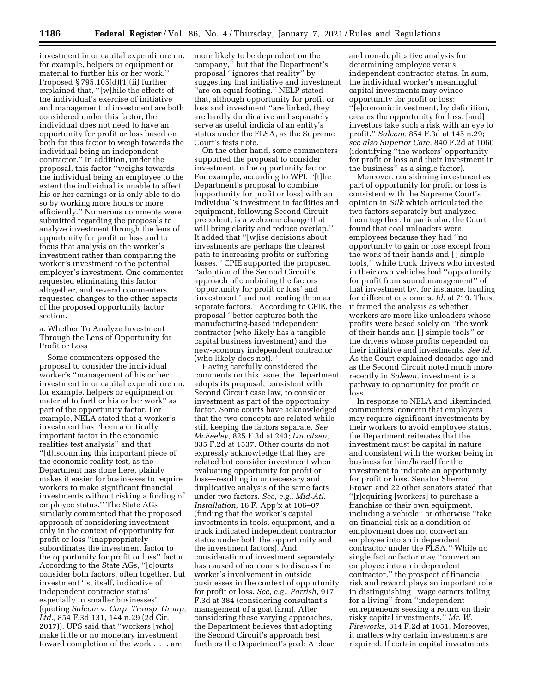investment in or capital expenditure on, for example, helpers or equipment or material to further his or her work.'' Proposed § 795.105(d)(1)(ii) further explained that, ''[w]hile the effects of the individual's exercise of initiative and management of investment are both considered under this factor, the individual does not need to have an opportunity for profit or loss based on both for this factor to weigh towards the individual being an independent contractor.'' In addition, under the proposal, this factor ''weighs towards the individual being an employee to the extent the individual is unable to affect his or her earnings or is only able to do so by working more hours or more efficiently.'' Numerous comments were submitted regarding the proposals to analyze investment through the lens of opportunity for profit or loss and to focus that analysis on the worker's investment rather than comparing the worker's investment to the potential employer's investment. One commenter requested eliminating this factor altogether, and several commenters requested changes to the other aspects of the proposed opportunity factor section.

a. Whether To Analyze Investment Through the Lens of Opportunity for Profit or Loss

Some commenters opposed the proposal to consider the individual worker's ''management of his or her investment in or capital expenditure on, for example, helpers or equipment or material to further his or her work'' as part of the opportunity factor. For example, NELA stated that a worker's investment has ''been a critically important factor in the economic realities test analysis'' and that ''[d]iscounting this important piece of the economic reality test, as the Department has done here, plainly makes it easier for businesses to require workers to make significant financial investments without risking a finding of employee status.'' The State AGs similarly commented that the proposed approach of considering investment only in the context of opportunity for profit or loss ''inappropriately subordinates the investment factor to the opportunity for profit or loss'' factor. According to the State AGs, ''[c]ourts consider both factors, often together, but investment 'is, itself, indicative of independent contractor status' especially in smaller businesses'' (quoting *Saleem* v. *Corp. Transp. Group, Ltd.,* 854 F.3d 131, 144 n.29 (2d Cir. 2017)). UPS said that ''workers [who] make little or no monetary investment toward completion of the work . . . are

more likely to be dependent on the company,'' but that the Department's proposal ''ignores that reality'' by suggesting that initiative and investment ''are on equal footing.'' NELP stated that, although opportunity for profit or loss and investment ''are linked, they are hardly duplicative and separately serve as useful indicia of an entity's status under the FLSA, as the Supreme Court's tests note.''

On the other hand, some commenters supported the proposal to consider investment in the opportunity factor. For example, according to WPI, ''[t]he Department's proposal to combine [opportunity for profit or loss] with an individual's investment in facilities and equipment, following Second Circuit precedent, is a welcome change that will bring clarity and reduce overlap.'' It added that ''[w]ise decisions about investments are perhaps the clearest path to increasing profits or suffering losses.'' CPIE supported the proposed ''adoption of the Second Circuit's approach of combining the factors 'opportunity for profit or loss' and 'investment,' and not treating them as separate factors.'' According to CPIE, the proposal ''better captures both the manufacturing-based independent contractor (who likely has a tangible capital business investment) and the new-economy independent contractor (who likely does not).''

Having carefully considered the comments on this issue, the Department adopts its proposal, consistent with Second Circuit case law, to consider investment as part of the opportunity factor. Some courts have acknowledged that the two concepts are related while still keeping the factors separate. *See McFeeley,* 825 F.3d at 243; *Lauritzen,*  835 F.2d at 1537. Other courts do not expressly acknowledge that they are related but consider investment when evaluating opportunity for profit or loss—resulting in unnecessary and duplicative analysis of the same facts under two factors. *See, e.g., Mid-Atl. Installation,* 16 F. App'x at 106–07 (finding that the worker's capital investments in tools, equipment, and a truck indicated independent contractor status under both the opportunity and the investment factors). And consideration of investment separately has caused other courts to discuss the worker's involvement in outside businesses in the context of opportunity for profit or loss. *See, e.g., Parrish,* 917 F.3d at 384 (considering consultant's management of a goat farm). After considering these varying approaches, the Department believes that adopting the Second Circuit's approach best furthers the Department's goal: A clear

and non-duplicative analysis for determining employee versus independent contractor status. In sum, the individual worker's meaningful capital investments may evince opportunity for profit or loss: ''[e]conomic investment, by definition, creates the opportunity for loss, [and] investors take such a risk with an eye to profit.'' *Saleem,* 854 F.3d at 145 n.29; *see also Superior Care,* 840 F.2d at 1060 (identifying ''the workers' opportunity for profit or loss and their investment in the business'' as a single factor).

Moreover, considering investment as part of opportunity for profit or loss is consistent with the Supreme Court's opinion in *Silk* which articulated the two factors separately but analyzed them together. In particular, the Court found that coal unloaders were employees because they had ''no opportunity to gain or lose except from the work of their hands and [ ] simple tools,'' while truck drivers who invested in their own vehicles had ''opportunity for profit from sound management'' of that investment by, for instance, hauling for different customers. *Id.* at 719. Thus, it framed the analysis as whether workers are more like unloaders whose profits were based solely on ''the work of their hands and [ ] simple tools'' or the drivers whose profits depended on their initiative and investments. *See id.*  As the Court explained decades ago and as the Second Circuit noted much more recently in *Saleem,* investment is a pathway to opportunity for profit or loss.

In response to NELA and likeminded commenters' concern that employers may require significant investments by their workers to avoid employee status, the Department reiterates that the investment must be capital in nature and consistent with the worker being in business for him/herself for the investment to indicate an opportunity for profit or loss. Senator Sherrod Brown and 22 other senators stated that ''[r]equiring [workers] to purchase a franchise or their own equipment, including a vehicle'' or otherwise ''take on financial risk as a condition of employment does not convert an employee into an independent contractor under the FLSA.'' While no single fact or factor may ''convert an employee into an independent contractor,'' the prospect of financial risk and reward plays an important role in distinguishing ''wage earners toiling for a living'' from ''independent entrepreneurs seeking a return on their risky capital investments.'' *Mr. W. Fireworks,* 814 F.2d at 1051. Moreover, it matters why certain investments are required. If certain capital investments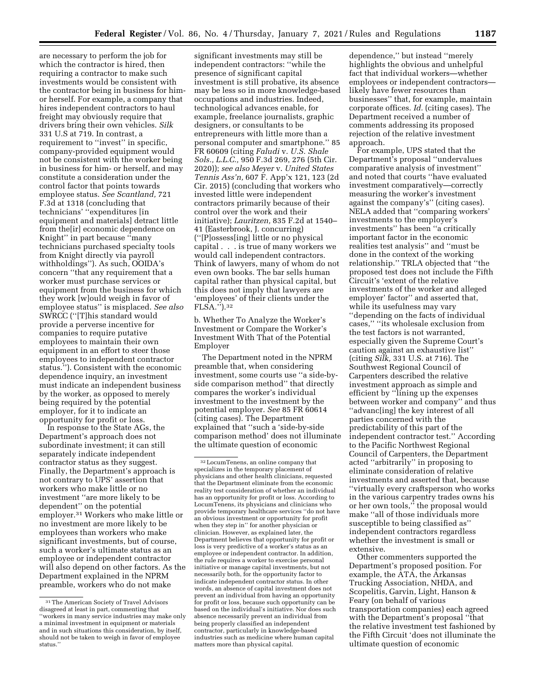are necessary to perform the job for which the contractor is hired, then requiring a contractor to make such investments would be consistent with the contractor being in business for himor herself. For example, a company that hires independent contractors to haul freight may obviously require that drivers bring their own vehicles. *Silk*  331 U.S at 719. In contrast, a requirement to ''invest'' in specific, company-provided equipment would not be consistent with the worker being in business for him- or herself, and may constitute a consideration under the control factor that points towards employee status. *See Scantland,* 721 F.3d at 1318 (concluding that technicians' ''expenditures [in equipment and materials] detract little from the[ir] economic dependence on Knight'' in part because ''many technicians purchased specialty tools from Knight directly via payroll withholdings''). As such, OOIDA's concern ''that any requirement that a worker must purchase services or equipment from the business for which they work [w]ould weigh in favor of employee status'' is misplaced. *See also*  SWRCC (''[T]his standard would provide a perverse incentive for companies to require putative employees to maintain their own equipment in an effort to steer those employees to independent contractor status.''). Consistent with the economic dependence inquiry, an investment must indicate an independent business by the worker, as opposed to merely being required by the potential employer, for it to indicate an opportunity for profit or loss.

In response to the State AGs, the Department's approach does not subordinate investment; it can still separately indicate independent contractor status as they suggest. Finally, the Department's approach is not contrary to UPS' assertion that workers who make little or no investment ''are more likely to be dependent'' on the potential employer.31 Workers who make little or no investment are more likely to be employees than workers who make significant investments, but of course, such a worker's ultimate status as an employee or independent contractor will also depend on other factors. As the Department explained in the NPRM preamble, workers who do not make

significant investments may still be independent contractors: ''while the presence of significant capital investment is still probative, its absence may be less so in more knowledge-based occupations and industries. Indeed, technological advances enable, for example, freelance journalists, graphic designers, or consultants to be entrepreneurs with little more than a personal computer and smartphone.'' 85 FR 60609 (citing *Faludi* v. *U.S. Shale Sols., L.L.C.,* 950 F.3d 269, 276 (5th Cir. 2020)); *see also Meyer* v. *United States Tennis Ass'n,* 607 F. App'x 121, 123 (2d Cir. 2015) (concluding that workers who invested little were independent contractors primarily because of their control over the work and their initiative); *Lauritzen,* 835 F.2d at 1540– 41 (Easterbrook, J. concurring) (''[P]ossess[ing] little or no physical capital . . . is true of many workers we would call independent contractors. Think of lawyers, many of whom do not even own books. The bar sells human capital rather than physical capital, but this does not imply that lawyers are 'employees' of their clients under the FLSA.'').32

b. Whether To Analyze the Worker's Investment or Compare the Worker's Investment With That of the Potential Employer

The Department noted in the NPRM preamble that, when considering investment, some courts use ''a side-byside comparison method'' that directly compares the worker's individual investment to the investment by the potential employer. *See* 85 FR 60614 (citing cases). The Department explained that ''such a 'side-by-side comparison method' does not illuminate the ultimate question of economic

dependence,'' but instead ''merely highlights the obvious and unhelpful fact that individual workers—whether employees or independent contractors likely have fewer resources than businesses'' that, for example, maintain corporate offices. *Id.* (citing cases). The Department received a number of comments addressing its proposed rejection of the relative investment approach.

For example, UPS stated that the Department's proposal ''undervalues comparative analysis of investment'' and noted that courts ''have evaluated investment comparatively—correctly measuring the worker's investment against the company's'' (citing cases). NELA added that ''comparing workers' investments to the employer's investments'' has been ''a critically important factor in the economic realities test analysis'' and ''must be done in the context of the working relationship.'' TRLA objected that ''the proposed test does not include the Fifth Circuit's 'extent of the relative investments of the worker and alleged employer' factor'' and asserted that, while its usefulness may vary ''depending on the facts of individual cases,'' ''its wholesale exclusion from the test factors is not warranted, especially given the Supreme Court's caution against an exhaustive list'' (citing *Silk,* 331 U.S. at 716). The Southwest Regional Council of Carpenters described the relative investment approach as simple and efficient by ''lining up the expenses between worker and company'' and thus ''advanc[ing] the key interest of all parties concerned with the predictability of this part of the independent contractor test.'' According to the Pacific Northwest Regional Council of Carpenters, the Department acted ''arbitrarily'' in proposing to eliminate consideration of relative investments and asserted that, because ''virtually every craftsperson who works in the various carpentry trades owns his or her own tools,'' the proposal would make ''all of those individuals more susceptible to being classified as'' independent contractors regardless whether the investment is small or extensive.

Other commenters supported the Department's proposed position. For example, the ATA, the Arkansas Trucking Association, NHDA, and Scopelitis, Garvin, Light, Hanson & Feary (on behalf of various transportation companies) each agreed with the Department's proposal ''that the relative investment test fashioned by the Fifth Circuit 'does not illuminate the ultimate question of economic

<sup>31</sup>The American Society of Travel Advisors disagreed at least in part, commenting that ''workers in many service industries may make only a minimal investment in equipment or materials and in such situations this consideration, by itself, should not be taken to weigh in favor of employee status.''

<sup>32</sup>LocumTenens, an online company that specializes in the temporary placement of physicians and other health clinicians, requested that the Department eliminate from the economic reality test consideration of whether an individual has an opportunity for profit or loss. According to LocumTenens, its physicians and clinicians who provide temporary healthcare services ''do not have an obvious investment or opportunity for profit when they step in'' for another physician or clinician. However, as explained later, the Department believes that opportunity for profit or loss is very predictive of a worker's status as an employee or independent contractor. In addition, the rule requires a worker to exercise personal initiative or manage capital investments, but not necessarily both, for the opportunity factor to indicate independent contractor status. In other words, an absence of capital investment does not prevent an individual from having an opportunity for profit or loss, because such opportunity can be based on the individual's initiative. Nor does such absence necessarily prevent an individual from being properly classified an independent contractor, particularly in knowledge-based industries such as medicine where human capital matters more than physical capital.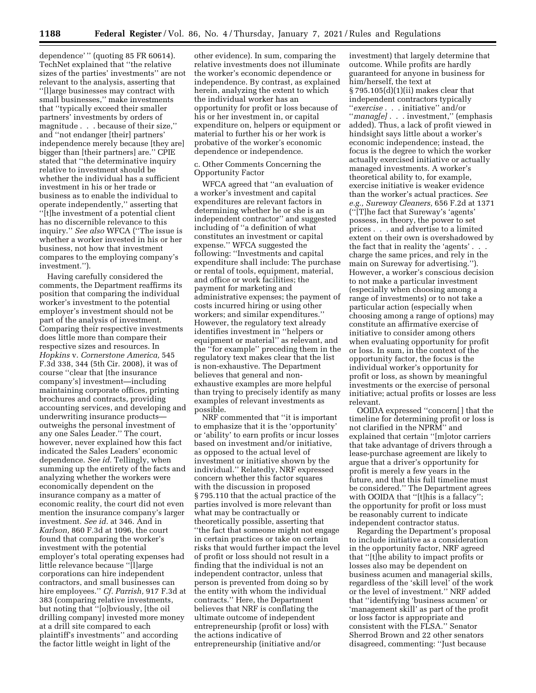dependence' '' (quoting 85 FR 60614). TechNet explained that ''the relative sizes of the parties' investments'' are not relevant to the analysis, asserting that ''[l]arge businesses may contract with small businesses,'' make investments that ''typically exceed their smaller partners' investments by orders of magnitude . . . because of their size,'' and ''not endanger [their] partners' independence merely because [they are] bigger than [their partners] are.'' CPIE stated that ''the determinative inquiry relative to investment should be whether the individual has a sufficient investment in his or her trade or business as to enable the individual to operate independently,'' asserting that ''[t]he investment of a potential client has no discernible relevance to this inquiry.'' *See also* WFCA (''The issue is whether a worker invested in his or her business, not how that investment compares to the employing company's investment.'').

Having carefully considered the comments, the Department reaffirms its position that comparing the individual worker's investment to the potential employer's investment should not be part of the analysis of investment. Comparing their respective investments does little more than compare their respective sizes and resources. In *Hopkins* v. *Cornerstone America,* 545 F.3d 338, 344 (5th Cir. 2008), it was of course ''clear that [the insurance company's] investment—including maintaining corporate offices, printing brochures and contracts, providing accounting services, and developing and underwriting insurance products outweighs the personal investment of any one Sales Leader.'' The court, however, never explained how this fact indicated the Sales Leaders' economic dependence. *See id.* Tellingly, when summing up the entirety of the facts and analyzing whether the workers were economically dependent on the insurance company as a matter of economic reality, the court did not even mention the insurance company's larger investment. *See id.* at 346. And in *Karlson,* 860 F.3d at 1096, the court found that comparing the worker's investment with the potential employer's total operating expenses had little relevance because ''[l]arge corporations can hire independent contractors, and small businesses can hire employees.'' *Cf. Parrish,* 917 F.3d at 383 (comparing relative investments, but noting that ''[o]bviously, [the oil drilling company] invested more money at a drill site compared to each plaintiff's investments'' and according the factor little weight in light of the

other evidence). In sum, comparing the relative investments does not illuminate the worker's economic dependence or independence. By contrast, as explained herein, analyzing the extent to which the individual worker has an opportunity for profit or loss because of his or her investment in, or capital expenditure on, helpers or equipment or material to further his or her work is probative of the worker's economic dependence or independence.

#### c. Other Comments Concerning the Opportunity Factor

WFCA agreed that ''an evaluation of a worker's investment and capital expenditures are relevant factors in determining whether he or she is an independent contractor'' and suggested including of ''a definition of what constitutes an investment or capital expense.'' WFCA suggested the following: ''Investments and capital expenditure shall include: The purchase or rental of tools, equipment, material, and office or work facilities; the payment for marketing and administrative expenses; the payment of costs incurred hiring or using other workers; and similar expenditures.'' However, the regulatory text already identifies investment in ''helpers or equipment or material'' as relevant, and the ''for example'' preceding them in the regulatory text makes clear that the list is non-exhaustive. The Department believes that general and nonexhaustive examples are more helpful than trying to precisely identify as many examples of relevant investments as possible.

NRF commented that ''it is important to emphasize that it is the 'opportunity' or 'ability' to earn profits or incur losses based on investment and/or initiative, as opposed to the actual level of investment or initiative shown by the individual.'' Relatedly, NRF expressed concern whether this factor squares with the discussion in proposed § 795.110 that the actual practice of the parties involved is more relevant than what may be contractually or theoretically possible, asserting that ''the fact that someone might not engage in certain practices or take on certain risks that would further impact the level of profit or loss should not result in a finding that the individual is not an independent contractor, unless that person is prevented from doing so by the entity with whom the individual contracts.'' Here, the Department believes that NRF is conflating the ultimate outcome of independent entrepreneurship (profit or loss) with the actions indicative of entrepreneurship (initiative and/or

investment) that largely determine that outcome. While profits are hardly guaranteed for anyone in business for him/herself, the text at § 795.105(d)(1)(ii) makes clear that independent contractors typically ''*exercise* . . . initiative'' and/or ''*manag[e]* . . . investment,'' (emphasis added). Thus, a lack of profit viewed in hindsight says little about a worker's economic independence; instead, the focus is the degree to which the worker actually exercised initiative or actually managed investments. A worker's theoretical ability to, for example, exercise initiative is weaker evidence than the worker's actual practices. *See e.g., Sureway Cleaners,* 656 F.2d at 1371 (''[T]he fact that Sureway's 'agents' possess, in theory, the power to set prices . . . and advertise to a limited extent on their own is overshadowed by the fact that in reality the 'agents' . . . charge the same prices, and rely in the main on Sureway for advertising.''). However, a worker's conscious decision to not make a particular investment (especially when choosing among a range of investments) or to not take a particular action (especially when choosing among a range of options) may constitute an affirmative exercise of initiative to consider among others when evaluating opportunity for profit or loss. In sum, in the context of the opportunity factor, the focus is the individual worker's opportunity for profit or loss, as shown by meaningful investments or the exercise of personal initiative; actual profits or losses are less relevant.

OOIDA expressed ''concern[ ] that the timeline for determining profit or loss is not clarified in the NPRM'' and explained that certain ''[m]otor carriers that take advantage of drivers through a lease-purchase agreement are likely to argue that a driver's opportunity for profit is merely a few years in the future, and that this full timeline must be considered.'' The Department agrees with OOIDA that "[t]his is a fallacy"; the opportunity for profit or loss must be reasonably current to indicate independent contractor status.

Regarding the Department's proposal to include initiative as a consideration in the opportunity factor, NRF agreed that ''[t]he ability to impact profits or losses also may be dependent on business acumen and managerial skills, regardless of the 'skill level' of the work or the level of investment.'' NRF added that ''identifying 'business acumen' or 'management skill' as part of the profit or loss factor is appropriate and consistent with the FLSA.'' Senator Sherrod Brown and 22 other senators disagreed, commenting: ''Just because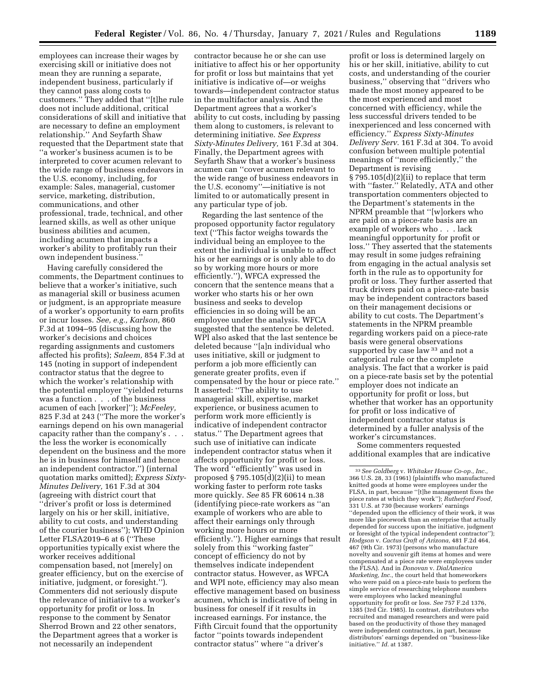employees can increase their wages by exercising skill or initiative does not mean they are running a separate, independent business, particularly if they cannot pass along costs to customers.'' They added that ''[t]he rule does not include additional, critical considerations of skill and initiative that are necessary to define an employment relationship.'' And Seyfarth Shaw requested that the Department state that ''a worker's business acumen is to be interpreted to cover acumen relevant to the wide range of business endeavors in the U.S. economy, including, for example: Sales, managerial, customer service, marketing, distribution, communications, and other professional, trade, technical, and other learned skills, as well as other unique business abilities and acumen, including acumen that impacts a worker's ability to profitably run their own independent business.

Having carefully considered the comments, the Department continues to believe that a worker's initiative, such as managerial skill or business acumen or judgment, is an appropriate measure of a worker's opportunity to earn profits or incur losses. *See, e.g., Karlson,* 860 F.3d at 1094–95 (discussing how the worker's decisions and choices regarding assignments and customers affected his profits); *Saleem,* 854 F.3d at 145 (noting in support of independent contractor status that the degree to which the worker's relationship with the potential employer ''yielded returns was a function . . . of the business acumen of each [worker]''); *McFeeley,*  825 F.3d at 243 (''The more the worker's earnings depend on his own managerial capacity rather than the company's . . . the less the worker is economically dependent on the business and the more he is in business for himself and hence an independent contractor.'') (internal quotation marks omitted); *Express Sixty-Minutes Delivery,* 161 F.3d at 304 (agreeing with district court that ''driver's profit or loss is determined largely on his or her skill, initiative, ability to cut costs, and understanding of the courier business''); WHD Opinion Letter FLSA2019–6 at 6 (''These opportunities typically exist where the worker receives additional compensation based, not [merely] on greater efficiency, but on the exercise of initiative, judgment, or foresight.''). Commenters did not seriously dispute the relevance of initiative to a worker's opportunity for profit or loss. In response to the comment by Senator Sherrod Brown and 22 other senators, the Department agrees that a worker is not necessarily an independent

contractor because he or she can use initiative to affect his or her opportunity for profit or loss but maintains that yet initiative is indicative of—or weighs towards—independent contractor status in the multifactor analysis. And the Department agrees that a worker's ability to cut costs, including by passing them along to customers, is relevant to determining initiative. *See Express Sixty-Minutes Delivery,* 161 F.3d at 304. Finally, the Department agrees with Seyfarth Shaw that a worker's business acumen can ''cover acumen relevant to the wide range of business endeavors in the U.S. economy''—initiative is not limited to or automatically present in any particular type of job.

Regarding the last sentence of the proposed opportunity factor regulatory text (''This factor weighs towards the individual being an employee to the extent the individual is unable to affect his or her earnings or is only able to do so by working more hours or more efficiently.''), WFCA expressed the concern that the sentence means that a worker who starts his or her own business and seeks to develop efficiencies in so doing will be an employee under the analysis. WFCA suggested that the sentence be deleted. WPI also asked that the last sentence be deleted because ''[a]n individual who uses initiative, skill or judgment to perform a job more efficiently can generate greater profits, even if compensated by the hour or piece rate.'' It asserted: ''The ability to use managerial skill, expertise, market experience, or business acumen to perform work more efficiently is indicative of independent contractor status.'' The Department agrees that such use of initiative can indicate independent contractor status when it affects opportunity for profit or loss. The word ''efficiently'' was used in proposed  $\S 795.105(d)(2)(ii)$  to mean working faster to perform rote tasks more quickly. *See* 85 FR 60614 n.38 (identifying piece-rate workers as ''an example of workers who are able to affect their earnings only through working more hours or more efficiently.''). Higher earnings that result solely from this "working faster" concept of efficiency do not by themselves indicate independent contractor status. However, as WFCA and WPI note, efficiency may also mean effective management based on business acumen, which is indicative of being in business for oneself if it results in increased earnings. For instance, the Fifth Circuit found that the opportunity factor ''points towards independent contractor status'' where ''a driver's

profit or loss is determined largely on his or her skill, initiative, ability to cut costs, and understanding of the courier business,'' observing that ''drivers who made the most money appeared to be the most experienced and most concerned with efficiency, while the less successful drivers tended to be inexperienced and less concerned with efficiency.'' *Express Sixty-Minutes Delivery Serv.* 161 F.3d at 304. To avoid confusion between multiple potential meanings of ''more efficiently,'' the Department is revising § 795.105(d)(2)(ii) to replace that term with ''faster.'' Relatedly, ATA and other transportation commenters objected to the Department's statements in the NPRM preamble that ''[w]orkers who are paid on a piece-rate basis are an example of workers who . . . lack meaningful opportunity for profit or loss.'' They asserted that the statements may result in some judges refraining from engaging in the actual analysis set forth in the rule as to opportunity for profit or loss. They further asserted that truck drivers paid on a piece-rate basis may be independent contractors based on their management decisions or ability to cut costs. The Department's statements in the NPRM preamble regarding workers paid on a piece-rate basis were general observations supported by case law <sup>33</sup> and not a categorical rule or the complete analysis. The fact that a worker is paid on a piece-rate basis set by the potential employer does not indicate an opportunity for profit or loss, but whether that worker has an opportunity for profit or loss indicative of independent contractor status is determined by a fuller analysis of the worker's circumstances.

Some commenters requested additional examples that are indicative

<sup>33</sup>*See Goldberg* v. *Whitaker House Co-op., Inc.,*  366 U.S. 28, 33 (1961) (plaintiffs who manufactured knitted goods at home were employees under the FLSA, in part, because ''[t]he management fixes the piece rates at which they work''); *Rutherford Food,*  331 U.S. at 730 (because workers' earnings ''depended upon the efficiency of their work, it was more like piecework than an enterprise that actually depended for success upon the initiative, judgment or foresight of the typical independent contractor''); *Hodgson* v. *Cactus Craft of Arizona,* 481 F.2d 464, 467 (9th Cir. 1973) (persons who manufacture novelty and souvenir gift items at homes and were compensated at a piece rate were employees under the FLSA). And in *Donovan* v. *DialAmerica Marketing, Inc.,* the court held that homeworkers who were paid on a piece-rate basis to perform the simple service of researching telephone numbers were employees who lacked meaningful opportunity for profit or loss. *See* 757 F.2d 1376, 1385 (3rd Cir. 1985). In contrast, distributors who recruited and managed researchers and were paid based on the productivity of those they managed were independent contractors, in part, because distributors' earnings depended on ''business-like initiative.'' *Id.* at 1387.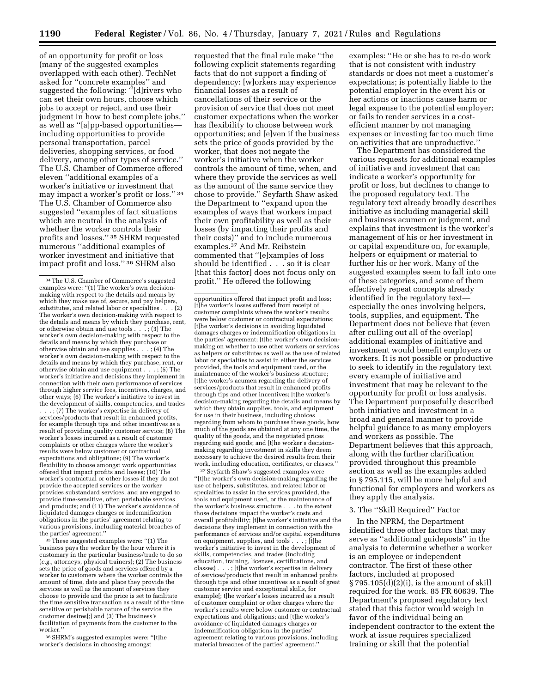of an opportunity for profit or loss (many of the suggested examples overlapped with each other). TechNet asked for ''concrete examples'' and suggested the following: ''[d]rivers who can set their own hours, choose which jobs to accept or reject, and use their judgment in how to best complete jobs,'' as well as ''[a]pp-based opportunities including opportunities to provide personal transportation, parcel deliveries, shopping services, or food delivery, among other types of service.'' The U.S. Chamber of Commerce offered eleven ''additional examples of a worker's initiative or investment that may impact a worker's profit or loss.'' 34 The U.S. Chamber of Commerce also suggested ''examples of fact situations which are neutral in the analysis of whether the worker controls their profits and losses.'' 35 SHRM requested numerous ''additional examples of worker investment and initiative that impact profit and loss.'' 36 SHRM also

. . . ; (7) The worker's expertise in delivery of services/products that result in enhanced profits, for example through tips and other incentives as a result of providing quality customer service; (8) The worker's losses incurred as a result of customer complaints or other charges where the worker's results were below customer or contractual expectations and obligations; (9) The worker's flexibility to choose amongst work opportunities offered that impact profits and losses; (10) The worker's contractual or other losses if they do not provide the accepted services or the worker provides substandard services, and are engaged to provide time-sensitive, often perishable services and products; and (11) The worker's avoidance of liquidated damages charges or indemnification obligations in the parties' agreement relating to various provisions, including material breaches of the parties' agreement.''

<sup>35</sup> These suggested examples were: "(1) The business pays the worker by the hour where it is customary in the particular business/trade to do so (*e.g.,* attorneys, physical trainers); (2) The business sets the price of goods and services offered by a worker to customers where the worker controls the amount of time, date and place they provide the services as well as the amount of services they choose to provide and the price is set to facilitate the time sensitive transaction as a result of the time sensitive or perishable nature of the service the customer desires[;] and (3) The business's facilitation of payments from the customer to the worker.''

36SHRM's suggested examples were: ''[t]he worker's decisions in choosing amongst

requested that the final rule make ''the following explicit statements regarding facts that do not support a finding of dependency: [w]orkers may experience financial losses as a result of cancellations of their service or the provision of service that does not meet customer expectations when the worker has flexibility to choose between work opportunities; and [e]ven if the business sets the price of goods provided by the worker, that does not negate the worker's initiative when the worker controls the amount of time, when, and where they provide the services as well as the amount of the same service they chose to provide.'' Seyfarth Shaw asked the Department to ''expand upon the examples of ways that workers impact their own profitability as well as their losses (by impacting their profits and their costs)'' and to include numerous examples.37 And Mr. Reibstein commented that ''[e]xamples of loss should be identified . . . so it is clear [that this factor] does not focus only on profit.'' He offered the following

37Seyfarth Shaw's suggested examples were ''[t]he worker's own decision-making regarding the use of helpers, substitutes, and related labor or specialties to assist in the services provided, the tools and equipment used, or the maintenance of the worker's business structure . . . to the extent those decisions impact the worker's costs and overall profitability; [t]he worker's initiative and the decisions they implement in connection with the performance of services and/or capital expenditures on equipment, supplies, and tools  $\ldots$ ; [t]he worker's initiative to invest in the development of skills, competencies, and trades (including education, training, licenses, certifications, and classes) . . . ; [t]he worker's expertise in delivery of services/products that result in enhanced profits through tips and other incentives as a result of great customer service and exceptional skills, for example[; t]he worker's losses incurred as a result of customer complaint or other charges where the worker's results were below customer or contractual expectations and obligations; and [t]he worker's avoidance of liquidated damages charges or indemnification obligations in the parties' agreement relating to various provisions, including material breaches of the parties' agreement.''

examples: ''He or she has to re-do work that is not consistent with industry standards or does not meet a customer's expectations; is potentially liable to the potential employer in the event his or her actions or inactions cause harm or legal expense to the potential employer; or fails to render services in a costefficient manner by not managing expenses or investing far too much time on activities that are unproductive.''

The Department has considered the various requests for additional examples of initiative and investment that can indicate a worker's opportunity for profit or loss, but declines to change to the proposed regulatory text. The regulatory text already broadly describes initiative as including managerial skill and business acumen or judgment, and explains that investment is the worker's management of his or her investment in or capital expenditure on, for example, helpers or equipment or material to further his or her work. Many of the suggested examples seem to fall into one of these categories, and some of them effectively repeat concepts already identified in the regulatory text especially the ones involving helpers, tools, supplies, and equipment. The Department does not believe that (even after culling out all of the overlap) additional examples of initiative and investment would benefit employers or workers. It is not possible or productive to seek to identify in the regulatory text every example of initiative and investment that may be relevant to the opportunity for profit or loss analysis. The Department purposefully described both initiative and investment in a broad and general manner to provide helpful guidance to as many employers and workers as possible. The Department believes that this approach, along with the further clarification provided throughout this preamble section as well as the examples added in § 795.115, will be more helpful and functional for employers and workers as they apply the analysis.

#### 3. The ''Skill Required'' Factor

In the NPRM, the Department identified three other factors that may serve as ''additional guideposts'' in the analysis to determine whether a worker is an employee or independent contractor. The first of these other factors, included at proposed § 795.105(d)(2)(i), is the amount of skill required for the work. 85 FR 60639. The Department's proposed regulatory text stated that this factor would weigh in favor of the individual being an independent contractor to the extent the work at issue requires specialized training or skill that the potential

<sup>34</sup>The U.S. Chamber of Commerce's suggested examples were: "(1) The worker's own decisionmaking with respect to the details and means by which they make use of, secure, and pay helpers, substitutes, and related labor or specialties . . . (2) The worker's own decision-making with respect to the details and means by which they purchase, rent, or otherwise obtain and use tools . . . ; (3) The worker's own decision-making with respect to the details and means by which they purchase or otherwise obtain and use supplies . . . ; (4) The worker's own decision-making with respect to the details and means by which they purchase, rent, or otherwise obtain and use equipment . . . ; (5) The worker's initiative and decisions they implement in connection with their own performance of services through higher service fees, incentives, charges, and other ways; (6) The worker's initiative to invest in the development of skills, competencies, and trades

opportunities offered that impact profit and loss; [t]he worker's losses suffered from receipt of customer complaints where the worker's results were below customer or contractual expectations; [t]he worker's decisions in avoiding liquidated damages charges or indemnification obligations in the parties' agreement; [t]he worker's own decisionmaking on whether to use other workers or services as helpers or substitutes as well as the use of related labor or specialties to assist in either the services provided, the tools and equipment used, or the maintenance of the worker's business structure; [t]he worker's acumen regarding the delivery of services/products that result in enhanced profits through tips and other incentives; [t]he worker's decision-making regarding the details and means by which they obtain supplies, tools, and equipment for use in their business, including choices regarding from whom to purchase these goods, how much of the goods are obtained at any one time, the quality of the goods, and the negotiated prices regarding said goods; and [t]he worker's decisionmaking regarding investment in skills they deem necessary to achieve the desired results from their work, including education, certificates, or classes.''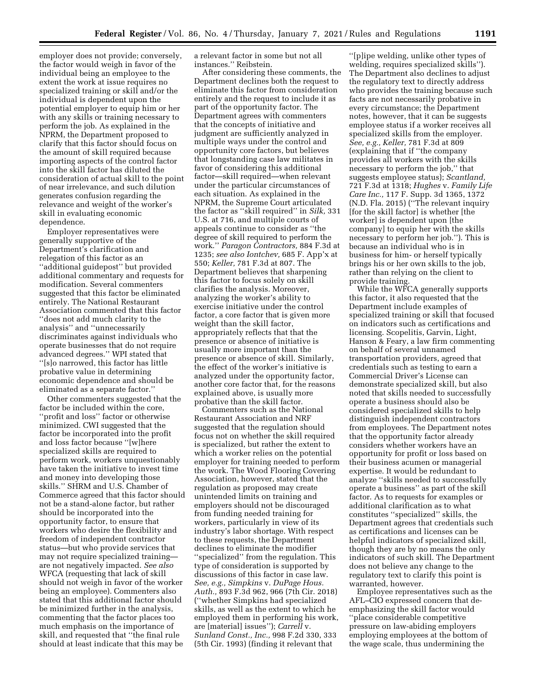employer does not provide; conversely, the factor would weigh in favor of the individual being an employee to the extent the work at issue requires no specialized training or skill and/or the individual is dependent upon the potential employer to equip him or her with any skills or training necessary to perform the job. As explained in the NPRM, the Department proposed to clarify that this factor should focus on the amount of skill required because importing aspects of the control factor into the skill factor has diluted the consideration of actual skill to the point of near irrelevance, and such dilution generates confusion regarding the relevance and weight of the worker's skill in evaluating economic dependence.

Employer representatives were generally supportive of the Department's clarification and relegation of this factor as an ''additional guidepost'' but provided additional commentary and requests for modification. Several commenters suggested that this factor be eliminated entirely. The National Restaurant Association commented that this factor ''does not add much clarity to the analysis'' and ''unnecessarily discriminates against individuals who operate businesses that do not require advanced degrees.'' WPI stated that ''[s]o narrowed, this factor has little probative value in determining economic dependence and should be eliminated as a separate factor.''

Other commenters suggested that the factor be included within the core, ''profit and loss'' factor or otherwise minimized. CWI suggested that the factor be incorporated into the profit and loss factor because ''[w]here specialized skills are required to perform work, workers unquestionably have taken the initiative to invest time and money into developing those skills.'' SHRM and U.S. Chamber of Commerce agreed that this factor should not be a stand-alone factor, but rather should be incorporated into the opportunity factor, to ensure that workers who desire the flexibility and freedom of independent contractor status—but who provide services that may not require specialized training are not negatively impacted. *See also*  WFCA (requesting that lack of skill should not weigh in favor of the worker being an employee). Commenters also stated that this additional factor should be minimized further in the analysis, commenting that the factor places too much emphasis on the importance of skill, and requested that ''the final rule should at least indicate that this may be

a relevant factor in some but not all instances.'' Reibstein.

After considering these comments, the Department declines both the request to eliminate this factor from consideration entirely and the request to include it as part of the opportunity factor. The Department agrees with commenters that the concepts of initiative and judgment are sufficiently analyzed in multiple ways under the control and opportunity core factors, but believes that longstanding case law militates in favor of considering this additional factor—skill required—when relevant under the particular circumstances of each situation. As explained in the NPRM, the Supreme Court articulated the factor as ''skill required'' in *Silk,* 331 U.S. at 716, and multiple courts of appeals continue to consider as ''the degree of skill required to perform the work.'' *Paragon Contractors,* 884 F.3d at 1235; *see also Iontchev,* 685 F. App'x at 550; *Keller,* 781 F.3d at 807. The Department believes that sharpening this factor to focus solely on skill clarifies the analysis. Moreover, analyzing the worker's ability to exercise initiative under the control factor, a core factor that is given more weight than the skill factor, appropriately reflects that that the presence or absence of initiative is usually more important than the presence or absence of skill. Similarly, the effect of the worker's initiative is analyzed under the opportunity factor, another core factor that, for the reasons explained above, is usually more probative than the skill factor.

Commenters such as the National Restaurant Association and NRF suggested that the regulation should focus not on whether the skill required is specialized, but rather the extent to which a worker relies on the potential employer for training needed to perform the work. The Wood Flooring Covering Association, however, stated that the regulation as proposed may create unintended limits on training and employers should not be discouraged from funding needed training for workers, particularly in view of its industry's labor shortage. With respect to these requests, the Department declines to eliminate the modifier ''specialized'' from the regulation. This type of consideration is supported by discussions of this factor in case law. *See, e.g., Simpkins* v. *DuPage Hous. Auth.,* 893 F.3d 962, 966 (7th Cir. 2018) (''whether Simpkins had specialized skills, as well as the extent to which he employed them in performing his work, are [material] issues''); *Carrell* v. *Sunland Const., Inc.,* 998 F.2d 330, 333 (5th Cir. 1993) (finding it relevant that

''[p]ipe welding, unlike other types of welding, requires specialized skills''). The Department also declines to adjust the regulatory text to directly address who provides the training because such facts are not necessarily probative in every circumstance; the Department notes, however, that it can be suggests employee status if a worker receives all specialized skills from the employer. *See, e.g., Keller,* 781 F.3d at 809 (explaining that if ''the company provides all workers with the skills necessary to perform the job,'' that suggests employee status); *Scantland,*  721 F.3d at 1318; *Hughes* v. *Family Life Care Inc.,* 117 F. Supp. 3d 1365, 1372 (N.D. Fla. 2015) (''The relevant inquiry [for the skill factor] is whether [the worker] is dependent upon [the company] to equip her with the skills necessary to perform her job.''). This is because an individual who is in business for him- or herself typically brings his or her own skills to the job, rather than relying on the client to provide training.

While the WFCA generally supports this factor, it also requested that the Department include examples of specialized training or skill that focused on indicators such as certifications and licensing. Scopelitis, Garvin, Light, Hanson & Feary, a law firm commenting on behalf of several unnamed transportation providers, agreed that credentials such as testing to earn a Commercial Driver's License can demonstrate specialized skill, but also noted that skills needed to successfully operate a business should also be considered specialized skills to help distinguish independent contractors from employees. The Department notes that the opportunity factor already considers whether workers have an opportunity for profit or loss based on their business acumen or managerial expertise. It would be redundant to analyze ''skills needed to successfully operate a business'' as part of the skill factor. As to requests for examples or additional clarification as to what constitutes ''specialized'' skills, the Department agrees that credentials such as certifications and licenses can be helpful indicators of specialized skill, though they are by no means the only indicators of such skill. The Department does not believe any change to the regulatory text to clarify this point is warranted, however.

Employee representatives such as the AFL–CIO expressed concern that deemphasizing the skill factor would ''place considerable competitive pressure on law-abiding employers employing employees at the bottom of the wage scale, thus undermining the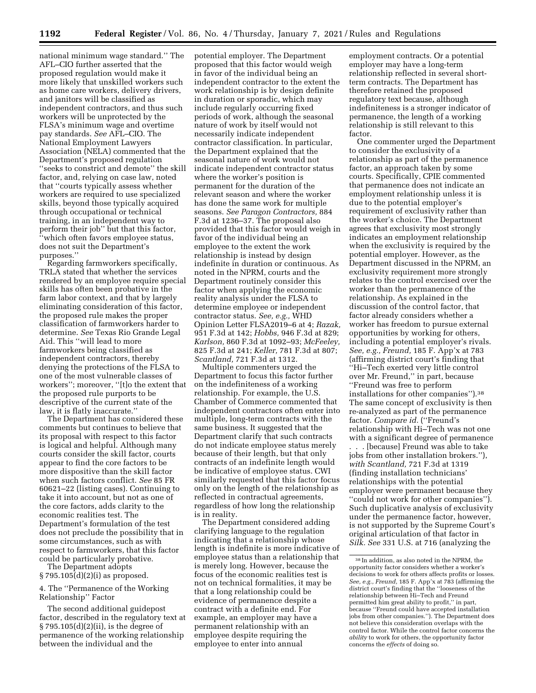national minimum wage standard.'' The AFL–CIO further asserted that the proposed regulation would make it more likely that unskilled workers such as home care workers, delivery drivers, and janitors will be classified as independent contractors, and thus such workers will be unprotected by the FLSA's minimum wage and overtime pay standards. *See* AFL–CIO. The National Employment Lawyers Association (NELA) commented that the Department's proposed regulation ''seeks to constrict and demote'' the skill factor, and, relying on case law, noted that ''courts typically assess whether workers are required to use specialized skills, beyond those typically acquired through occupational or technical training, in an independent way to perform their job'' but that this factor, ''which often favors employee status, does not suit the Department's purposes.''

Regarding farmworkers specifically, TRLA stated that whether the services rendered by an employee require special skills has often been probative in the farm labor context, and that by largely eliminating consideration of this factor, the proposed rule makes the proper classification of farmworkers harder to determine. *See* Texas Rio Grande Legal Aid. This ''will lead to more farmworkers being classified as independent contractors, thereby denying the protections of the FLSA to one of the most vulnerable classes of workers''; moreover, ''[t]o the extent that the proposed rule purports to be descriptive of the current state of the law, it is flatly inaccurate.''

The Department has considered these comments but continues to believe that its proposal with respect to this factor is logical and helpful. Although many courts consider the skill factor, courts appear to find the core factors to be more dispositive than the skill factor when such factors conflict. *See* 85 FR 60621–22 (listing cases). Continuing to take it into account, but not as one of the core factors, adds clarity to the economic realities test. The Department's formulation of the test does not preclude the possibility that in some circumstances, such as with respect to farmworkers, that this factor could be particularly probative.

The Department adopts § 795.105(d)(2)(i) as proposed.

### 4. The ''Permanence of the Working Relationship'' Factor

The second additional guidepost factor, described in the regulatory text at § 795.105(d)(2)(ii), is the degree of permanence of the working relationship between the individual and the

potential employer. The Department proposed that this factor would weigh in favor of the individual being an independent contractor to the extent the work relationship is by design definite in duration or sporadic, which may include regularly occurring fixed periods of work, although the seasonal nature of work by itself would not necessarily indicate independent contractor classification. In particular, the Department explained that the seasonal nature of work would not indicate independent contractor status where the worker's position is permanent for the duration of the relevant season and where the worker has done the same work for multiple seasons. *See Paragon Contractors,* 884 F.3d at 1236–37. The proposal also provided that this factor would weigh in favor of the individual being an employee to the extent the work relationship is instead by design indefinite in duration or continuous. As noted in the NPRM, courts and the Department routinely consider this factor when applying the economic reality analysis under the FLSA to determine employee or independent contractor status. *See, e.g.,* WHD Opinion Letter FLSA2019–6 at 4; *Razak,*  951 F.3d at 142; *Hobbs,* 946 F.3d at 829; *Karlson,* 860 F.3d at 1092–93; *McFeeley,*  825 F.3d at 241; *Keller,* 781 F.3d at 807; *Scantland,* 721 F.3d at 1312.

Multiple commenters urged the Department to focus this factor further on the indefiniteness of a working relationship. For example, the U.S. Chamber of Commerce commented that independent contractors often enter into multiple, long-term contracts with the same business. It suggested that the Department clarify that such contracts do not indicate employee status merely because of their length, but that only contracts of an indefinite length would be indicative of employee status. CWI similarly requested that this factor focus only on the length of the relationship as reflected in contractual agreements, regardless of how long the relationship is in reality.

The Department considered adding clarifying language to the regulation indicating that a relationship whose length is indefinite is more indicative of employee status than a relationship that is merely long. However, because the focus of the economic realities test is not on technical formalities, it may be that a long relationship could be evidence of permanence despite a contract with a definite end. For example, an employer may have a permanent relationship with an employee despite requiring the employee to enter into annual

employment contracts. Or a potential employer may have a long-term relationship reflected in several shortterm contracts. The Department has therefore retained the proposed regulatory text because, although indefiniteness is a stronger indicator of permanence, the length of a working relationship is still relevant to this factor.

One commenter urged the Department to consider the exclusivity of a relationship as part of the permanence factor, an approach taken by some courts. Specifically, CPIE commented that permanence does not indicate an employment relationship unless it is due to the potential employer's requirement of exclusivity rather than the worker's choice. The Department agrees that exclusivity most strongly indicates an employment relationship when the exclusivity is required by the potential employer. However, as the Department discussed in the NPRM, an exclusivity requirement more strongly relates to the control exercised over the worker than the permanence of the relationship. As explained in the discussion of the control factor, that factor already considers whether a worker has freedom to pursue external opportunities by working for others, including a potential employer's rivals. *See, e.g., Freund,* 185 F. App'x at 783 (affirming district court's finding that ''Hi–Tech exerted very little control over Mr. Freund,'' in part, because ''Freund was free to perform installations for other companies'').38 The same concept of exclusivity is then re-analyzed as part of the permanence factor. *Compare id.* (''Freund's relationship with Hi–Tech was not one with a significant degree of permanence

. . . [because] Freund was able to take jobs from other installation brokers.''), *with Scantland,* 721 F.3d at 1319 (finding installation technicians' relationships with the potential employer were permanent because they ''could not work for other companies''). Such duplicative analysis of exclusivity under the permanence factor, however, is not supported by the Supreme Court's original articulation of that factor in *Silk. See* 331 U.S. at 716 (analyzing the

<sup>38</sup> In addition, as also noted in the NPRM, the opportunity factor considers whether a worker's decisions to work for others affects profits or losses. *See, e.g., Freund,* 185 F. App'x at 783 (affirming the district court's finding that the ''looseness of the relationship between Hi–Tech and Freund permitted him great ability to profit,'' in part, because ''Freund could have accepted installation jobs from other companies.''). The Department does not believe this consideration overlaps with the control factor. While the control factor concerns the *ability* to work for others, the opportunity factor concerns the *effects* of doing so.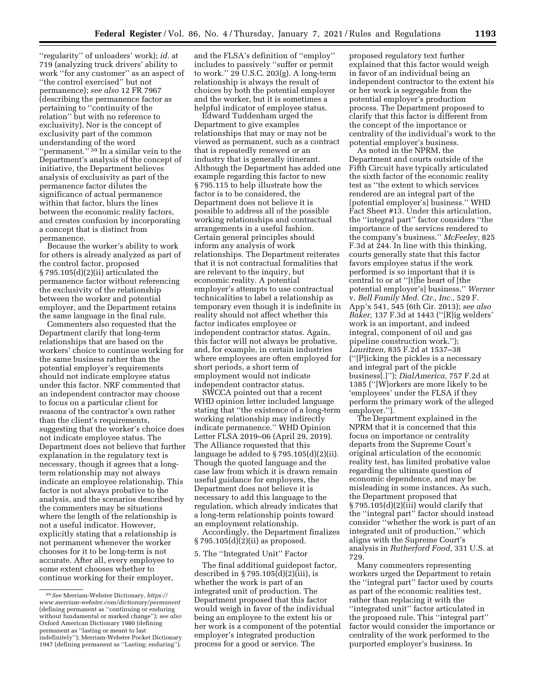719 (analyzing truck drivers' ability to work ''for any customer'' as an aspect of ''the control exercised'' but not permanence); *see also* 12 FR 7967 (describing the permanence factor as pertaining to ''continuity of the relation'' but with no reference to exclusivity). Nor is the concept of exclusivity part of the common understanding of the word "permanent."<sup>39</sup> In a similar vein to the Department's analysis of the concept of initiative, the Department believes analysis of exclusivity as part of the permanence factor dilutes the significance of actual permanence within that factor, blurs the lines between the economic reality factors, and creates confusion by incorporating a concept that is distinct from permanence.

''regularity'' of unloaders' work); *id.* at

Because the worker's ability to work for others is already analyzed as part of the control factor, proposed § 795.105(d)(2)(ii) articulated the permanence factor without referencing the exclusivity of the relationship between the worker and potential employer, and the Department retains the same language in the final rule.

Commenters also requested that the Department clarify that long-term relationships that are based on the workers' choice to continue working for the same business rather than the potential employer's requirements should not indicate employee status under this factor. NRF commented that an independent contractor may choose to focus on a particular client for reasons of the contractor's own rather than the client's requirements, suggesting that the worker's choice does not indicate employee status. The Department does not believe that further explanation in the regulatory text is necessary, though it agrees that a longterm relationship may not always indicate an employee relationship. This factor is not always probative to the analysis, and the scenarios described by the commenters may be situations where the length of the relationship is not a useful indicator. However, explicitly stating that a relationship is not permanent whenever the worker chooses for it to be long-term is not accurate. After all, every employee to some extent chooses whether to continue working for their employer,

and the FLSA's definition of ''employ'' includes to passively ''suffer or permit to work.'' 29 U.S.C. 203(g). A long-term relationship is always the result of choices by both the potential employer and the worker, but it is sometimes a helpful indicator of employee status.

Edward Tuddenham urged the Department to give examples relationships that may or may not be viewed as permanent, such as a contract that is repeatedly renewed or an industry that is generally itinerant. Although the Department has added one example regarding this factor to new § 795.115 to help illustrate how the factor is to be considered, the Department does not believe it is possible to address all of the possible working relationships and contractual arrangements in a useful fashion. Certain general principles should inform any analysis of work relationships. The Department reiterates that it is not contractual formalities that are relevant to the inquiry, but economic reality. A potential employer's attempts to use contractual technicalities to label a relationship as temporary even though it is indefinite in reality should not affect whether this factor indicates employee or independent contractor status. Again, this factor will not always be probative, and, for example, in certain industries where employees are often employed for short periods, a short term of employment would not indicate independent contractor status.

SWCCA pointed out that a recent WHD opinion letter included language stating that ''the existence of a long-term working relationship may indirectly indicate permanence.'' WHD Opinion Letter FLSA 2019–06 (April 29, 2019). The Alliance requested that this language be added to § 795.105(d)(2)(ii). Though the quoted language and the case law from which it is drawn remain useful guidance for employers, the Department does not believe it is necessary to add this language to the regulation, which already indicates that a long-term relationship points toward an employment relationship.

Accordingly, the Department finalizes § 795.105(d)(2)(ii) as proposed.

#### 5. The ''Integrated Unit'' Factor

The final additional guidepost factor, described in  $\S 795.105(d)(2)(iii)$ , is whether the work is part of an integrated unit of production. The Department proposed that this factor would weigh in favor of the individual being an employee to the extent his or her work is a component of the potential employer's integrated production process for a good or service. The

proposed regulatory text further explained that this factor would weigh in favor of an individual being an independent contractor to the extent his or her work is segregable from the potential employer's production process. The Department proposed to clarify that this factor is different from the concept of the importance or centrality of the individual's work to the potential employer's business.

As noted in the NPRM, the Department and courts outside of the Fifth Circuit have typically articulated the sixth factor of the economic reality test as ''the extent to which services rendered are an integral part of the [potential employer's] business.'' WHD Fact Sheet #13. Under this articulation, the ''integral part'' factor considers ''the importance of the services rendered to the company's business.'' *McFeeley,* 825 F.3d at 244. In line with this thinking, courts generally state that this factor favors employee status if the work performed is so important that it is central to or at ''[t]he heart of [the potential employer's] business.'' *Werner*  v. *Bell Family Med. Ctr., Inc.,* 529 F. App'x 541, 545 (6th Cir. 2013); *see also Baker,* 137 F.3d at 1443 (''[R]ig welders' work is an important, and indeed integral, component of oil and gas pipeline construction work.''); *Lauritzen,* 835 F.2d at 1537–38 (''[P]icking the pickles is a necessary and integral part of the pickle business[.]''); *DialAmerica,* 757 F.2d at 1385 (''[W]orkers are more likely to be 'employees' under the FLSA if they perform the primary work of the alleged employer.'').

The Department explained in the NPRM that it is concerned that this focus on importance or centrality departs from the Supreme Court's original articulation of the economic reality test, has limited probative value regarding the ultimate question of economic dependence, and may be misleading in some instances. As such, the Department proposed that § 795.105(d)(2)(iii) would clarify that the ''integral part'' factor should instead consider ''whether the work is part of an integrated unit of production,'' which aligns with the Supreme Court's analysis in *Rutherford Food,* 331 U.S. at 729.

Many commenters representing workers urged the Department to retain the ''integral part'' factor used by courts as part of the economic realities test, rather than replacing it with the ''integrated unit'' factor articulated in the proposed rule. This ''integral part'' factor would consider the importance or centrality of the work performed to the purported employer's business. In

<sup>39</sup>*See* Merriam-Webster Dictionary, *[https://](https://www.merriam-webster.com/dictionary/permanent) [www.merriam-webster.com/dictionary/permanent](https://www.merriam-webster.com/dictionary/permanent)*  (defining permanent as ''continuing or enduring without fundamental or marked change''); *see also*  Oxford American Dictionary 1980 (defining permanent as ''lasting or meant to last indefinitely''); Merriam-Webster Pocket Dictionary 1947 (defining permanent as ''Lasting; enduring'').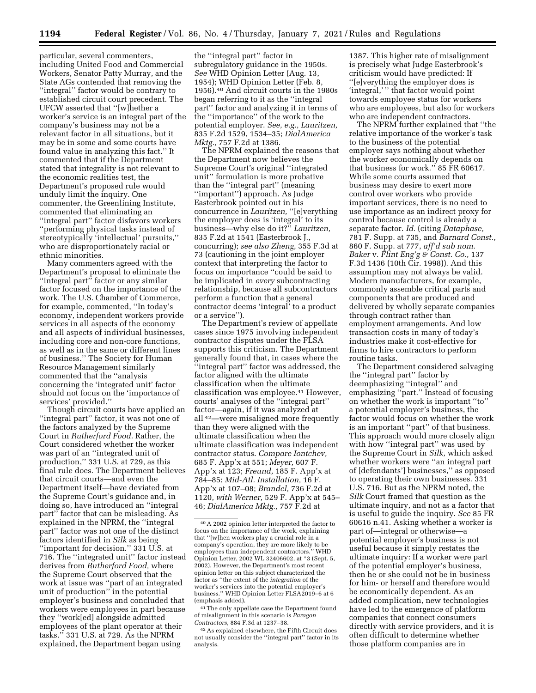particular, several commenters, including United Food and Commercial Workers, Senator Patty Murray, and the State AGs contended that removing the ''integral'' factor would be contrary to established circuit court precedent. The UFCW asserted that ''[w]hether a worker's service is an integral part of the company's business may not be a relevant factor in all situations, but it may be in some and some courts have found value in analyzing this fact.'' It commented that if the Department stated that integrality is not relevant to the economic realities test, the Department's proposed rule would unduly limit the inquiry. One commenter, the Greenlining Institute, commented that eliminating an ''integral part'' factor disfavors workers ''performing physical tasks instead of stereotypically 'intellectual' pursuits,'' who are disproportionately racial or ethnic minorities.

Many commenters agreed with the Department's proposal to eliminate the "integral part" factor or any similar factor focused on the importance of the work. The U.S. Chamber of Commerce, for example, commented, ''In today's economy, independent workers provide services in all aspects of the economy and all aspects of individual businesses, including core and non-core functions, as well as in the same or different lines of business.'' The Society for Human Resource Management similarly commented that the ''analysis concerning the 'integrated unit' factor should not focus on the 'importance of services' provided.''

Though circuit courts have applied an "integral part" factor, it was not one of the factors analyzed by the Supreme Court in *Rutherford Food.* Rather, the Court considered whether the worker was part of an ''integrated unit of production,'' 331 U.S. at 729, as this final rule does. The Department believes that circuit courts—and even the Department itself—have deviated from the Supreme Court's guidance and, in doing so, have introduced an ''integral part'' factor that can be misleading. As explained in the NPRM, the ''integral part'' factor was not one of the distinct factors identified in *Silk* as being ''important for decision.'' 331 U.S. at 716. The ''integrated unit'' factor instead derives from *Rutherford Food,* where the Supreme Court observed that the work at issue was ''part of an integrated unit of production'' in the potential employer's business and concluded that workers were employees in part because they ''work[ed] alongside admitted employees of the plant operator at their tasks.'' 331 U.S. at 729. As the NPRM explained, the Department began using

the ''integral part'' factor in subregulatory guidance in the 1950s. *See* WHD Opinion Letter (Aug. 13, 1954); WHD Opinion Letter (Feb. 8, 1956).40 And circuit courts in the 1980s began referring to it as the ''integral part'' factor and analyzing it in terms of the ''importance'' of the work to the potential employer. *See, e.g., Lauritzen,*  835 F.2d 1529, 1534–35; *DialAmerica Mktg.,* 757 F.2d at 1386.

The NPRM explained the reasons that the Department now believes the Supreme Court's original ''integrated unit'' formulation is more probative than the ''integral part'' (meaning ''important'') approach. As Judge Easterbrook pointed out in his concurrence in *Lauritzen,* ''[e]verything the employer does is 'integral' to its business—why else do it?'' *Lauritzen,*  835 F.2d at 1541 (Easterbrook J., concurring); *see also Zheng,* 355 F.3d at 73 (cautioning in the joint employer context that interpreting the factor to focus on importance ''could be said to be implicated in *every* subcontracting relationship, because all subcontractors perform a function that a general contractor deems 'integral' to a product or a service'').

The Department's review of appellate cases since 1975 involving independent contractor disputes under the FLSA supports this criticism. The Department generally found that, in cases where the ''integral part'' factor was addressed, the factor aligned with the ultimate classification when the ultimate classification was employee.41 However, courts' analyses of the ''integral part'' factor—again, if it was analyzed at all 42—were misaligned more frequently than they were aligned with the ultimate classification when the ultimate classification was independent contractor status. *Compare Iontchev,*  685 F. App'x at 551; *Meyer,* 607 F. App'x at 123; *Freund,* 185 F. App'x at 784–85; *Mid-Atl. Installation,* 16 F. App'x at 107–08; *Brandel,* 736 F.2d at 1120, *with Werner,* 529 F. App'x at 545– 46; *DialAmerica Mktg.,* 757 F.2d at

1387. This higher rate of misalignment is precisely what Judge Easterbrook's criticism would have predicted: If ''[e]verything the employer does is 'integral,'" that factor would point towards employee status for workers who are employees, but also for workers who are independent contractors.

The NPRM further explained that ''the relative importance of the worker's task to the business of the potential employer says nothing about whether the worker economically depends on that business for work.'' 85 FR 60617. While some courts assumed that business may desire to exert more control over workers who provide important services, there is no need to use importance as an indirect proxy for control because control is already a separate factor. *Id.* (citing *Dataphase,*  781 F. Supp. at 735, and *Barnard Const.,*  860 F. Supp. at 777, *aff'd sub nom. Baker* v. *Flint Eng'g & Const. Co.,* 137 F.3d 1436 (10th Cir. 1998)). And this assumption may not always be valid. Modern manufacturers, for example, commonly assemble critical parts and components that are produced and delivered by wholly separate companies through contract rather than employment arrangements. And low transaction costs in many of today's industries make it cost-effective for firms to hire contractors to perform routine tasks.

The Department considered salvaging the ''integral part'' factor by deemphasizing ''integral'' and emphasizing ''part.'' Instead of focusing on whether the work is important ''to'' a potential employer's business, the factor would focus on whether the work is an important ''part'' of that business. This approach would more closely align with how ''integral part'' was used by the Supreme Court in *Silk,* which asked whether workers were ''an integral part of [defendants'] businesses,'' as opposed to operating their own businesses. 331 U.S. 716. But as the NPRM noted, the *Silk* Court framed that question as the ultimate inquiry, and not as a factor that is useful to guide the inquiry. *See* 85 FR 60616 n.41. Asking whether a worker is part of—integral or otherwise—a potential employer's business is not useful because it simply restates the ultimate inquiry: If a worker were part of the potential employer's business, then he or she could not be in business for him- or herself and therefore would be economically dependent. As an added complication, new technologies have led to the emergence of platform companies that connect consumers directly with service providers, and it is often difficult to determine whether those platform companies are in

<sup>40</sup>A 2002 opinion letter interpreted the factor to focus on the importance of the work, explaining that ''[w]hen workers play a crucial role in a company's operation, they are more likely to be employees than independent contractors.'' WHD Opinion Letter, 2002 WL 32406602, at \*3 (Sept. 5, 2002). However, the Department's most recent opinion letter on this subject characterized the factor as ''the extent of the *integration* of the worker's services into the potential employer's business.'' WHD Opinion Letter FLSA2019–6 at 6 (emphasis added).

<sup>41</sup>The only appellate case the Department found of misalignment in this scenario is *Paragon Contractors,* 884 F.3d at 1237–38.

<sup>42</sup>As explained elsewhere, the Fifth Circuit does not usually consider the ''integral part'' factor in its analysis.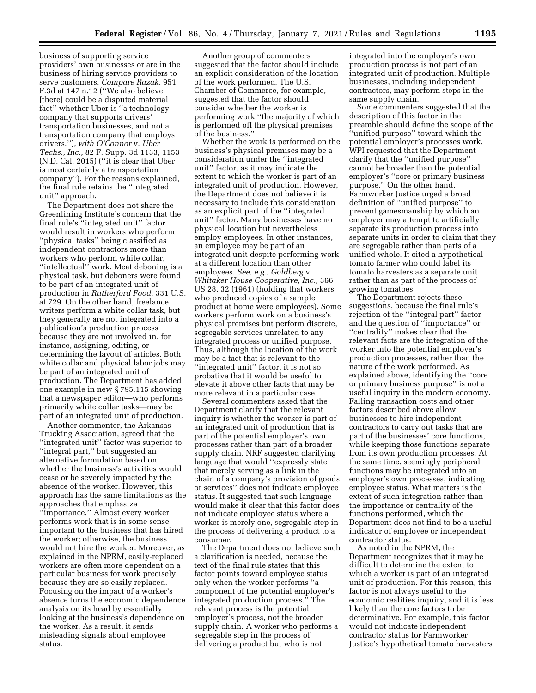business of supporting service providers' own businesses or are in the business of hiring service providers to serve customers. *Compare Razak,* 951 F.3d at 147 n.12 (''We also believe [there] could be a disputed material fact'' whether Uber is ''a technology company that supports drivers' transportation businesses, and not a transportation company that employs drivers.''), *with O'Connor* v. *Uber Techs., Inc.,* 82 F. Supp. 3d 1133, 1153 (N.D. Cal. 2015) (''it is clear that Uber is most certainly a transportation company''). For the reasons explained, the final rule retains the ''integrated unit'' approach.

The Department does not share the Greenlining Institute's concern that the final rule's ''integrated unit'' factor would result in workers who perform ''physical tasks'' being classified as independent contractors more than workers who perform white collar, ''intellectual'' work. Meat deboning is a physical task, but deboners were found to be part of an integrated unit of production in *Rutherford Food.* 331 U.S. at 729. On the other hand, freelance writers perform a white collar task, but they generally are not integrated into a publication's production process because they are not involved in, for instance, assigning, editing, or determining the layout of articles. Both white collar and physical labor jobs may be part of an integrated unit of production. The Department has added one example in new § 795.115 showing that a newspaper editor—who performs primarily white collar tasks—may be part of an integrated unit of production.

Another commenter, the Arkansas Trucking Association, agreed that the ''integrated unit'' factor was superior to ''integral part,'' but suggested an alternative formulation based on whether the business's activities would cease or be severely impacted by the absence of the worker. However, this approach has the same limitations as the approaches that emphasize

''importance.'' Almost every worker performs work that is in some sense important to the business that has hired the worker; otherwise, the business would not hire the worker. Moreover, as explained in the NPRM, easily-replaced workers are often more dependent on a particular business for work precisely because they are so easily replaced. Focusing on the impact of a worker's absence turns the economic dependence analysis on its head by essentially looking at the business's dependence on the worker. As a result, it sends misleading signals about employee status.

Another group of commenters suggested that the factor should include an explicit consideration of the location of the work performed. The U.S. Chamber of Commerce, for example, suggested that the factor should consider whether the worker is performing work ''the majority of which is performed off the physical premises of the business.''

Whether the work is performed on the business's physical premises may be a consideration under the ''integrated unit'' factor, as it may indicate the extent to which the worker is part of an integrated unit of production. However, the Department does not believe it is necessary to include this consideration as an explicit part of the ''integrated unit'' factor. Many businesses have no physical location but nevertheless employ employees. In other instances, an employee may be part of an integrated unit despite performing work at a different location than other employees. *See, e.g., Goldberg* v. *Whitaker House Cooperative, Inc.,* 366 US 28, 32 (1961) (holding that workers who produced copies of a sample product at home were employees). Some workers perform work on a business's physical premises but perform discrete, segregable services unrelated to any integrated process or unified purpose. Thus, although the location of the work may be a fact that is relevant to the ''integrated unit'' factor, it is not so probative that it would be useful to elevate it above other facts that may be more relevant in a particular case.

Several commenters asked that the Department clarify that the relevant inquiry is whether the worker is part of an integrated unit of production that is part of the potential employer's own processes rather than part of a broader supply chain. NRF suggested clarifying language that would ''expressly state that merely serving as a link in the chain of a company's provision of goods or services'' does not indicate employee status. It suggested that such language would make it clear that this factor does not indicate employee status where a worker is merely one, segregable step in the process of delivering a product to a consumer.

The Department does not believe such a clarification is needed, because the text of the final rule states that this factor points toward employee status only when the worker performs ''a component of the potential employer's integrated production process.'' The relevant process is the potential employer's process, not the broader supply chain. A worker who performs a segregable step in the process of delivering a product but who is not

integrated into the employer's own production process is not part of an integrated unit of production. Multiple businesses, including independent contractors, may perform steps in the same supply chain.

Some commenters suggested that the description of this factor in the preamble should define the scope of the ''unified purpose'' toward which the potential employer's processes work. WPI requested that the Department clarify that the ''unified purpose'' cannot be broader than the potential employer's ''core or primary business purpose.'' On the other hand, Farmworker Justice urged a broad definition of ''unified purpose'' to prevent gamesmanship by which an employer may attempt to artificially separate its production process into separate units in order to claim that they are segregable rather than parts of a unified whole. It cited a hypothetical tomato farmer who could label its tomato harvesters as a separate unit rather than as part of the process of growing tomatoes.

The Department rejects these suggestions, because the final rule's rejection of the ''integral part'' factor and the question of ''importance'' or ''centrality'' makes clear that the relevant facts are the integration of the worker into the potential employer's production processes, rather than the nature of the work performed. As explained above, identifying the ''core or primary business purpose'' is not a useful inquiry in the modern economy. Falling transaction costs and other factors described above allow businesses to hire independent contractors to carry out tasks that are part of the businesses' core functions, while keeping those functions separate from its own production processes. At the same time, seemingly peripheral functions may be integrated into an employer's own processes, indicating employee status. What matters is the extent of such integration rather than the importance or centrality of the functions performed, which the Department does not find to be a useful indicator of employee or independent contractor status.

As noted in the NPRM, the Department recognizes that it may be difficult to determine the extent to which a worker is part of an integrated unit of production. For this reason, this factor is not always useful to the economic realities inquiry, and it is less likely than the core factors to be determinative. For example, this factor would not indicate independent contractor status for Farmworker Justice's hypothetical tomato harvesters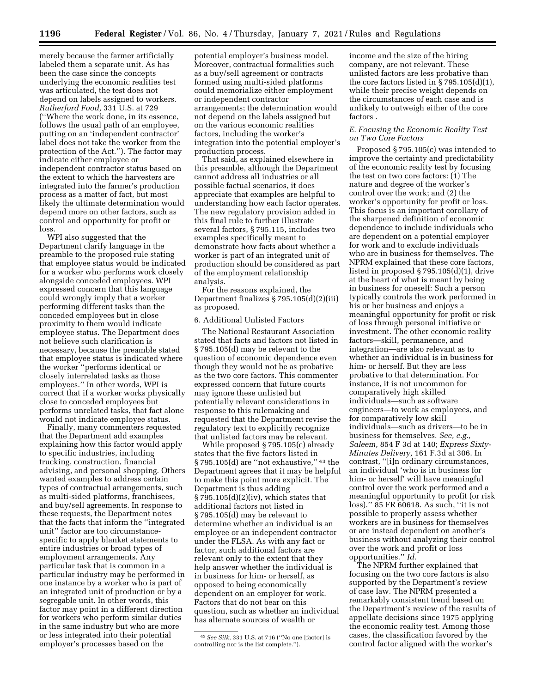merely because the farmer artificially labeled them a separate unit. As has been the case since the concepts underlying the economic realities test was articulated, the test does not depend on labels assigned to workers. *Rutherford Food,* 331 U.S. at 729 (''Where the work done, in its essence, follows the usual path of an employee, putting on an 'independent contractor' label does not take the worker from the protection of the Act.''). The factor may indicate either employee or independent contractor status based on the extent to which the harvesters are integrated into the farmer's production process as a matter of fact, but most likely the ultimate determination would depend more on other factors, such as control and opportunity for profit or loss.

WPI also suggested that the Department clarify language in the preamble to the proposed rule stating that employee status would be indicated for a worker who performs work closely alongside conceded employees. WPI expressed concern that this language could wrongly imply that a worker performing different tasks than the conceded employees but in close proximity to them would indicate employee status. The Department does not believe such clarification is necessary, because the preamble stated that employee status is indicated where the worker ''performs identical or closely interrelated tasks as those employees.'' In other words, WPI is correct that if a worker works physically close to conceded employees but performs unrelated tasks, that fact alone would not indicate employee status.

Finally, many commenters requested that the Department add examples explaining how this factor would apply to specific industries, including trucking, construction, financial advising, and personal shopping. Others wanted examples to address certain types of contractual arrangements, such as multi-sided platforms, franchisees, and buy/sell agreements. In response to these requests, the Department notes that the facts that inform the ''integrated unit'' factor are too circumstancespecific to apply blanket statements to entire industries or broad types of employment arrangements. Any particular task that is common in a particular industry may be performed in one instance by a worker who is part of an integrated unit of production or by a segregable unit. In other words, this factor may point in a different direction for workers who perform similar duties in the same industry but who are more or less integrated into their potential employer's processes based on the

potential employer's business model. Moreover, contractual formalities such as a buy/sell agreement or contracts formed using multi-sided platforms could memorialize either employment or independent contractor arrangements; the determination would not depend on the labels assigned but on the various economic realities factors, including the worker's integration into the potential employer's production process.

That said, as explained elsewhere in this preamble, although the Department cannot address all industries or all possible factual scenarios, it does appreciate that examples are helpful to understanding how each factor operates. The new regulatory provision added in this final rule to further illustrate several factors, § 795.115, includes two examples specifically meant to demonstrate how facts about whether a worker is part of an integrated unit of production should be considered as part of the employment relationship analysis.

For the reasons explained, the Department finalizes § 795.105(d)(2)(iii) as proposed.

#### 6. Additional Unlisted Factors

The National Restaurant Association stated that facts and factors not listed in § 795.105(d) may be relevant to the question of economic dependence even though they would not be as probative as the two core factors. This commenter expressed concern that future courts may ignore these unlisted but potentially relevant considerations in response to this rulemaking and requested that the Department revise the regulatory text to explicitly recognize that unlisted factors may be relevant.

While proposed § 795.105(c) already states that the five factors listed in § 795.105(d) are ''not exhaustive,'' 43 the Department agrees that it may be helpful to make this point more explicit. The Department is thus adding § 795.105(d)(2)(iv), which states that additional factors not listed in § 795.105(d) may be relevant to determine whether an individual is an employee or an independent contractor under the FLSA. As with any fact or factor, such additional factors are relevant only to the extent that they help answer whether the individual is in business for him- or herself, as opposed to being economically dependent on an employer for work. Factors that do not bear on this question, such as whether an individual has alternate sources of wealth or

income and the size of the hiring company, are not relevant. These unlisted factors are less probative than the core factors listed in  $\S 795.105(d)(1)$ , while their precise weight depends on the circumstances of each case and is unlikely to outweigh either of the core factors .

### *E. Focusing the Economic Reality Test on Two Core Factors*

Proposed § 795.105(c) was intended to improve the certainty and predictability of the economic reality test by focusing the test on two core factors: (1) The nature and degree of the worker's control over the work; and (2) the worker's opportunity for profit or loss. This focus is an important corollary of the sharpened definition of economic dependence to include individuals who are dependent on a potential employer for work and to exclude individuals who are in business for themselves. The NPRM explained that these core factors, listed in proposed § 795.105(d)(1), drive at the heart of what is meant by being in business for oneself: Such a person typically controls the work performed in his or her business and enjoys a meaningful opportunity for profit or risk of loss through personal initiative or investment. The other economic reality factors—skill, permanence, and integration—are also relevant as to whether an individual is in business for him- or herself. But they are less probative to that determination. For instance, it is not uncommon for comparatively high skilled individuals—such as software engineers—to work as employees, and for comparatively low skill individuals—such as drivers—to be in business for themselves. *See, e.g., Saleem,* 854 F 3d at 140; *Express Sixty-Minutes Delivery,* 161 F.3d at 306. In contrast, ''[i]n ordinary circumstances, an individual 'who is in business for him- or herself' will have meaningful control over the work performed and a meaningful opportunity to profit (or risk loss).'' 85 FR 60618. As such, ''it is not possible to properly assess whether workers are in business for themselves or are instead dependent on another's business without analyzing their control over the work and profit or loss opportunities.'' *Id.* 

The NPRM further explained that focusing on the two core factors is also supported by the Department's review of case law. The NPRM presented a remarkably consistent trend based on the Department's review of the results of appellate decisions since 1975 applying the economic reality test. Among those cases, the classification favored by the control factor aligned with the worker's

<sup>43</sup>*See Silk,* 331 U.S. at 716 (''No one [factor] is controlling nor is the list complete.'').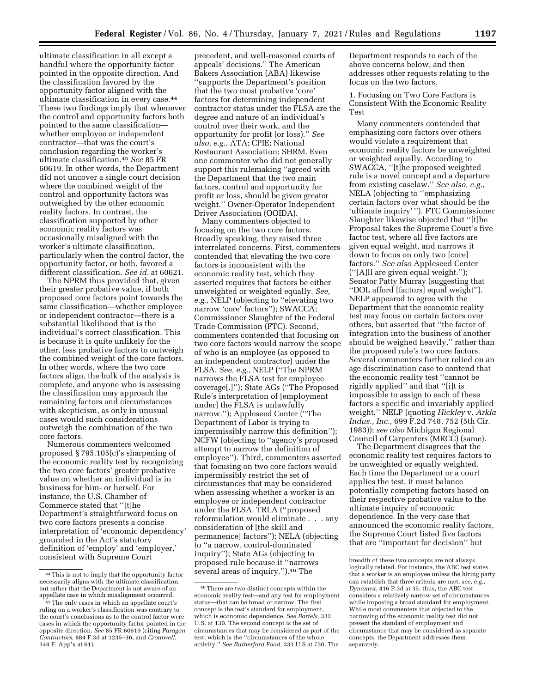ultimate classification in all except a handful where the opportunity factor pointed in the opposite direction. And the classification favored by the opportunity factor aligned with the ultimate classification in every case.44 These two findings imply that whenever the control and opportunity factors both pointed to the same classification whether employee or independent contractor—that was the court's conclusion regarding the worker's ultimate classification.45 *See* 85 FR 60619. In other words, the Department did not uncover a single court decision where the combined weight of the control and opportunity factors was outweighed by the other economic reality factors. In contrast, the classification supported by other economic reality factors was occasionally misaligned with the worker's ultimate classification, particularly when the control factor, the opportunity factor, or both, favored a different classification. *See id.* at 60621.

The NPRM thus provided that, given their greater probative value, if both proposed core factors point towards the same classification—whether employee or independent contractor—there is a substantial likelihood that is the individual's correct classification. This is because it is quite unlikely for the other, less probative factors to outweigh the combined weight of the core factors. In other words, where the two core factors align, the bulk of the analysis is complete, and anyone who is assessing the classification may approach the remaining factors and circumstances with skepticism, as only in unusual cases would such considerations outweigh the combination of the two core factors.

Numerous commenters welcomed proposed § 795.105(c)'s sharpening of the economic reality test by recognizing the two core factors' greater probative value on whether an individual is in business for him- or herself. For instance, the U.S. Chamber of Commerce stated that ''[t]he Department's straightforward focus on two core factors presents a concise interpretation of 'economic dependency' grounded in the Act's statutory definition of 'employ' and 'employer,' consistent with Supreme Court

precedent, and well-reasoned courts of appeals' decisions.'' The American Bakers Association (ABA) likewise ''supports the Department's position that the two most probative 'core' factors for determining independent contractor status under the FLSA are the degree and nature of an individual's control over their work, and the opportunity for profit (or loss).'' *See also, e.g.,* ATA; CPIE; National Restaurant Association; SHRM. Even one commenter who did not generally support this rulemaking ''agreed with the Department that the two main factors, control and opportunity for profit or loss, should be given greater weight.'' Owner-Operator Independent Driver Association (OOIDA).

Many commenters objected to focusing on the two core factors. Broadly speaking, they raised three interrelated concerns. First, commenters contended that elevating the two core factors is inconsistent with the economic reality test, which they asserted requires that factors be either unweighted or weighted equally. *See, e.g.,* NELP (objecting to ''elevating two narrow 'core' factors''); SWACCA; Commissioner Slaughter of the Federal Trade Commission (FTC). Second, commenters contended that focusing on two core factors would narrow the scope of who is an employee (as opposed to an independent contractor) under the FLSA. *See, e.g.,* NELP (''The NPRM narrows the FLSA test for employee coverage[.]''); State AGs (''The Proposed Rule's interpretation of [employment under] the FLSA is unlawfully narrow.''); Appleseed Center (''The Department of Labor is trying to impermissibly narrow this definition''); NCFW (objecting to ''agency's proposed attempt to narrow the definition of employee''). Third, commenters asserted that focusing on two core factors would impermissibly restrict the set of circumstances that may be considered when assessing whether a worker is an employee or independent contractor under the FLSA. TRLA (''proposed reformulation would eliminate . . . any consideration of [the skill and permanence] factors''); NELA (objecting to ''a narrow, control-dominated inquiry''); State AGs (objecting to proposed rule because it ''narrows several areas of inquiry.'').46 The

Department responds to each of the above concerns below, and then addresses other requests relating to the focus on the two factors.

1. Focusing on Two Core Factors is Consistent With the Economic Reality Test

Many commenters contended that emphasizing core factors over others would violate a requirement that economic reality factors be unweighted or weighted equally. According to SWACCA, ''[t]he proposed weighted rule is a novel concept and a departure from existing caselaw.'' *See also, e.g.,*  NELA (objecting to ''emphasizing certain factors over what should be the 'ultimate inquiry' ''). FTC Commissioner Slaughter likewise objected that ''[t]he Proposal takes the Supreme Court's five factor test, where all five factors are given equal weight, and narrows it down to focus on only two [core] factors.'' *See also* Appleseed Center (''[A]ll are given equal weight.''); Senator Patty Murray (suggesting that ''DOL afford [factors] equal weight''). NELP appeared to agree with the Department that the economic reality test may focus on certain factors over others, but asserted that ''the factor of integration into the business of another should be weighed heavily,'' rather than the proposed rule's two core factors. Several commenters further relied on an age discrimination case to contend that the economic reality test ''cannot be rigidly applied'' and that ''[i]t is impossible to assign to each of these factors a specific and invariably applied weight.'' NELP (quoting *Hickley* v. *Arkla Indus., Inc.,* 699 F.2d 748, 752 (5th Cir. 1983)); *see also* Michigan Regional Council of Carpenters (MRCC) (same).

The Department disagrees that the economic reality test requires factors to be unweighted or equally weighted. Each time the Department or a court applies the test, it must balance potentially competing factors based on their respective probative value to the ultimate inquiry of economic dependence. In the very case that announced the economic reality factors, the Supreme Court listed five factors that are ''important for decision'' but

<sup>44</sup>This is not to imply that the opportunity factor necessarily aligns with the ultimate classification, but rather that the Department is not aware of an appellate case in which misalignment occurred.

<sup>45</sup>The only cases in which an appellate court's ruling on a worker's classification was contrary to the court's conclusions as to the control factor were cases in which the opportunity factor pointed in the opposite direction. *See* 85 FR 60619 (citing *Paragon Contractors,* 884 F.3d at 1235–36, and *Cromwell,*  348 F. App'x at 61).

<sup>46</sup>There are two distinct concepts within the economic reality test—and any test for employment status—that can be broad or narrow. The first concept is the test's standard for employment, which is economic dependence. *See Bartels,* 332 U.S. at 130. The second concept is the set of circumstances that may be considered as part of the test, which is the ''circumstances of the whole activity.'' *See Rutherford Food,* 331 U.S at 730. The

breadth of these two concepts are not always logically related. For instance, the ABC test states that a worker is an employee unless the hiring party can establish that three criteria are met, *see, e.g., Dynamex,* 416 P.3d at 35; thus, the ABC test considers a relatively narrow set of circumstances while imposing a broad standard for employment. While most commenters that objected to the narrowing of the economic reality test did not present the standard of employment and circumstance that may be considered as separate concepts, the Department addresses them separately.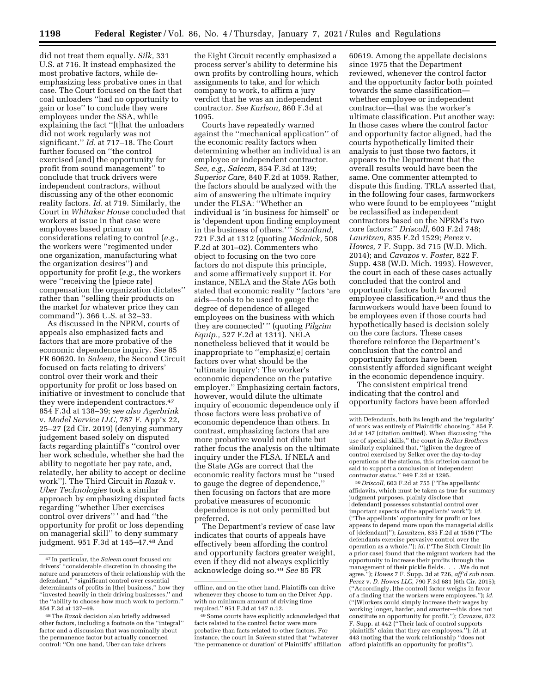did not treat them equally. *Silk,* 331 U.S. at 716. It instead emphasized the most probative factors, while deemphasizing less probative ones in that case. The Court focused on the fact that coal unloaders ''had no opportunity to gain or lose'' to conclude they were employees under the SSA, while explaining the fact ''[t]hat the unloaders did not work regularly was not significant.'' *Id.* at 717–18. The Court further focused on ''the control exercised [and] the opportunity for profit from sound management'' to conclude that truck drivers were independent contractors, without discussing any of the other economic reality factors. *Id.* at 719. Similarly, the Court in *Whitaker House* concluded that workers at issue in that case were employees based primary on considerations relating to control (*e.g.,*  the workers were ''regimented under one organization, manufacturing what the organization desires'') and opportunity for profit (*e.g.,* the workers were ''receiving the [piece rate] compensation the organization dictates'' rather than ''selling their products on the market for whatever price they can command''). 366 U.S. at 32–33.

As discussed in the NPRM, courts of appeals also emphasized facts and factors that are more probative of the economic dependence inquiry. *See* 85 FR 60620. In *Saleem,* the Second Circuit focused on facts relating to drivers' control over their work and their opportunity for profit or loss based on initiative or investment to conclude that they were independent contractors.47 854 F.3d at 138–39; *see also Agerbrink*  v. *Model Service LLC,* 787 F. App'x 22, 25–27 (2d Cir. 2019) (denying summary judgement based solely on disputed facts regarding plaintiff's ''control over her work schedule, whether she had the ability to negotiate her pay rate, and, relatedly, her ability to accept or decline work''). The Third Circuit in *Razak* v. *Uber Technologies* took a similar approach by emphasizing disputed facts regarding ''whether Uber exercises control over drivers'' ' and had ''the opportunity for profit or loss depending on managerial skill'' to deny summary judgment. 951 F.3d at 145–47.48 And

the Eight Circuit recently emphasized a process server's ability to determine his own profits by controlling hours, which assignments to take, and for which company to work, to affirm a jury verdict that he was an independent contractor. *See Karlson,* 860 F.3d at 1095.

Courts have repeatedly warned against the ''mechanical application'' of the economic reality factors when determining whether an individual is an employee or independent contractor. *See, e.g., Saleem,* 854 F.3d at 139; *Superior Care,* 840 F.2d at 1059. Rather, the factors should be analyzed with the aim of answering the ultimate inquiry under the FLSA: ''Whether an individual is 'in business for himself' or is 'dependent upon finding employment in the business of others.' '' *Scantland,*  721 F.3d at 1312 (quoting *Mednick,* 508 F.2d at 301–02). Commenters who object to focusing on the two core factors do not dispute this principle, and some affirmatively support it. For instance, NELA and the State AGs both stated that economic reality ''factors 'are aids—tools to be used to gauge the degree of dependence of alleged employees on the business with which they are connected' '' (quoting *Pilgrim Equip.,* 527 F.2d at 1311). NELA nonetheless believed that it would be inappropriate to ''emphasiz[e] certain factors over what should be the 'ultimate inquiry': The worker's economic dependence on the putative employer.'' Emphasizing certain factors, however, would dilute the ultimate inquiry of economic dependence only if those factors were less probative of economic dependence than others. In contrast, emphasizing factors that are more probative would not dilute but rather focus the analysis on the ultimate inquiry under the FLSA. If NELA and the State AGs are correct that the economic reality factors must be ''used to gauge the degree of dependence,'' then focusing on factors that are more probative measures of economic dependence is not only permitted but preferred.

The Department's review of case law indicates that courts of appeals have effectively been affording the control and opportunity factors greater weight, even if they did not always explicitly acknowledge doing so.49 *See* 85 FR

60619. Among the appellate decisions since 1975 that the Department reviewed, whenever the control factor and the opportunity factor both pointed towards the same classification whether employee or independent contractor—that was the worker's ultimate classification. Put another way: In those cases where the control factor and opportunity factor aligned, had the courts hypothetically limited their analysis to just those two factors, it appears to the Department that the overall results would have been the same. One commenter attempted to dispute this finding. TRLA asserted that, in the following four cases, farmworkers who were found to be employees ''might be reclassified as independent contractors based on the NPRM's two core factors:'' *Driscoll,* 603 F.2d 748; *Lauritzen,* 835 F.2d 1529; *Perez* v. *Howes,* 7 F. Supp. 3d 715 (W.D. Mich. 2014); and *Cavazos* v. *Foster,* 822 F. Supp. 438 (W.D. Mich. 1993). However, the court in each of these cases actually concluded that the control and opportunity factors both favored employee classification,50 and thus the farmworkers would have been found to be employees even if those courts had hypothetically based is decision solely on the core factors. These cases therefore reinforce the Department's conclusion that the control and opportunity factors have been consistently afforded significant weight in the economic dependence inquiry.

The consistent empirical trend indicating that the control and opportunity factors have been afforded

50 *Driscoll,* 603 F.2d at 755 (''The appellants' affidavits, which must be taken as true for summary judgment purposes, plainly disclose that [defendant] possesses substantial control over important aspects of the appellants' work''); *id.*  (''The appellants' opportunity for profit or loss appears to depend more upon the managerial skills of [defendant]''); *Lauritzen,* 835 F.2d at 1536 (''The defendants exercise pervasive control over the operation as a whole.''); *id.* (''The Sixth Circuit [in a prior case] found that the migrant workers had the opportunity to increase their profits through the management of their pickle fields*....*We do not agree.''); *Howes* 7 F. Supp. 3d at 726, *aff'd sub nom. Perez* v. *D. Howes LLC,* 790 F.3d 681 (6th Cir. 2015); (''Accordingly, [the control] factor weighs in favor of a finding that the workers were employees.''); *id.*  (''[W]orkers could simply increase their wages by working longer, harder, and smarter—this does not constitute an opportunity for profit.''); *Cavazos,* 822 F. Supp. at 442 (''Their lack of control supports plaintiffs' claim that they are employees.''); *id.* at 443 (noting that the work relationship ''does not afford plaintiffs an opportunity for profits'').

<sup>47</sup> In particular, the *Saleem* court focused on: drivers' ''considerable discretion in choosing the nature and parameters of their relationship with the defendant,'' ''significant control over essential determinants of profits in [the] business,'' how they ''invested heavily in their driving businesses,'' and the ''ability to choose how much work to perform.'' 854 F.3d at 137–49.

<sup>48</sup>The *Razak* decision also briefly addressed other factors, including a footnote on the ''integral'' factor and a discussion that was nominally about the permanence factor but actually concerned control: ''On one hand, Uber can take drivers

offline, and on the other hand, Plaintiffs can drive whenever they choose to turn on the Driver App, with no minimum amount of driving time required.'' 951 F.3d at 147 n.12.

<sup>49</sup>Some courts have explicitly acknowledged that facts related to the control factor were more probative than facts related to other factors. For instance, the court in *Saleem* stated that ''whatever 'the permanence or duration' of Plaintiffs' affiliation

with Defendants, both its length and the 'regularity' of work was entirely of Plaintiffs' choosing.'' 854 F. 3d at 147 (citation omitted). When discussing ''the use of special skills,'' the court in *Selker Brothers*  similarly explained that, ''[g]iven the degree of control exercised by Selker over the day-to-day operations of the stations, this criterion cannot be said to support a conclusion of independent contractor status.'' 949 F.2d at 1295.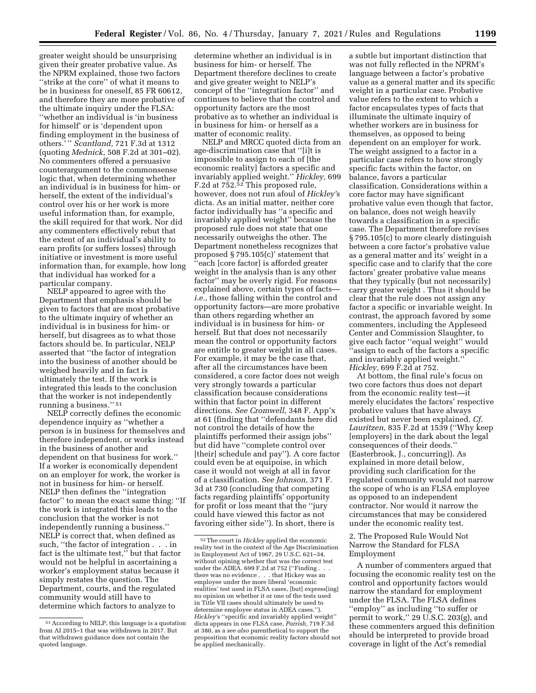greater weight should be unsurprising given their greater probative value. As the NPRM explained, those two factors ''strike at the core'' of what it means to be in business for oneself, 85 FR 60612, and therefore they are more probative of the ultimate inquiry under the FLSA: ''whether an individual is 'in business for himself' or is 'dependent upon finding employment in the business of others.' '' *Scantland,* 721 F.3d at 1312 (quoting *Mednick,* 508 F.2d at 301–02). No commenters offered a persuasive counterargument to the commonsense logic that, when determining whether an individual is in business for him- or herself, the extent of the individual's control over his or her work is more useful information than, for example, the skill required for that work. Nor did any commenters effectively rebut that the extent of an individual's ability to earn profits (or suffers losses) through initiative or investment is more useful information than, for example, how long that individual has worked for a particular company.

NELP appeared to agree with the Department that emphasis should be given to factors that are most probative to the ultimate inquiry of whether an individual is in business for him- or herself, but disagrees as to what those factors should be. In particular, NELP asserted that ''the factor of integration into the business of another should be weighed heavily and in fact is ultimately the test. If the work is integrated this leads to the conclusion that the worker is not independently running a business.'' 51

NELP correctly defines the economic dependence inquiry as ''whether a person is in business for themselves and therefore independent, or works instead in the business of another and dependent on that business for work.'' If a worker is economically dependent on an employer for work, the worker is not in business for him- or herself. NELP then defines the ''integration factor'' to mean the exact same thing: ''If the work is integrated this leads to the conclusion that the worker is not independently running a business.'' NELP is correct that, when defined as such, ''the factor of integration . . . in fact is the ultimate test," but that factor would not be helpful in ascertaining a worker's employment status because it simply restates the question. The Department, courts, and the regulated community would still have to determine which factors to analyze to

determine whether an individual is in business for him- or herself. The Department therefore declines to create and give greater weight to NELP's concept of the ''integration factor'' and continues to believe that the control and opportunity factors are the most probative as to whether an individual is in business for him- or herself as a matter of economic reality.

NELP and MRCC quoted dicta from an age-discrimination case that ''[i]t is impossible to assign to each of [the economic reality] factors a specific and invariably applied weight.'' *Hickley,* 699 F.2d at 752.52 This proposed rule, however, does not run afoul of *Hickley'*s dicta. As an initial matter, neither core factor individually has ''a specific and invariably applied weight'' because the proposed rule does not state that one necessarily outweighs the other. The Department nonetheless recognizes that proposed § 795.105(c)' statement that 'each [core factor] is afforded greater weight in the analysis than is any other factor'' may be overly rigid. For reasons explained above, certain types of facts *i.e.,* those falling within the control and opportunity factors—are more probative than others regarding whether an individual is in business for him- or herself. But that does not necessarily mean the control or opportunity factors are entitle to greater weight in all cases. For example, it may be the case that, after all the circumstances have been considered, a core factor does not weigh very strongly towards a particular classification because considerations within that factor point in different directions. *See Cromwell,* 348 F. App'x at 61 (finding that ''defendants here did not control the details of how the plaintiffs performed their assign jobs'' but did have ''complete control over [their] schedule and pay''). A core factor could even be at equipoise, in which case it would not weigh at all in favor of a classification. *See Johnson,* 371 F. 3d at 730 (concluding that competing facts regarding plaintiffs' opportunity for profit or loss meant that the ''jury could have viewed this factor as not favoring either side''). In short, there is

a subtle but important distinction that was not fully reflected in the NPRM's language between a factor's probative value as a general matter and its specific weight in a particular case. Probative value refers to the extent to which a factor encapsulates types of facts that illuminate the ultimate inquiry of whether workers are in business for themselves, as opposed to being dependent on an employer for work. The weight assigned to a factor in a particular case refers to how strongly specific facts within the factor, on balance, favors a particular classification. Considerations within a core factor may have significant probative value even though that factor, on balance, does not weigh heavily towards a classification in a specific case. The Department therefore revises § 795.105(c) to more clearly distinguish between a core factor's probative value as a general matter and its' weight in a specific case and to clarify that the core factors' greater probative value means that they typically (but not necessarily) carry greater weight . Thus it should be clear that the rule does not assign any factor a specific or invariable weight. In contrast, the approach favored by some commenters, including the Appleseed Center and Commission Slaughter, to give each factor ''equal weight'' would 'assign to each of the factors a specific and invariably applied weight.'' *Hickley,* 699 F.2d at 752.

At bottom, the final rule's focus on two core factors thus does not depart from the economic reality test—it merely elucidates the factors' respective probative values that have always existed but never been explained. *Cf. Lauritzen,* 835 F.2d at 1539 (''Why keep [employers] in the dark about the legal consequences of their deeds.'' (Easterbrook, J., concurring)). As explained in more detail below, providing such clarification for the regulated community would not narrow the scope of who is an FLSA employee as opposed to an independent contractor. Nor would it narrow the circumstances that may be considered under the economic reality test.

2. The Proposed Rule Would Not Narrow the Standard for FLSA Employment

A number of commenters argued that focusing the economic reality test on the control and opportunity factors would narrow the standard for employment under the FLSA. The FLSA defines ''employ'' as including ''to suffer or permit to work," 29 U.S.C. 203 $(g)$ , and these commenters argued this definition should be interpreted to provide broad coverage in light of the Act's remedial

<sup>51</sup>According to NELP, this language is a quotation from AI 2015–1 that was withdrawn in 2017. But that withdrawn guidance does not contain the quoted language.

<sup>52</sup>The court in *Hickley* applied the economic reality test in the context of the Age Discrimination in Employment Act of 1967, 29 U.S.C. 621–34, without opining whether that was the correct test under the ADEA. 699 F.2d at 752 (''Finding . . . there was no evidence . . . that Hickey was an employee under the more liberal 'economic realities' test used in FLSA cases, [but] express[ing] no opinion on whether it or one of the tests used in Title VII cases should ultimately be used to determine employee status in ADEA cases.''). *Hickley'*s ''specific and invariably applied weight'' dicta appears in one FLSA case, *Parrish,* 719 F.3d at 380, as a *see also* parenthetical to support the proposition that economic reality factors should not be applied mechanically.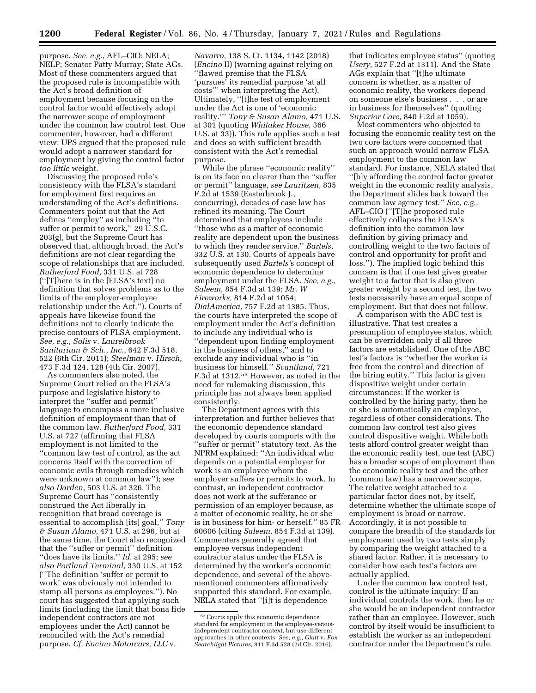purpose. *See, e.g.,* AFL–CIO; NELA; NELP; Senator Patty Murray; State AGs. Most of these commenters argued that the proposed rule is incompatible with the Act's broad definition of employment because focusing on the control factor would effectively adopt the narrower scope of employment under the common law control test. One commenter, however, had a different view: UPS argued that the proposed rule would adopt a narrower standard for employment by giving the control factor *too little* weight.

Discussing the proposed rule's consistency with the FLSA's standard for employment first requires an understanding of the Act's definitions. Commenters point out that the Act defines ''employ'' as including ''to suffer or permit to work,'' 29 U.S.C. 203(g), but the Supreme Court has observed that, although broad, the Act's definitions are not clear regarding the scope of relationships that are included. *Rutherford Food,* 331 U.S. at 728 (''[T]here is in the [FLSA's text] no definition that solves problems as to the limits of the employer-employee relationship under the Act.''). Courts of appeals have likewise found the definitions not to clearly indicate the precise contours of FLSA employment. *See, e.g., Solis* v. *Laurelbrook Sanitarium & Sch., Inc.,* 642 F.3d 518, 522 (6th Cir. 2011); *Steelman* v. *Hirsch,*  473 F.3d 124, 128 (4th Cir. 2007).

As commenters also noted, the Supreme Court relied on the FLSA's purpose and legislative history to interpret the ''suffer and permit'' language to encompass a more inclusive definition of employment than that of the common law. *Rutherford Food,* 331 U.S. at 727 (affirming that FLSA employment is not limited to the ''common law test of control, as the act concerns itself with the correction of economic evils through remedies which were unknown at common law''); *see also Darden,* 503 U.S. at 326. The Supreme Court has ''consistently construed the Act liberally in recognition that broad coverage is essential to accomplish [its] goal,'' *Tony & Susan Alamo,* 471 U.S. at 296, but at the same time, the Court also recognized that the ''suffer or permit'' definition ''does have its limits.'' *Id.* at 295; *see also Portland Terminal,* 330 U.S. at 152 (''The definition 'suffer or permit to work' was obviously not intended to stamp all persons as employees.''). No court has suggested that applying such limits (including the limit that bona fide independent contractors are not employees under the Act) cannot be reconciled with the Act's remedial purpose. *Cf. Encino Motorcars, LLC* v.

*Navarro,* 138 S. Ct. 1134, 1142 (2018) (*Encino* II) (warning against relying on ''flawed premise that the FLSA 'pursues' its remedial purpose 'at all costs''' when interpreting the Act). Ultimately, ''[t]he test of employment under the Act is one of 'economic reality.''' *Tony & Susan Alamo,* 471 U.S. at 301 (quoting *Whitaker House,* 366 U.S. at 33)). This rule applies such a test and does so with sufficient breadth consistent with the Act's remedial purpose.

While the phrase ''economic reality'' is on its face no clearer than the ''suffer or permit'' language, *see Lauritzen,* 835 F.2d at 1539 (Easterbrook J., concurring), decades of case law has refined its meaning. The Court determined that employees include ''those who as a matter of economic reality are dependent upon the business to which they render service.'' *Bartels,*  332 U.S. at 130. Courts of appeals have subsequently used *Bartels'*s concept of economic dependence to determine employment under the FLSA. *See, e.g., Saleem,* 854 F.3d at 139; *Mr. W Fireworks,* 814 F.2d at 1054; *DialAmerica,* 757 F.2d at 1385. Thus, the courts have interpreted the scope of employment under the Act's definition to include any individual who is ''dependent upon finding employment in the business of others,'' and to exclude any individual who is ''in business for himself.'' *Scantland,* 721 F.3d at 1312.53 However, as noted in the need for rulemaking discussion, this principle has not always been applied consistently.

The Department agrees with this interpretation and further believes that the economic dependence standard developed by courts comports with the ''suffer or permit'' statutory text. As the NPRM explained: ''An individual who depends on a potential employer for work is an employee whom the employer suffers or permits to work. In contrast, an independent contractor does not work at the sufferance or permission of an employer because, as a matter of economic reality, he or she is in business for him- or herself.'' 85 FR 60606 (citing *Saleem,* 854 F.3d at 139). Commenters generally agreed that employee versus independent contractor status under the FLSA is determined by the worker's economic dependence, and several of the abovementioned commenters affirmatively supported this standard. For example, NELA stated that ''[i]t is dependence

that indicates employee status'' (quoting *Usery,* 527 F.2d at 1311). And the State AGs explain that ''[t]he ultimate concern is whether, as a matter of economic reality, the workers depend on someone else's business . . . or are in business for themselves'' (quoting *Superior Care,* 840 F.2d at 1059).

Most commenters who objected to focusing the economic reality test on the two core factors were concerned that such an approach would narrow FLSA employment to the common law standard. For instance, NELA stated that ''[b]y affording the control factor greater weight in the economic reality analysis, the Department slides back toward the common law agency test.'' *See, e.g.,*  AFL–CIO (''[T]he proposed rule effectively collapses the FLSA's definition into the common law definition by giving primacy and controlling weight to the two factors of control and opportunity for profit and loss.''). The implied logic behind this concern is that if one test gives greater weight to a factor that is also given greater weight by a second test, the two tests necessarily have an equal scope of employment. But that does not follow.

A comparison with the ABC test is illustrative. That test creates a presumption of employee status, which can be overridden only if all three factors are established. One of the ABC test's factors is ''whether the worker is free from the control and direction of the hiring entity.'' This factor is given dispositive weight under certain circumstances: If the worker is controlled by the hiring party, then he or she is automatically an employee, regardless of other considerations. The common law control test also gives control dispositive weight. While both tests afford control greater weight than the economic reality test, one test (ABC) has a broader scope of employment than the economic reality test and the other (common law) has a narrower scope. The relative weight attached to a particular factor does not, by itself, determine whether the ultimate scope of employment is broad or narrow. Accordingly, it is not possible to compare the breadth of the standards for employment used by two tests simply by comparing the weight attached to a shared factor. Rather, it is necessary to consider how each test's factors are actually applied.

Under the common law control test, control is the ultimate inquiry: If an individual controls the work, then he or she would be an independent contractor rather than an employee. However, such control by itself would be insufficient to establish the worker as an independent contractor under the Department's rule.

<sup>53</sup>Courts apply this economic dependence standard for employment in the employee-versusindependent contractor context, but use different approaches in other contexts. *See, e.g., Glatt* v. *Fox Searchlight Pictures,* 811 F.3d 528 (2d Cir. 2016).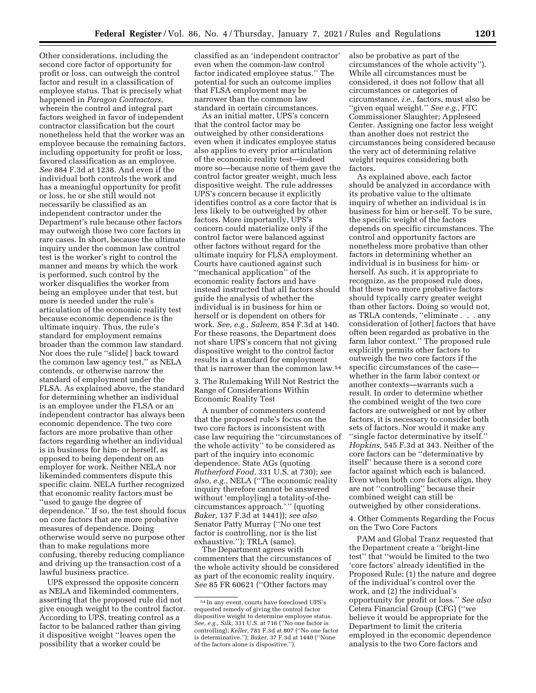Other considerations, including the second core factor of opportunity for profit or loss, can outweigh the control factor and result in a classification of employee status. That is precisely what happened in *Paragon Contractors,*  wherein the control and integral part factors weighed in favor of independent contractor classification but the court nonetheless held that the worker was an employee because the remaining factors, including opportunity for profit or loss, favored classification as an employee. *See* 884 F.3d at 1238. And even if the individual both controls the work and has a meaningful opportunity for profit or loss, he or she still would not necessarily be classified as an independent contractor under the Department's rule because other factors may outweigh those two core factors in rare cases. In short, because the ultimate inquiry under the common law control test is the worker's right to control the manner and means by which the work is performed, such control by the worker disqualifies the worker from being an employee under that test, but more is needed under the rule's articulation of the economic reality test because economic dependence is the ultimate inquiry. Thus, the rule's standard for employment remains broader than the common law standard. Nor does the rule ''slide[ ] back toward the common law agency test,'' as NELA contends, or otherwise narrow the standard of employment under the FLSA. As explained above, the standard for determining whether an individual is an employee under the FLSA or an independent contractor has always been economic dependence. The two core factors are more probative than other factors regarding whether an individual is in business for him- or herself, as opposed to being dependent on an employer for work. Neither NELA nor likeminded commenters dispute this specific claim. NELA further recognized that economic reality factors must be ''used to gauge the degree of dependence.'' If so, the test should focus on core factors that are more probative measures of dependence. Doing otherwise would serve no purpose other than to make regulations more confusing, thereby reducing compliance and driving up the transaction cost of a lawful business practice.

UPS expressed the opposite concern as NELA and likeminded commenters, asserting that the proposed rule did not give enough weight to the control factor. According to UPS, treating control as a factor to be balanced rather than giving it dispositive weight ''leaves open the possibility that a worker could be

classified as an 'independent contractor' even when the common-law control factor indicated employee status.'' The potential for such an outcome implies that FLSA employment may be narrower than the common law standard in certain circumstances.

As an initial matter, UPS's concern that the control factor may be outweighed by other considerations even when it indicates employee status also applies to every prior articulation of the economic reality test—indeed more so—because none of them gave the control factor greater weight, much less dispositive weight. The rule addresses UPS's concern because it explicitly identifies control as a core factor that is less likely to be outweighed by other factors. More importantly, UPS's concern could materialize only if the control factor were balanced against other factors without regard for the ultimate inquiry for FLSA employment. Courts have cautioned against such ''mechanical application'' of the economic reality factors and have instead instructed that all factors should guide the analysis of whether the individual is in business for him or herself or is dependent on others for work. *See, e.g., Saleem,* 854 F.3d at 140. For these reasons, the Department does not share UPS's concern that not giving dispositive weight to the control factor results in a standard for employment that is narrower than the common law.54

3. The Rulemaking Will Not Restrict the Range of Considerations Within Economic Reality Test

A number of commenters contend that the proposed rule's focus on the two core factors is inconsistent with case law requiring the ''circumstances of the whole activity'' to be considered as part of the inquiry into economic dependence. State AGs (quoting *Rutherford Food,* 331 U.S. at 730); *see also, e.g.,* NELA (''The economic reality inquiry therefore cannot be answered without 'employ[ing] a totality-of-thecircumstances approach.' '' (quoting *Baker,* 137 F.3d at 1441)); *see also*  Senator Patty Murray (''No one test factor is controlling, nor is the list exhaustive.''); TRLA (same).

The Department agrees with commenters that the circumstances of the whole activity should be considered as part of the economic reality inquiry. *See* 85 FR 60621 (''Other factors may

also be probative as part of the circumstances of the whole activity''). While all circumstances must be considered, it does not follow that all circumstances or categories of circumstance, *i.e.,* factors, must also be ''given equal weight.'' *See e.g.,* FTC Commissioner Slaughter; Appleseed Center. Assigning one factor less weight than another does not restrict the circumstances being considered because the very act of determining relative weight requires considering both factors.

As explained above, each factor should be analyzed in accordance with its probative value to the ultimate inquiry of whether an individual is in business for him or her-self. To be sure, the specific weight of the factors depends on specific circumstances. The control and opportunity factors are nonetheless more probative than other factors in determining whether an individual is in business for him- or herself. As such, it is appropriate to recognize, as the proposed rule does, that these two more probative factors should typically carry greater weight than other factors. Doing so would not, as TRLA contends, ''eliminate . . . any consideration of [other] factors that have often been regarded as probative in the farm labor context.'' The proposed rule explicitly permits other factors to outweigh the two core factors if the specific circumstances of the case whether in the farm labor context or another contexts—warrants such a result. In order to determine whether the combined weight of the two core factors are outweighed or not by other factors, it is necessary to consider both sets of factors. Nor would it make any ''single factor determinative by itself.'' *Hopkins,* 545 F.3d at 343. Neither of the core factors can be ''determinative by itself'' because there is a second core factor against which each is balanced. Even when both core factors align, they are not ''controlling'' because their combined weight can still be outweighed by other considerations.

4. Other Comments Regarding the Focus on the Two Core Factors

PAM and Global Tranz requested that the Department create a ''bright-line test'' that ''would be limited to the two 'core factors' already identified in the Proposed Rule: (1) the nature and degree of the individual's control over the work, and (2) the individual's opportunity for profit or loss.'' *See also*  Cetera Financial Group (CFG) (''we believe it would be appropriate for the Department to limit the criteria employed in the economic dependence analysis to the two Core factors and

<sup>54</sup> In any event, courts have foreclosed UPS's requested remedy of giving the control factor dispositive weight to determine employee status. *See, e.g., Silk,* 331 U.S. at 716 (''No one factor is controlling); *Keller,* 781 F.3d at 807 (''No one factor is determinative.''); *Baker,* 37 F.3d at 1440 (''None of the factors alone is dispositive.'').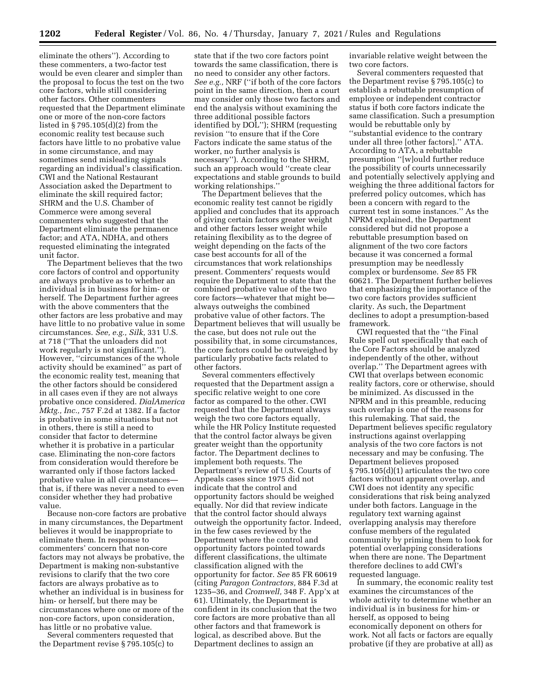eliminate the others''). According to these commenters, a two-factor test would be even clearer and simpler than the proposal to focus the test on the two core factors, while still considering other factors. Other commenters requested that the Department eliminate one or more of the non-core factors listed in § 795.105(d)(2) from the economic reality test because such factors have little to no probative value in some circumstance, and may sometimes send misleading signals regarding an individual's classification. CWI and the National Restaurant Association asked the Department to eliminate the skill required factor; SHRM and the U.S. Chamber of Commerce were among several commenters who suggested that the Department eliminate the permanence factor; and ATA, NDHA, and others requested eliminating the integrated unit factor.

The Department believes that the two core factors of control and opportunity are always probative as to whether an individual is in business for him- or herself. The Department further agrees with the above commenters that the other factors are less probative and may have little to no probative value in some circumstances. *See, e.g., Silk,* 331 U.S. at 718 (''That the unloaders did not work regularly is not significant.''). However, ''circumstances of the whole activity should be examined'' as part of the economic reality test, meaning that the other factors should be considered in all cases even if they are not always probative once considered. *DialAmerica Mktg., Inc.,* 757 F.2d at 1382. If a factor is probative in some situations but not in others, there is still a need to consider that factor to determine whether it is probative in a particular case. Eliminating the non-core factors from consideration would therefore be warranted only if those factors lacked probative value in all circumstances that is, if there was never a need to even consider whether they had probative value.

Because non-core factors are probative in many circumstances, the Department believes it would be inappropriate to eliminate them. In response to commenters' concern that non-core factors may not always be probative, the Department is making non-substantive revisions to clarify that the two core factors are always probative as to whether an individual is in business for him- or herself, but there may be circumstances where one or more of the non-core factors, upon consideration, has little or no probative value.

Several commenters requested that the Department revise § 795.105(c) to

state that if the two core factors point towards the same classification, there is no need to consider any other factors. *See e.g.,* NRF (''if both of the core factors point in the same direction, then a court may consider only those two factors and end the analysis without examining the three additional possible factors identified by DOL''); SHRM (requesting revision ''to ensure that if the Core Factors indicate the same status of the worker, no further analysis is necessary''). According to the SHRM, such an approach would ''create clear expectations and stable grounds to build working relationships.''

The Department believes that the economic reality test cannot be rigidly applied and concludes that its approach of giving certain factors greater weight and other factors lesser weight while retaining flexibility as to the degree of weight depending on the facts of the case best accounts for all of the circumstances that work relationships present. Commenters' requests would require the Department to state that the combined probative value of the two core factors—whatever that might be always outweighs the combined probative value of other factors. The Department believes that will usually be the case, but does not rule out the possibility that, in some circumstances, the core factors could be outweighed by particularly probative facts related to other factors.

Several commenters effectively requested that the Department assign a specific relative weight to one core factor as compared to the other. CWI requested that the Department always weigh the two core factors equally, while the HR Policy Institute requested that the control factor always be given greater weight than the opportunity factor. The Department declines to implement both requests. The Department's review of U.S. Courts of Appeals cases since 1975 did not indicate that the control and opportunity factors should be weighed equally. Nor did that review indicate that the control factor should always outweigh the opportunity factor. Indeed, in the few cases reviewed by the Department where the control and opportunity factors pointed towards different classifications, the ultimate classification aligned with the opportunity for factor. *See* 85 FR 60619 (citing *Paragon Contractors,* 884 F.3d at 1235–36, and *Cromwell,* 348 F. App'x at 61). Ultimately, the Department is confident in its conclusion that the two core factors are more probative than all other factors and that framework is logical, as described above. But the Department declines to assign an

invariable relative weight between the two core factors.

Several commenters requested that the Department revise § 795.105(c) to establish a rebuttable presumption of employee or independent contractor status if both core factors indicate the same classification. Such a presumption would be rebuttable only by ''substantial evidence to the contrary under all three [other factors].'' ATA. According to ATA, a rebuttable presumption ''[w]ould further reduce the possibility of courts unnecessarily and potentially selectively applying and weighing the three additional factors for preferred policy outcomes, which has been a concern with regard to the current test in some instances.'' As the NPRM explained, the Department considered but did not propose a rebuttable presumption based on alignment of the two core factors because it was concerned a formal presumption may be needlessly complex or burdensome. *See* 85 FR 60621. The Department further believes that emphasizing the importance of the two core factors provides sufficient clarity. As such, the Department declines to adopt a presumption-based framework.

CWI requested that the ''the Final Rule spell out specifically that each of the Core Factors should be analyzed independently of the other, without overlap.'' The Department agrees with CWI that overlaps between economic reality factors, core or otherwise, should be minimized. As discussed in the NPRM and in this preamble, reducing such overlap is one of the reasons for this rulemaking. That said, the Department believes specific regulatory instructions against overlapping analysis of the two core factors is not necessary and may be confusing. The Department believes proposed § 795.105(d)(1) articulates the two core factors without apparent overlap, and CWI does not identity any specific considerations that risk being analyzed under both factors. Language in the regulatory text warning against overlapping analysis may therefore confuse members of the regulated community by priming them to look for potential overlapping considerations when there are none. The Department therefore declines to add CWI's requested language.

In summary, the economic reality test examines the circumstances of the whole activity to determine whether an individual is in business for him- or herself, as opposed to being economically deponent on others for work. Not all facts or factors are equally probative (if they are probative at all) as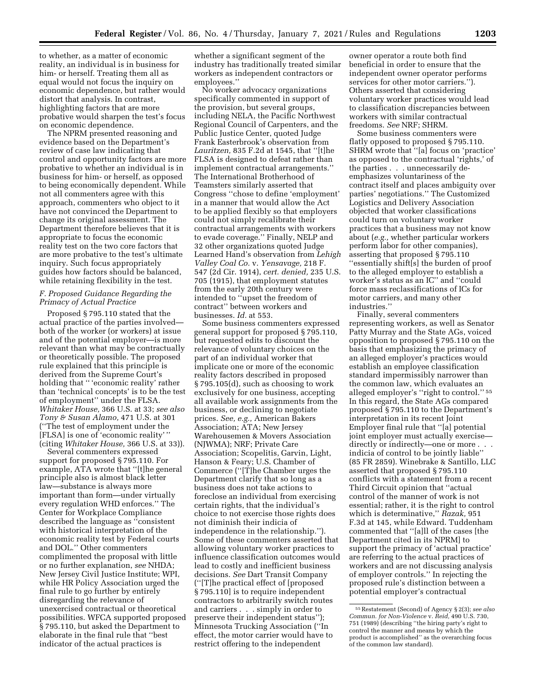to whether, as a matter of economic reality, an individual is in business for him- or herself. Treating them all as equal would not focus the inquiry on economic dependence, but rather would distort that analysis. In contrast, highlighting factors that are more probative would sharpen the test's focus on economic dependence.

The NPRM presented reasoning and evidence based on the Department's review of case law indicating that control and opportunity factors are more probative to whether an individual is in business for him- or herself, as opposed to being economically dependent. While not all commenters agree with this approach, commenters who object to it have not convinced the Department to change its original assessment. The Department therefore believes that it is appropriate to focus the economic reality test on the two core factors that are more probative to the test's ultimate inquiry. Such focus appropriately guides how factors should be balanced, while retaining flexibility in the test.

### *F. Proposed Guidance Regarding the Primacy of Actual Practice*

Proposed § 795.110 stated that the actual practice of the parties involved both of the worker (or workers) at issue and of the potential employer—is more relevant than what may be contractually or theoretically possible. The proposed rule explained that this principle is derived from the Supreme Court's holding that '' 'economic reality' rather than 'technical concepts' is to be the test of employment'' under the FLSA. *Whitaker House,* 366 U.S. at 33; *see also Tony & Susan Alamo,* 471 U.S. at 301 (''The test of employment under the [FLSA] is one of 'economic reality' '' (citing *Whitaker House,* 366 U.S. at 33)).

Several commenters expressed support for proposed § 795.110. For example, ATA wrote that ''[t]he general principle also is almost black letter law—substance is always more important than form—under virtually every regulation WHD enforces.'' The Center for Workplace Compliance described the language as ''consistent with historical interpretation of the economic reality test by Federal courts and DOL.'' Other commenters complimented the proposal with little or no further explanation, *see* NHDA; New Jersey Civil Justice Institute; WPI, while HR Policy Association urged the final rule to go further by entirely disregarding the relevance of unexercised contractual or theoretical possibilities. WFCA supported proposed § 795.110, but asked the Department to elaborate in the final rule that ''best indicator of the actual practices is

whether a significant segment of the industry has traditionally treated similar workers as independent contractors or employees.''

No worker advocacy organizations specifically commented in support of the provision, but several groups, including NELA, the Pacific Northwest Regional Council of Carpenters, and the Public Justice Center, quoted Judge Frank Easterbrook's observation from *Lauritzen,* 835 F.2d at 1545, that ''[t]he FLSA is designed to defeat rather than implement contractual arrangements.'' The International Brotherhood of Teamsters similarly asserted that Congress ''chose to define 'employment' in a manner that would allow the Act to be applied flexibly so that employers could not simply recalibrate their contractual arrangements with workers to evade coverage.'' Finally, NELP and 32 other organizations quoted Judge Learned Hand's observation from *Lehigh Valley Coal Co.* v. *Yensavage,* 218 F. 547 (2d Cir. 1914), *cert. denied,* 235 U.S. 705 (1915), that employment statutes from the early 20th century were intended to ''upset the freedom of contract'' between workers and businesses. *Id.* at 553.

Some business commenters expressed general support for proposed § 795.110, but requested edits to discount the relevance of voluntary choices on the part of an individual worker that implicate one or more of the economic reality factors described in proposed § 795.105(d), such as choosing to work exclusively for one business, accepting all available work assignments from the business, or declining to negotiate prices. *See, e.g.,* American Bakers Association; ATA; New Jersey Warehousemen & Movers Association (NJWMA); NRF; Private Care Association; Scopelitis, Garvin, Light, Hanson & Feary; U.S. Chamber of Commerce (''[T]he Chamber urges the Department clarify that so long as a business does not take actions to foreclose an individual from exercising certain rights, that the individual's choice to not exercise those rights does not diminish their indicia of independence in the relationship.''). Some of these commenters asserted that allowing voluntary worker practices to influence classification outcomes would lead to costly and inefficient business decisions. *See* Dart Transit Company (''[T]he practical effect of [proposed § 795.110] is to require independent contractors to arbitrarily switch routes and carriers . . . simply in order to preserve their independent status''); Minnesota Trucking Association (''In effect, the motor carrier would have to restrict offering to the independent

owner operator a route both find beneficial in order to ensure that the independent owner operator performs services for other motor carriers.''). Others asserted that considering voluntary worker practices would lead to classification discrepancies between workers with similar contractual freedoms. *See* NRF; SHRM.

Some business commenters were flatly opposed to proposed § 795.110. SHRM wrote that ''[a] focus on 'practice' as opposed to the contractual 'rights,' of the parties . . . unnecessarily deemphasizes voluntariness of the contract itself and places ambiguity over parties' negotiations.'' The Customized Logistics and Delivery Association objected that worker classifications could turn on voluntary worker practices that a business may not know about (*e.g.,* whether particular workers perform labor for other companies), asserting that proposed § 795.110 ''essentially shift[s] the burden of proof to the alleged employer to establish a worker's status as an IC'' and ''could force mass reclassifications of ICs for motor carriers, and many other industries.''

Finally, several commenters representing workers, as well as Senator Patty Murray and the State AGs, voiced opposition to proposed § 795.110 on the basis that emphasizing the primacy of an alleged employer's practices would establish an employee classification standard impermissibly narrower than the common law, which evaluates an alleged employer's ''right to control.'' 55 In this regard, the State AGs compared proposed § 795.110 to the Department's interpretation in its recent Joint Employer final rule that ''[a] potential joint employer must actually exercise directly or indirectly—one or more . . . indicia of control to be jointly liable'' (85 FR 2859). Winebrake & Santillo, LLC asserted that proposed § 795.110 conflicts with a statement from a recent Third Circuit opinion that ''actual control of the manner of work is not essential; rather, it is the right to control which is determinative,'' *Razak,* 951 F.3d at 145, while Edward. Tuddenham commented that ''[a]ll of the cases [the Department cited in its NPRM] to support the primacy of 'actual practice' are referring to the actual practices of workers and are not discussing analysis of employer controls.'' In rejecting the proposed rule's distinction between a potential employer's contractual

<sup>55</sup>Restatement (Second) of Agency § 2(3); *see also Commun. for Non-Violence* v. *Reid,* 490 U.S. 730, 751 (1989) (describing ''the hiring party's right to control the manner and means by which the product is accomplished'' as the overarching focus of the common law standard).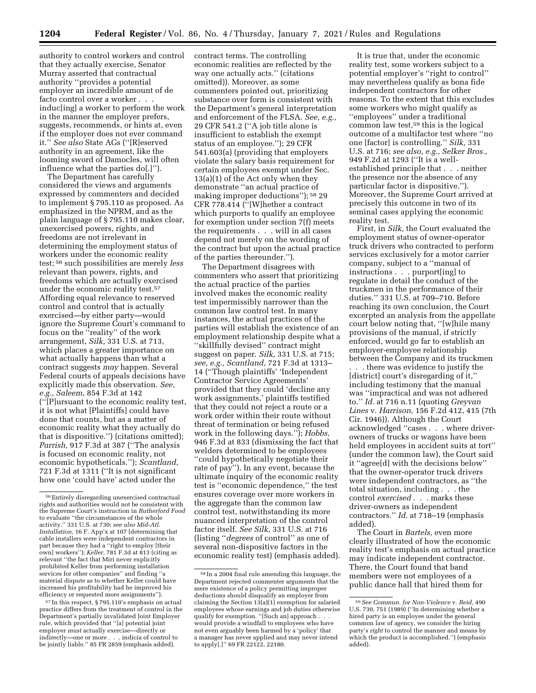authority to control workers and control that they actually exercise, Senator Murray asserted that contractual authority ''provides a potential employer an incredible amount of de facto control over a worker . . . induc[ing] a worker to perform the work in the manner the employer prefers, suggests, recommends, or hints at, even if the employer does not ever command it.'' *See also* State AGs (''[R]eserved authority in an agreement, like the looming sword of Damocles, will often influence what the parties do[.]'').

The Department has carefully considered the views and arguments expressed by commenters and decided to implement § 795.110 as proposed. As emphasized in the NPRM, and as the plain language of § 795.110 makes clear, unexercised powers, rights, and freedoms are not irrelevant in determining the employment status of workers under the economic reality test; 56 such possibilities are merely *less*  relevant than powers, rights, and freedoms which are actually exercised under the economic reality test.57 Affording equal relevance to reserved control and control that is actually exercised—by either party—would ignore the Supreme Court's command to focus on the ''reality'' of the work arrangement, *Silk,* 331 U.S. at 713, which places a greater importance on what actually happens than what a contract suggests *may* happen. Several Federal courts of appeals decisions have explicitly made this observation. *See, e.g., Saleem,* 854 F.3d at 142 (''[P]ursuant to the economic reality test, it is not what [Plaintiffs] could have done that counts, but as a matter of economic reality what they actually do that is dispositive.'') (citations omitted); *Parrish,* 917 F.3d at 387 (''The analysis is focused on economic reality, not economic hypotheticals.''); *Scantland,*  721 F.3d at 1311 (''It is not significant how one 'could have' acted under the

57 In this respect, § 795.110's emphasis on actual practice differs from the treatment of control in the Department's partially invalidated Joint Employer rule, which provided that ''[a] potential joint employer *must* actually exercise—directly or indirectly—one or more . . . indicia of control to be jointly liable.'' 85 FR 2859 (emphasis added).

contract terms. The controlling economic realities are reflected by the way one actually acts.'' (citations omitted)). Moreover, as some commenters pointed out, prioritizing substance over form is consistent with the Department's general interpretation and enforcement of the FLSA. *See, e.g.,*  29 CFR 541.2 (''A job title alone is insufficient to establish the exempt status of an employee.''); 29 CFR 541.603(a) (providing that employers violate the salary basis requirement for certain employees exempt under Sec. 13(a)(1) of the Act only when they demonstrate ''an actual practice of making improper deductions''); 58 29 CFR 778.414 (''[W]hether a contract which purports to qualify an employee for exemption under section 7(f) meets the requirements . . . will in all cases depend not merely on the wording of the contract but upon the actual practice of the parties thereunder.'').

The Department disagrees with commenters who assert that prioritizing the actual practice of the parties involved makes the economic reality test impermissibly narrower than the common law control test. In many instances, the actual practices of the parties will establish the existence of an employment relationship despite what a ''skillfully devised'' contract might suggest on paper. *Silk,* 331 U.S. at 715; *see, e.g., Scantland,* 721 F.3d at 1313– 14 (''Though plaintiffs' 'Independent Contractor Service Agreements' provided that they could 'decline any work assignments,' plaintiffs testified that they could not reject a route or a work order within their route without threat of termination or being refused work in the following days.''); *Hobbs,*  946 F.3d at 833 (dismissing the fact that welders determined to be employees ''could hypothetically negotiate their rate of pay''). In any event, because the ultimate inquiry of the economic reality test is ''economic dependence,'' the test ensures coverage over more workers in the aggregate than the common law control test, notwithstanding its more nuanced interpretation of the control factor itself. *See Silk,* 331 U.S. at 716 (listing ''*degrees* of control'' as one of several non-dispositive factors in the economic reality test) (emphasis added).

It is true that, under the economic reality test, some workers subject to a potential employer's ''right to control'' may nevertheless qualify as bona fide independent contractors for other reasons. To the extent that this excludes some workers who might qualify as ''employees'' under a traditional common law test,59 this is the logical outcome of a multifactor test where ''no one [factor] is controlling.'' *Silk,* 331 U.S. at 716; *see also, e.g., Selker Bros.,*  949 F.2d at 1293 (''It is a wellestablished principle that . . . neither the presence nor the absence of any particular factor is dispositive.''). Moreover, the Supreme Court arrived at precisely this outcome in two of its seminal cases applying the economic reality test.

First, in *Silk,* the Court evaluated the employment status of owner-operator truck drivers who contracted to perform services exclusively for a motor carrier company, subject to a ''manual of instructions . . . purport[ing] to regulate in detail the conduct of the truckmen in the performance of their duties.'' 331 U.S. at 709–710. Before reaching its own conclusion, the Court excerpted an analysis from the appellate court below noting that, ''[w]hile many provisions of the manual, if strictly enforced, would go far to establish an employer-employee relationship between the Company and its truckmen

. . . there was evidence to justify the [district] court's disregarding of it,'' including testimony that the manual was ''impractical and was not adhered to.'' *Id.* at 716 n.11 (quoting *Greyvan Lines* v. *Harrison,* 156 F.2d 412, 415 (7th Cir. 1946)). Although the Court acknowledged ''cases . . . where driverowners of trucks or wagons have been held employees in accident suits at tort" (under the common law), the Court said it ''agree[d] with the decisions below'' that the owner-operator truck drivers were independent contractors, as ''the total situation, including . . . the control *exercised* . . . marks these driver-owners as independent contractors.'' *Id.* at 718–19 (emphasis added).

The Court in *Bartels,* even more clearly illustrated of how the economic reality test's emphasis on actual practice may indicate independent contractor. There, the Court found that band members were not employees of a public dance hall that hired them for

<sup>56</sup>Entirely disregarding unexercised contractual rights and authorities would not be consistent with the Supreme Court's instruction in *Rutherford Food*  to evaluate ''the circumstances of the whole activity.'' 331 U.S. at 730; *see also Mid-Atl. Installation,* 16 F. App'x at 107 (determining that cable installers were independent contractors in part because they had a ''right to employ [their own] workers''); *Keller,* 781 F.3d at 813 (citing as relevant ''the fact that Miri never explicitly prohibited Keller from performing installation services for other companies'' and finding ''a material dispute as to whether Keller could have increased his profitability had he improved his efficiency or requested more assignments'').

<sup>58</sup> In a 2004 final rule amending this language, the Department rejected commenter arguments that the mere existence of a policy permitting improper deductions should disqualify an employer from claiming the Section  $13(a)(1)$  exemption for salaried employees whose earnings and job duties otherwise qualify for exemption. ''[Such an] approach . . . would provide a windfall to employees who have not even arguably been harmed by a 'policy' that a manager has never applied and may never intend to apply[.]'' 69 FR 22122, 22180.

<sup>59</sup>*See Commun. for Non-Violence* v. *Reid,* 490 U.S. 730, 751 (1989) (''In determining whether a hired party is an employee under the general common law of agency, we consider the hiring party's *right* to control the manner and means by which the product is accomplished.'') (emphasis added).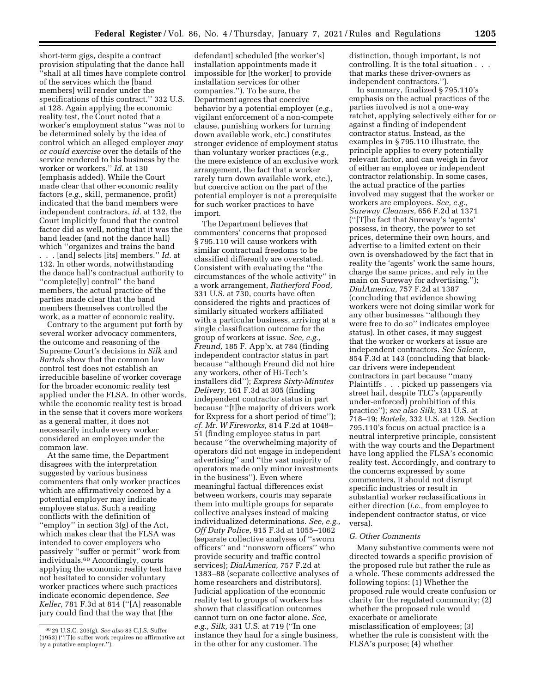short-term gigs, despite a contract provision stipulating that the dance hall ''shall at all times have complete control of the services which the [band members] will render under the specifications of this contract.'' 332 U.S. at 128. Again applying the economic reality test, the Court noted that a worker's employment status ''was not to be determined solely by the idea of control which an alleged employer *may or could exercise* over the details of the service rendered to his business by the worker or workers.'' *Id.* at 130 (emphasis added). While the Court made clear that other economic reality factors (*e.g.,* skill, permanence, profit) indicated that the band members were independent contractors, *id.* at 132, the Court implicitly found that the control factor did as well, noting that it was the band leader (and not the dance hall) which ''organizes and trains the band . . . [and] selects [its] members.'' *Id.* at 132. In other words, notwithstanding the dance hall's contractual authority to

''complete[ly] control'' the band members, the actual practice of the parties made clear that the band members themselves controlled the work, as a matter of economic reality.

Contrary to the argument put forth by several worker advocacy commenters, the outcome and reasoning of the Supreme Court's decisions in *Silk* and *Bartels* show that the common law control test does not establish an irreducible baseline of worker coverage for the broader economic reality test applied under the FLSA. In other words, while the economic reality test is broad in the sense that it covers more workers as a general matter, it does not necessarily include every worker considered an employee under the common law.

At the same time, the Department disagrees with the interpretation suggested by various business commenters that only worker practices which are affirmatively coerced by a potential employer may indicate employee status. Such a reading conflicts with the definition of ''employ'' in section 3(g) of the Act, which makes clear that the FLSA was intended to cover employers who passively ''suffer or permit'' work from individuals.60 Accordingly, courts applying the economic reality test have not hesitated to consider voluntary worker practices where such practices indicate economic dependence. *See Keller,* 781 F.3d at 814 (''[A] reasonable jury could find that the way that [the

defendant] scheduled [the worker's] installation appointments made it impossible for [the worker] to provide installation services for other companies.''). To be sure, the Department agrees that coercive behavior by a potential employer (*e.g.,*  vigilant enforcement of a non-compete clause, punishing workers for turning down available work, etc.) constitutes stronger evidence of employment status than voluntary worker practices (*e.g.,*  the mere existence of an exclusive work arrangement, the fact that a worker rarely turn down available work, etc.), but coercive action on the part of the potential employer is not a prerequisite for such worker practices to have import.

The Department believes that commenters' concerns that proposed § 795.110 will cause workers with similar contractual freedoms to be classified differently are overstated. Consistent with evaluating the ''the circumstances of the whole activity'' in a work arrangement, *Rutherford Food,*  331 U.S. at 730, courts have often considered the rights and practices of similarly situated workers affiliated with a particular business, arriving at a single classification outcome for the group of workers at issue. *See, e.g., Freund,* 185 F. App'x. at 784 (finding independent contractor status in part because ''although Freund did not hire any workers, other of Hi-Tech's installers did''); *Express Sixty-Minutes Delivery,* 161 F.3d at 305 (finding independent contractor status in part because ''[t]he majority of drivers work for Express for a short period of time''); *cf. Mr. W Fireworks,* 814 F.2d at 1048– 51 (finding employee status in part because ''the overwhelming majority of operators did not engage in independent advertising'' and ''the vast majority of operators made only minor investments in the business''). Even where meaningful factual differences exist between workers, courts may separate them into multiple groups for separate collective analyses instead of making individualized determinations. *See, e.g., Off Duty Police,* 915 F.3d at 1055–1062 (separate collective analyses of ''sworn officers'' and ''nonsworn officers'' who provide security and traffic control services); *DialAmerica,* 757 F.2d at 1383–88 (separate collective analyses of home researchers and distributors). Judicial application of the economic reality test to groups of workers has shown that classification outcomes cannot turn on one factor alone. *See, e.g., Silk,* 331 U.S. at 719 (''In one instance they haul for a single business, in the other for any customer. The

distinction, though important, is not controlling. It is the total situation . . . that marks these driver-owners as independent contractors.'').

In summary, finalized § 795.110's emphasis on the actual practices of the parties involved is not a one-way ratchet, applying selectively either for or against a finding of independent contractor status. Instead, as the examples in § 795.110 illustrate, the principle applies to every potentially relevant factor, and can weigh in favor of either an employee or independent contractor relationship. In some cases, the actual practice of the parties involved may suggest that the worker or workers are employees. *See, e.g., Sureway Cleaners,* 656 F.2d at 1371 (''[T]he fact that Sureway's 'agents' possess, in theory, the power to set prices, determine their own hours, and advertise to a limited extent on their own is overshadowed by the fact that in reality the 'agents' work the same hours, charge the same prices, and rely in the main on Sureway for advertising.''); *DialAmerica,* 757 F.2d at 1387 (concluding that evidence showing workers were not doing similar work for any other businesses ''although they were free to do so'' indicates employee status). In other cases, it may suggest that the worker or workers at issue are independent contractors. *See Saleem,*  854 F.3d at 143 (concluding that blackcar drivers were independent contractors in part because ''many Plaintiffs . . . picked up passengers via street hail, despite TLC's (apparently under-enforced) prohibition of this practice''); *see also Silk,* 331 U.S. at 718–19; *Bartels,* 332 U.S. at 129. Section 795.110's focus on actual practice is a neutral interpretive principle, consistent with the way courts and the Department have long applied the FLSA's economic reality test. Accordingly, and contrary to the concerns expressed by some commenters, it should not disrupt specific industries or result in substantial worker reclassifications in either direction (*i.e.,* from employee to independent contractor status, or vice versa).

### *G. Other Comments*

Many substantive comments were not directed towards a specific provision of the proposed rule but rather the rule as a whole. These comments addressed the following topics: (1) Whether the proposed rule would create confusion or clarity for the regulated community; (2) whether the proposed rule would exacerbate or ameliorate misclassification of employees; (3) whether the rule is consistent with the FLSA's purpose; (4) whether

<sup>60</sup> 29 U.S.C. 203(g). *See also* 83 C.J.S. Suffer (1953) (''[T]o suffer work requires no affirmative act by a putative employer.'').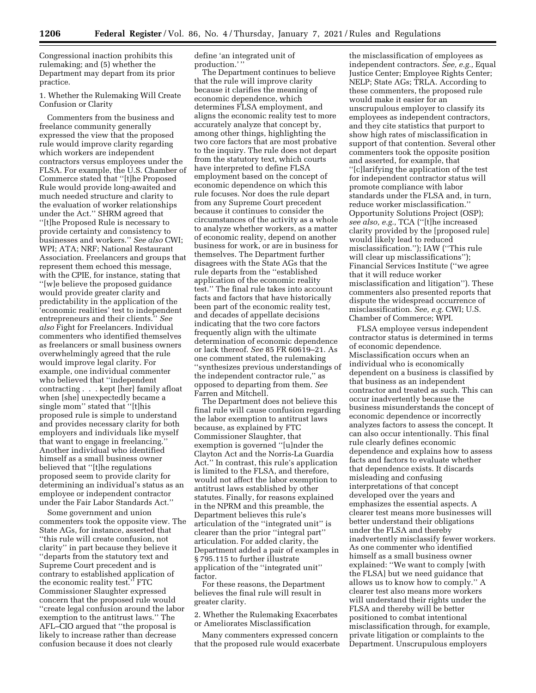Congressional inaction prohibits this rulemaking; and (5) whether the Department may depart from its prior practice.

1. Whether the Rulemaking Will Create Confusion or Clarity

Commenters from the business and freelance community generally expressed the view that the proposed rule would improve clarity regarding which workers are independent contractors versus employees under the FLSA. For example, the U.S. Chamber of Commerce stated that ''[t]he Proposed Rule would provide long-awaited and much needed structure and clarity to the evaluation of worker relationships under the Act.'' SHRM agreed that ''[t]he Proposed Rule is necessary to provide certainty and consistency to businesses and workers.'' *See also* CWI; WPI; ATA; NRF; National Restaurant Association. Freelancers and groups that represent them echoed this message, with the CPIE, for instance, stating that ''[w]e believe the proposed guidance would provide greater clarity and predictability in the application of the 'economic realities' test to independent entrepreneurs and their clients.'' *See also* Fight for Freelancers. Individual commenters who identified themselves as freelancers or small business owners overwhelmingly agreed that the rule would improve legal clarity. For example, one individual commenter who believed that ''independent contracting . . . kept [her] family afloat when [she] unexpectedly became a single mom'' stated that ''[t]his proposed rule is simple to understand and provides necessary clarity for both employers and individuals like myself that want to engage in freelancing.'' Another individual who identified himself as a small business owner believed that ''[t]he regulations proposed seem to provide clarity for determining an individual's status as an employee or independent contractor under the Fair Labor Standards Act.''

Some government and union commenters took the opposite view. The State AGs, for instance, asserted that ''this rule will create confusion, not clarity'' in part because they believe it ''departs from the statutory text and Supreme Court precedent and is contrary to established application of the economic reality test.'' FTC Commissioner Slaughter expressed concern that the proposed rule would ''create legal confusion around the labor exemption to the antitrust laws.'' The AFL–CIO argued that ''the proposal is likely to increase rather than decrease confusion because it does not clearly

define 'an integrated unit of production.' ''

The Department continues to believe that the rule will improve clarity because it clarifies the meaning of economic dependence, which determines FLSA employment, and aligns the economic reality test to more accurately analyze that concept by, among other things, highlighting the two core factors that are most probative to the inquiry. The rule does not depart from the statutory text, which courts have interpreted to define FLSA employment based on the concept of economic dependence on which this rule focuses. Nor does the rule depart from any Supreme Court precedent because it continues to consider the circumstances of the activity as a whole to analyze whether workers, as a matter of economic reality, depend on another business for work, or are in business for themselves. The Department further disagrees with the State AGs that the rule departs from the ''established application of the economic reality test.'' The final rule takes into account facts and factors that have historically been part of the economic reality test, and decades of appellate decisions indicating that the two core factors frequently align with the ultimate determination of economic dependence or lack thereof. *See* 85 FR 60619–21. As one comment stated, the rulemaking ''synthesizes previous understandings of the independent contractor rule,'' as opposed to departing from them. *See*  Farren and Mitchell.

The Department does not believe this final rule will cause confusion regarding the labor exemption to antitrust laws because, as explained by FTC Commissioner Slaughter, that exemption is governed ''[u]nder the Clayton Act and the Norris-La Guardia Act.'' In contrast, this rule's application is limited to the FLSA, and therefore, would not affect the labor exemption to antitrust laws established by other statutes. Finally, for reasons explained in the NPRM and this preamble, the Department believes this rule's articulation of the ''integrated unit'' is clearer than the prior ''integral part'' articulation. For added clarity, the Department added a pair of examples in § 795.115 to further illustrate application of the ''integrated unit'' factor.

For these reasons, the Department believes the final rule will result in greater clarity.

2. Whether the Rulemaking Exacerbates or Ameliorates Misclassification

Many commenters expressed concern that the proposed rule would exacerbate

the misclassification of employees as independent contractors. *See, e.g.,* Equal Justice Center; Employee Rights Center; NELP; State AGs; TRLA. According to these commenters, the proposed rule would make it easier for an unscrupulous employer to classify its employees as independent contractors, and they cite statistics that purport to show high rates of misclassification in support of that contention. Several other commenters took the opposite position and asserted, for example, that ''[c]larifying the application of the test for independent contractor status will promote compliance with labor standards under the FLSA and, in turn, reduce worker misclassification.'' Opportunity Solutions Project (OSP); *see also, e.g.,* TCA (''[t]he increased clarity provided by the [proposed rule] would likely lead to reduced misclassification.''); IAW (''This rule will clear up misclassifications''); Financial Services Institute (''we agree that it will reduce worker misclassification and litigation''). These commenters also presented reports that dispute the widespread occurrence of misclassification. *See, e.g.* CWI; U.S. Chamber of Commerce; WPI.

FLSA employee versus independent contractor status is determined in terms of economic dependence. Misclassification occurs when an individual who is economically dependent on a business is classified by that business as an independent contractor and treated as such. This can occur inadvertently because the business misunderstands the concept of economic dependence or incorrectly analyzes factors to assess the concept. It can also occur intentionally. This final rule clearly defines economic dependence and explains how to assess facts and factors to evaluate whether that dependence exists. It discards misleading and confusing interpretations of that concept developed over the years and emphasizes the essential aspects. A clearer test means more businesses will better understand their obligations under the FLSA and thereby inadvertently misclassify fewer workers. As one commenter who identified himself as a small business owner explained: ''We want to comply [with the FLSA] but we need guidance that allows us to know how to comply.'' A clearer test also means more workers will understand their rights under the FLSA and thereby will be better positioned to combat intentional misclassification through, for example, private litigation or complaints to the Department. Unscrupulous employers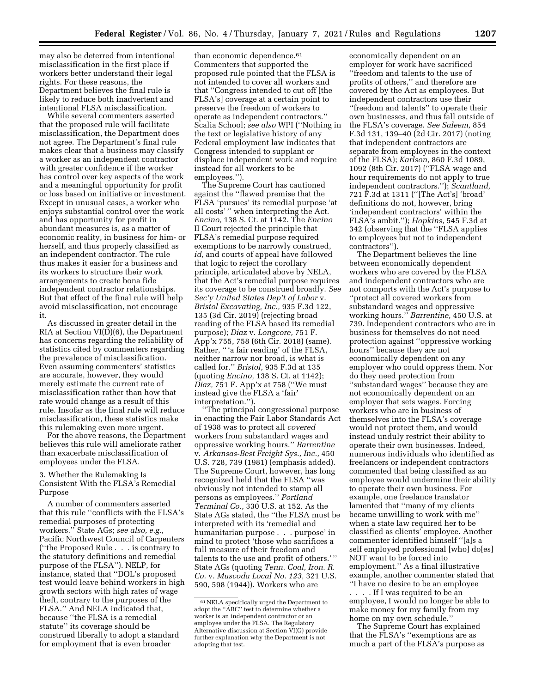may also be deterred from intentional misclassification in the first place if workers better understand their legal rights. For these reasons, the Department believes the final rule is likely to reduce both inadvertent and intentional FLSA misclassification.

While several commenters asserted that the proposed rule will facilitate misclassification, the Department does not agree. The Department's final rule makes clear that a business may classify a worker as an independent contractor with greater confidence if the worker has control over key aspects of the work and a meaningful opportunity for profit or loss based on initiative or investment. Except in unusual cases, a worker who enjoys substantial control over the work and has opportunity for profit in abundant measures is, as a matter of economic reality, in business for him- or herself, and thus properly classified as an independent contractor. The rule thus makes it easier for a business and its workers to structure their work arrangements to create bona fide independent contractor relationships. But that effect of the final rule will help avoid misclassification, not encourage it.

As discussed in greater detail in the RIA at Section VI(D)(6), the Department has concerns regarding the reliability of statistics cited by commenters regarding the prevalence of misclassification. Even assuming commenters' statistics are accurate, however, they would merely estimate the current rate of misclassification rather than how that rate would change as a result of this rule. Insofar as the final rule will reduce misclassification, these statistics make this rulemaking even more urgent.

For the above reasons, the Department believes this rule will ameliorate rather than exacerbate misclassification of employees under the FLSA.

# 3. Whether the Rulemaking Is Consistent With the FLSA's Remedial Purpose

A number of commenters asserted that this rule ''conflicts with the FLSA's remedial purposes of protecting workers.'' State AGs; *see also, e.g.,*  Pacific Northwest Council of Carpenters (''the Proposed Rule . . . is contrary to the statutory definitions and remedial purpose of the FLSA''). NELP, for instance, stated that ''DOL's proposed test would leave behind workers in high growth sectors with high rates of wage theft, contrary to the purposes of the FLSA.'' And NELA indicated that, because ''the FLSA is a remedial statute'' its coverage should be construed liberally to adopt a standard for employment that is even broader

than economic dependence.<sup>61</sup> Commenters that supported the proposed rule pointed that the FLSA is not intended to cover all workers and that ''Congress intended to cut off [the FLSA's] coverage at a certain point to preserve the freedom of workers to operate as independent contractors.'' Scalia School; *see also* WPI (''Nothing in the text or legislative history of any Federal employment law indicates that Congress intended to supplant or displace independent work and require instead for all workers to be employees.'').

The Supreme Court has cautioned against the ''flawed premise that the FLSA 'pursues' its remedial purpose 'at all costs' '' when interpreting the Act. *Encino,* 138 S. Ct. at 1142. The *Encino*  II Court rejected the principle that FLSA's remedial purpose required exemptions to be narrowly construed, *id,* and courts of appeal have followed that logic to reject the corollary principle, articulated above by NELA, that the Act's remedial purpose requires its coverage to be construed broadly. *See Sec'y United States Dep't of Labor* v. *Bristol Excavating, Inc.,* 935 F.3d 122, 135 (3d Cir. 2019) (rejecting broad reading of the FLSA based its remedial purpose); *Diaz* v. *Longcore,* 751 F. App'x 755, 758 (6th Cir. 2018) (same). Rather, '' 'a fair reading' of the FLSA, neither narrow nor broad, is what is called for.'' *Bristol,* 935 F.3d at 135 (quoting *Encino,* 138 S. Ct. at 1142); *Diaz,* 751 F. App'x at 758 (''We must instead give the FLSA a 'fair' interpretation.'').

''The principal congressional purpose in enacting the Fair Labor Standards Act of 1938 was to protect all *covered*  workers from substandard wages and oppressive working hours.'' *Barrentine*  v. *Arkansas-Best Freight Sys., Inc.,* 450 U.S. 728, 739 (1981) (emphasis added). The Supreme Court, however, has long recognized held that the FLSA ''was obviously not intended to stamp all persons as employees.'' *Portland Terminal Co.,* 330 U.S. at 152. As the State AGs stated, the ''the FLSA must be interpreted with its 'remedial and humanitarian purpose . . . purpose' in mind to protect 'those who sacrifices a full measure of their freedom and talents to the use and profit of others.' '' State AGs (quoting *Tenn. Coal, Iron. R. Co.* v. *Muscoda Local No. 123,* 321 U.S. 590, 598 (1944)). Workers who are

economically dependent on an employer for work have sacrificed ''freedom and talents to the use of profits of others,'' and therefore are covered by the Act as employees. But independent contractors use their ''freedom and talents'' to operate their own businesses, and thus fall outside of the FLSA's coverage. *See Saleem,* 854 F.3d 131, 139–40 (2d Cir. 2017) (noting that independent contractors are separate from employees in the context of the FLSA); *Karlson,* 860 F.3d 1089, 1092 (8th Cir. 2017) (''FLSA wage and hour requirements do not apply to true independent contractors.''); *Scantland,*  721 F.3d at 1311 (''[The Act's] 'broad' definitions do not, however, bring 'independent contractors' within the FLSA's ambit.''); *Hopkins,* 545 F.3d at 342 (observing that the ''FLSA applies to employees but not to independent contractors'').

The Department believes the line between economically dependent workers who are covered by the FLSA and independent contractors who are not comports with the Act's purpose to ''protect all covered workers from substandard wages and oppressive working hours.'' *Barrentine,* 450 U.S. at 739. Independent contractors who are in business for themselves do not need protection against ''oppressive working hours'' because they are not economically dependent on any employer who could oppress them. Nor do they need protection from ''substandard wages'' because they are not economically dependent on an employer that sets wages. Forcing workers who are in business of themselves into the FLSA's coverage would not protect them, and would instead unduly restrict their ability to operate their own businesses. Indeed, numerous individuals who identified as freelancers or independent contractors commented that being classified as an employee would undermine their ability to operate their own business. For example, one freelance translator lamented that ''many of my clients became unwilling to work with me'' when a state law required her to be classified as clients' employee. Another commenter identified himself ''[a]s a self employed professional [who] do[es] NOT want to be forced into employment.'' As a final illustrative example, another commenter stated that ''I have no desire to be an employee . . . . If I was required to be an

employee, I would no longer be able to make money for my family from my home on my own schedule.''

The Supreme Court has explained that the FLSA's ''exemptions are as much a part of the FLSA's purpose as

<sup>61</sup>NELA specifically urged the Department to adopt the ''ABC'' test to determine whether a worker is an independent contractor or an employee under the FLSA. The Regulatory Alternative discussion at Section VI(G) provide further explanation why the Department is not adopting that test.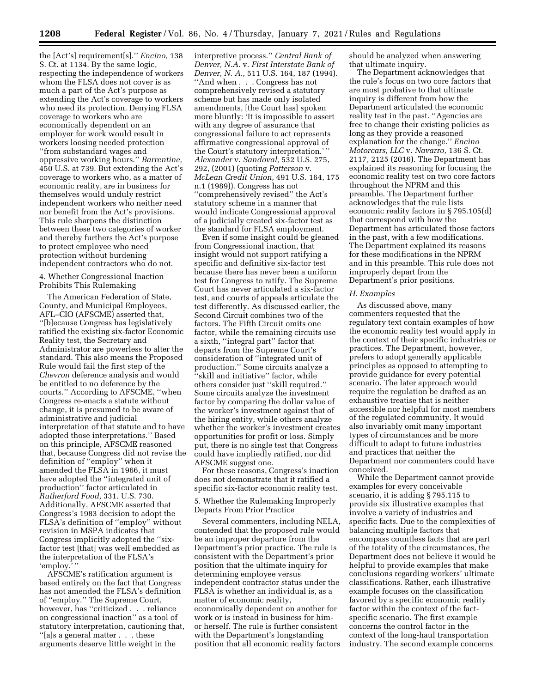the [Act's] requirement[s].'' *Encino,* 138 S. Ct. at 1134. By the same logic, respecting the independence of workers whom the FLSA does not cover is as much a part of the Act's purpose as extending the Act's coverage to workers who need its protection. Denying FLSA coverage to workers who are economically dependent on an employer for work would result in workers loosing needed protection ''from substandard wages and oppressive working hours.'' *Barrentine,*  450 U.S. at 739. But extending the Act's coverage to workers who, as a matter of economic reality, are in business for themselves would unduly restrict independent workers who neither need nor benefit from the Act's provisions. This rule sharpens the distinction between these two categories of worker and thereby furthers the Act's purpose to protect employee who need protection without burdening independent contractors who do not.

4. Whether Congressional Inaction Prohibits This Rulemaking

The American Federation of State, County, and Municipal Employees, AFL–CIO (AFSCME) asserted that, ''[b]ecause Congress has legislatively ratified the existing six-factor Economic Reality test, the Secretary and Administrator are powerless to alter the standard. This also means the Proposed Rule would fail the first step of the *Chevron* deference analysis and would be entitled to no deference by the courts.'' According to AFSCME, ''when Congress re-enacts a statute without change, it is presumed to be aware of administrative and judicial interpretation of that statute and to have adopted those interpretations.'' Based on this principle, AFSCME reasoned that, because Congress did not revise the definition of ''employ'' when it amended the FLSA in 1966, it must have adopted the ''integrated unit of production'' factor articulated in *Rutherford Food,* 331. U.S. 730. Additionally, AFSCME asserted that Congress's 1983 decision to adopt the FLSA's definition of ''employ'' without revision in MSPA indicates that Congress implicitly adopted the ''sixfactor test [that] was well embedded as the interpretation of the FLSA's 'employ.' ''

AFSCME's ratification argument is based entirely on the fact that Congress has not amended the FLSA's definition of ''employ.'' The Supreme Court, however, has ''criticized . . . reliance on congressional inaction'' as a tool of statutory interpretation, cautioning that, ''[a]s a general matter . . . these arguments deserve little weight in the

interpretive process.'' *Central Bank of Denver, N.A.* v. *First Interstate Bank of Denver, N. A.,* 511 U.S. 164, 187 (1994). ''And when . . . Congress has not comprehensively revised a statutory scheme but has made only isolated amendments, [the Court has] spoken more bluntly: 'It is impossible to assert with any degree of assurance that congressional failure to act represents affirmative congressional approval of the Court's statutory interpretation.' '' *Alexander* v. *Sandoval,* 532 U.S. 275, 292, (2001) (quoting *Patterson* v. *McLean Credit Union,* 491 U.S. 164, 175 n.1 (1989)). Congress has not ''comprehensively revised'' the Act's statutory scheme in a manner that would indicate Congressional approval of a judicially created six-factor test as the standard for FLSA employment.

Even if some insight could be gleaned from Congressional inaction, that insight would not support ratifying a specific and definitive six-factor test because there has never been a uniform test for Congress to ratify. The Supreme Court has never articulated a six-factor test, and courts of appeals articulate the test differently. As discussed earlier, the Second Circuit combines two of the factors. The Fifth Circuit omits one factor, while the remaining circuits use a sixth, ''integral part'' factor that departs from the Supreme Court's consideration of ''integrated unit of production.'' Some circuits analyze a ''skill and initiative'' factor, while others consider just ''skill required.'' Some circuits analyze the investment factor by comparing the dollar value of the worker's investment against that of the hiring entity, while others analyze whether the worker's investment creates opportunities for profit or loss. Simply put, there is no single test that Congress could have impliedly ratified, nor did AFSCME suggest one.

For these reasons, Congress's inaction does not demonstrate that it ratified a specific six-factor economic reality test.

5. Whether the Rulemaking Improperly Departs From Prior Practice

Several commenters, including NELA, contended that the proposed rule would be an improper departure from the Department's prior practice. The rule is consistent with the Department's prior position that the ultimate inquiry for determining employee versus independent contractor status under the FLSA is whether an individual is, as a matter of economic reality, economically dependent on another for work or is instead in business for himor herself. The rule is further consistent with the Department's longstanding position that all economic reality factors

should be analyzed when answering that ultimate inquiry.

The Department acknowledges that the rule's focus on two core factors that are most probative to that ultimate inquiry is different from how the Department articulated the economic reality test in the past. ''Agencies are free to change their existing policies as long as they provide a reasoned explanation for the change.'' *Encino Motorcars, LLC* v. *Navarro,* 136 S. Ct. 2117, 2125 (2016). The Department has explained its reasoning for focusing the economic reality test on two core factors throughout the NPRM and this preamble. The Department further acknowledges that the rule lists economic reality factors in § 795.105(d) that correspond with how the Department has articulated those factors in the past, with a few modifications. The Department explained its reasons for these modifications in the NPRM and in this preamble. This rule does not improperly depart from the Department's prior positions.

#### *H. Examples*

As discussed above, many commenters requested that the regulatory text contain examples of how the economic reality test would apply in the context of their specific industries or practices. The Department, however, prefers to adopt generally applicable principles as opposed to attempting to provide guidance for every potential scenario. The later approach would require the regulation be drafted as an exhaustive treatise that is neither accessible nor helpful for most members of the regulated community. It would also invariably omit many important types of circumstances and be more difficult to adapt to future industries and practices that neither the Department nor commenters could have conceived.

While the Department cannot provide examples for every conceivable scenario, it is adding § 795.115 to provide six illustrative examples that involve a variety of industries and specific facts. Due to the complexities of balancing multiple factors that encompass countless facts that are part of the totality of the circumstances, the Department does not believe it would be helpful to provide examples that make conclusions regarding workers' ultimate classifications. Rather, each illustrative example focuses on the classification favored by a specific economic reality factor within the context of the factspecific scenario. The first example concerns the control factor in the context of the long-haul transportation industry. The second example concerns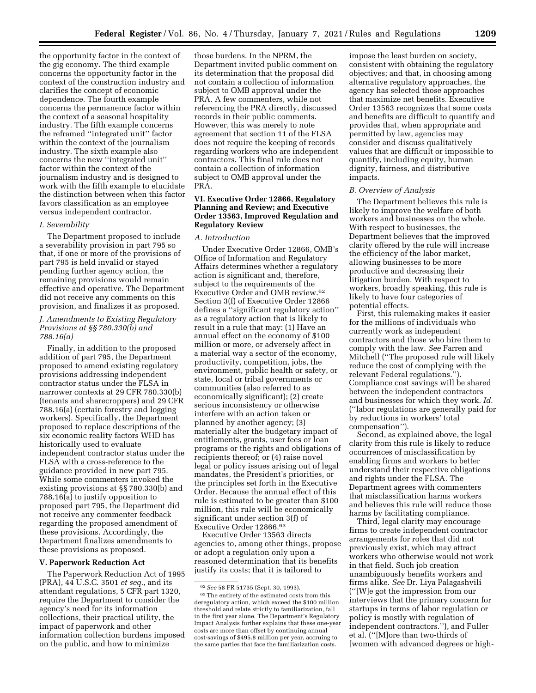the opportunity factor in the context of the gig economy. The third example concerns the opportunity factor in the context of the construction industry and clarifies the concept of economic dependence. The fourth example concerns the permanence factor within the context of a seasonal hospitality industry. The fifth example concerns the reframed ''integrated unit'' factor within the context of the journalism industry. The sixth example also concerns the new ''integrated unit'' factor within the context of the journalism industry and is designed to work with the fifth example to elucidate the distinction between when this factor favors classification as an employee versus independent contractor.

#### *I. Severability*

The Department proposed to include a severability provision in part 795 so that, if one or more of the provisions of part 795 is held invalid or stayed pending further agency action, the remaining provisions would remain effective and operative. The Department did not receive any comments on this provision, and finalizes it as proposed.

# *J. Amendments to Existing Regulatory Provisions at §§ 780.330(b) and 788.16(a)*

Finally, in addition to the proposed addition of part 795, the Department proposed to amend existing regulatory provisions addressing independent contractor status under the FLSA in narrower contexts at 29 CFR 780.330(b) (tenants and sharecroppers) and 29 CFR 788.16(a) (certain forestry and logging workers). Specifically, the Department proposed to replace descriptions of the six economic reality factors WHD has historically used to evaluate independent contractor status under the FLSA with a cross-reference to the guidance provided in new part 795. While some commenters invoked the existing provisions at §§ 780.330(b) and 788.16(a) to justify opposition to proposed part 795, the Department did not receive any commenter feedback regarding the proposed amendment of these provisions. Accordingly, the Department finalizes amendments to these provisions as proposed.

### **V. Paperwork Reduction Act**

The Paperwork Reduction Act of 1995 (PRA), 44 U.S.C. 3501 *et seq.,* and its attendant regulations, 5 CFR part 1320, require the Department to consider the agency's need for its information collections, their practical utility, the impact of paperwork and other information collection burdens imposed on the public, and how to minimize

those burdens. In the NPRM, the Department invited public comment on its determination that the proposal did not contain a collection of information subject to OMB approval under the PRA. A few commenters, while not referencing the PRA directly, discussed records in their public comments. However, this was merely to note agreement that section 11 of the FLSA does not require the keeping of records regarding workers who are independent contractors. This final rule does not contain a collection of information subject to OMB approval under the PRA.

# **VI. Executive Order 12866, Regulatory Planning and Review; and Executive Order 13563, Improved Regulation and Regulatory Review**

### *A. Introduction*

Under Executive Order 12866, OMB's Office of Information and Regulatory Affairs determines whether a regulatory action is significant and, therefore, subject to the requirements of the Executive Order and OMB review.62 Section 3(f) of Executive Order 12866 defines a ''significant regulatory action'' as a regulatory action that is likely to result in a rule that may: (1) Have an annual effect on the economy of \$100 million or more, or adversely affect in a material way a sector of the economy, productivity, competition, jobs, the environment, public health or safety, or state, local or tribal governments or communities (also referred to as economically significant); (2) create serious inconsistency or otherwise interfere with an action taken or planned by another agency; (3) materially alter the budgetary impact of entitlements, grants, user fees or loan programs or the rights and obligations of recipients thereof; or (4) raise novel legal or policy issues arising out of legal mandates, the President's priorities, or the principles set forth in the Executive Order. Because the annual effect of this rule is estimated to be greater than \$100 million, this rule will be economically significant under section 3(f) of Executive Order 12866.63

Executive Order 13563 directs agencies to, among other things, propose or adopt a regulation only upon a reasoned determination that its benefits justify its costs; that it is tailored to

impose the least burden on society, consistent with obtaining the regulatory objectives; and that, in choosing among alternative regulatory approaches, the agency has selected those approaches that maximize net benefits. Executive Order 13563 recognizes that some costs and benefits are difficult to quantify and provides that, when appropriate and permitted by law, agencies may consider and discuss qualitatively values that are difficult or impossible to quantify, including equity, human dignity, fairness, and distributive impacts.

#### *B. Overview of Analysis*

The Department believes this rule is likely to improve the welfare of both workers and businesses on the whole. With respect to businesses, the Department believes that the improved clarity offered by the rule will increase the efficiency of the labor market, allowing businesses to be more productive and decreasing their litigation burden. With respect to workers, broadly speaking, this rule is likely to have four categories of potential effects.

First, this rulemaking makes it easier for the millions of individuals who currently work as independent contractors and those who hire them to comply with the law. *See* Farren and Mitchell (''The proposed rule will likely reduce the cost of complying with the relevant Federal regulations.''). Compliance cost savings will be shared between the independent contractors and businesses for which they work. *Id.*  (''labor regulations are generally paid for by reductions in workers' total compensation'').

Second, as explained above, the legal clarity from this rule is likely to reduce occurrences of misclassification by enabling firms and workers to better understand their respective obligations and rights under the FLSA. The Department agrees with commenters that misclassification harms workers and believes this rule will reduce those harms by facilitating compliance.

Third, legal clarity may encourage firms to create independent contractor arrangements for roles that did not previously exist, which may attract workers who otherwise would not work in that field. Such job creation unambiguously benefits workers and firms alike. *See* Dr. Liya Palagashvili (''[W]e got the impression from our interviews that the primary concern for startups in terms of labor regulation or policy is mostly with regulation of independent contractors.''), and Fuller et al. (''[M]ore than two-thirds of [women with advanced degrees or high-

<sup>62</sup>*See* 58 FR 51735 (Sept. 30, 1993). 63The entirety of the estimated costs from this deregulatory action, which exceed the \$100 million threshold and relate strictly to familiarization, fall in the first year alone. The Department's Regulatory Impact Analysis further explains that these one-year costs are more than offset by continuing annual cost-savings of \$495.8 million per year, accruing to the same parties that face the familiarization costs.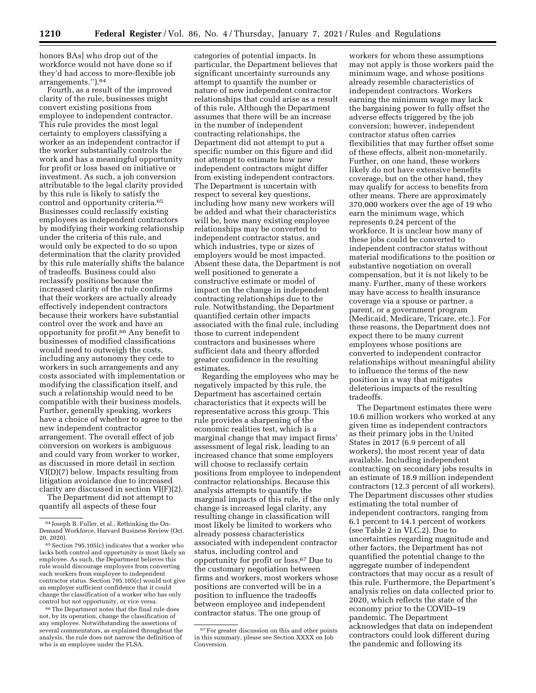honors BAs] who drop out of the workforce would not have done so if they'd had access to more-flexible job arrangements.'').64

Fourth, as a result of the improved clarity of the rule, businesses might convert existing positions from employee to independent contractor. This rule provides the most legal certainty to employers classifying a worker as an independent contractor if the worker substantially controls the work and has a meaningful opportunity for profit or loss based on initiative or investment. As such, a job conversion attributable to the legal clarity provided by this rule is likely to satisfy the control and opportunity criteria.65 Businesses could reclassify existing employees as independent contractors by modifying their working relationship under the criteria of this rule, and would only be expected to do so upon determination that the clarity provided by this rule materially shifts the balance of tradeoffs. Business could also reclassify positions because the increased clarity of the rule confirms that their workers are actually already effectively independent contractors because their workers have substantial control over the work and have an opportunity for profit.66 Any benefit to businesses of modified classifications would need to outweigh the costs, including any autonomy they cede to workers in such arrangements and any costs associated with implementation or modifying the classification itself, and such a relationship would need to be compatible with their business models. Further, generally speaking, workers have a choice of whether to agree to the new independent contractor arrangement. The overall effect of job conversion on workers is ambiguous and could vary from worker to worker, as discussed in more detail in section VI(D)(7) below. Impacts resulting from litigation avoidance due to increased clarity are discussed in section VI(F)(2).

The Department did not attempt to quantify all aspects of these four

66The Department notes that the final rule does not, by its operation, change the classification of any employee. Notwithstanding the assertions of several commentators, as explained throughout the analysis, the rule does not narrow the definition of who is an employee under the FLSA.

categories of potential impacts. In particular, the Department believes that significant uncertainty surrounds any attempt to quantify the number or nature of new independent contractor relationships that could arise as a result of this rule. Although the Department assumes that there will be an increase in the number of independent contracting relationships, the Department did not attempt to put a specific number on this figure and did not attempt to estimate how new independent contractors might differ from existing independent contractors. The Department is uncertain with respect to several key questions, including how many new workers will be added and what their characteristics will be, how many existing employee relationships may be converted to independent contractor status, and which industries, type or sizes of employers would be most impacted. Absent these data, the Department is not well positioned to generate a constructive estimate or model of impact on the change in independent contracting relationships due to the rule. Notwithstanding, the Department quantified certain other impacts associated with the final rule, including those to current independent contractors and businesses where sufficient data and theory afforded greater confidence in the resulting estimates.

Regarding the employees who may be negatively impacted by this rule, the Department has ascertained certain characteristics that it expects will be representative across this group. This rule provides a sharpening of the economic realities test, which is a marginal change that may impact firms' assessment of legal risk, leading to an increased chance that some employers will choose to reclassify certain positions from employee to independent contractor relationships. Because this analysis attempts to quantify the marginal impacts of this rule, if the only change is increased legal clarity, any resulting change in classification will most likely be limited to workers who already possess characteristics associated with independent contractor status, including control and opportunity for profit or loss.67 Due to the customary negotiation between firms and workers, most workers whose positions are converted will be in a position to influence the tradeoffs between employee and independent contractor status. The one group of

workers for whom these assumptions may not apply is those workers paid the minimum wage, and whose positions already resemble characteristics of independent contractors. Workers earning the minimum wage may lack the bargaining power to fully offset the adverse effects triggered by the job conversion; however, independent contractor status often carries flexibilities that may further offset some of these effects, albeit non-monetarily. Further, on one hand, these workers likely do not have extensive benefits coverage, but on the other hand, they may qualify for access to benefits from other means. There are approximately 370,000 workers over the age of 19 who earn the minimum wage, which represents 0.24 percent of the workforce. It is unclear how many of these jobs could be converted to independent contractor status without material modifications to the position or substantive negotiation on overall compensation, but it is not likely to be many. Further, many of these workers may have access to health insurance coverage via a spouse or partner, a parent, or a government program (Medicaid, Medicare, Tricare, etc.). For these reasons, the Department does not expect there to be many current employees whose positions are converted to independent contractor relationships without meaningful ability to influence the terms of the new position in a way that mitigates deleterious impacts of the resulting tradeoffs.

The Department estimates there were 10.6 million workers who worked at any given time as independent contractors as their primary jobs in the United States in 2017 (6.9 percent of all workers), the most recent year of data available. Including independent contracting on secondary jobs results in an estimate of 18.9 million independent contractors (12.3 percent of all workers). The Department discusses other studies estimating the total number of independent contractors, ranging from 6.1 percent to 14.1 percent of workers (see Table 2 in VI.C.2). Due to uncertainties regarding magnitude and other factors, the Department has not quantified the potential change to the aggregate number of independent contractors that may occur as a result of this rule. Furthermore, the Department's analysis relies on data collected prior to 2020, which reflects the state of the economy prior to the COVID–19 pandemic. The Department acknowledges that data on independent contractors could look different during the pandemic and following its

<sup>64</sup> Joseph B. Fuller, et al., Rethinking the On-Demand Workforce, Harvard Business Review (Oct. 20, 2020).

 $65$  Section 795.105(c) indicates that a worker who lacks both control and opportunity is most likely an employee. As such, the Department believes this rule would discourage employers from converting such workers from employee to independent contractor status. Section 795.105(c) would not give an employer sufficient confidence that it could change the classification of a worker who has only control but not opportunity, or vice versa.

<sup>&</sup>lt;sup>67</sup> For greater discussion on this and other points in this summary, please see Section XXXX on Job Conversion.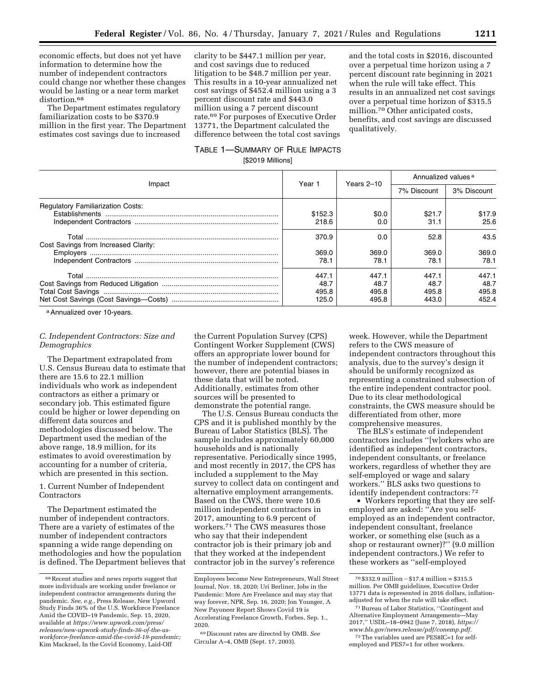economic effects, but does not yet have information to determine how the number of independent contractors could change nor whether these changes would be lasting or a near term market distortion.<sup>68</sup>

The Department estimates regulatory familiarization costs to be \$370.9 million in the first year. The Department estimates cost savings due to increased

clarity to be \$447.1 million per year, and cost savings due to reduced litigation to be \$48.7 million per year. This results in a 10-year annualized net cost savings of \$452.4 million using a 3 percent discount rate and \$443.0 million using a 7 percent discount rate.69 For purposes of Executive Order 13771, the Department calculated the difference between the total cost savings and the total costs in \$2016, discounted over a perpetual time horizon using a 7 percent discount rate beginning in 2021 when the rule will take effect. This results in an annualized net cost savings over a perpetual time horizon of \$315.5 million.70 Other anticipated costs, benefits, and cost savings are discussed qualitatively.

# TABLE 1—SUMMARY OF RULE IMPACTS [\$2019 Millions]

|                                          | Year 1                          | Years 2-10                      | Annualized values <sup>a</sup>  |                                 |
|------------------------------------------|---------------------------------|---------------------------------|---------------------------------|---------------------------------|
| Impact                                   |                                 |                                 | 7% Discount                     | 3% Discount                     |
| <b>Regulatory Familiarization Costs:</b> | \$152.3<br>218.6                | \$0.0<br>0.0                    | \$21.7<br>31.1                  | \$17.9<br>25.6                  |
| Cost Savings from Increased Clarity:     | 370.9                           | 0.0                             | 52.8                            | 43.5                            |
|                                          | 369.0<br>78.1                   | 369.0<br>78.1                   | 369.0<br>78.1                   | 369.0<br>78.1                   |
|                                          | 447.1<br>48.7<br>495.8<br>125.0 | 447.1<br>48.7<br>495.8<br>495.8 | 447.1<br>48.7<br>495.8<br>443.0 | 447.1<br>48.7<br>495.8<br>452.4 |

a Annualized over 10-years.

# *C. Independent Contractors: Size and Demographics*

The Department extrapolated from U.S. Census Bureau data to estimate that there are 15.6 to 22.1 million individuals who work as independent contractors as either a primary or secondary job. This estimated figure could be higher or lower depending on different data sources and methodologies discussed below. The Department used the median of the above range, 18.9 million, for its estimates to avoid overestimation by accounting for a number of criteria, which are presented in this section.

1. Current Number of Independent Contractors

The Department estimated the number of independent contractors. There are a variety of estimates of the number of independent contractors spanning a wide range depending on methodologies and how the population is defined. The Department believes that

the Current Population Survey (CPS) Contingent Worker Supplement (CWS) offers an appropriate lower bound for the number of independent contractors; however, there are potential biases in these data that will be noted. Additionally, estimates from other sources will be presented to demonstrate the potential range.

The U.S. Census Bureau conducts the CPS and it is published monthly by the Bureau of Labor Statistics (BLS). The sample includes approximately 60,000 households and is nationally representative. Periodically since 1995, and most recently in 2017, the CPS has included a supplement to the May survey to collect data on contingent and alternative employment arrangements. Based on the CWS, there were 10.6 million independent contractors in 2017, amounting to 6.9 percent of workers.71 The CWS measures those who say that their independent contractor job is their primary job and that they worked at the independent contractor job in the survey's reference

week. However, while the Department refers to the CWS measure of independent contractors throughout this analysis, due to the survey's design it should be uniformly recognized as representing a constrained subsection of the entire independent contractor pool. Due to its clear methodological constraints, the CWS measure should be differentiated from other, more comprehensive measures.

The BLS's estimate of independent contractors includes ''[w]orkers who are identified as independent contractors, independent consultants, or freelance workers, regardless of whether they are self-employed or wage and salary workers.'' BLS asks two questions to identify independent contractors: 72

• Workers reporting that they are selfemployed are asked: ''Are you selfemployed as an independent contractor, independent consultant, freelance worker, or something else (such as a shop or restaurant owner)?'' (9.0 million independent contractors.) We refer to these workers as ''self-employed

<sup>68</sup>Recent studies and news reports suggest that more individuals are working under freelance or independent contractor arrangements during the pandemic. *See, e.g.,* Press Release, New Upword Study Finds 36% of the U.S. Workforce Freelance Amid the COVID–19 Pandemic, Sep. 15, 2020, available at *[https://www.upwork.com/press/](https://www.upwork.com/press/releases/new-upwork-study-finds-36-of-the-us-workforce-freelance-amid-the-covid-19-pandemic) [releases/new-upwork-study-finds-36-of-the-us](https://www.upwork.com/press/releases/new-upwork-study-finds-36-of-the-us-workforce-freelance-amid-the-covid-19-pandemic)[workforce-freelance-amid-the-covid-19-pandemic;](https://www.upwork.com/press/releases/new-upwork-study-finds-36-of-the-us-workforce-freelance-amid-the-covid-19-pandemic)*  Kim Mackrael, In the Covid Economy, Laid-Off

Employees become New Entrepreneurs, Wall Street Journal, Nov. 18, 2020; Uri Berliner, Jobs in the Pandemic: More Are Freelance and may stay that way forever, NPR, Sep. 16, 2020; Jon Younger, A New Payoneer Report Shows Covid 19 is Accelerating Freelance Growth, Forbes, Sep. 1., 2020.

<sup>69</sup> Discount rates are directed by OMB. *See*  Circular A–4, OMB (Sept. 17, 2003).

 $70$  \$332.9 million - \$17.4 million = \$315.5 million. Per OMB guidelines, Executive Order 13771 data is represented in 2016 dollars, inflationadjusted for when the rule will take effect.

<sup>71</sup>Bureau of Labor Statistics, ''Contingent and Alternative Employment Arrangements—May 2017,'' USDL–18–0942 (June 7, 2018), *[https://](https://www.bls.gov/news.release/pdf/conemp.pdf) [www.bls.gov/news.release/pdf/conemp.pdf.](https://www.bls.gov/news.release/pdf/conemp.pdf)*  72The variables used are PES8IC=1 for self-

employed and PES7=1 for other workers.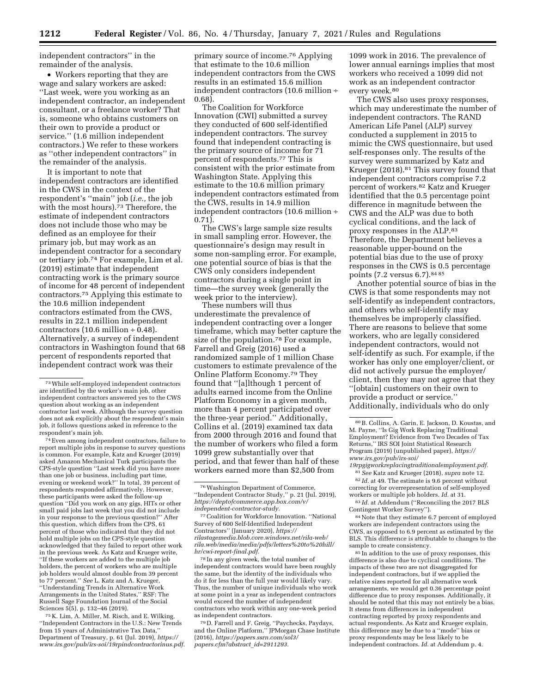independent contractors'' in the remainder of the analysis.

• Workers reporting that they are wage and salary workers are asked: ''Last week, were you working as an independent contractor, an independent consultant, or a freelance worker? That is, someone who obtains customers on their own to provide a product or service.'' (1.6 million independent contractors.) We refer to these workers as ''other independent contractors'' in the remainder of the analysis.

It is important to note that independent contractors are identified in the CWS in the context of the respondent's ''main'' job (*i.e.,* the job with the most hours).<sup>73</sup> Therefore, the estimate of independent contractors does not include those who may be defined as an employee for their primary job, but may work as an independent contractor for a secondary or tertiary job.74 For example, Lim et al. (2019) estimate that independent contracting work is the primary source of income for 48 percent of independent contractors.75 Applying this estimate to the 10.6 million independent contractors estimated from the CWS, results in 22.1 million independent contractors  $(10.6 \text{ million} \div 0.48)$ . Alternatively, a survey of independent contractors in Washington found that 68 percent of respondents reported that independent contract work was their

74Even among independent contractors, failure to report multiple jobs in response to survey questions is common. For example, Katz and Krueger (2019) asked Amazon Mechanical Turk participants the CPS-style question ''Last week did you have more than one job or business, including part time, evening or weekend work?'' In total, 39 percent of respondents responded affirmatively. However, these participants were asked the follow-up question ''Did you work on any gigs, HITs or other small paid jobs last week that you did not include in your response to the previous question?'' After this question, which differs from the CPS, 61 percent of those who indicated that they did not hold multiple jobs on the CPS-style question acknowledged that they failed to report other work in the previous week. As Katz and  $\overline{k}$ rueger write, ''If these workers are added to the multiple job holders, the percent of workers who are multiple job holders would almost double from 39 percent to 77 percent.'' *See* L. Katz and A. Krueger, ''Understanding Trends in Alternative Work Arrangements in the United States,'' RSF: The Russell Sage Foundation Journal of the Social Sciences 5(5), p. 132–46 (2019).

75 K. Lim, A. Miller, M. Risch, and E. Wilking, ''Independent Contractors in the U.S.: New Trends from 15 years of Administrative Tax Data,'' Department of Treasury, p. 61 (Jul. 2019), *[https://](https://www.irs.gov/pub/irs-soi/19rpindcontractorinus.pdf)  [www.irs.gov/pub/irs-soi/19rpindcontractorinus.pdf.](https://www.irs.gov/pub/irs-soi/19rpindcontractorinus.pdf)* 

primary source of income.76 Applying that estimate to the 10.6 million independent contractors from the CWS results in an estimated 15.6 million independent contractors (10.6 million ÷ 0.68).

The Coalition for Workforce Innovation (CWI) submitted a survey they conducted of 600 self-identified independent contractors. The survey found that independent contracting is the primary source of income for 71 percent of respondents.77 This is consistent with the prior estimate from Washington State. Applying this estimate to the 10.6 million primary independent contractors estimated from the CWS, results in 14.9 million independent contractors (10.6 million ÷ 0.71).

The CWS's large sample size results in small sampling error. However, the questionnaire's design may result in some non-sampling error. For example, one potential source of bias is that the CWS only considers independent contractors during a single point in time—the survey week (generally the week prior to the interview).

These numbers will thus underestimate the prevalence of independent contracting over a longer timeframe, which may better capture the size of the population.78 For example, Farrell and Greig (2016) used a randomized sample of 1 million Chase customers to estimate prevalence of the Online Platform Economy.79 They found that ''[a]lthough 1 percent of adults earned income from the Online Platform Economy in a given month, more than 4 percent participated over the three-year period.'' Additionally, Collins et al. (2019) examined tax data from 2000 through 2016 and found that the number of workers who filed a form 1099 grew substantially over that period, and that fewer than half of these workers earned more than \$2,500 from

78 In any given week, the total number of independent contractors would have been roughly the same, but the identity of the individuals who do it for less than the full year would likely vary. Thus, the number of unique individuals who work at some point in a year as independent contractors would exceed the number of independent contractors who work within any one-week period as independent contractors.

79 D. Farrell and F. Greig, ''Paychecks, Paydays, and the Online Platform,'' JPMorgan Chase Institute (2016), *[https://papers.ssrn.com/sol3/](https://papers.ssrn.com/sol3/papers.cfm?abstract_id=2911293)  [papers.cfm?abstract](https://papers.ssrn.com/sol3/papers.cfm?abstract_id=2911293)*\_*id=2911293.* 

1099 work in 2016. The prevalence of lower annual earnings implies that most workers who received a 1099 did not work as an independent contractor every week.<sup>80</sup>

The CWS also uses proxy responses, which may underestimate the number of independent contractors. The RAND American Life Panel (ALP) survey conducted a supplement in 2015 to mimic the CWS questionnaire, but used self-responses only. The results of the survey were summarized by Katz and Krueger (2018).81 This survey found that independent contractors comprise 7.2 percent of workers.82 Katz and Krueger identified that the 0.5 percentage point difference in magnitude between the CWS and the ALP was due to both cyclical conditions, and the lack of proxy responses in the ALP.83 Therefore, the Department believes a reasonable upper-bound on the potential bias due to the use of proxy responses in the CWS is 0.5 percentage points (7.2 versus 6.7).84 85

Another potential source of bias in the CWS is that some respondents may not self-identify as independent contractors, and others who self-identify may themselves be improperly classified. There are reasons to believe that some workers, who are legally considered independent contractors, would not self-identify as such. For example, if the worker has only one employer/client, or did not actively pursue the employer/ client, then they may not agree that they ''[obtain] customers on their own to provide a product or service.'' Additionally, individuals who do only

*[19rpgigworkreplacingtraditionalemployment.pdf.](https://www.irs.gov/pub/irs-soi/19rpgigworkreplacingtraditionalemployment.pdf)*  81*See* Katz and Krueger (2018), *supra* note 12.

82 *Id.* at 49. The estimate is 9.6 percent without correcting for overrepresentation of self-employed workers or multiple job holders. *Id.* at 31.

83 *Id.* at Addendum (''Reconciling the 2017 BLS Contingent Worker Survey'').

84Note that they estimate 6.7 percent of employed workers are independent contractors using the CWS, as opposed to 6.9 percent as estimated by the BLS. This difference is attributable to changes to the sample to create consistency.

<sup>85</sup> In addition to the use of proxy responses, this difference is also due to cyclical conditions. The impacts of these two are not disaggregated for independent contractors, but if we applied the relative sizes reported for all alternative work arrangements, we would get 0.36 percentage point difference due to proxy responses. Additionally, it should be noted that this may not entirely be a bias. It stems from differences in independent contracting reported by proxy respondents and actual respondents. As Katz and Krueger explain, this difference may be due to a ''mode'' bias or proxy respondents may be less likely to be independent contractors. *Id.* at Addendum p. 4.

<sup>73</sup>While self-employed independent contractors are identified by the worker's main job, other independent contractors answered yes to the CWS question about working as an independent contractor last week. Although the survey question does not ask explicitly about the respondent's main job, it follows questions asked in reference to the respondent's main job.

<sup>76</sup>Washington Department of Commerce, ''Independent Contractor Study,'' p. 21 (Jul. 2019), *[https://deptofcommerce.app.box.com/v/](https://deptofcommerce.app.box.com/v/independent-contractor-study) [independent-contractor-study.](https://deptofcommerce.app.box.com/v/independent-contractor-study)* 

<sup>77</sup>Coalition for Workforce Innovation. ''National Survey of 600 Self-Identified Independent Contractors'' (January 2020), *[https://](https://rilastagemedia.blob.core.windows.net/rila-web/rila.web/media/media/pdfs/letters%20to%20hill/hr/cwi-report-final.pdf) [rilastagemedia.blob.core.windows.net/rila-web/](https://rilastagemedia.blob.core.windows.net/rila-web/rila.web/media/media/pdfs/letters%20to%20hill/hr/cwi-report-final.pdf)  [rila.web/media/media/pdfs/letters%20to%20hill/](https://rilastagemedia.blob.core.windows.net/rila-web/rila.web/media/media/pdfs/letters%20to%20hill/hr/cwi-report-final.pdf)  [hr/cwi-report-final.pdf.](https://rilastagemedia.blob.core.windows.net/rila-web/rila.web/media/media/pdfs/letters%20to%20hill/hr/cwi-report-final.pdf)* 

<sup>80</sup>B. Collins, A. Garin, E. Jackson, D. Koustas, and M. Payne, ''Is Gig Work Replacing Traditional Employment? Evidence from Two Decades of Tax Returns,'' IRS SOI Joint Statistical Research Program (2019) (unpublished paper), *[https://](https://www.irs.gov/pub/irs-soi/19rpgigworkreplacingtraditionalemployment.pdf) [www.irs.gov/pub/irs-soi/](https://www.irs.gov/pub/irs-soi/19rpgigworkreplacingtraditionalemployment.pdf)*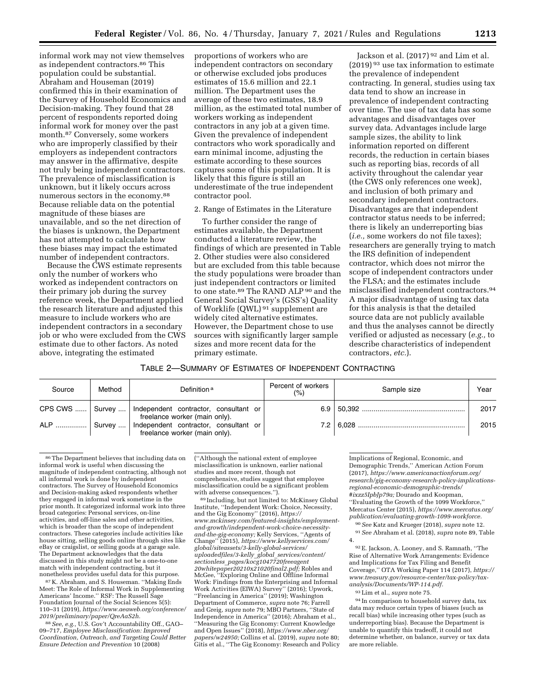informal work may not view themselves as independent contractors.86 This population could be substantial. Abraham and Houseman (2019) confirmed this in their examination of the Survey of Household Economics and Decision-making. They found that 28 percent of respondents reported doing informal work for money over the past month.87 Conversely, some workers who are improperly classified by their employers as independent contractors may answer in the affirmative, despite not truly being independent contractors. The prevalence of misclassification is unknown, but it likely occurs across numerous sectors in the economy.88 Because reliable data on the potential magnitude of these biases are unavailable, and so the net direction of the biases is unknown, the Department has not attempted to calculate how these biases may impact the estimated number of independent contractors.

Because the CWS estimate represents only the number of workers who worked as independent contractors on their primary job during the survey reference week, the Department applied the research literature and adjusted this measure to include workers who are independent contractors in a secondary job or who were excluded from the CWS estimate due to other factors. As noted above, integrating the estimated

proportions of workers who are independent contractors on secondary or otherwise excluded jobs produces estimates of 15.6 million and 22.1 million. The Department uses the average of these two estimates, 18.9 million, as the estimated total number of workers working as independent contractors in any job at a given time. Given the prevalence of independent contractors who work sporadically and earn minimal income, adjusting the estimate according to these sources captures some of this population. It is likely that this figure is still an underestimate of the true independent contractor pool.

2. Range of Estimates in the Literature

To further consider the range of estimates available, the Department conducted a literature review, the findings of which are presented in Table 2. Other studies were also considered but are excluded from this table because the study populations were broader than just independent contractors or limited to one state.<sup>89</sup> The RAND ALP <sup>90</sup> and the General Social Survey's (GSS's) Quality of Worklife (QWL) 91 supplement are widely cited alternative estimates. However, the Department chose to use sources with significantly larger sample sizes and more recent data for the primary estimate.

Jackson et al. (2017) 92 and Lim et al. (2019) 93 use tax information to estimate the prevalence of independent contracting. In general, studies using tax data tend to show an increase in prevalence of independent contracting over time. The use of tax data has some advantages and disadvantages over survey data. Advantages include large sample sizes, the ability to link information reported on different records, the reduction in certain biases such as reporting bias, records of all activity throughout the calendar year (the CWS only references one week), and inclusion of both primary and secondary independent contractors. Disadvantages are that independent contractor status needs to be inferred; there is likely an underreporting bias (*i.e.,* some workers do not file taxes); researchers are generally trying to match the IRS definition of independent contractor, which does not mirror the scope of independent contractors under the FLSA; and the estimates include misclassified independent contractors.94 A major disadvantage of using tax data for this analysis is that the detailed source data are not publicly available and thus the analyses cannot be directly verified or adjusted as necessary (*e.g.,* to describe characteristics of independent contractors, *etc.*).

| Table 2—Summary of Estimates of Independent Contracting |  |  |
|---------------------------------------------------------|--|--|
|---------------------------------------------------------|--|--|

| Source        | Method | Definition <sup>a</sup>                                                                     | Percent of workers<br>(%) | Sample size | Year |
|---------------|--------|---------------------------------------------------------------------------------------------|---------------------------|-------------|------|
|               |        | CPS CWS    Survey    Independent contractor, consultant or<br>freelance worker (main only). |                           |             | 2017 |
| ALP    Survey |        | Independent contractor, consultant or<br>freelance worker (main only).                      |                           |             | 2015 |

86The Department believes that including data on informal work is useful when discussing the magnitude of independent contracting, although not all informal work is done by independent contractors. The Survey of Household Economics and Decision-making asked respondents whether they engaged in informal work sometime in the prior month. It categorized informal work into three broad categories: Personal services, on-line activities, and off-line sales and other activities, which is broader than the scope of independent contractors. These categories include activities like house sitting, selling goods online through sites like eBay or craigslist, or selling goods at a garage sale. The Department acknowledges that the data discussed in this study might not be a one-to-one match with independent contracting, but it nonetheless provides useful data for this purpose.

87 K. Abraham, and S. Houseman. ''Making Ends Meet: The Role of Informal Work in Supplementing Americans' Income." RSF: The Russell Sage Foundation Journal of the Social Sciences 5(5): 110–31 (2019), *[https://www.aeaweb.org/conference/](https://www.aeaweb.org/conference/2019/preliminary/paper/QreAaS2h)  [2019/preliminary/paper/QreAaS2h.](https://www.aeaweb.org/conference/2019/preliminary/paper/QreAaS2h)* 

88*See, e.g.,* U.S. Gov't Accountability Off., GAO– 09–717, *Employee Misclassification: Improved Coordination, Outreach, and Targeting Could Better Ensure Detection and Prevention* 10 (2008)

(''Although the national extent of employee misclassification is unknown, earlier national studies and more recent, though not comprehensive, studies suggest that employee misclassification could be a significant problem

89 Including, but not limited to: McKinsey Global Institute, ''Independent Work: Choice, Necessity, and the Gig Economy'' (2016), *[https://](https://www.mckinsey.com/featured-insights/employment-and-growth/independent-work-choice-necessity-and-the-gig-economy) [www.mckinsey.com/featured-insights/employment](https://www.mckinsey.com/featured-insights/employment-and-growth/independent-work-choice-necessity-and-the-gig-economy)[and-growth/independent-work-choice-necessity](https://www.mckinsey.com/featured-insights/employment-and-growth/independent-work-choice-necessity-and-the-gig-economy)[and-the-gig-economy;](https://www.mckinsey.com/featured-insights/employment-and-growth/independent-work-choice-necessity-and-the-gig-economy)* Kelly Services, ''Agents of Change'' (2015), *[https://www.kellyservices.com/](https://www.kellyservices.com/global/siteassets/3-kelly-global-services/uploadedfiles/3-kelly_global_services/content/sectionless_pages/kocg1047720freeagent20whitepaper20210x21020final2.pdf) [global/siteassets/3-kelly-global-services/](https://www.kellyservices.com/global/siteassets/3-kelly-global-services/uploadedfiles/3-kelly_global_services/content/sectionless_pages/kocg1047720freeagent20whitepaper20210x21020final2.pdf) [uploadedfiles/3-kelly](https://www.kellyservices.com/global/siteassets/3-kelly-global-services/uploadedfiles/3-kelly_global_services/content/sectionless_pages/kocg1047720freeagent20whitepaper20210x21020final2.pdf)*\_*global*\_*services/content/ sectionless*\_*[pages/kocg1047720freeagent](https://www.kellyservices.com/global/siteassets/3-kelly-global-services/uploadedfiles/3-kelly_global_services/content/sectionless_pages/kocg1047720freeagent20whitepaper20210x21020final2.pdf) [20whitepaper20210x21020final2.pdf;](https://www.kellyservices.com/global/siteassets/3-kelly-global-services/uploadedfiles/3-kelly_global_services/content/sectionless_pages/kocg1047720freeagent20whitepaper20210x21020final2.pdf)* Robles and McGee, ''Exploring Online and Offline Informal Work: Findings from the Enterprising and Informal Work Activities (EIWA) Survey'' (2016); Upwork, ''Freelancing in America'' (2019); Washington Department of Commerce, *supra* note 76; Farrell and Greig, *supra* note 79; MBO Partners, ''State of Independence in America'' (2016); Abraham et al., ''Measuring the Gig Economy: Current Knowledge and Open Issues'' (2018), *[https://www.nber.org/](https://www.nber.org/papers/w24950)  [papers/w24950;](https://www.nber.org/papers/w24950)* Collins et al. (2019), *supra* note 80; Gitis et al., ''The Gig Economy: Research and Policy Implications of Regional, Economic, and Demographic Trends,'' American Action Forum (2017), *[https://www.americanactionforum.org/](https://www.americanactionforum.org/research/gig-economy-research-policy-implications-regional-economic-demographic-trends/#ixzz5IpbJp79a) [research/gig-economy-research-policy-implications](https://www.americanactionforum.org/research/gig-economy-research-policy-implications-regional-economic-demographic-trends/#ixzz5IpbJp79a)[regional-economic-demographic-trends/](https://www.americanactionforum.org/research/gig-economy-research-policy-implications-regional-economic-demographic-trends/#ixzz5IpbJp79a) [#ixzz5IpbJp79a;](https://www.americanactionforum.org/research/gig-economy-research-policy-implications-regional-economic-demographic-trends/#ixzz5IpbJp79a)* Dourado and Koopman, ''Evaluating the Growth of the 1099 Workforce,'' Mercatus Center (2015), *[https://www.mercatus.org/](https://www.mercatus.org/publication/evaluating-growth-1099-workforce) [publication/evaluating-growth-1099-workforce.](https://www.mercatus.org/publication/evaluating-growth-1099-workforce)* 

90*See* Katz and Krueger (2018), *supra* note 12. 91*See* Abraham et al. (2018), *supra* note 89, Table 4.

92E. Jackson, A. Looney, and S. Ramnath, ''The Rise of Alternative Work Arrangements: Evidence and Implications for Tax Filing and Benefit Coverage,'' OTA Working Paper 114 (2017), *[https://](https://www.treasury.gov/resource-center/tax-policy/tax-analysis/Documents/WP-114.pdf)  [www.treasury.gov/resource-center/tax-policy/tax](https://www.treasury.gov/resource-center/tax-policy/tax-analysis/Documents/WP-114.pdf)[analysis/Documents/WP-114.pdf.](https://www.treasury.gov/resource-center/tax-policy/tax-analysis/Documents/WP-114.pdf)* 

93Lim et al., *supra* note 75*.* 

94 In comparison to household survey data, tax data may reduce certain types of biases (such as recall bias) while increasing other types (such as underreporting bias). Because the Department is unable to quantify this tradeoff, it could not determine whether, on balance, survey or tax data are more reliable.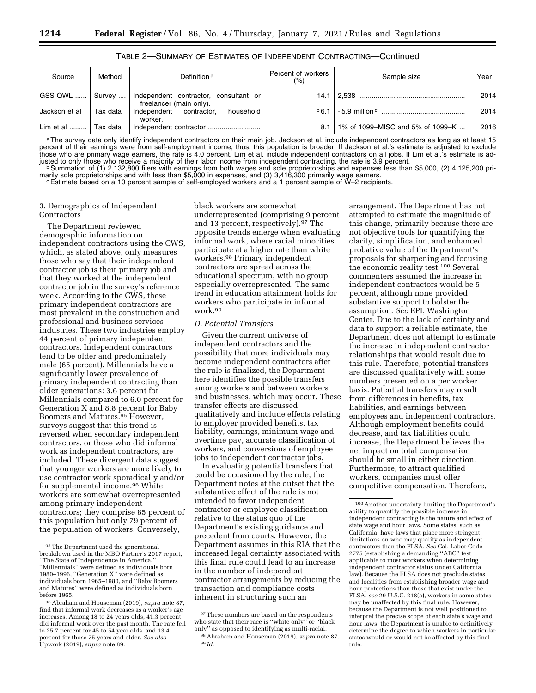| TABLE 2—SUMMARY OF ESTIMATES OF INDEPENDENT CONTRACTING—Continued |  |
|-------------------------------------------------------------------|--|
|-------------------------------------------------------------------|--|

| Source              | Method   | Definition <sup>a</sup>                                          | Percent of workers<br>(%) | Sample size                      | Year |
|---------------------|----------|------------------------------------------------------------------|---------------------------|----------------------------------|------|
| GSS QWL    Survey   |          | Independent contractor, consultant or<br>freelancer (main only). |                           |                                  | 2014 |
| Jackson et al       | Tax data | Independent contractor.<br>household<br>worker.                  | b6.1                      |                                  | 2014 |
| Lim et al  Tax data |          | Independent contractor                                           | 8.1                       | 1% of 1099–MISC and 5% of 1099–K | 2016 |

a The survey data only identify independent contractors on their main job. Jackson et al. include independent contractors as long as at least 15 percent of their earnings were from self-employment income; thus, this population is broader. If Jackson et al.'s estimate is adjusted to exclude those who are primary wage earners, the rate is 4.0 percent. Lim et al. include independent contractors on all jobs. If Lim et al.'s estimate is ad-<br>justed to only those who receive a majority of their labor income from in justed to only those who receive a majority of their labor income from independent contracting, the rate is 3.9 percent.<br>Di Summation of (1) 2,132,800 filers with earnings from both wages and sole proprietorships and expen

marily sole proprietorships and with less than \$5,000 in expenses, and (3) 3,416,300 primarily wage earners.<br>CEstimate based on a 10 percent sample of self-employed workers and a 1 percent sample of W–2 recipients.

# 3. Demographics of Independent **Contractors**

The Department reviewed demographic information on independent contractors using the CWS, which, as stated above, only measures those who say that their independent contractor job is their primary job and that they worked at the independent contractor job in the survey's reference week. According to the CWS, these primary independent contractors are most prevalent in the construction and professional and business services industries. These two industries employ 44 percent of primary independent contractors. Independent contractors tend to be older and predominately male (65 percent). Millennials have a significantly lower prevalence of primary independent contracting than older generations: 3.6 percent for Millennials compared to 6.0 percent for Generation X and 8.8 percent for Baby Boomers and Matures.95 However, surveys suggest that this trend is reversed when secondary independent contractors, or those who did informal work as independent contractors, are included. These divergent data suggest that younger workers are more likely to use contractor work sporadically and/or for supplemental income.96 White workers are somewhat overrepresented among primary independent contractors; they comprise 85 percent of this population but only 79 percent of the population of workers. Conversely,

black workers are somewhat underrepresented (comprising 9 percent and 13 percent, respectively).97 The opposite trends emerge when evaluating informal work, where racial minorities participate at a higher rate than white workers.98 Primary independent contractors are spread across the educational spectrum, with no group especially overrepresented. The same trend in education attainment holds for workers who participate in informal work.99

# *D. Potential Transfers*

Given the current universe of independent contractors and the possibility that more individuals may become independent contractors after the rule is finalized, the Department here identifies the possible transfers among workers and between workers and businesses, which may occur. These transfer effects are discussed qualitatively and include effects relating to employer provided benefits, tax liability, earnings, minimum wage and overtime pay, accurate classification of workers, and conversions of employee jobs to independent contractor jobs.

In evaluating potential transfers that could be occasioned by the rule, the Department notes at the outset that the substantive effect of the rule is not intended to favor independent contractor or employee classification relative to the status quo of the Department's existing guidance and precedent from courts. However, the Department assumes in this RIA that the increased legal certainty associated with this final rule could lead to an increase in the number of independent contractor arrangements by reducing the transaction and compliance costs inherent in structuring such an

arrangement. The Department has not attempted to estimate the magnitude of this change, primarily because there are not objective tools for quantifying the clarity, simplification, and enhanced probative value of the Department's proposals for sharpening and focusing the economic reality test.100 Several commenters assumed the increase in independent contractors would be 5 percent, although none provided substantive support to bolster the assumption. *See* EPI, Washington Center. Due to the lack of certainty and data to support a reliable estimate, the Department does not attempt to estimate the increase in independent contractor relationships that would result due to this rule. Therefore, potential transfers are discussed qualitatively with some numbers presented on a per worker basis. Potential transfers may result from differences in benefits, tax liabilities, and earnings between employees and independent contractors. Although employment benefits could decrease, and tax liabilities could increase, the Department believes the net impact on total compensation should be small in either direction. Furthermore, to attract qualified workers, companies must offer competitive compensation. Therefore,

<sup>95</sup>The Department used the generational breakdown used in the MBO Partner's 2017 report, "The State of Independence in America. ''Millennials'' were defined as individuals born 1980–1996, ''Generation X'' were defined as individuals born 1965–1980, and ''Baby Boomers and Matures'' were defined as individuals born before 1965.

<sup>96</sup>Abraham and Houseman (2019), *supra* note 87, find that informal work decreases as a worker's age increases. Among 18 to 24 years olds, 41.3 percent did informal work over the past month. The rate fell to 25.7 percent for 45 to 54 year olds, and 13.4 percent for those 75 years and older. *See also*  Upwork (2019), *supra* note 89.

<sup>&</sup>lt;sup>97</sup>These numbers are based on the respondents who state that their race is ''white only'' or ''black only'' as opposed to identifying as multi-racial. 98Abraham and Houseman (2019), *supra* note 87. 99 *Id.* 

<sup>100</sup>Another uncertainty limiting the Department's ability to quantify the possible increase in independent contracting is the nature and effect of state wage and hour laws. Some states, such as California, have laws that place more stringent limitations on who may qualify as independent contractors than the FLSA. *See* Cal. Labor Code 2775 (establishing a demanding ''ABC'' test applicable to most workers when determining independent contractor status under California law). Because the FLSA does not preclude states and localities from establishing broader wage and hour protections than those that exist under the FLSA, *see* 29 U.S.C. 218(a), workers in some states may be unaffected by this final rule. However, because the Department is not well positioned to interpret the precise scope of each state's wage and hour laws, the Department is unable to definitively determine the degree to which workers in particular states would or would not be affected by this final rule.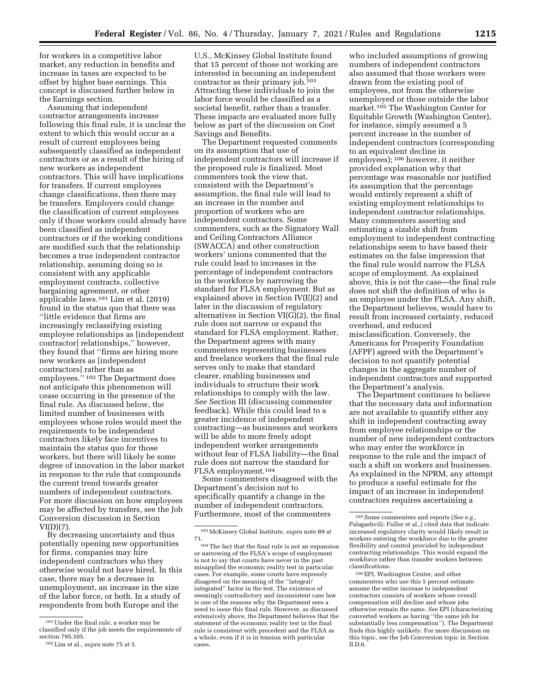for workers in a competitive labor market, any reduction in benefits and increase in taxes are expected to be offset by higher base earnings. This concept is discussed further below in the Earnings section.

Assuming that independent contractor arrangements increase following this final rule, it is unclear the extent to which this would occur as a result of current employees being subsequently classified as independent contractors or as a result of the hiring of new workers as independent contractors. This will have implications for transfers. If current employees change classifications, then there may be transfers. Employers could change the classification of current employees only if those workers could already have been classified as independent contractors or if the working conditions are modified such that the relationship becomes a true independent contractor relationship, assuming doing so is consistent with any applicable employment contracts, collective bargaining agreement, or other applicable laws.101 Lim et al. (2019) found in the status quo that there was ''little evidence that firms are increasingly reclassifying existing employee relationships as [independent contractor] relationships,'' however, they found that ''firms are hiring more new workers as [independent contractors] rather than as employees.'' 102 The Department does not anticipate this phenomenon will cease occurring in the presence of the final rule. As discussed below, the limited number of businesses with employees whose roles would meet the requirements to be independent contractors likely face incentives to maintain the status quo for those workers, but there will likely be some degree of innovation in the labor market in response to the rule that compounds the current trend towards greater numbers of independent contractors. For more discussion on how employees may be affected by transfers, see the Job Conversion discussion in Section VI(D)(7).

By decreasing uncertainty and thus potentially opening new opportunities for firms, companies may hire independent contractors who they otherwise would not have hired. In this case, there may be a decrease in unemployment, an increase in the size of the labor force, or both. In a study of respondents from both Europe and the

U.S., McKinsey Global Institute found that 15 percent of those not working are interested in becoming an independent contractor as their primary job.103 Attracting these individuals to join the labor force would be classified as a societal benefit, rather than a transfer. These impacts are evaluated more fully below as part of the discussion on Cost Savings and Benefits.

The Department requested comments on its assumption that use of independent contractors will increase if the proposed rule is finalized. Most commenters took the view that, consistent with the Department's assumption, the final rule will lead to an increase in the number and proportion of workers who are independent contractors. Some commenters, such as the Signatory Wall and Ceiling Contractors Alliance (SWACCA) and other construction workers' unions commented that the rule could lead to increases in the percentage of independent contractors in the workforce by narrowing the standard for FLSA employment. But as explained above in Section IV(E)(2) and later in the discussion of regulatory alternatives in Section VI(G)(2), the final rule does not narrow or expand the standard for FLSA employment. Rather, the Department agrees with many commenters representing businesses and freelance workers that the final rule serves only to make that standard clearer, enabling businesses and individuals to structure their work relationships to comply with the law. *See* Section III (discussing commenter feedback). While this could lead to a greater incidence of independent contracting—as businesses and workers will be able to more freely adopt independent worker arrangements without fear of FLSA liability—the final rule does not narrow the standard for FLSA employment.104

Some commenters disagreed with the Department's decision not to specifically quantify a change in the number of independent contractors. Furthermore, most of the commenters

who included assumptions of growing numbers of independent contractors also assumed that those workers were drawn from the existing pool of employees, not from the otherwise unemployed or those outside the labor market.105 The Washington Center for Equitable Growth (Washington Center), for instance, simply assumed a 5 percent increase in the number of independent contractors (corresponding to an equivalent decline in employees); 106 however, it neither provided explanation why that percentage was reasonable nor justified its assumption that the percentage would entirely represent a shift of existing employment relationships to independent contractor relationships. Many commenters asserting and estimating a sizable shift from employment to independent contracting relationships seem to have based their estimates on the false impression that the final rule would narrow the FLSA scope of employment. As explained above, this is not the case—the final rule does not shift the definition of who is an employee under the FLSA. Any shift, the Department believes, would have to result from increased certainty, reduced overhead, and reduced misclassification. Conversely, the Americans for Prosperity Foundation (AFPF) agreed with the Department's decision to not quantify potential changes in the aggregate number of independent contractors and supported the Department's analysis.

The Department continues to believe that the necessary data and information are not available to quantify either any shift in independent contracting away from employee relationships or the number of new independent contractors who may enter the workforce in response to the rule and the impact of such a shift on workers and businesses. As explained in the NPRM, any attempt to produce a useful estimate for the impact of an increase in independent contractors requires ascertaining a

106EPI, Washington Center, and other commenters who use this 5 percent estimate assume the entire increase to independent contractors consists of workers whose overall compensation will decline and whose jobs otherwise remain the same. *See* EPI (characterizing converted workers as having ''the same job for substantially less compensation''). The Department finds this highly unlikely. For more discussion on this topic, see the Job Conversion topic in Section II.D.6.

<sup>101</sup>Under the final rule, a worker may be classified only if the job meets the requirements of section 795.105.

<sup>102</sup>Lim et al., *supra* note 75 at 3.

<sup>103</sup>McKinsey Global Institute, *supra* note 89 at 71.

<sup>104</sup>The fact that the final rule is not an expansion or narrowing of the FLSA's scope of employment is not to say that courts have never in the past misapplied the economic reality test in particular cases. For example, some courts have expressly disagreed on the meaning of the ''integral/ integrated'' factor in the test. The existence of seemingly contradictory and inconsistent case law is one of the reasons why the Department sees a need to issue this final rule. However, as discussed extensively above, the Department believes that the statement of the economic reality test in the final rule is consistent with precedent and the FLSA as a whole, even if it is in tension with particular cases.

<sup>105</sup>Some commenters and reports (*See e.g.,*  Palagashvili; Fuller et al.,) cited data that indicate increased regulatory clarity would likely result in workers entering the workforce due to the greater flexibility and control provided by independent contracting relationships. This would expand the workforce rather than transfer workers between classifications.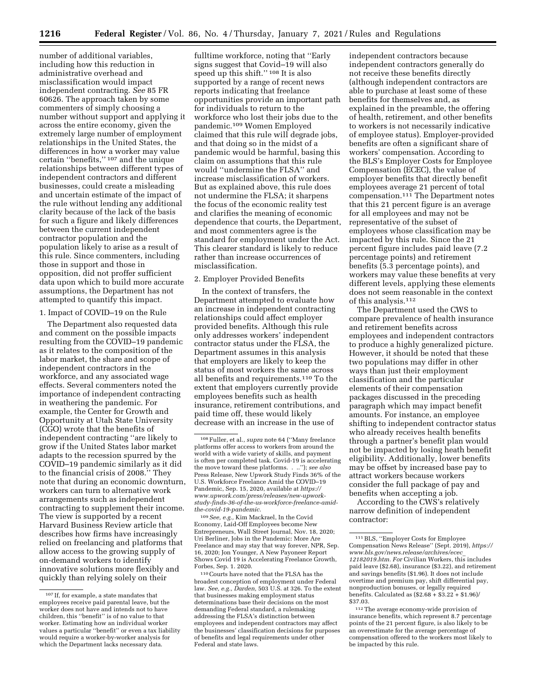number of additional variables, including how this reduction in administrative overhead and misclassification would impact independent contracting. *See* 85 FR 60626. The approach taken by some commenters of simply choosing a number without support and applying it across the entire economy, given the extremely large number of employment relationships in the United States, the differences in how a worker may value certain ''benefits,'' 107 and the unique relationships between different types of independent contractors and different businesses, could create a misleading and uncertain estimate of the impact of the rule without lending any additional clarity because of the lack of the basis for such a figure and likely differences between the current independent contractor population and the population likely to arise as a result of this rule. Since commenters, including those in support and those in opposition, did not proffer sufficient data upon which to build more accurate assumptions, the Department has not attempted to quantify this impact.

# 1. Impact of COVID–19 on the Rule

The Department also requested data and comment on the possible impacts resulting from the COVID–19 pandemic as it relates to the composition of the labor market, the share and scope of independent contractors in the workforce, and any associated wage effects. Several commenters noted the importance of independent contracting in weathering the pandemic. For example, the Center for Growth and Opportunity at Utah State University (CGO) wrote that the benefits of independent contracting ''are likely to grow if the United States labor market adapts to the recession spurred by the COVID–19 pandemic similarly as it did to the financial crisis of 2008.'' They note that during an economic downturn, workers can turn to alternative work arrangements such as independent contracting to supplement their income. The view is supported by a recent Harvard Business Review article that describes how firms have increasingly relied on freelancing and platforms that allow access to the growing supply of on-demand workers to identify innovative solutions more flexibly and quickly than relying solely on their

fulltime workforce, noting that ''Early signs suggest that Covid–19 will also speed up this shift.'' 108 It is also supported by a range of recent news reports indicating that freelance opportunities provide an important path for individuals to return to the workforce who lost their jobs due to the pandemic.109 Women Employed claimed that this rule will degrade jobs, and that doing so in the midst of a pandemic would be harmful, basing this claim on assumptions that this rule would ''undermine the FLSA'' and increase misclassification of workers. But as explained above, this rule does not undermine the FLSA; it sharpens the focus of the economic reality test and clarifies the meaning of economic dependence that courts, the Department, and most commenters agree is the standard for employment under the Act. This clearer standard is likely to reduce rather than increase occurrences of misclassification.

#### 2. Employer Provided Benefits

In the context of transfers, the Department attempted to evaluate how an increase in independent contracting relationships could affect employer provided benefits. Although this rule only addresses workers' independent contractor status under the FLSA, the Department assumes in this analysis that employers are likely to keep the status of most workers the same across all benefits and requirements.110 To the extent that employers currently provide employees benefits such as health insurance, retirement contributions, and paid time off, these would likely decrease with an increase in the use of

109*See, e.g.,* Kim Mackrael, In the Covid Economy, Laid-Off Employees become New Entrepreneurs, Wall Street Journal, Nov. 18, 2020; Uri Berliner, Jobs in the Pandemic: More Are Freelance and may stay that way forever, NPR, Sep. 16, 2020; Jon Younger, A New Payoneer Report Shows Covid 19 is Accelerating Freelance Growth, Forbes, Sep. 1. 2020.

110Courts have noted that the FLSA has the broadest conception of employment under Federal law. *See, e.g., Darden,* 503 U.S. at 326. To the extent that businesses making employment status determinations base their decisions on the most demanding Federal standard, a rulemaking addressing the FLSA's distinction between employees and independent contractors may affect the businesses' classification decisions for purposes of benefits and legal requirements under other Federal and state laws.

independent contractors because independent contractors generally do not receive these benefits directly (although independent contractors are able to purchase at least some of these benefits for themselves and, as explained in the preamble, the offering of health, retirement, and other benefits to workers is not necessarily indicative of employee status). Employer-provided benefits are often a significant share of workers' compensation. According to the BLS's Employer Costs for Employee Compensation (ECEC), the value of employer benefits that directly benefit employees average 21 percent of total compensation.111 The Department notes that this 21 percent figure is an average for all employees and may not be representative of the subset of employees whose classification may be impacted by this rule. Since the 21 percent figure includes paid leave (7.2 percentage points) and retirement benefits (5.3 percentage points), and workers may value these benefits at very different levels, applying these elements does not seem reasonable in the context of this analysis.112

The Department used the CWS to compare prevalence of health insurance and retirement benefits across employees and independent contractors to produce a highly generalized picture. However, it should be noted that these two populations may differ in other ways than just their employment classification and the particular elements of their compensation packages discussed in the preceding paragraph which may impact benefit amounts. For instance, an employee shifting to independent contractor status who already receives health benefits through a partner's benefit plan would not be impacted by losing heath benefit eligibility. Additionally, lower benefits may be offset by increased base pay to attract workers because workers consider the full package of pay and benefits when accepting a job.

According to the CWS's relatively narrow definition of independent contractor:

<sup>107</sup> If, for example, a state mandates that employees receive paid parental leave, but the worker does not have and intends not to have children, this ''benefit'' is of no value to that worker. Estimating how an individual worker values a particular ''benefit'' or even a tax liability would require a worker-by-worker analysis for which the Department lacks necessary data.

<sup>108</sup>Fuller, et al., *supra* note 64 (''Many freelance platforms offer access to workers from around the world with a wide variety of skills, and payment is often per completed task. Covid-19 is accelerating the move toward these platforms. . ..''); *see also*  Press Release, New Upwork Study Finds 36% of the U.S. Workforce Freelance Amid the COVID–19 Pandemic, Sep. 15, 2020, available at *[https://](https://www.upwork.com/press/releases/new-upwork-study-finds-36-of-the-us-workforce-freelance-amid-the-covid-19-pandemic) [www.upwork.com/press/releases/new-upwork](https://www.upwork.com/press/releases/new-upwork-study-finds-36-of-the-us-workforce-freelance-amid-the-covid-19-pandemic)[study-finds-36-of-the-us-workforce-freelance-amid](https://www.upwork.com/press/releases/new-upwork-study-finds-36-of-the-us-workforce-freelance-amid-the-covid-19-pandemic)[the-covid-19-pandemic.](https://www.upwork.com/press/releases/new-upwork-study-finds-36-of-the-us-workforce-freelance-amid-the-covid-19-pandemic)* 

<sup>111</sup>BLS, ''Employer Costs for Employee Compensation News Release'' (Sept. 2019), *[https://](https://www.bls.gov/news.release/archives/ecec_12182019.htm) [www.bls.gov/news.release/archives/ecec](https://www.bls.gov/news.release/archives/ecec_12182019.htm)*\_ *[12182019.htm.](https://www.bls.gov/news.release/archives/ecec_12182019.htm) For* Civilian Workers, this includes paid leave (\$2.68), insurance (\$3.22), and retirement and savings benefits (\$1.96). It does not include overtime and premium pay, shift differential pay, nonproduction bonuses, or legally required benefits. Calculated as  $(\$2.68 + \$3.22 + \$1.96)$ / \$37.03.

<sup>112</sup>The average economy-wide provision of insurance benefits, which represent 8.7 percentage points of the 21 percent figure, is also likely to be an overestimate for the average percentage of compensation offered to the workers most likely to be impacted by this rule.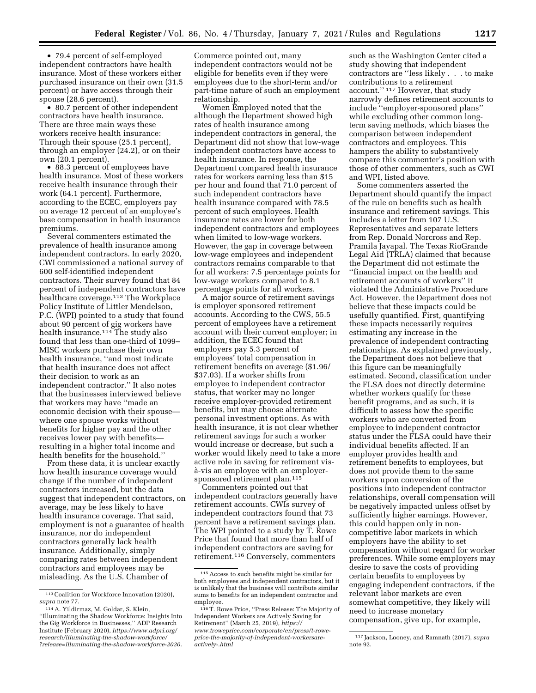• 79.4 percent of self-employed independent contractors have health insurance. Most of these workers either purchased insurance on their own (31.5 percent) or have access through their spouse (28.6 percent).

• 80.7 percent of other independent contractors have health insurance. There are three main ways these workers receive health insurance: Through their spouse (25.1 percent), through an employer (24.2), or on their own (20.1 percent).

• 88.3 percent of employees have health insurance. Most of these workers receive health insurance through their work (64.1 percent). Furthermore, according to the ECEC, employers pay on average 12 percent of an employee's base compensation in health insurance premiums.

Several commenters estimated the prevalence of health insurance among independent contractors. In early 2020, CWI commissioned a national survey of 600 self-identified independent contractors. Their survey found that 84 percent of independent contractors have healthcare coverage.<sup>113</sup> The Workplace Policy Institute of Littler Mendelson, P.C. (WPI) pointed to a study that found about 90 percent of gig workers have health insurance.114 The study also found that less than one-third of 1099– MISC workers purchase their own health insurance, ''and most indicate that health insurance does not affect their decision to work as an independent contractor.'' It also notes that the businesses interviewed believe that workers may have ''made an economic decision with their spouse where one spouse works without benefits for higher pay and the other receives lower pay with benefits resulting in a higher total income and health benefits for the household.''

From these data, it is unclear exactly how health insurance coverage would change if the number of independent contractors increased, but the data suggest that independent contractors, on average, may be less likely to have health insurance coverage. That said, employment is not a guarantee of health insurance, nor do independent contractors generally lack health insurance. Additionally, simply comparing rates between independent contractors and employees may be misleading. As the U.S. Chamber of

Commerce pointed out, many independent contractors would not be eligible for benefits even if they were employees due to the short-term and/or part-time nature of such an employment relationship.

Women Employed noted that the although the Department showed high rates of health insurance among independent contractors in general, the Department did not show that low-wage independent contractors have access to health insurance. In response, the Department compared health insurance rates for workers earning less than \$15 per hour and found that 71.0 percent of such independent contractors have health insurance compared with 78.5 percent of such employees. Health insurance rates are lower for both independent contractors and employees when limited to low-wage workers. However, the gap in coverage between low-wage employees and independent contractors remains comparable to that for all workers: 7.5 percentage points for low-wage workers compared to 8.1 percentage points for all workers.

A major source of retirement savings is employer sponsored retirement accounts. According to the CWS, 55.5 percent of employees have a retirement account with their current employer; in addition, the ECEC found that employers pay 5.3 percent of employees' total compensation in retirement benefits on average (\$1.96/ \$37.03). If a worker shifts from employee to independent contractor status, that worker may no longer receive employer-provided retirement benefits, but may choose alternate personal investment options. As with health insurance, it is not clear whether retirement savings for such a worker would increase or decrease, but such a worker would likely need to take a more active role in saving for retirement visa`-vis an employee with an employersponsored retirement plan.115

Commenters pointed out that independent contractors generally have retirement accounts. CWIs survey of independent contractors found that 73 percent have a retirement savings plan. The WPI pointed to a study by T. Rowe Price that found that more than half of independent contractors are saving for retirement.116 Conversely, commenters

such as the Washington Center cited a study showing that independent contractors are ''less likely . . . to make contributions to a retirement account.'' 117 However, that study narrowly defines retirement accounts to include ''employer-sponsored plans'' while excluding other common longterm saving methods, which biases the comparison between independent contractors and employees. This hampers the ability to substantively compare this commenter's position with those of other commenters, such as CWI and WPI, listed above.

Some commenters asserted the Department should quantify the impact of the rule on benefits such as health insurance and retirement savings. This includes a letter from 107 U.S. Representatives and separate letters from Rep. Donald Norcross and Rep. Pramila Jayapal. The Texas RioGrande Legal Aid (TRLA) claimed that because the Department did not estimate the ''financial impact on the health and retirement accounts of workers'' it violated the Administrative Procedure Act. However, the Department does not believe that these impacts could be usefully quantified. First, quantifying these impacts necessarily requires estimating any increase in the prevalence of independent contracting relationships. As explained previously, the Department does not believe that this figure can be meaningfully estimated. Second, classification under the FLSA does not directly determine whether workers qualify for these benefit programs, and as such, it is difficult to assess how the specific workers who are converted from employee to independent contractor status under the FLSA could have their individual benefits affected. If an employer provides health and retirement benefits to employees, but does not provide them to the same workers upon conversion of the positions into independent contractor relationships, overall compensation will be negatively impacted unless offset by sufficiently higher earnings. However, this could happen only in noncompetitive labor markets in which employers have the ability to set compensation without regard for worker preferences. While some employers may desire to save the costs of providing certain benefits to employees by engaging independent contractors, if the relevant labor markets are even somewhat competitive, they likely will need to increase monetary compensation, give up, for example,

<sup>113</sup>Coalition for Workforce Innovation (2020), *supra* note 77.

<sup>114</sup>A. Yildirmaz, M. Goldar, S. Klein, ''Illuminating the Shadow Workforce: Insights Into the Gig Workforce in Businesses,'' ADP Research Institute (February 2020), *[https://www.adpri.org/](https://www.adpri.org/research/illuminating-the-shadow-workforce/?release=illuminating-the-shadow-workforce-2020) [research/illuminating-the-shadow-workforce/](https://www.adpri.org/research/illuminating-the-shadow-workforce/?release=illuminating-the-shadow-workforce-2020) [?release=illuminating-the-shadow-workforce-2020.](https://www.adpri.org/research/illuminating-the-shadow-workforce/?release=illuminating-the-shadow-workforce-2020)* 

<sup>115</sup>Access to such benefits might be similar for both employees and independent contractors, but it is unlikely that the business will contribute similar sums to benefits for an independent contractor and employee.

<sup>116</sup>T. Rowe Price, ''Press Release: The Majority of Independent Workers are Actively Saving for Retirement'' (March 25, 2019), *[https://](https://www.troweprice.com/corporate/en/press/t-rowe-price-the-majority-of-independent-workersare-actively-.html) [www.troweprice.com/corporate/en/press/t-rowe](https://www.troweprice.com/corporate/en/press/t-rowe-price-the-majority-of-independent-workersare-actively-.html)[price-the-majority-of-independent-workersare](https://www.troweprice.com/corporate/en/press/t-rowe-price-the-majority-of-independent-workersare-actively-.html)[actively-.html](https://www.troweprice.com/corporate/en/press/t-rowe-price-the-majority-of-independent-workersare-actively-.html)* 

<sup>117</sup> Jackson, Looney, and Ramnath (2017), *supra*  note 92.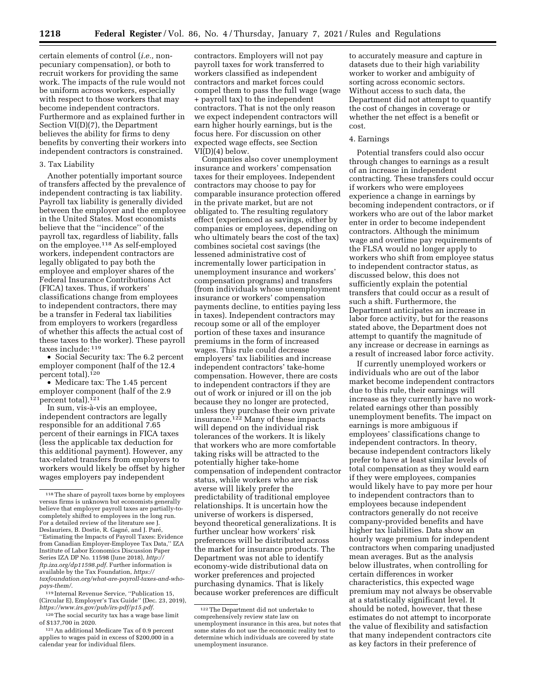certain elements of control (*i.e.,* nonpecuniary compensation), or both to recruit workers for providing the same work. The impacts of the rule would not be uniform across workers, especially with respect to those workers that may become independent contractors. Furthermore and as explained further in Section VI(D)(7), the Department believes the ability for firms to deny benefits by converting their workers into independent contractors is constrained.

# 3. Tax Liability

Another potentially important source of transfers affected by the prevalence of independent contracting is tax liability. Payroll tax liability is generally divided between the employer and the employee in the United States. Most economists believe that the ''incidence'' of the payroll tax, regardless of liability, falls on the employee.118 As self-employed workers, independent contractors are legally obligated to pay both the employee and employer shares of the Federal Insurance Contributions Act (FICA) taxes. Thus, if workers' classifications change from employees to independent contractors, there may be a transfer in Federal tax liabilities from employers to workers (regardless of whether this affects the actual cost of these taxes to the worker). These payroll taxes include: 119

• Social Security tax: The 6.2 percent employer component (half of the 12.4 percent total).<sup>120</sup>

• Medicare tax: The 1.45 percent employer component (half of the 2.9 percent total).<sup>121</sup>

In sum, vis-à-vis an employee, independent contractors are legally responsible for an additional 7.65 percent of their earnings in FICA taxes (less the applicable tax deduction for this additional payment). However, any tax-related transfers from employers to workers would likely be offset by higher wages employers pay independent

119 Internal Revenue Service, ''Publication 15, (Circular E), Employer's Tax Guide'' (Dec. 23, 2019), *[https://www.irs.gov/pub/irs-pdf/p15.pdf.](https://www.irs.gov/pub/irs-pdf/p15.pdf)* 

contractors. Employers will not pay payroll taxes for work transferred to workers classified as independent contractors and market forces could compel them to pass the full wage (wage + payroll tax) to the independent contractors. That is not the only reason we expect independent contractors will earn higher hourly earnings, but is the focus here. For discussion on other expected wage effects, see Section VI(D)(4) below.

Companies also cover unemployment insurance and workers' compensation taxes for their employees. Independent contractors may choose to pay for comparable insurance protection offered in the private market, but are not obligated to. The resulting regulatory effect (experienced as savings, either by companies or employees, depending on who ultimately bears the cost of the tax) combines societal cost savings (the lessened administrative cost of incrementally lower participation in unemployment insurance and workers' compensation programs) and transfers (from individuals whose unemployment insurance or workers' compensation payments decline, to entities paying less in taxes). Independent contractors may recoup some or all of the employer portion of these taxes and insurance premiums in the form of increased wages. This rule could decrease employers' tax liabilities and increase independent contractors' take-home compensation. However, there are costs to independent contractors if they are out of work or injured or ill on the job because they no longer are protected, unless they purchase their own private insurance.<sup>122</sup> Many of these impacts will depend on the individual risk tolerances of the workers. It is likely that workers who are more comfortable taking risks will be attracted to the potentially higher take-home compensation of independent contractor status, while workers who are risk averse will likely prefer the predictability of traditional employee relationships. It is uncertain how the universe of workers is dispersed, beyond theoretical generalizations. It is further unclear how workers' risk preferences will be distributed across the market for insurance products. The Department was not able to identify economy-wide distributional data on worker preferences and projected purchasing dynamics. That is likely because worker preferences are difficult

to accurately measure and capture in datasets due to their high variability worker to worker and ambiguity of sorting across economic sectors. Without access to such data, the Department did not attempt to quantify the cost of changes in coverage or whether the net effect is a benefit or cost.

#### 4. Earnings

Potential transfers could also occur through changes to earnings as a result of an increase in independent contracting. These transfers could occur if workers who were employees experience a change in earnings by becoming independent contractors, or if workers who are out of the labor market enter in order to become independent contractors. Although the minimum wage and overtime pay requirements of the FLSA would no longer apply to workers who shift from employee status to independent contractor status, as discussed below, this does not sufficiently explain the potential transfers that could occur as a result of such a shift. Furthermore, the Department anticipates an increase in labor force activity, but for the reasons stated above, the Department does not attempt to quantify the magnitude of any increase or decrease in earnings as a result of increased labor force activity.

If currently unemployed workers or individuals who are out of the labor market become independent contractors due to this rule, their earnings will increase as they currently have no workrelated earnings other than possibly unemployment benefits. The impact on earnings is more ambiguous if employees' classifications change to independent contractors. In theory, because independent contractors likely prefer to have at least similar levels of total compensation as they would earn if they were employees, companies would likely have to pay more per hour to independent contractors than to employees because independent contractors generally do not receive company-provided benefits and have higher tax liabilities. Data show an hourly wage premium for independent contractors when comparing unadjusted mean averages. But as the analysis below illustrates, when controlling for certain differences in worker characteristics, this expected wage premium may not always be observable at a statistically significant level. It should be noted, however, that these estimates do not attempt to incorporate the value of flexibility and satisfaction that many independent contractors cite as key factors in their preference of

<sup>118</sup>The share of payroll taxes borne by employees versus firms is unknown but economists generally believe that employer payroll taxes are partially-tocompletely shifted to employees in the long run. For a detailed review of the literature see J. Deslauriers, B. Dostie, R. Gagné, and J. Paré, ''Estimating the Impacts of Payroll Taxes: Evidence from Canadian Employer-Employee Tax Data,'' IZA Institute of Labor Economics Discussion Paper Series IZA DP No. 11598 (June 2018), *[http://](http://ftp.iza.org/dp11598.pdf) [ftp.iza.org/dp11598.pdf.](http://ftp.iza.org/dp11598.pdf)* Further information is available by the Tax Foundation, *[https://](https://taxfoundation.org/what-are-payroll-taxes-and-who-pays-them/) [taxfoundation.org/what-are-payroll-taxes-and-who](https://taxfoundation.org/what-are-payroll-taxes-and-who-pays-them/)[pays-them/.](https://taxfoundation.org/what-are-payroll-taxes-and-who-pays-them/)* 

<sup>120</sup>The social security tax has a wage base limit of \$137,700 in 2020.

<sup>121</sup>An additional Medicare Tax of 0.9 percent applies to wages paid in excess of \$200,000 in a calendar year for individual filers.

<sup>122</sup>The Department did not undertake to comprehensively review state law on unemployment insurance in this area, but notes that some states do not use the economic reality test to determine which individuals are covered by state unemployment insurance.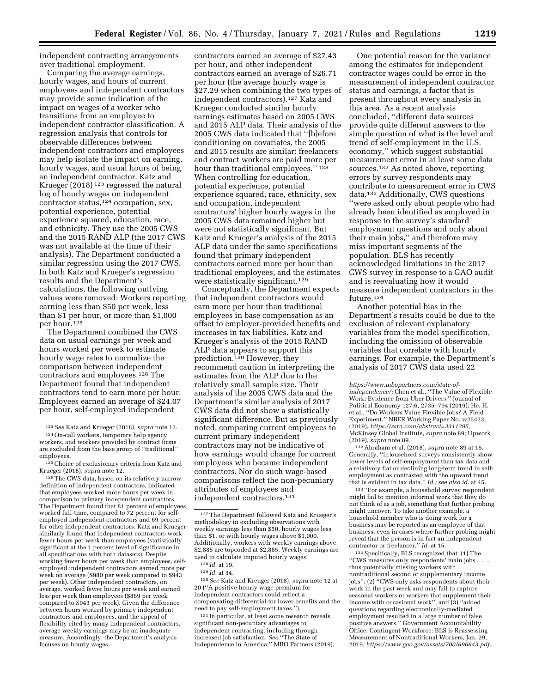independent contracting arrangements over traditional employment.

Comparing the average earnings, hourly wages, and hours of current employees and independent contractors may provide some indication of the impact on wages of a worker who transitions from an employee to independent contractor classification. A regression analysis that controls for observable differences between independent contractors and employees may help isolate the impact on earning, hourly wages, and usual hours of being an independent contractor. Katz and Krueger (2018) 123 regressed the natural log of hourly wages on independent contractor status,124 occupation, sex, potential experience, potential experience squared, education, race, and ethnicity. They use the 2005 CWS and the 2015 RAND ALP (the 2017 CWS was not available at the time of their analysis). The Department conducted a similar regression using the 2017 CWS. In both Katz and Krueger's regression results and the Department's calculations, the following outlying values were removed: Workers reporting earning less than \$50 per week, less than \$1 per hour, or more than \$1,000 per hour.125

The Department combined the CWS data on usual earnings per week and hours worked per week to estimate hourly wage rates to normalize the comparison between independent contractors and employees.126 The Department found that independent contractors tend to earn more per hour: Employees earned an average of \$24.07 per hour, self-employed independent

126The CWS data, based on its relatively narrow definition of independent contractors, indicated that employees worked more hours per week in comparison to primary independent contractors. The Department found that 81 percent of employees worked full-time, compared to 72 percent for selfemployed independent contractors and 69 percent for other independent contractors. Katz and Krueger similarly found that independent contractors work fewer hours per week than employees (statistically significant at the 1 percent level of significance in all specifications with both datasets). Despite working fewer hours per week than employees, selfemployed independent contractors earned more per week on average (\$980 per week compared to \$943 per week). Other independent contractors, on average, worked fewer hours per week and earned less per week than employees (\$869 per week compared to \$943 per week). Given the difference between hours worked by primary independent contractors and employees, and the appeal of flexibility cited by many independent contractors, average weekly earnings may be an inadequate measure. Accordingly, the Department's analysis focuses on hourly wages.

contractors earned an average of \$27.43 per hour, and other independent contractors earned an average of \$26.71 per hour (the average hourly wage is \$27.29 when combining the two types of independent contractors).127 Katz and Krueger conducted similar hourly earnings estimates based on 2005 CWS and 2015 ALP data. Their analysis of the 2005 CWS data indicated that ''[b]efore conditioning on covariates, the 2005 and 2015 results are similar: freelancers and contract workers are paid more per hour than traditional employees.'' 128 When controlling for education, potential experience, potential experience squared, race, ethnicity, sex and occupation, independent contractors' higher hourly wages in the 2005 CWS data remained higher but were not statistically significant. But Katz and Krueger's analysis of the 2015 ALP data under the same specifications found that primary independent contractors earned more per hour than traditional employees, and the estimates were statistically significant.<sup>129</sup>

Conceptually, the Department expects that independent contractors would earn more per hour than traditional employees in base compensation as an offset to employer-provided benefits and increases in tax liabilities. Katz and Krueger's analysis of the 2015 RAND ALP data appears to support this prediction.130 However, they recommend caution in interpreting the estimates from the ALP due to the relatively small sample size. Their analysis of the 2005 CWS data and the Department's similar analysis of 2017 CWS data did not show a statistically significant difference. But as previously noted, comparing current employees to current primary independent contractors may not be indicative of how earnings would change for current employees who became independent contractors. Nor do such wage-based comparisons reflect the non-pecuniary attributes of employees and independent contractors.131

130*See* Katz and Kreuger (2018), *supra* note 12 at 20 (''A positive hourly wage premium for independent contractors could reflect a compensating differential for lower benefits and the need to pay self-employment taxes.'').

131 In particular, at least some research reveals significant non-pecuniary advantages to independent contracting, including through increased job satisfaction. *See* ''The State of Independence in America,'' MBO Partners (2019),

One potential reason for the variance among the estimates for independent contractor wages could be error in the measurement of independent contractor status and earnings, a factor that is present throughout every analysis in this area. As a recent analysis concluded, ''different data sources provide quite different answers to the simple question of what is the level and trend of self-employment in the U.S. economy,'' which suggest substantial measurement error in at least some data sources.132 As noted above, reporting errors by survey respondents may contribute to measurement error in CWS data.133 Additionally, CWS questions ''were asked only about people who had already been identified as employed in response to the survey's standard employment questions and only about their main jobs,'' and therefore may miss important segments of the population. BLS has recently acknowledged limitations in the 2017 CWS survey in response to a GAO audit and is reevaluating how it would measure independent contractors in the future.134

Another potential bias in the Department's results could be due to the exclusion of relevant explanatory variables from the model specification, including the omission of observable variables that correlate with hourly earnings. For example, the Department's analysis of 2017 CWS data used 22

132Abraham et al. (2018), *supra* note 89 at 15. Generally, ''[h]ousehold surveys consistently show lower levels of self-employment than tax data and a relatively flat or declining long-term trend in selfemployment as contrasted with the upward trend that is evident in tax data.'' *Id.; see also id.* at 45.

133 ''For example, a household survey respondent might fail to mention informal work that they do not think of as a job, something that further probing might uncover. To take another example, a household member who is doing work for a business may be reported as an employee of that business, even in cases where further probing might reveal that the person is in fact an independent contractor or freelancer.'' *Id.* at 15.

134Specifically, BLS recognized that: (1) The ''CWS measures only respondents' main jobs . . ., thus potentially missing workers with nontraditional second or supplementary income jobs''; (2) ''CWS only asks respondents about their work in the past week and may fail to capture seasonal workers or workers that supplement their income with occasional work"; and  $(3)$  "added questions regarding electronically-mediated employment resulted in a large number of false positive answers.'' Government Accountability Office, Contingent Workforce: BLS is Reassessing Measurement of Nontraditional Workers, Jan. 29, 2019, *[https://www.gao.gov/assets/700/696643.pdf.](https://www.gao.gov/assets/700/696643.pdf)* 

<sup>123</sup>*See* Katz and Krueger (2018), *supra* note 12. 124On-call workers, temporary help agency

workers, and workers provided by contract firms are excluded from the base group of ''traditional'' employees.

<sup>125</sup>Choice of exclusionary criteria from Katz and Krueger (2018), *supra* note 12*.* 

<sup>127</sup>The Department followed Katz and Krueger's methodology in excluding observations with weekly earnings less than \$50, hourly wages less than \$1, or with hourly wages above \$1,000. Additionally, workers with weekly earnings above \$2,885 are topcoded at \$2,885. Weekly earnings are used to calculate imputed hourly wages.

<sup>128</sup> *Id.* at 19.

<sup>129</sup> *Id.* at 34.

*[https://www.mbopartners.com/state-of-](https://www.mbopartners.com/state-of-independence/)[independence/;](https://www.mbopartners.com/state-of-independence/)* Chen et al., ''The Value of Flexible Work: Evidence from Uber Drivers,'' Journal of Political Economy 127:6, 2735–794 (2019); He, H. et al., ''Do Workers Value Flexible Jobs? A Field Experiment,'' NBER Working Paper No. w25423, (2019), *[https://ssrn.com/abstract=3311395;](https://ssrn.com/abstract=3311395)*  McKinsey Global Institute, *supra* note 89; Upwork (2019), *supra* note 89.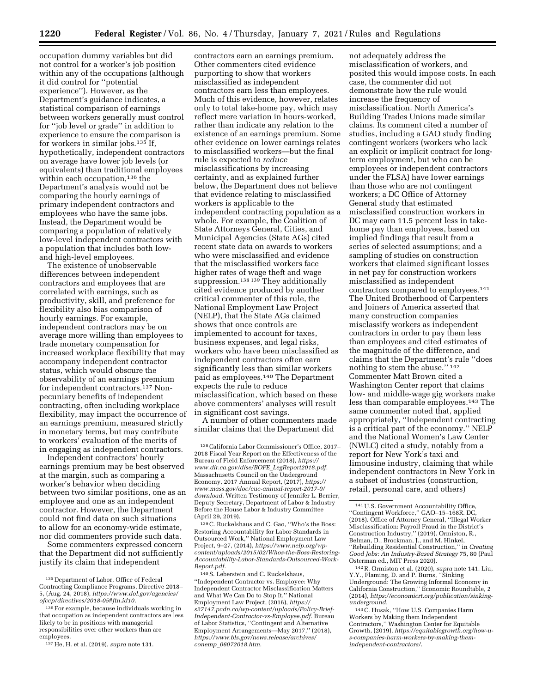occupation dummy variables but did not control for a worker's job position within any of the occupations (although it did control for ''potential experience''). However, as the Department's guidance indicates, a statistical comparison of earnings between workers generally must control for ''job level or grade'' in addition to experience to ensure the comparison is for workers in similar jobs.135 If, hypothetically, independent contractors on average have lower job levels (or equivalents) than traditional employees within each occupation,<sup>136</sup> the Department's analysis would not be comparing the hourly earnings of primary independent contractors and employees who have the same jobs. Instead, the Department would be comparing a population of relatively low-level independent contractors with a population that includes both lowand high-level employees.

The existence of unobservable differences between independent contractors and employees that are correlated with earnings, such as productivity, skill, and preference for flexibility also bias comparison of hourly earnings. For example, independent contractors may be on average more willing than employees to trade monetary compensation for increased workplace flexibility that may accompany independent contractor status, which would obscure the observability of an earnings premium for independent contractors.137 Nonpecuniary benefits of independent contracting, often including workplace flexibility, may impact the occurrence of an earnings premium, measured strictly in monetary terms, but may contribute to workers' evaluation of the merits of in engaging as independent contractors.

Independent contractors' hourly earnings premium may be best observed at the margin, such as comparing a worker's behavior when deciding between two similar positions, one as an employee and one as an independent contractor. However, the Department could not find data on such situations to allow for an economy-wide estimate, nor did commenters provide such data.

Some commenters expressed concern that the Department did not sufficiently justify its claim that independent

contractors earn an earnings premium. Other commenters cited evidence purporting to show that workers misclassified as independent contractors earn less than employees. Much of this evidence, however, relates only to total take-home pay, which may reflect mere variation in hours-worked, rather than indicate any relation to the existence of an earnings premium. Some other evidence on lower earnings relates to misclassified workers—but the final rule is expected to *reduce*  misclassifications by increasing certainty, and as explained further below, the Department does not believe that evidence relating to misclassified workers is applicable to the independent contracting population as a whole. For example, the Coalition of State Attorneys General, Cities, and Municipal Agencies (State AGs) cited recent state data on awards to workers who were misclassified and evidence that the misclassified workers face higher rates of wage theft and wage suppression.138 139 They additionally cited evidence produced by another critical commenter of this rule, the National Employment Law Project (NELP), that the State AGs claimed shows that once controls are implemented to account for taxes, business expenses, and legal risks, workers who have been misclassified as independent contractors often earn significantly less than similar workers paid as employees.140 The Department expects the rule to reduce misclassification, which based on these above commenters' analyses will result in significant cost savings.

A number of other commenters made similar claims that the Department did

139C. Ruckelshaus and C. Gao, ''Who's the Boss: Restoring Accountability for Labor Standards in Outsourced Work,'' National Employment Law Project, 9–27, (2014), *[https://www.nelp.org/wp](https://www.nelp.org/wp-content/uploads/2015/02/Whos-the-Boss-Restoring-Accountability-Labor-Standards-Outsourced-Work-Report.pdf)[content/uploads/2015/02/Whos-the-Boss-Restoring-](https://www.nelp.org/wp-content/uploads/2015/02/Whos-the-Boss-Restoring-Accountability-Labor-Standards-Outsourced-Work-Report.pdf)[Accountability-Labor-Standards-Outsourced-Work-](https://www.nelp.org/wp-content/uploads/2015/02/Whos-the-Boss-Restoring-Accountability-Labor-Standards-Outsourced-Work-Report.pdf)[Report.pdf.](https://www.nelp.org/wp-content/uploads/2015/02/Whos-the-Boss-Restoring-Accountability-Labor-Standards-Outsourced-Work-Report.pdf)* 

140S. Leberstein and C. Ruckelshaus, ''Independent Contractor vs. Employee: Why Independent Contractor Misclassification Matters and What We Can Do to Stop It,'' National Employment Law Project, (2016), *[https://](https://s27147.pcdn.co/wp-content/uploads/Policy-Brief-Independent-Contractor-vs-Employee.pdf) [s27147.pcdn.co/wp-content/uploads/Policy-Brief-](https://s27147.pcdn.co/wp-content/uploads/Policy-Brief-Independent-Contractor-vs-Employee.pdf)[Independent-Contractor-vs-Employee.pdf.](https://s27147.pcdn.co/wp-content/uploads/Policy-Brief-Independent-Contractor-vs-Employee.pdf)* Bureau of Labor Statistics, ''Contingent and Alternative Employment Arrangements—May 2017,'' (2018), *[https://www.bls.gov/news.release/archives/](https://www.bls.gov/news.release/archives/conemp_06072018.htm) conemp*\_*[06072018.htm.](https://www.bls.gov/news.release/archives/conemp_06072018.htm)* 

not adequately address the misclassification of workers, and posited this would impose costs. In each case, the commenter did not demonstrate how the rule would increase the frequency of misclassification. North America's Building Trades Unions made similar claims. Its comment cited a number of studies, including a GAO study finding contingent workers (workers who lack an explicit or implicit contract for longterm employment, but who can be employees or independent contractors under the FLSA) have lower earnings than those who are not contingent workers; a DC Office of Attorney General study that estimated misclassified construction workers in DC may earn 11.5 percent less in takehome pay than employees, based on implied findings that result from a series of selected assumptions; and a sampling of studies on construction workers that claimed significant losses in net pay for construction workers misclassified as independent contractors compared to employees.141 The United Brotherhood of Carpenters and Joiners of America asserted that many construction companies misclassify workers as independent contractors in order to pay them less than employees and cited estimates of the magnitude of the difference, and claims that the Department's rule ''does nothing to stem the abuse.'' 142 Commenter Matt Brown cited a Washington Center report that claims low- and middle-wage gig workers make less than comparable employees.143 The same commenter noted that, applied appropriately, ''Independent contracting is a critical part of the economy.'' NELP and the National Women's Law Center (NWLC) cited a study, notably from a report for New York's taxi and limousine industry, claiming that while independent contractors in New York in a subset of industries (construction, retail, personal care, and others)

142R. Ormiston et al. (2020), *supra* note 141. Liu, Y.Y., Flaming, D. and P. Burns, ''Sinking Underground: The Growing Informal Economy in California Construction,'' Economic Roundtable, 2 (2014), *[https://economicrt.org/publication/sinking](https://economicrt.org/publication/sinking-underground)[underground.](https://economicrt.org/publication/sinking-underground)* 

143C. Husak, ''How U.S. Companies Harm Workers by Making them Independent Contractors,'' Washington Center for Equitable Growth, (2019), *[https://equitablegrowth.org/how-u](https://equitablegrowth.org/how-u-s-companies-harm-workers-by-making-them-independent-contractors/)[s-companies-harm-workers-by-making-them](https://equitablegrowth.org/how-u-s-companies-harm-workers-by-making-them-independent-contractors/)[independent-contractors/](https://equitablegrowth.org/how-u-s-companies-harm-workers-by-making-them-independent-contractors/)*.

<sup>135</sup> Department of Labor, Office of Federal Contracting Compliance Programs, Directive 2018– 5, (Aug. 24, 2018), *[https://www.dol.gov/agencies/](https://www.dol.gov/agencies/ofccp/directives/2018-05#ftn.id10)  [ofccp/directives/2018-05#ftn.id10.](https://www.dol.gov/agencies/ofccp/directives/2018-05#ftn.id10)* 

<sup>136</sup>For example, because individuals working in that occupation as independent contractors are less likely to be in positions with managerial responsibilities over other workers than are employees.

<sup>137</sup>He, H. et al. (2019), *supra* note 131.

<sup>138</sup>California Labor Commissioner's Office, 2017– 2018 Fiscal Year Report on the Effectiveness of the Bureau of Field Enforcement (2018), *[https://](https://www.dir.ca.gov/dlse/BOFE_LegReport2018.pdf) [www.dir.ca.gov/dlse/BOFE](https://www.dir.ca.gov/dlse/BOFE_LegReport2018.pdf)*\_*LegReport2018.pdf.*  Massachusetts Council on the Underground Economy, 2017 Annual Report, (2017), *[https://](https://www.mass.gov/doc/cue-annual-report-2017-0/download) [www.mass.gov/doc/cue-annual-report-2017-0/](https://www.mass.gov/doc/cue-annual-report-2017-0/download) [download.](https://www.mass.gov/doc/cue-annual-report-2017-0/download)* Written Testimony of Jennifer L. Berrier, Deputy Secretary, Department of Labor & Industry Before the House Labor & Industry Committee (April 29, 2019).

<sup>141</sup>U.S. Government Accountability Office, ''Contingent Workforce,'' GAO–15–168R. DC, (2018). Office of Attorney General, ''Illegal Worker Misclassification: Payroll Fraud in the District's Construction Industry,'' (2019). Ormiston, R., Belman, D., Brockman, J., and M. Hinkel, ''Rebuilding Residential Construction,'' in *Creating Good Jobs: An Industry-Based Strategy* 75, 80 (Paul Osterman ed., MIT Press 2020).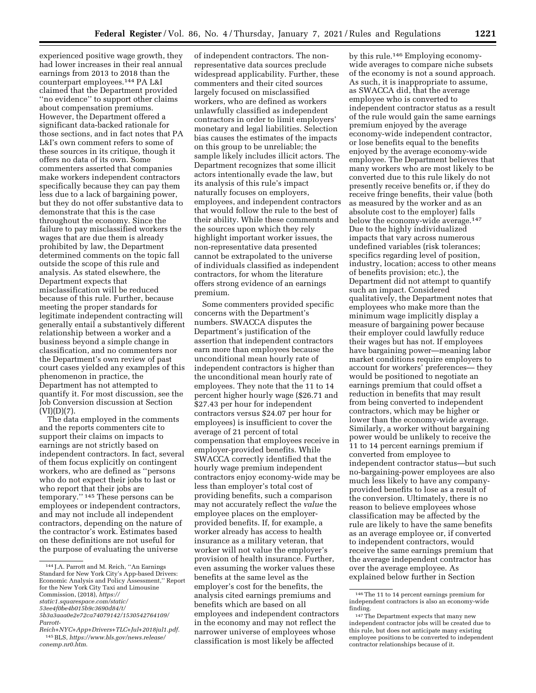of independent contractors. The non-

experienced positive wage growth, they had lower increases in their real annual earnings from 2013 to 2018 than the counterpart employees.144 PA L&I claimed that the Department provided ''no evidence'' to support other claims about compensation premiums. However, the Department offered a significant data-backed rationale for those sections, and in fact notes that PA L&I's own comment refers to some of these sources in its critique, though it offers no data of its own. Some commenters asserted that companies make workers independent contractors specifically because they can pay them less due to a lack of bargaining power, but they do not offer substantive data to demonstrate that this is the case throughout the economy. Since the failure to pay misclassified workers the wages that are due them is already prohibited by law, the Department determined comments on the topic fall outside the scope of this rule and analysis. As stated elsewhere, the Department expects that misclassification will be reduced because of this rule. Further, because meeting the proper standards for legitimate independent contracting will generally entail a substantively different relationship between a worker and a business beyond a simple change in classification, and no commenters nor the Department's own review of past court cases yielded any examples of this phenomenon in practice, the Department has not attempted to quantify it. For most discussion, see the Job Conversion discussion at Section  $(VI)(D)(7)$ .

The data employed in the comments and the reports commenters cite to support their claims on impacts to earnings are not strictly based on independent contractors. In fact, several of them focus explicitly on contingent workers, who are defined as ''persons who do not expect their jobs to last or who report that their jobs are temporary.'' 145 These persons can be employees or independent contractors, and may not include all independent contractors, depending on the nature of the contractor's work. Estimates based on these definitions are not useful for the purpose of evaluating the universe

Some commenters provided specific concerns with the Department's numbers. SWACCA disputes the Department's justification of the assertion that independent contractors earn more than employees because the unconditional mean hourly rate of independent contractors is higher than the unconditional mean hourly rate of employees. They note that the 11 to 14 percent higher hourly wage (\$26.71 and \$27.43 per hour for independent contractors versus \$24.07 per hour for employees) is insufficient to cover the average of 21 percent of total compensation that employees receive in employer-provided benefits. While SWACCA correctly identified that the hourly wage premium independent contractors enjoy economy-wide may be less than employer's total cost of providing benefits, such a comparison may not accurately reflect the *value* the employee places on the employerprovided benefits. If, for example, a worker already has access to health insurance as a military veteran, that worker will not value the employer's provision of health insurance. Further, even assuming the worker values these benefits at the same level as the employer's cost for the benefits, the analysis cited earnings premiums and benefits which are based on all employees and independent contractors in the economy and may not reflect the narrower universe of employees whose classification is most likely be affected

by this rule.146 Employing economywide averages to compare niche subsets of the economy is not a sound approach. As such, it is inappropriate to assume, as SWACCA did, that the average employee who is converted to independent contractor status as a result of the rule would gain the same earnings premium enjoyed by the average economy-wide independent contractor, or lose benefits equal to the benefits enjoyed by the average economy-wide employee. The Department believes that many workers who are most likely to be converted due to this rule likely do not presently receive benefits or, if they do receive fringe benefits, their value (both as measured by the worker and as an absolute cost to the employer) falls below the economy-wide average.147 Due to the highly individualized impacts that vary across numerous undefined variables (risk tolerances; specifics regarding level of position, industry, location; access to other means of benefits provision; etc.), the Department did not attempt to quantify such an impact. Considered qualitatively, the Department notes that employees who make more than the minimum wage implicitly display a measure of bargaining power because their employer could lawfully reduce their wages but has not. If employees have bargaining power—meaning labor market conditions require employers to account for workers' preferences— they would be positioned to negotiate an earnings premium that could offset a reduction in benefits that may result from being converted to independent contractors, which may be higher or lower than the economy-wide average. Similarly, a worker without bargaining power would be unlikely to receive the 11 to 14 percent earnings premium if converted from employee to independent contractor status—but such no-bargaining-power employees are also much less likely to have any companyprovided benefits to lose as a result of the conversion. Ultimately, there is no reason to believe employees whose classification may be affected by the rule are likely to have the same benefits as an average employee or, if converted to independent contractors, would receive the same earnings premium that the average independent contractor has over the average employee. As explained below further in Section

<sup>144</sup> J.A. Parrott and M. Reich, ''An Earnings Standard for New York City's App-based Drivers: Economic Analysis and Policy Assessment,'' Report for the New York City Taxi and Limousine Commission, (2018), *[https://](https://static1.squarespace.com/static/53ee4f0be4b015b9c3690d84/t/5b3a3aaa0e2e72ca74079142/1530542764109/Parrott-Reich+NYC+App+Drivers+TLC+Jul+2018jul1.pdf) [static1.squarespace.com/static/](https://static1.squarespace.com/static/53ee4f0be4b015b9c3690d84/t/5b3a3aaa0e2e72ca74079142/1530542764109/Parrott-Reich+NYC+App+Drivers+TLC+Jul+2018jul1.pdf)* 

*[<sup>53</sup>ee4f0be4b015b9c3690d84/t/](https://static1.squarespace.com/static/53ee4f0be4b015b9c3690d84/t/5b3a3aaa0e2e72ca74079142/1530542764109/Parrott-Reich+NYC+App+Drivers+TLC+Jul+2018jul1.pdf)* 

*[<sup>5</sup>b3a3aaa0e2e72ca74079142/1530542764109/](https://static1.squarespace.com/static/53ee4f0be4b015b9c3690d84/t/5b3a3aaa0e2e72ca74079142/1530542764109/Parrott-Reich+NYC+App+Drivers+TLC+Jul+2018jul1.pdf)* 

*[Parrott-](https://static1.squarespace.com/static/53ee4f0be4b015b9c3690d84/t/5b3a3aaa0e2e72ca74079142/1530542764109/Parrott-Reich+NYC+App+Drivers+TLC+Jul+2018jul1.pdf)*

*[Reich+NYC+App+Drivers+TLC+Jul+2018jul1.pdf.](https://static1.squarespace.com/static/53ee4f0be4b015b9c3690d84/t/5b3a3aaa0e2e72ca74079142/1530542764109/Parrott-Reich+NYC+App+Drivers+TLC+Jul+2018jul1.pdf)*  145BLS, *[https://www.bls.gov/news.release/](https://www.bls.gov/news.release/conemp.nr0.htm) [conemp.nr0.htm](https://www.bls.gov/news.release/conemp.nr0.htm)*.

representative data sources preclude widespread applicability. Further, these commenters and their cited sources largely focused on misclassified workers, who are defined as workers unlawfully classified as independent contractors in order to limit employers' monetary and legal liabilities. Selection bias causes the estimates of the impacts on this group to be unreliable; the sample likely includes illicit actors. The Department recognizes that some illicit actors intentionally evade the law, but its analysis of this rule's impact naturally focuses on employers, employees, and independent contractors that would follow the rule to the best of their ability. While these comments and the sources upon which they rely highlight important worker issues, the non-representative data presented cannot be extrapolated to the universe of individuals classified as independent contractors, for whom the literature offers strong evidence of an earnings premium.

<sup>146</sup>The 11 to 14 percent earnings premium for independent contractors is also an economy-wide finding.

<sup>147</sup>The Department expects that many new independent contractor jobs will be created due to this rule, but does not anticipate many existing employee positions to be converted to independent contractor relationships because of it.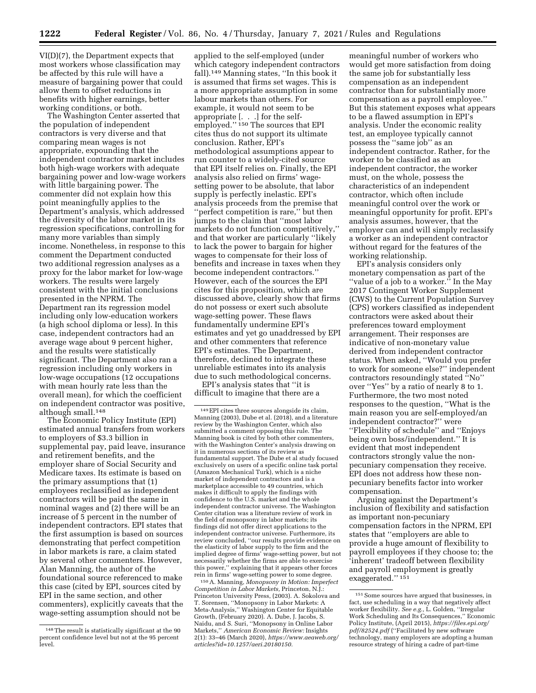VI(D)(7), the Department expects that most workers whose classification may be affected by this rule will have a measure of bargaining power that could allow them to offset reductions in benefits with higher earnings, better working conditions, or both.

The Washington Center asserted that the population of independent contractors is very diverse and that comparing mean wages is not appropriate, expounding that the independent contractor market includes both high-wage workers with adequate bargaining power and low-wage workers with little bargaining power. The commenter did not explain how this point meaningfully applies to the Department's analysis, which addressed the diversity of the labor market in its regression specifications, controlling for many more variables than simply income. Nonetheless, in response to this comment the Department conducted two additional regression analyses as a proxy for the labor market for low-wage workers. The results were largely consistent with the initial conclusions presented in the NPRM. The Department ran its regression model including only low-education workers (a high school diploma or less). In this case, independent contractors had an average wage about 9 percent higher, and the results were statistically significant. The Department also ran a regression including only workers in low-wage occupations (12 occupations with mean hourly rate less than the overall mean), for which the coefficient on independent contractor was positive, although small.148

The Economic Policy Institute (EPI) estimated annual transfers from workers to employers of \$3.3 billion in supplemental pay, paid leave, insurance and retirement benefits, and the employer share of Social Security and Medicare taxes. Its estimate is based on the primary assumptions that (1) employees reclassified as independent contractors will be paid the same in nominal wages and (2) there will be an increase of 5 percent in the number of independent contractors. EPI states that the first assumption is based on sources demonstrating that perfect competition in labor markets is rare, a claim stated by several other commenters. However, Alan Manning, the author of the foundational source referenced to make this case (cited by EPI, sources cited by EPI in the same section, and other commenters), explicitly caveats that the wage-setting assumption should not be

applied to the self-employed (under which category independent contractors fall).149 Manning states, ''In this book it is assumed that firms set wages. This is a more appropriate assumption in some labour markets than others. For example, it would not seem to be appropriate [. . .] for the selfemployed.'' 150 The sources that EPI cites thus do not support its ultimate conclusion. Rather, EPI's methodological assumptions appear to run counter to a widely-cited source that EPI itself relies on. Finally, the EPI analysis also relied on firms' wagesetting power to be absolute, that labor supply is perfectly inelastic. EPI's analysis proceeds from the premise that ''perfect competition is rare,'' but then jumps to the claim that ''most labor markets do not function competitively,'' and that worker are particularly ''likely to lack the power to bargain for higher wages to compensate for their loss of benefits and increase in taxes when they become independent contractors.'' However, each of the sources the EPI cites for this proposition, which are discussed above, clearly show that firms do not possess or exert such absolute wage-setting power. These flaws fundamentally undermine EPI's estimates and yet go unaddressed by EPI and other commenters that reference EPI's estimates. The Department, therefore, declined to integrate these unreliable estimates into its analysis due to such methodological concerns.

EPI's analysis states that ''it is difficult to imagine that there are a

150A. Manning, *Monopsony in Motion: Imperfect Competition in Labor Markets,* Princeton, N.J.: Princeton University Press, (2003). A. Sokolova and T. Sorensen, ''Monopsony in Labor Markets: A Meta-Analysis,'' Washington Center for Equitable Growth, (February 2020). A. Dube, J. Jacobs, S. Naidu, and S. Suri, ''Monopsony in Online Labor Markets,'' *American Economic Review:* Insights 2(1): 33–46 (March 2020), *[https://www.aeaweb.org/](https://www.aeaweb.org/articles?id=10.1257/aeri.20180150)  [articles?id=10.1257/aeri.20180150.](https://www.aeaweb.org/articles?id=10.1257/aeri.20180150)* 

meaningful number of workers who would get more satisfaction from doing the same job for substantially less compensation as an independent contractor than for substantially more compensation as a payroll employee.'' But this statement exposes what appears to be a flawed assumption in EPI's analysis. Under the economic reality test, an employee typically cannot possess the ''same job'' as an independent contractor. Rather, for the worker to be classified as an independent contractor, the worker must, on the whole, possess the characteristics of an independent contractor, which often include meaningful control over the work or meaningful opportunity for profit. EPI's analysis assumes, however, that the employer can and will simply reclassify a worker as an independent contractor without regard for the features of the working relationship.

EPI's analysis considers only monetary compensation as part of the ''value of a job to a worker.'' In the May 2017 Contingent Worker Supplement (CWS) to the Current Population Survey (CPS) workers classified as independent contractors were asked about their preferences toward employment arrangement. Their responses are indicative of non-monetary value derived from independent contractor status. When asked, ''Would you prefer to work for someone else?'' independent contractors resoundingly stated ''No'' over ''Yes'' by a ratio of nearly 8 to 1. Furthermore, the two most noted responses to the question, ''What is the main reason you are self-employed/an independent contractor?'' were ''Flexibility of schedule'' and ''Enjoys being own boss/independent.'' It is evident that most independent contractors strongly value the nonpecuniary compensation they receive. EPI does not address how these nonpecuniary benefits factor into worker compensation.

Arguing against the Department's inclusion of flexibility and satisfaction as important non-pecuniary compensation factors in the NPRM, EPI states that ''employers are able to provide a huge amount of flexibility to payroll employees if they choose to; the 'inherent' tradeoff between flexibility and payroll employment is greatly exaggerated."<sup>151</sup>

<sup>148</sup>The result is statistically significant at the 90 percent confidence level but not at the 95 percent level.

<sup>149</sup>EPI cites three sources alongside its claim, Manning (2003), Dube et al. (2018), and a literature review by the Washington Center, which also submitted a comment opposing this rule. The Manning book is cited by both other commenters, with the Washington Center's analysis drawing on it in numerous sections of its review as fundamental support. The Dube et al study focused exclusively on users of a specific online task portal (Amazon Mechanical Turk), which is a niche market of independent contractors and is a marketplace accessible to 49 countries, which makes it difficult to apply the findings with confidence to the U.S. market and the whole independent contractor universe. The Washington Center citation was a literature review of work in the field of monopsony in labor markets; its findings did not offer direct applications to the independent contractor universe. Furthermore, its review concluded, ''our results provide evidence on the elasticity of labor supply to the firm and the implied degree of firms' wage-setting power, but not necessarily whether the firms are able to exercise this power,'' explaining that it appears other forces rein in firms' wage-setting power to some degree.

<sup>&</sup>lt;sup>151</sup> Some sources have argued that businesses, in fact, use scheduling in a way that negatively affect worker flexibility. *See e.g.,* L. Golden, ''Irregular Work Scheduling and Its Consequences,'' Economic Policy Institute, (April 2015), *[https://files.epi.org/](https://files.epi.org/pdf/82524.pdf)  [pdf/82524.pdf](https://files.epi.org/pdf/82524.pdf)* (''Facilitated by new software technology, many employers are adopting a human resource strategy of hiring a cadre of part-time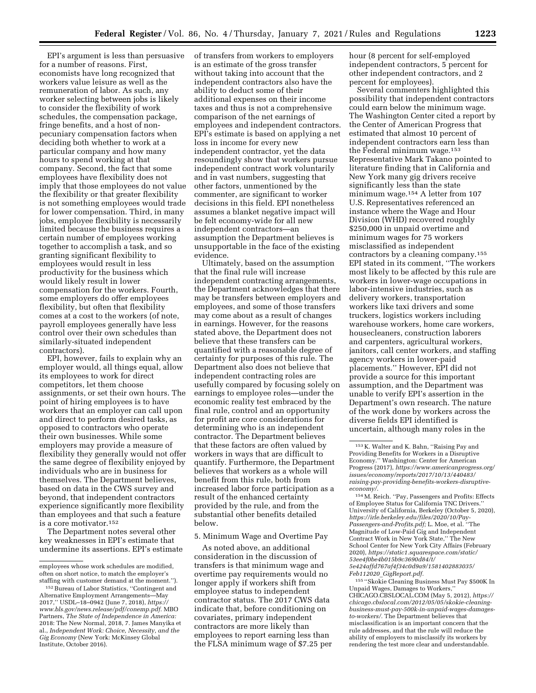EPI's argument is less than persuasive for a number of reasons. First, economists have long recognized that workers value leisure as well as the remuneration of labor. As such, any worker selecting between jobs is likely to consider the flexibility of work schedules, the compensation package, fringe benefits, and a host of nonpecuniary compensation factors when deciding both whether to work at a particular company and how many hours to spend working at that company. Second, the fact that some employees have flexibility does not imply that those employees do not value the flexibility or that greater flexibility is not something employees would trade for lower compensation. Third, in many jobs, employee flexibility is necessarily limited because the business requires a certain number of employees working together to accomplish a task, and so granting significant flexibility to employees would result in less productivity for the business which would likely result in lower compensation for the workers. Fourth, some employers do offer employees flexibility, but often that flexibility comes at a cost to the workers (of note, payroll employees generally have less control over their own schedules than similarly-situated independent contractors).

EPI, however, fails to explain why an employer would, all things equal, allow its employees to work for direct competitors, let them choose assignments, or set their own hours. The point of hiring employees is to have workers that an employer can call upon and direct to perform desired tasks, as opposed to contractors who operate their own businesses. While some employers may provide a measure of flexibility they generally would not offer the same degree of flexibility enjoyed by individuals who are in business for themselves. The Department believes, based on data in the CWS survey and beyond, that independent contractors experience significantly more flexibility than employees and that such a feature is a core motivator.152

The Department notes several other key weaknesses in EPI's estimate that undermine its assertions. EPI's estimate of transfers from workers to employers is an estimate of the gross transfer without taking into account that the independent contractors also have the ability to deduct some of their additional expenses on their income taxes and thus is not a comprehensive comparison of the net earnings of employees and independent contractors. EPI's estimate is based on applying a net loss in income for every new independent contractor, yet the data resoundingly show that workers pursue independent contract work voluntarily and in vast numbers, suggesting that other factors, unmentioned by the commenter, are significant to worker decisions in this field. EPI nonetheless assumes a blanket negative impact will be felt economy-wide for all new independent contractors—an assumption the Department believes is unsupportable in the face of the existing evidence.

Ultimately, based on the assumption that the final rule will increase independent contracting arrangements, the Department acknowledges that there may be transfers between employers and employees, and some of those transfers may come about as a result of changes in earnings. However, for the reasons stated above, the Department does not believe that these transfers can be quantified with a reasonable degree of certainty for purposes of this rule. The Department also does not believe that independent contracting roles are usefully compared by focusing solely on earnings to employee roles—under the economic reality test embraced by the final rule, control and an opportunity for profit are core considerations for determining who is an independent contractor. The Department believes that these factors are often valued by workers in ways that are difficult to quantify. Furthermore, the Department believes that workers as a whole will benefit from this rule, both from increased labor force participation as a result of the enhanced certainty provided by the rule, and from the substantial other benefits detailed below.

5. Minimum Wage and Overtime Pay

As noted above, an additional consideration in the discussion of transfers is that minimum wage and overtime pay requirements would no longer apply if workers shift from employee status to independent contractor status. The 2017 CWS data indicate that, before conditioning on covariates, primary independent contractors are more likely than employees to report earning less than the FLSA minimum wage of \$7.25 per hour (8 percent for self-employed independent contractors, 5 percent for other independent contractors, and 2 percent for employees).

Several commenters highlighted this possibility that independent contractors could earn below the minimum wage. The Washington Center cited a report by the Center of American Progress that estimated that almost 10 percent of independent contractors earn less than the Federal minimum wage.153 Representative Mark Takano pointed to literature finding that in California and New York many gig drivers receive significantly less than the state minimum wage.154 A letter from 107 U.S. Representatives referenced an instance where the Wage and Hour Division (WHD) recovered roughly \$250,000 in unpaid overtime and minimum wages for 75 workers misclassified as independent contractors by a cleaning company.155 EPI stated in its comment, ''The workers most likely to be affected by this rule are workers in lower-wage occupations in labor-intensive industries, such as delivery workers, transportation workers like taxi drivers and some truckers, logistics workers including warehouse workers, home care workers, housecleaners, construction laborers and carpenters, agricultural workers, janitors, call center workers, and staffing agency workers in lower-paid placements.'' However, EPI did not provide a source for this important assumption, and the Department was unable to verify EPI's assertion in the Department's own research. The nature of the work done by workers across the diverse fields EPI identified is uncertain, although many roles in the

154M. Reich. ''Pay, Passengers and Profits: Effects of Employee Status for California TNC Drivers.'' University of California, Berkeley (October 5, 2020), *[https://irle.berkeley.edu/files/2020/10/Pay-](https://irle.berkeley.edu/files/2020/10/Pay-Passengers-and-Profits.pdf)[Passengers-and-Profits.pdf;](https://irle.berkeley.edu/files/2020/10/Pay-Passengers-and-Profits.pdf)* L. Moe, et al. ''The Magnitude of Low-Paid Gig and Independent Contract Work in New York State,'' The New School Center for New York City Affairs (February 2020), *[https://static1.squarespace.com/static/](https://static1.squarespace.com/static/53ee4f0be4b015b9c3690d84/t/5e424affd767af4f34c0d9a9/1581402883035/Feb112020_GigReport.pdf)  [53ee4f0be4b015b9c3690d84/t/](https://static1.squarespace.com/static/53ee4f0be4b015b9c3690d84/t/5e424affd767af4f34c0d9a9/1581402883035/Feb112020_GigReport.pdf) [5e424affd767af4f34c0d9a9/1581402883035/](https://static1.squarespace.com/static/53ee4f0be4b015b9c3690d84/t/5e424affd767af4f34c0d9a9/1581402883035/Feb112020_GigReport.pdf) Feb112020*\_*[GigReport.pdf.](https://static1.squarespace.com/static/53ee4f0be4b015b9c3690d84/t/5e424affd767af4f34c0d9a9/1581402883035/Feb112020_GigReport.pdf)* 

155 ''Skokie Cleaning Business Must Pay \$500K In Unpaid Wages, Damages to Workers,'' CHICAGO.CBSLOCAL.COM (May 5, 2012), *[https://](https://chicago.cbslocal.com/2012/05/05/skokie-cleaning-business-must-pay-500k-in-unpaid-wages-damages-to-workers/)  chicago.cbslocal.com/2012/05/05/skokie-cleaning[business-must-pay-500k-in-unpaid-wages-damages](https://chicago.cbslocal.com/2012/05/05/skokie-cleaning-business-must-pay-500k-in-unpaid-wages-damages-to-workers/)[to-workers/.](https://chicago.cbslocal.com/2012/05/05/skokie-cleaning-business-must-pay-500k-in-unpaid-wages-damages-to-workers/)* The Department believes that misclassification is an important concern that the rule addresses, and that the rule will reduce the ability of employers to misclassify its workers by rendering the test more clear and understandable.

employees whose work schedules are modified, often on short notice, to match the employer's staffing with customer demand at the moment.'').

<sup>152</sup>Bureau of Labor Statistics, ''Contingent and Alternative Employment Arrangements—May 2017,'' USDL–18–0942 (June 7, 2018), *[https://](https://www.bls.gov/news.release/pdf/conemp.pdf) [www.bls.gov/news.release/pdf/conemp.pdf.](https://www.bls.gov/news.release/pdf/conemp.pdf)* MBO Partners, *The State of Independence in America:*  2018: The New Normal, 2018, 7. James Manyika et al., *Independent Work: Choice, Necessity, and the Gig Economy* (New York: McKinsey Global Institute, October 2016).

<sup>153</sup> K. Walter and K. Bahn, ''Raising Pay and Providing Benefits for Workers in a Disruptive Economy.'' Washington: Center for American Progress (2017), *[https://www.americanprogress.org/](https://www.americanprogress.org/issues/economy/reports/2017/10/13/440483/raising-pay-providing-benefits-workers-disruptive-economy/)  [issues/economy/reports/2017/10/13/440483/](https://www.americanprogress.org/issues/economy/reports/2017/10/13/440483/raising-pay-providing-benefits-workers-disruptive-economy/)  [raising-pay-providing-benefits-workers-disruptive](https://www.americanprogress.org/issues/economy/reports/2017/10/13/440483/raising-pay-providing-benefits-workers-disruptive-economy/)[economy/](https://www.americanprogress.org/issues/economy/reports/2017/10/13/440483/raising-pay-providing-benefits-workers-disruptive-economy/)*.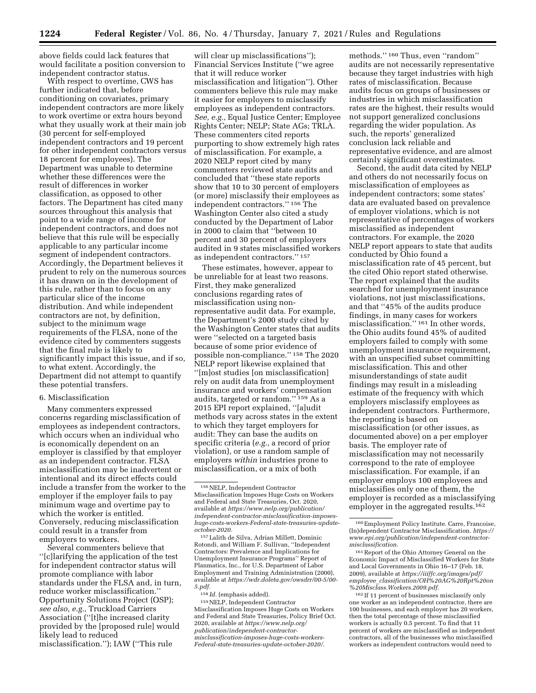above fields could lack features that would facilitate a position conversion to independent contractor status.

With respect to overtime, CWS has further indicated that, before conditioning on covariates, primary independent contractors are more likely to work overtime or extra hours beyond what they usually work at their main job (30 percent for self-employed independent contractors and 19 percent for other independent contractors versus 18 percent for employees). The Department was unable to determine whether these differences were the result of differences in worker classification, as opposed to other factors. The Department has cited many sources throughout this analysis that point to a wide range of income for independent contractors, and does not believe that this rule will be especially applicable to any particular income segment of independent contractors. Accordingly, the Department believes it prudent to rely on the numerous sources it has drawn on in the development of this rule, rather than to focus on any particular slice of the income distribution. And while independent contractors are not, by definition, subject to the minimum wage requirements of the FLSA, none of the evidence cited by commenters suggests that the final rule is likely to significantly impact this issue, and if so, to what extent. Accordingly, the Department did not attempt to quantify these potential transfers.

### 6. Misclassification

Many commenters expressed concerns regarding misclassification of employees as independent contractors, which occurs when an individual who is economically dependent on an employer is classified by that employer as an independent contractor. FLSA misclassification may be inadvertent or intentional and its direct effects could include a transfer from the worker to the employer if the employer fails to pay minimum wage and overtime pay to which the worker is entitled. Conversely, reducing misclassification could result in a transfer from employers to workers.

Several commenters believe that ''[c]larifying the application of the test for independent contractor status will promote compliance with labor standards under the FLSA and, in turn, reduce worker misclassification.'' Opportunity Solutions Project (OSP); *see also, e.g.,* Truckload Carriers Association (''[t]he increased clarity provided by the [proposed rule] would likely lead to reduced misclassification.''); IAW (''This rule

will clear up misclassifications''); Financial Services Institute (''we agree that it will reduce worker misclassification and litigation''). Other commenters believe this rule may make it easier for employers to misclassify employees as independent contractors. *See, e.g.,* Equal Justice Center; Employee Rights Center; NELP; State AGs; TRLA. These commenters cited reports purporting to show extremely high rates of misclassification. For example, a 2020 NELP report cited by many commenters reviewed state audits and concluded that ''these state reports show that 10 to 30 percent of employers (or more) misclassify their employees as independent contractors.'' 156 The Washington Center also cited a study conducted by the Department of Labor in 2000 to claim that ''between 10 percent and 30 percent of employers audited in 9 states misclassified workers as independent contractors.'' 157

These estimates, however, appear to be unreliable for at least two reasons. First, they make generalized conclusions regarding rates of misclassification using nonrepresentative audit data. For example, the Department's 2000 study cited by the Washington Center states that audits were ''selected on a targeted basis because of some prior evidence of possible non-compliance.'' 158 The 2020 NELP report likewise explained that ''[m]ost studies [on misclassification] rely on audit data from unemployment insurance and workers' compensation audits, targeted or random.'' 159 As a 2015 EPI report explained, ''[a]udit methods vary across states in the extent to which they target employers for audit: They can base the audits on specific criteria (*e.g.,* a record of prior violation), or use a random sample of employers *within* industries prone to misclassification, or a mix of both

159NELP, Independent Contractor Misclassification Imposes Huge Costs on Workers and Federal and State Treasuries, Policy Brief Oct. 2020, available at *[https://www.nelp.org/](https://www.nelp.org/publication/independent-contractor-misclassification-imposes-huge-costs-workers-Federal-state-treasuries-update-october-2020/) [publication/independent-contractor](https://www.nelp.org/publication/independent-contractor-misclassification-imposes-huge-costs-workers-Federal-state-treasuries-update-october-2020/)[misclassification-imposes-huge-costs-workers-](https://www.nelp.org/publication/independent-contractor-misclassification-imposes-huge-costs-workers-Federal-state-treasuries-update-october-2020/)[Federal-state-treasuries-update-october-2020/.](https://www.nelp.org/publication/independent-contractor-misclassification-imposes-huge-costs-workers-Federal-state-treasuries-update-october-2020/)* 

methods.'' 160 Thus, even ''random'' audits are not necessarily representative because they target industries with high rates of misclassification. Because audits focus on groups of businesses or industries in which misclassification rates are the highest, their results would not support generalized conclusions regarding the wider population. As such, the reports' generalized conclusion lack reliable and representative evidence, and are almost certainly significant overestimates.

Second, the audit data cited by NELP and others do not necessarily focus on misclassification of employees as independent contractors; some states' data are evaluated based on prevalence of employer violations, which is not representative of percentages of workers misclassified as independent contractors. For example, the 2020 NELP report appears to state that audits conducted by Ohio found a misclassification rate of 45 percent, but the cited Ohio report stated otherwise. The report explained that the audits searched for unemployment insurance violations, not just misclassifications, and that ''45% of the audits produce findings, in many cases for workers misclassification.'' 161 In other words, the Ohio audits found 45% of audited employers failed to comply with some unemployment insurance requirement, with an unspecified subset committing misclassification. This and other misunderstandings of state audit findings may result in a misleading estimate of the frequency with which employers misclassify employees as independent contractors. Furthermore, the reporting is based on misclassification (or other issues, as documented above) on a per employer basis. The employer rate of misclassification may not necessarily correspond to the rate of employee misclassification. For example, if an employer employs 100 employees and misclassifies only one of them, the employer is recorded as a misclassifying employer in the aggregated results.162

<sup>156</sup>NELP, Independent Contractor Misclassification Imposes Huge Costs on Workers and Federal and State Treasuries, Oct. 2020, available at *[https://www.nelp.org/publication/](https://www.nelp.org/publication/independent-contractor-misclassification-imposes-huge-costs-workers-Federal-state-treasuries-update-october-2020) independent-contractor-misclassification-imposes[huge-costs-workers-Federal-state-treasuries-update](https://www.nelp.org/publication/independent-contractor-misclassification-imposes-huge-costs-workers-Federal-state-treasuries-update-october-2020)[october-2020.](https://www.nelp.org/publication/independent-contractor-misclassification-imposes-huge-costs-workers-Federal-state-treasuries-update-october-2020)* 

<sup>157</sup>Lalith de Silva, Adrian Millett, Dominic Rotondi, and William F. Sullivan, ''Independent Contractors: Prevalence and Implications for Unemployment Insurance Programs'' Report of Planmatics, Inc., for U.S. Department of Labor Employment and Training Administration (2000), available at *[https://wdr.doleta.gov/owsdrr/00-5/00-](https://wdr.doleta.gov/owsdrr/00-5/00-5.pdf)  [5.pdf.](https://wdr.doleta.gov/owsdrr/00-5/00-5.pdf)* 

<sup>158</sup> *Id.* (emphasis added).

<sup>160</sup>Employment Policy Institute. Carre, Francoise, (In)dependent Contractor Misclassification. *[https://](https://www.epi.org/publication/independent-contractor-misclassification) [www.epi.org/publication/independent-contractor](https://www.epi.org/publication/independent-contractor-misclassification)[misclassification](https://www.epi.org/publication/independent-contractor-misclassification)*.

<sup>161</sup>Report of the Ohio Attorney General on the Economic Impact of Misclassified Workers for State and Local Governments in Ohio 16–17 (Feb. 18, 2009), available at *[https://iiiffc.org/images/pdf/](https://iiiffc.org/images/pdf/employee_classification/OH%20AG%20Rpt%20on%20Misclass.Workers.2009.pdf) employee*\_*[classification/OH%20AG%20Rpt%20on](https://iiiffc.org/images/pdf/employee_classification/OH%20AG%20Rpt%20on%20Misclass.Workers.2009.pdf) [%20Misclass.Workers.2009.pdf.](https://iiiffc.org/images/pdf/employee_classification/OH%20AG%20Rpt%20on%20Misclass.Workers.2009.pdf)* 

<sup>162</sup> If 11 percent of businesses misclassify only one worker as an independent contractor, there are 100 businesses, and each employer has 20 workers, then the total percentage of these misclassified workers is actually 0.5 percent. To find that 11 percent of workers are misclassified as independent contractors, all of the businesses who misclassified workers as independent contractors would need to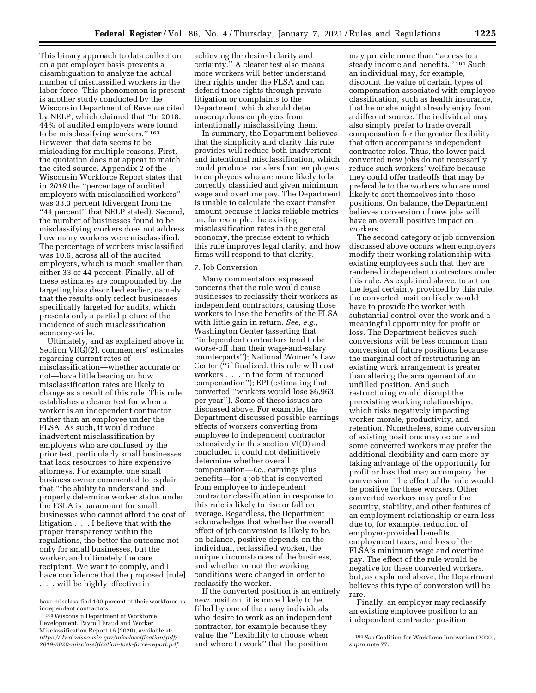This binary approach to data collection on a per employer basis prevents a disambiguation to analyze the actual number of misclassified workers in the labor force. This phenomenon is present is another study conducted by the Wisconsin Department of Revenue cited by NELP, which claimed that ''In 2018, 44% of audited employers were found to be misclassifying workers.'' 163 However, that data seems to be misleading for multiple reasons. First, the quotation does not appear to match the cited source. Appendix 2 of the Wisconsin Workforce Report states that in *2019* the ''percentage of audited employers with misclassified workers'' was 33.3 percent (divergent from the "44 percent" that NELP stated). Second, the number of businesses found to be misclassifying workers does not address how many workers were misclassified. The percentage of workers misclassified was 10.6, across all of the audited employers, which is much smaller than either 33 or 44 percent. Finally, all of these estimates are compounded by the targeting bias described earlier, namely that the results only reflect businesses specifically targeted for audits, which presents only a partial picture of the incidence of such misclassification economy-wide.

Ultimately, and as explained above in Section VI(G)(2), commenters' estimates regarding current rates of misclassification—whether accurate or not—have little bearing on how misclassification rates are likely to change as a result of this rule. This rule establishes a clearer test for when a worker is an independent contractor rather than an employee under the FLSA. As such, it would reduce inadvertent misclassification by employers who are confused by the prior test, particularly small businesses that lack resources to hire expensive attorneys. For example, one small business owner commented to explain that ''the ability to understand and properly determine worker status under the FSLA is paramount for small businesses who cannot afford the cost of litigation . . . I believe that with the proper transparency within the regulations, the better the outcome not only for small businesses, but the worker, and ultimately the care recipient. We want to comply, and I have confidence that the proposed [rule] . . . will be highly effective in

achieving the desired clarity and certainty.'' A clearer test also means more workers will better understand their rights under the FLSA and can defend those rights through private litigation or complaints to the Department, which should deter unscrupulous employers from intentionally misclassifying them.

In summary, the Department believes that the simplicity and clarity this rule provides will reduce both inadvertent and intentional misclassification, which could produce transfers from employers to employees who are more likely to be correctly classified and given minimum wage and overtime pay. The Department is unable to calculate the exact transfer amount because it lacks reliable metrics on, for example, the existing misclassification rates in the general economy, the precise extent to which this rule improves legal clarity, and how firms will respond to that clarity.

# 7. Job Conversion

Many commentators expressed concerns that the rule would cause businesses to reclassify their workers as independent contractors, causing those workers to lose the benefits of the FLSA with little gain in return. *See, e.g.,*  Washington Center (asserting that ''independent contractors tend to be worse-off than their wage-and-salary counterparts''); National Women's Law Center (''if finalized, this rule will cost workers . . . in the form of reduced compensation''); EPI (estimating that converted ''workers would lose \$6,963 per year''). Some of these issues are discussed above. For example, the Department discussed possible earnings effects of workers converting from employee to independent contractor extensively in this section VI(D) and concluded it could not definitively determine whether overall compensation—*i.e.,* earnings plus benefits—for a job that is converted from employee to independent contractor classification in response to this rule is likely to rise or fall on average. Regardless, the Department acknowledges that whether the overall effect of job conversion is likely to be, on balance, positive depends on the individual, reclassified worker, the unique circumstances of the business, and whether or not the working conditions were changed in order to reclassify the worker.

If the converted position is an entirely new position, it is more likely to be filled by one of the many individuals who desire to work as an independent contractor, for example because they value the ''flexibility to choose when and where to work'' that the position

may provide more than ''access to a steady income and benefits.'' 164 Such an individual may, for example, discount the value of certain types of compensation associated with employee classification, such as health insurance, that he or she might already enjoy from a different source. The individual may also simply prefer to trade overall compensation for the greater flexibility that often accompanies independent contractor roles. Thus, the lower paid converted new jobs do not necessarily reduce such workers' welfare because they could offer tradeoffs that may be preferable to the workers who are most likely to sort themselves into those positions. On balance, the Department believes conversion of new jobs will have an overall positive impact on workers.

The second category of job conversion discussed above occurs when employers modify their working relationship with existing employees such that they are rendered independent contractors under this rule. As explained above, to act on the legal certainty provided by this rule, the converted position likely would have to provide the worker with substantial control over the work and a meaningful opportunity for profit or loss. The Department believes such conversions will be less common than conversion of future positions because the marginal cost of restructuring an existing work arrangement is greater than altering the arrangement of an unfilled position. And such restructuring would disrupt the preexisting working relationships, which risks negatively impacting worker morale, productivity, and retention. Nonetheless, some conversion of existing positions may occur, and some converted workers may prefer the additional flexibility and earn more by taking advantage of the opportunity for profit or loss that may accompany the conversion. The effect of the rule would be positive for these workers. Other converted workers may prefer the security, stability, and other features of an employment relationship or earn less due to, for example, reduction of employer-provided benefits, employment taxes, and loss of the FLSA's minimum wage and overtime pay. The effect of the rule would be negative for these converted workers, but, as explained above, the Department believes this type of conversion will be rare.

Finally, an employer may reclassify an existing employee position to an independent contractor position

have misclassified 100 percent of their workforce as independent contractors.

<sup>163</sup>Wisconsin Department of Workforce Development, Payroll Fraud and Worker Misclassification Report 16 (2020), available at: *[https://dwd.wisconsin.gov/misclassification/pdf/](https://dwd.wisconsin.gov/misclassification/pdf/2019-2020-misclassification-task-force-report.pdf) [2019-2020-misclassification-task-force-report.pdf.](https://dwd.wisconsin.gov/misclassification/pdf/2019-2020-misclassification-task-force-report.pdf)* 

<sup>164</sup>*See* Coalition for Workforce Innovation (2020), *supra* note 77.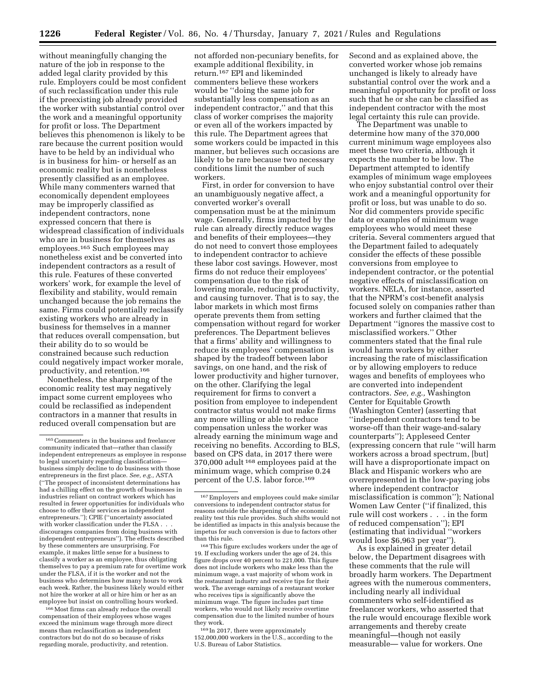without meaningfully changing the nature of the job in response to the added legal clarity provided by this rule. Employers could be most confident of such reclassification under this rule if the preexisting job already provided the worker with substantial control over the work and a meaningful opportunity for profit or loss. The Department believes this phenomenon is likely to be rare because the current position would have to be held by an individual who is in business for him- or herself as an economic reality but is nonetheless presently classified as an employee. While many commenters warned that economically dependent employees may be improperly classified as independent contractors, none expressed concern that there is widespread classification of individuals who are in business for themselves as employees.165 Such employees may nonetheless exist and be converted into independent contractors as a result of this rule. Features of these converted workers' work, for example the level of flexibility and stability, would remain unchanged because the job remains the same. Firms could potentially reclassify existing workers who are already in business for themselves in a manner that reduces overall compensation, but their ability do to so would be constrained because such reduction could negatively impact worker morale, productivity, and retention.166

Nonetheless, the sharpening of the economic reality test may negatively impact some current employees who could be reclassified as independent contractors in a manner that results in reduced overall compensation but are

166Most firms can already reduce the overall compensation of their employees whose wages exceed the minimum wage through more direct means than reclassification as independent contractors but do not do so because of risks regarding morale, productivity, and retention.

not afforded non-pecuniary benefits, for example additional flexibility, in return.167 EPI and likeminded commenters believe these workers would be ''doing the same job for substantially less compensation as an independent contractor,'' and that this class of worker comprises the majority or even all of the workers impacted by this rule. The Department agrees that some workers could be impacted in this manner, but believes such occasions are likely to be rare because two necessary conditions limit the number of such workers.

First, in order for conversion to have an unambiguously negative affect, a converted worker's overall compensation must be at the minimum wage. Generally, firms impacted by the rule can already directly reduce wages and benefits of their employees—they do not need to convert those employees to independent contractor to achieve these labor cost savings. However, most firms do not reduce their employees' compensation due to the risk of lowering morale, reducing productivity, and causing turnover. That is to say, the labor markets in which most firms operate prevents them from setting compensation without regard for worker preferences. The Department believes that a firms' ability and willingness to reduce its employees' compensation is shaped by the tradeoff between labor savings, on one hand, and the risk of lower productivity and higher turnover, on the other. Clarifying the legal requirement for firms to convert a position from employee to independent contractor status would not make firms any more willing or able to reduce compensation unless the worker was already earning the minimum wage and receiving no benefits. According to BLS, based on CPS data, in 2017 there were 370,000 adult 168 employees paid at the minimum wage, which comprise 0.24 percent of the U.S. labor force.169

<sup>169</sup> In 2017, there were approximately 152,000,000 workers in the U.S., according to the U.S. Bureau of Labor Statistics.

Second and as explained above, the converted worker whose job remains unchanged is likely to already have substantial control over the work and a meaningful opportunity for profit or loss such that he or she can be classified as independent contractor with the most legal certainty this rule can provide.

The Department was unable to determine how many of the 370,000 current minimum wage employees also meet these two criteria, although it expects the number to be low. The Department attempted to identify examples of minimum wage employees who enjoy substantial control over their work and a meaningful opportunity for profit or loss, but was unable to do so. Nor did commenters provide specific data or examples of minimum wage employees who would meet these criteria. Several commenters argued that the Department failed to adequately consider the effects of these possible conversions from employee to independent contractor, or the potential negative effects of misclassification on workers. NELA, for instance, asserted that the NPRM's cost-benefit analysis focused solely on companies rather than workers and further claimed that the Department ''ignores the massive cost to misclassified workers.'' Other commenters stated that the final rule would harm workers by either increasing the rate of misclassification or by allowing employers to reduce wages and benefits of employees who are converted into independent contractors. *See, e.g.,* Washington Center for Equitable Growth (Washington Center) (asserting that ''independent contractors tend to be worse-off than their wage-and-salary counterparts''); Appleseed Center (expressing concern that rule ''will harm workers across a broad spectrum, [but] will have a disproportionate impact on Black and Hispanic workers who are overrepresented in the low-paying jobs where independent contractor misclassification is common''); National Women Law Center (''if finalized, this rule will cost workers . . . in the form of reduced compensation''); EPI (estimating that individual ''workers would lose \$6,963 per year'').

As is explained in greater detail below, the Department disagrees with these comments that the rule will broadly harm workers. The Department agrees with the numerous commenters, including nearly all individual commenters who self-identified as freelancer workers, who asserted that the rule would encourage flexible work arrangements and thereby create meaningful—though not easily measurable— value for workers. One

 $^{\rm 165}$  Commenters in the business and freelancer community indicated that—rather than classify independent entrepreneurs as employee in response to legal uncertainty regarding classification business simply decline to do business with those entrepreneurs in the first place. *See, e.g.,* ASTA (''The prospect of inconsistent determinations has had a chilling effect on the growth of businesses in industries reliant on contract workers which has resulted in fewer opportunities for individuals who choose to offer their services as independent entrepreneurs.''); CPIE (''uncertainty associated with worker classification under the FLSA. discourages companies from doing business with independent entrepreneurs''). The effects described by these commenters are unsurprising. For example, it makes little sense for a business to classify a worker as an employee, thus obligating themselves to pay a premium rate for overtime work under the FLSA, if it is the worker and not the business who determines how many hours to work each week. Rather, the business likely would either not hire the worker at all or hire him or her as an employee but insist on controlling hours worked.

<sup>167</sup>Employers and employees could make similar conversions to independent contractor status for reasons outside the sharpening of the economic reality test this rule provides. Such shifts would not be identified as impacts in this analysis because the impetus for such conversion is due to factors other than this rule.

<sup>168</sup>This figure excludes workers under the age of 19. If excluding workers under the age of 24, this figure drops over 40 percent to 221,000. This figure does not include workers who make less than the minimum wage, a vast majority of whom work in the restaurant industry and receive tips for their work. The average earnings of a restaurant worker who receives tips is significantly above the minimum wage. The figure includes part time workers, who would not likely receive overtime compensation due to the limited number of hours they work.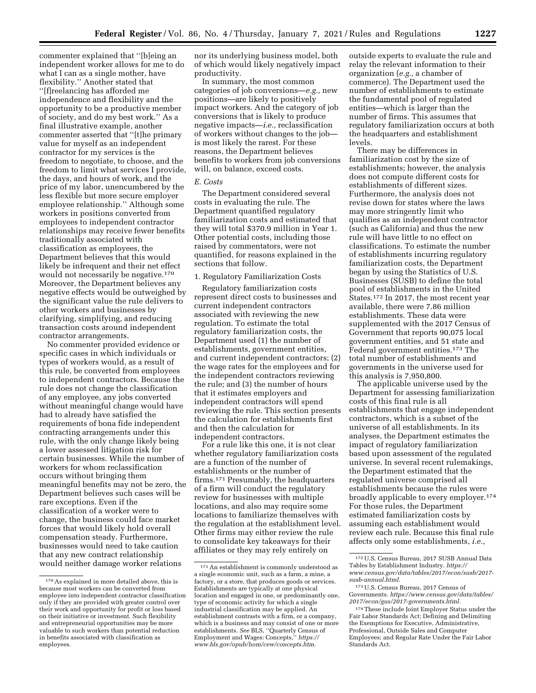commenter explained that ''[b]eing an independent worker allows for me to do what I can as a single mother, have flexibility.'' Another stated that ''[f]reelancing has afforded me independence and flexibility and the opportunity to be a productive member of society, and do my best work.'' As a final illustrative example, another commenter asserted that ''[t]he primary value for myself as an independent contractor for my services is the freedom to negotiate, to choose, and the freedom to limit what services I provide, the days, and hours of work, and the price of my labor, unencumbered by the less flexible but more secure employer employee relationship.'' Although some workers in positions converted from employees to independent contractor relationships may receive fewer benefits traditionally associated with classification as employees, the Department believes that this would likely be infrequent and their net effect would not necessarily be negative.170 Moreover, the Department believes any negative effects would be outweighed by the significant value the rule delivers to other workers and businesses by clarifying, simplifying, and reducing

transaction costs around independent contractor arrangements. No commenter provided evidence or specific cases in which individuals or types of workers would, as a result of this rule, be converted from employees to independent contractors. Because the rule does not change the classification of any employee, any jobs converted without meaningful change would have had to already have satisfied the requirements of bona fide independent contracting arrangements under this rule, with the only change likely being a lower assessed litigation risk for certain businesses. While the number of workers for whom reclassification occurs without bringing them meaningful benefits may not be zero, the Department believes such cases will be rare exceptions. Even if the classification of a worker were to change, the business could face market forces that would likely hold overall compensation steady. Furthermore, businesses would need to take caution that any new contract relationship would neither damage worker relations

nor its underlying business model, both of which would likely negatively impact productivity.

In summary, the most common categories of job conversions—*e.g.,* new positions—are likely to positively impact workers. And the category of job conversions that is likely to produce negative impacts—*i.e.,* reclassification of workers without changes to the job is most likely the rarest. For these reasons, the Department believes benefits to workers from job conversions will, on balance, exceed costs.

# *E. Costs*

The Department considered several costs in evaluating the rule. The Department quantified regulatory familiarization costs and estimated that they will total \$370.9 million in Year 1. Other potential costs, including those raised by commentators, were not quantified, for reasons explained in the sections that follow.

#### 1. Regulatory Familiarization Costs

Regulatory familiarization costs represent direct costs to businesses and current independent contractors associated with reviewing the new regulation. To estimate the total regulatory familiarization costs, the Department used (1) the number of establishments, government entities, and current independent contractors; (2) the wage rates for the employees and for the independent contractors reviewing the rule; and (3) the number of hours that it estimates employers and independent contractors will spend reviewing the rule. This section presents the calculation for establishments first and then the calculation for independent contractors.

For a rule like this one, it is not clear whether regulatory familiarization costs are a function of the number of establishments or the number of firms.171 Presumably, the headquarters of a firm will conduct the regulatory review for businesses with multiple locations, and also may require some locations to familiarize themselves with the regulation at the establishment level. Other firms may either review the rule to consolidate key takeaways for their affiliates or they may rely entirely on

outside experts to evaluate the rule and relay the relevant information to their organization (*e.g.,* a chamber of commerce). The Department used the number of establishments to estimate the fundamental pool of regulated entities—which is larger than the number of firms. This assumes that regulatory familiarization occurs at both the headquarters and establishment levels.

There may be differences in familiarization cost by the size of establishments; however, the analysis does not compute different costs for establishments of different sizes. Furthermore, the analysis does not revise down for states where the laws may more stringently limit who qualifies as an independent contractor (such as California) and thus the new rule will have little to no effect on classifications. To estimate the number of establishments incurring regulatory familiarization costs, the Department began by using the Statistics of U.S. Businesses (SUSB) to define the total pool of establishments in the United States.172 In 2017, the most recent year available, there were 7.86 million establishments. These data were supplemented with the 2017 Census of Government that reports 90,075 local government entities, and 51 state and Federal government entities.173 The total number of establishments and governments in the universe used for this analysis is 7,950,800.

The applicable universe used by the Department for assessing familiarization costs of this final rule is all establishments that engage independent contractors, which is a subset of the universe of all establishments. In its analyses, the Department estimates the impact of regulatory familiarization based upon assessment of the regulated universe. In several recent rulemakings, the Department estimated that the regulated universe comprised all establishments because the rules were broadly applicable to every employer.174 For those rules, the Department estimated familiarization costs by assuming each establishment would review each rule. Because this final rule affects only some establishments, *i.e.,* 

<sup>170</sup>As explained in more detailed above, this is because most workers can be converted from employee into independent contractor classification only if they are provided with greater control over their work and opportunity for profit or loss based on their initiative or investment. Such flexibility and entrepreneurial opportunities may be more valuable to such workers than potential reduction in benefits associated with classification as employees.

<sup>171</sup>An establishment is commonly understood as a single economic unit, such as a farm, a mine, a factory, or a store, that produces goods or services. Establishments are typically at one physical location and engaged in one, or predominantly one, type of economic activity for which a single industrial classification may be applied. An establishment contrasts with a firm, or a company, which is a business and may consist of one or more establishments. *See* BLS, ''Quarterly Census of Employment and Wages: Concepts,'' *[https://](https://www.bls.gov/opub/hom/cew/concepts.htm) [www.bls.gov/opub/hom/cew/concepts.htm.](https://www.bls.gov/opub/hom/cew/concepts.htm)* 

<sup>172</sup>U.S. Census Bureau, 2017 SUSB Annual Data Tables by Establishment Industry. *[https://](https://www.census.gov/data/tables/2017/econ/susb/2017-susb-annual.html) [www.census.gov/data/tables/2017/econ/susb/2017](https://www.census.gov/data/tables/2017/econ/susb/2017-susb-annual.html) [susb-annual.html.](https://www.census.gov/data/tables/2017/econ/susb/2017-susb-annual.html)* 

<sup>173</sup>U.S. Census Bureau, 2017 Census of Governments. *[https://www.census.gov/data/tables/](https://www.census.gov/data/tables/2017/econ/gus/2017-governments.html)  [2017/econ/gus/2017-governments.html.](https://www.census.gov/data/tables/2017/econ/gus/2017-governments.html)* 

<sup>174</sup>These include Joint Employer Status under the Fair Labor Standards Act; Defining and Delimiting the Exemptions for Executive, Administrative, Professional, Outside Sales and Computer Employees; and Regular Rate Under the Fair Labor Standards Act.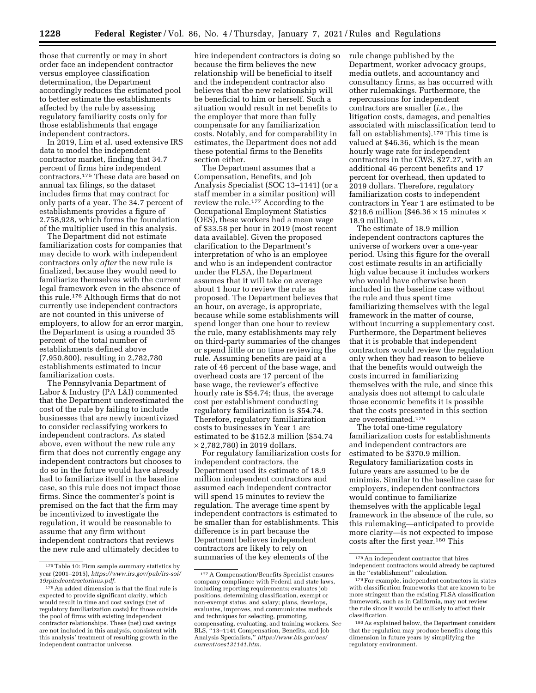those that currently or may in short order face an independent contractor versus employee classification determination, the Department accordingly reduces the estimated pool to better estimate the establishments affected by the rule by assessing regulatory familiarity costs only for those establishments that engage independent contractors.

In 2019, Lim et al. used extensive IRS data to model the independent contractor market, finding that 34.7 percent of firms hire independent contractors.175 These data are based on annual tax filings, so the dataset includes firms that may contract for only parts of a year. The 34.7 percent of establishments provides a figure of 2,758,928, which forms the foundation of the multiplier used in this analysis.

The Department did not estimate familiarization costs for companies that may decide to work with independent contractors only *after* the new rule is finalized, because they would need to familiarize themselves with the current legal framework even in the absence of this rule.176 Although firms that do not currently use independent contractors are not counted in this universe of employers, to allow for an error margin, the Department is using a rounded 35 percent of the total number of establishments defined above (7,950,800), resulting in 2,782,780 establishments estimated to incur familiarization costs.

The Pennsylvania Department of Labor & Industry (PA L&I) commented that the Department underestimated the cost of the rule by failing to include businesses that are newly incentivized to consider reclassifying workers to independent contractors. As stated above, even without the new rule any firm that does not currently engage any independent contractors but chooses to do so in the future would have already had to familiarize itself in the baseline case, so this rule does not impact those firms. Since the commenter's point is premised on the fact that the firm may be incentivized to investigate the regulation, it would be reasonable to assume that any firm without independent contractors that reviews the new rule and ultimately decides to

hire independent contractors is doing so because the firm believes the new relationship will be beneficial to itself and the independent contractor also believes that the new relationship will be beneficial to him or herself. Such a situation would result in net benefits to the employer that more than fully compensate for any familiarization costs. Notably, and for comparability in estimates, the Department does not add these potential firms to the Benefits section either.

The Department assumes that a Compensation, Benefits, and Job Analysis Specialist (SOC 13–1141) (or a staff member in a similar position) will review the rule.177 According to the Occupational Employment Statistics (OES), these workers had a mean wage of \$33.58 per hour in 2019 (most recent data available). Given the proposed clarification to the Department's interpretation of who is an employee and who is an independent contractor under the FLSA, the Department assumes that it will take on average about 1 hour to review the rule as proposed. The Department believes that an hour, on average, is appropriate, because while some establishments will spend longer than one hour to review the rule, many establishments may rely on third-party summaries of the changes or spend little or no time reviewing the rule. Assuming benefits are paid at a rate of 46 percent of the base wage, and overhead costs are 17 percent of the base wage, the reviewer's effective hourly rate is \$54.74; thus, the average cost per establishment conducting regulatory familiarization is \$54.74. Therefore, regulatory familiarization costs to businesses in Year 1 are estimated to be \$152.3 million (\$54.74 × 2,782,780) in 2019 dollars.

For regulatory familiarization costs for independent contractors, the Department used its estimate of 18.9 million independent contractors and assumed each independent contractor will spend 15 minutes to review the regulation. The average time spent by independent contractors is estimated to be smaller than for establishments. This difference is in part because the Department believes independent contractors are likely to rely on summaries of the key elements of the

rule change published by the Department, worker advocacy groups, media outlets, and accountancy and consultancy firms, as has occurred with other rulemakings. Furthermore, the repercussions for independent contractors are smaller (*i.e.,* the litigation costs, damages, and penalties associated with misclassification tend to fall on establishments).178 This time is valued at \$46.36, which is the mean hourly wage rate for independent contractors in the CWS, \$27.27, with an additional 46 percent benefits and 17 percent for overhead, then updated to 2019 dollars. Therefore, regulatory familiarization costs to independent contractors in Year 1 are estimated to be \$218.6 million (\$46.36  $\times$  15 minutes  $\times$ 18.9 million).

The estimate of 18.9 million independent contractors captures the universe of workers over a one-year period. Using this figure for the overall cost estimate results in an artificially high value because it includes workers who would have otherwise been included in the baseline case without the rule and thus spent time familiarizing themselves with the legal framework in the matter of course, without incurring a supplementary cost. Furthermore, the Department believes that it is probable that independent contractors would review the regulation only when they had reason to believe that the benefits would outweigh the costs incurred in familiarizing themselves with the rule, and since this analysis does not attempt to calculate those economic benefits it is possible that the costs presented in this section are overestimated.179

The total one-time regulatory familiarization costs for establishments and independent contractors are estimated to be \$370.9 million. Regulatory familiarization costs in future years are assumed to be de minimis. Similar to the baseline case for employers, independent contractors would continue to familiarize themselves with the applicable legal framework in the absence of the rule, so this rulemaking—anticipated to provide more clarity—is not expected to impose costs after the first year.180 This

<sup>175</sup>Table 10: Firm sample summary statistics by year (2001–2015), *[https://www.irs.gov/pub/irs-soi/](https://www.irs.gov/pub/irs-soi/19rpindcontractorinus.pdf)  [19rpindcontractorinus.pdf.](https://www.irs.gov/pub/irs-soi/19rpindcontractorinus.pdf)* 

<sup>176</sup>An added dimension is that the final rule is expected to provide significant clarity, which would result in time and cost savings (net of regulatory familiarization costs) for those outside the pool of firms with existing independent contractor relationships. These (net) cost savings are not included in this analysis, consistent with this analysis' treatment of resulting growth in the independent contractor universe.

<sup>177</sup>A Compensation/Benefits Specialist ensures company compliance with Federal and state laws, including reporting requirements; evaluates job positions, determining classification, exempt or non-exempt status, and salary; plans, develops, evaluates, improves, and communicates methods and techniques for selecting, promoting, compensating, evaluating, and training workers. *See*  BLS, ''13–1141 Compensation, Benefits, and Job Analysis Specialists,'' *[https://www.bls.gov/oes/](https://www.bls.gov/oes/current/oes131141.htm) [current/oes131141.htm.](https://www.bls.gov/oes/current/oes131141.htm)* 

<sup>178</sup>An independent contractor that hires independent contractors would already be captured in the ''establishment'' calculation.

<sup>179</sup>For example, independent contractors in states with classification frameworks that are known to be more stringent than the existing FLSA classification framework, such as in California, may not review the rule since it would be unlikely to affect their classification.

<sup>180</sup>As explained below, the Department considers that the regulation may produce benefits along this dimension in future years by simplifying the regulatory environment.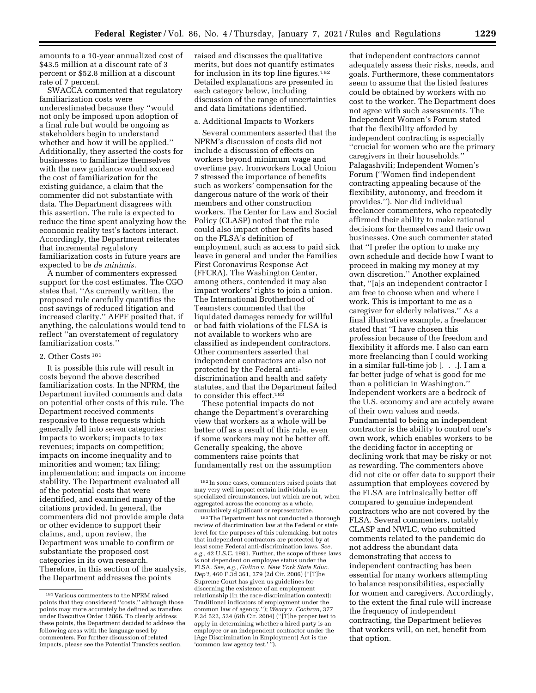amounts to a 10-year annualized cost of \$43.5 million at a discount rate of 3 percent or \$52.8 million at a discount rate of 7 percent.

SWACCA commented that regulatory familiarization costs were underestimated because they ''would not only be imposed upon adoption of a final rule but would be ongoing as stakeholders begin to understand whether and how it will be applied.'' Additionally, they asserted the costs for businesses to familiarize themselves with the new guidance would exceed the cost of familiarization for the existing guidance, a claim that the commenter did not substantiate with data. The Department disagrees with this assertion. The rule is expected to reduce the time spent analyzing how the economic reality test's factors interact. Accordingly, the Department reiterates that incremental regulatory familiarization costs in future years are expected to be *de minimis.* 

A number of commenters expressed support for the cost estimates. The CGO states that, ''As currently written, the proposed rule carefully quantifies the cost savings of reduced litigation and increased clarity.'' AFPF posited that, if anything, the calculations would tend to reflect ''an overstatement of regulatory familiarization costs.''

### 2. Other Costs 181

It is possible this rule will result in costs beyond the above described familiarization costs. In the NPRM, the Department invited comments and data on potential other costs of this rule. The Department received comments responsive to these requests which generally fell into seven categories: Impacts to workers; impacts to tax revenues; impacts on competition; impacts on income inequality and to minorities and women; tax filing; implementation; and impacts on income stability. The Department evaluated all of the potential costs that were identified, and examined many of the citations provided. In general, the commenters did not provide ample data or other evidence to support their claims, and, upon review, the Department was unable to confirm or substantiate the proposed cost categories in its own research. Therefore, in this section of the analysis, the Department addresses the points

raised and discusses the qualitative merits, but does not quantify estimates for inclusion in its top line figures.<sup>182</sup> Detailed explanations are presented in each category below, including discussion of the range of uncertainties and data limitations identified.

#### a. Additional Impacts to Workers

Several commenters asserted that the NPRM's discussion of costs did not include a discussion of effects on workers beyond minimum wage and overtime pay. Ironworkers Local Union 7 stressed the importance of benefits such as workers' compensation for the dangerous nature of the work of their members and other construction workers. The Center for Law and Social Policy (CLASP) noted that the rule could also impact other benefits based on the FLSA's definition of employment, such as access to paid sick leave in general and under the Families First Coronavirus Response Act (FFCRA). The Washington Center, among others, contended it may also impact workers' rights to join a union. The International Brotherhood of Teamsters commented that the liquidated damages remedy for willful or bad faith violations of the FLSA is not available to workers who are classified as independent contractors. Other commenters asserted that independent contractors are also not protected by the Federal antidiscrimination and health and safety statutes, and that the Department failed to consider this effect.183

These potential impacts do not change the Department's overarching view that workers as a whole will be better off as a result of this rule, even if some workers may not be better off. Generally speaking, the above commenters raise points that fundamentally rest on the assumption

183The Department has not conducted a thorough review of discrimination law at the Federal or state level for the purposes of this rulemaking, but notes that independent contractors are protected by at least some Federal anti-discrimination laws. *See, e.g.,* 42 U.S.C. 1981. Further, the scope of these laws is not dependent on employee status under the FLSA. *See, e.g., Gulino* v. *New York State Educ. Dep't,* 460 F.3d 361, 379 (2d Cir. 2006) (''[T]he Supreme Court has given us guidelines for discerning the existence of an employment relationship [in the race-discrimination context]: Traditional indicators of employment under the common law of agency.''); *Weary* v. *Cochran,* 377 F.3d 522, 524 (6th Cir. 2004) (''[T]he proper test to apply in determining whether a hired party is an employee or an independent contractor under the [Age Discrimination in Employment] Act is the 'common law agency test.'"').

that independent contractors cannot adequately assess their risks, needs, and goals. Furthermore, these commentators seem to assume that the listed features could be obtained by workers with no cost to the worker. The Department does not agree with such assessments. The Independent Women's Forum stated that the flexibility afforded by independent contracting is especially ''crucial for women who are the primary caregivers in their households.'' Palagashvili; Independent Women's Forum (''Women find independent contracting appealing because of the flexibility, autonomy, and freedom it provides.''). Nor did individual freelancer commenters, who repeatedly affirmed their ability to make rational decisions for themselves and their own businesses. One such commenter stated that ''I prefer the option to make my own schedule and decide how I want to proceed in making my money at my own discretion.'' Another explained that, ''[a]s an independent contractor I am free to choose when and where I work. This is important to me as a caregiver for elderly relatives.'' As a final illustrative example, a freelancer stated that ''I have chosen this profession because of the freedom and flexibility it affords me. I also can earn more freelancing than I could working in a similar full-time job [. . .]. I am a far better judge of what is good for me than a politician in Washington.'' Independent workers are a bedrock of the U.S. economy and are acutely aware of their own values and needs. Fundamental to being an independent contractor is the ability to control one's own work, which enables workers to be the deciding factor in accepting or declining work that may be risky or not as rewarding. The commenters above did not cite or offer data to support their assumption that employees covered by the FLSA are intrinsically better off compared to genuine independent contractors who are not covered by the FLSA. Several commenters, notably CLASP and NWLC, who submitted comments related to the pandemic do not address the abundant data demonstrating that access to independent contracting has been essential for many workers attempting to balance responsibilities, especially for women and caregivers. Accordingly, to the extent the final rule will increase the frequency of independent contracting, the Department believes that workers will, on net, benefit from that option.

<sup>181</sup> Various commenters to the NPRM raised points that they considered "costs," although those points may more accurately be defined as transfers under Executive Order 12866. To clearly address these points, the Department decided to address the following areas with the language used by commenters. For further discussion of related impacts, please see the Potential Transfers section.

<sup>182</sup> In some cases, commenters raised points that may very well impact certain individuals in specialized circumstances, but which are not, when aggregated across the economy as a whole, cumulatively significant or representative.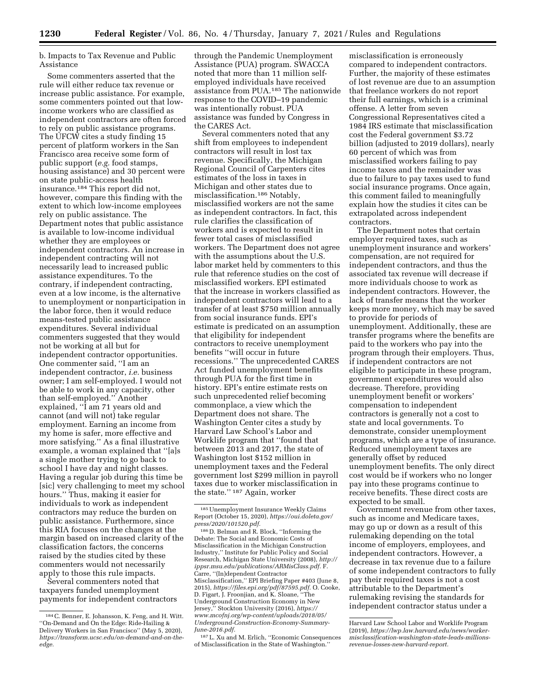b. Impacts to Tax Revenue and Public Assistance

Some commenters asserted that the rule will either reduce tax revenue or increase public assistance. For example, some commenters pointed out that lowincome workers who are classified as independent contractors are often forced to rely on public assistance programs. The UFCW cites a study finding 15 percent of platform workers in the San Francisco area receive some form of public support (*e.g.* food stamps, housing assistance) and 30 percent were on state public-access health insurance.184 This report did not, however, compare this finding with the extent to which low-income employees rely on public assistance. The Department notes that public assistance is available to low-income individual whether they are employees or independent contractors. An increase in independent contracting will not necessarily lead to increased public assistance expenditures. To the contrary, if independent contracting, even at a low income, is the alternative to unemployment or nonparticipation in the labor force, then it would reduce means-tested public assistance expenditures. Several individual commenters suggested that they would not be working at all but for independent contractor opportunities. One commenter said, ''I am an independent contractor, *i.e.* business owner; I am self-employed. I would not be able to work in any capacity, other than self-employed.'' Another explained, ''I am 71 years old and cannot (and will not) take regular employment. Earning an income from my home is safer, more effective and more satisfying.'' As a final illustrative example, a woman explained that ''[a]s a single mother trying to go back to school I have day and night classes. Having a regular job during this time be [sic] very challenging to meet my school hours.'' Thus, making it easier for individuals to work as independent contractors may reduce the burden on public assistance. Furthermore, since this RIA focuses on the changes at the margin based on increased clarity of the classification factors, the concerns raised by the studies cited by these commenters would not necessarily apply to those this rule impacts.

Several commenters noted that taxpayers funded unemployment payments for independent contractors

through the Pandemic Unemployment Assistance (PUA) program. SWACCA noted that more than 11 million selfemployed individuals have received assistance from PUA.185 The nationwide response to the COVID–19 pandemic was intentionally robust. PUA assistance was funded by Congress in the CARES Act.

Several commenters noted that any shift from employees to independent contractors will result in lost tax revenue. Specifically, the Michigan Regional Council of Carpenters cites estimates of the loss in taxes in Michigan and other states due to misclassification.186 Notably, misclassified workers are not the same as independent contractors. In fact, this rule clarifies the classification of workers and is expected to result in fewer total cases of misclassified workers. The Department does not agree with the assumptions about the U.S. labor market held by commenters to this rule that reference studies on the cost of misclassified workers. EPI estimated that the increase in workers classified as independent contractors will lead to a transfer of at least \$750 million annually from social insurance funds. EPI's estimate is predicated on an assumption that eligibility for independent contractors to receive unemployment benefits ''will occur in future recessions.'' The unprecedented CARES Act funded unemployment benefits through PUA for the first time in history. EPI's entire estimate rests on such unprecedented relief becoming commonplace, a view which the Department does not share. The Washington Center cites a study by Harvard Law School's Labor and Worklife program that ''found that between 2013 and 2017, the state of Washington lost \$152 million in unemployment taxes and the Federal government lost \$299 million in payroll taxes due to worker misclassification in the state.'' 187 Again, worker

187L. Xu and M. Erlich, ''Economic Consequences of Misclassification in the State of Washington.''

misclassification is erroneously compared to independent contractors. Further, the majority of these estimates of lost revenue are due to an assumption that freelance workers do not report their full earnings, which is a criminal offense. A letter from seven Congressional Representatives cited a 1984 IRS estimate that misclassification cost the Federal government \$3.72 billion (adjusted to 2019 dollars), nearly 60 percent of which was from misclassified workers failing to pay income taxes and the remainder was due to failure to pay taxes used to fund social insurance programs. Once again, this comment failed to meaningfully explain how the studies it cites can be extrapolated across independent contractors.

The Department notes that certain employer required taxes, such as unemployment insurance and workers' compensation, are not required for independent contractors, and thus the associated tax revenue will decrease if more individuals choose to work as independent contractors. However, the lack of transfer means that the worker keeps more money, which may be saved to provide for periods of unemployment. Additionally, these are transfer programs where the benefits are paid to the workers who pay into the program through their employers. Thus, if independent contractors are not eligible to participate in these program, government expenditures would also decrease. Therefore, providing unemployment benefit or workers' compensation to independent contractors is generally not a cost to state and local governments. To demonstrate, consider unemployment programs, which are a type of insurance. Reduced unemployment taxes are generally offset by reduced unemployment benefits. The only direct cost would be if workers who no longer pay into these programs continue to receive benefits. These direct costs are expected to be small.

Government revenue from other taxes, such as income and Medicare taxes, may go up or down as a result of this rulemaking depending on the total income of employers, employees, and independent contractors. However, a decrease in tax revenue due to a failure of some independent contractors to fully pay their required taxes is not a cost attributable to the Department's rulemaking revising the standards for independent contractor status under a

<sup>184</sup>C. Benner, E. Johansson, K. Feng, and H. Witt. ''On-Demand and On the Edge: Ride-Hailing & Delivery Workers in San Francisco'' (May 5, 2020), *[https://transform.ucsc.edu/on-demand-and-on-the](https://transform.ucsc.edu/on-demand-and-on-the-edge)[edge.](https://transform.ucsc.edu/on-demand-and-on-the-edge)* 

<sup>185</sup>Unemployment Insurance Weekly Claims Report (October 15, 2020), *[https://oui.doleta.gov/](https://oui.doleta.gov/press/2020/101520.pdf) [press/2020/101520.pdf.](https://oui.doleta.gov/press/2020/101520.pdf)* 

<sup>186</sup> D. Belman and R. Block, ''Informing the Debate: The Social and Economic Costs of Misclassification in the Michigan Construction Industry,'' Institute for Public Policy and Social Research, Michigan State University (2008), *[http://](http://ippsr.msu.edu/publications/ARMisClass.pdf) [ippsr.msu.edu/publications/ARMisClass.pdf.](http://ippsr.msu.edu/publications/ARMisClass.pdf)* F. Carre, ''(In)dependent Contractor Misclassification,'' EPI Briefing Paper #403 (June 8, 2015), *[https://files.epi.org/pdf/87595.pdf.](https://files.epi.org/pdf/87595.pdf)* O. Cooke, D. Figart, J. Froonjian, and K. Sloane, ''The Underground Construction Economy in New Jersey,'' Stockton University (2016), *[https://](https://www.mcofnj.org/wp-content/uploads/2018/05/Underground-Construction-Economy-Summary-June-2016.pdf) [www.mcofnj.org/wp-content/uploads/2018/05/](https://www.mcofnj.org/wp-content/uploads/2018/05/Underground-Construction-Economy-Summary-June-2016.pdf) [Underground-Construction-Economy-Summary-](https://www.mcofnj.org/wp-content/uploads/2018/05/Underground-Construction-Economy-Summary-June-2016.pdf)[June-2016.pdf.](https://www.mcofnj.org/wp-content/uploads/2018/05/Underground-Construction-Economy-Summary-June-2016.pdf)* 

Harvard Law School Labor and Worklife Program (2019), *[https://lwp.law.harvard.edu/news/worker](https://lwp.law.harvard.edu/news/worker-misclassification-washington-state-leads-millions-revenue-losses-new-harvard-report)[misclassification-washington-state-leads-millions](https://lwp.law.harvard.edu/news/worker-misclassification-washington-state-leads-millions-revenue-losses-new-harvard-report)[revenue-losses-new-harvard-report.](https://lwp.law.harvard.edu/news/worker-misclassification-washington-state-leads-millions-revenue-losses-new-harvard-report)*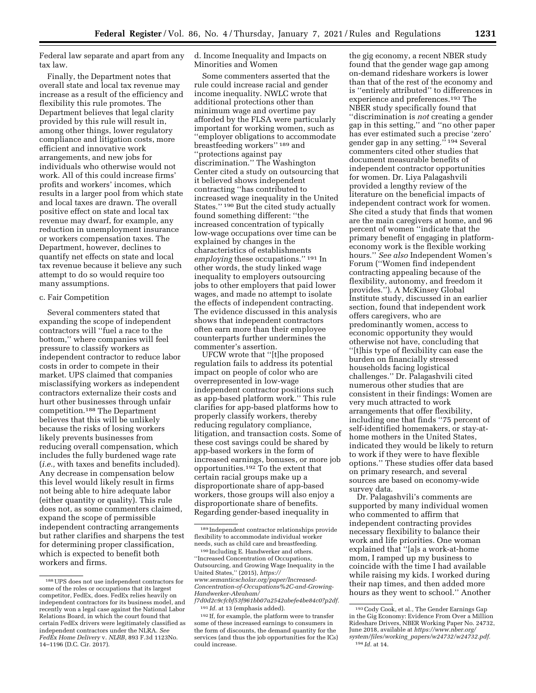Federal law separate and apart from any tax law.

Finally, the Department notes that overall state and local tax revenue may increase as a result of the efficiency and flexibility this rule promotes. The Department believes that legal clarity provided by this rule will result in, among other things, lower regulatory compliance and litigation costs, more efficient and innovative work arrangements, and new jobs for individuals who otherwise would not work. All of this could increase firms' profits and workers' incomes, which results in a larger pool from which state and local taxes are drawn. The overall positive effect on state and local tax revenue may dwarf, for example, any reduction in unemployment insurance or workers compensation taxes. The Department, however, declines to quantify net effects on state and local tax revenue because it believe any such attempt to do so would require too many assumptions.

#### c. Fair Competition

Several commenters stated that expanding the scope of independent contractors will ''fuel a race to the bottom,'' where companies will feel pressure to classify workers as independent contractor to reduce labor costs in order to compete in their market. UPS claimed that companies misclassifying workers as independent contractors externalize their costs and hurt other businesses through unfair competition.188 The Department believes that this will be unlikely because the risks of losing workers likely prevents businesses from reducing overall compensation, which includes the fully burdened wage rate (*i.e.,* with taxes and benefits included). Any decrease in compensation below this level would likely result in firms not being able to hire adequate labor (either quantity or quality). This rule does not, as some commenters claimed, expand the scope of permissible independent contracting arrangements but rather clarifies and sharpens the test for determining proper classification, which is expected to benefit both workers and firms.

d. Income Inequality and Impacts on Minorities and Women

Some commenters asserted that the rule could increase racial and gender income inequality. NWLC wrote that additional protections other than minimum wage and overtime pay afforded by the FLSA were particularly important for working women, such as ''employer obligations to accommodate breastfeeding workers'' 189 and ''protections against pay discrimination.'' The Washington Center cited a study on outsourcing that it believed shows independent contracting ''has contributed to increased wage inequality in the United States.'' 190 But the cited study actually found something different: ''the increased concentration of typically low-wage occupations over time can be explained by changes in the characteristics of establishments *employing* these occupations.'' 191 In other words, the study linked wage inequality to employers outsourcing jobs to other employers that paid lower wages, and made no attempt to isolate the effects of independent contracting. The evidence discussed in this analysis shows that independent contractors often earn more than their employee counterparts further undermines the commenter's assertion.

UFCW wrote that ''[t]he proposed regulation fails to address its potential impact on people of color who are overrepresented in low-wage independent contractor positions such as app-based platform work.'' This rule clarifies for app-based platforms how to properly classify workers, thereby reducing regulatory compliance, litigation, and transaction costs. Some of these cost savings could be shared by app-based workers in the form of increased earnings, bonuses, or more job opportunities.192 To the extent that certain racial groups make up a disproportionate share of app-based workers, those groups will also enjoy a disproportionate share of benefits. Regarding gender-based inequality in

the gig economy, a recent NBER study found that the gender wage gap among on-demand rideshare workers is lower than that of the rest of the economy and is ''entirely attributed'' to differences in experience and preferences.193 The NBER study specifically found that ''discrimination is *not* creating a gender gap in this setting,'' and ''no other paper has ever estimated such a precise 'zero' gender gap in any setting.'' 194 Several commenters cited other studies that document measurable benefits of independent contractor opportunities for women. Dr. Liya Palagashvili provided a lengthy review of the literature on the beneficial impacts of independent contract work for women. She cited a study that finds that women are the main caregivers at home, and 96 percent of women ''indicate that the primary benefit of engaging in platformeconomy work is the flexible working hours.'' *See also* Independent Women's Forum (''Women find independent contracting appealing because of the flexibility, autonomy, and freedom it provides.''). A McKinsey Global Institute study, discussed in an earlier section, found that independent work offers caregivers, who are predominantly women, access to economic opportunity they would otherwise not have, concluding that ''[t]his type of flexibility can ease the burden on financially stressed households facing logistical challenges.'' Dr. Palagashvili cited numerous other studies that are consistent in their findings: Women are very much attracted to work arrangements that offer flexibility, including one that finds ''75 percent of self-identified homemakers, or stay-athome mothers in the United States, indicated they would be likely to return to work if they were to have flexible options.'' These studies offer data based on primary research, and several sources are based on economy-wide survey data.

Dr. Palagashvili's comments are supported by many individual women who commented to affirm that independent contracting provides necessary flexibility to balance their work and life priorities. One woman explained that ''[a]s a work-at-home mom, I ramped up my business to coincide with the time I had available while raising my kids. I worked during their nap times, and then added more hours as they went to school.'' Another

<sup>188</sup>UPS does not use independent contractors for some of the roles or occupations that its largest competitor, FedEx, does. FedEx relies heavily on independent contractors for its business model, and recently won a legal case against the National Labor Relations Board, in which the court found that certain FedEx drivers were legitimately classified as independent contractors under the NLRA. *See FedEx Home Delivery* v. *NLRB,* 893 F.3d 1123No. 14–1196 (D.C. Cir. 2017).

<sup>189</sup> Independent contractor relationships provide flexibility to accommodate individual worker needs, such as child care and breastfeeding.

<sup>190</sup> Including E. Handwerker and others. ''Increased Concentration of Occupations, Outsourcing, and Growing Wage Inequality in the United States,'' (2015), *[https://](https://www.semanticscholar.org/paper/Increased-Concentration-of-Occupations%2C-and-Growing-Handwerker-Abraham/f7d0d2c9cfcbf53f961bb07a2542abefe4be84c0?p2df) [www.semanticscholar.org/paper/Increased-](https://www.semanticscholar.org/paper/Increased-Concentration-of-Occupations%2C-and-Growing-Handwerker-Abraham/f7d0d2c9cfcbf53f961bb07a2542abefe4be84c0?p2df)[Concentration-of-Occupations%2C-and-Growing-](https://www.semanticscholar.org/paper/Increased-Concentration-of-Occupations%2C-and-Growing-Handwerker-Abraham/f7d0d2c9cfcbf53f961bb07a2542abefe4be84c0?p2df)[Handwerker-Abraham/](https://www.semanticscholar.org/paper/Increased-Concentration-of-Occupations%2C-and-Growing-Handwerker-Abraham/f7d0d2c9cfcbf53f961bb07a2542abefe4be84c0?p2df)  [f7d0d2c9cfcbf53f961bb07a2542abefe4be84c0?p2df.](https://www.semanticscholar.org/paper/Increased-Concentration-of-Occupations%2C-and-Growing-Handwerker-Abraham/f7d0d2c9cfcbf53f961bb07a2542abefe4be84c0?p2df)* 

<sup>191</sup> *Id.* at 13 (emphasis added).

<sup>192</sup> If, for example, the platform were to transfer some of these increased earnings to consumers in the form of discounts, the demand quantity for the services (and thus the job opportunities for the ICs) could increase.

<sup>193</sup>Cody Cook, et al., The Gender Earnings Gap in the Gig Economy: Evidence From Over a Million Rideshare Drivers, NBER Working Paper No. 24732, June 2018, available at *[https://www.nber.org/](https://www.nber.org/system/files/working_papers/w24732/w24732.pdf)  system/files/working*\_*[papers/w24732/w24732.pdf.](https://www.nber.org/system/files/working_papers/w24732/w24732.pdf)* 194 *Id.* at 14.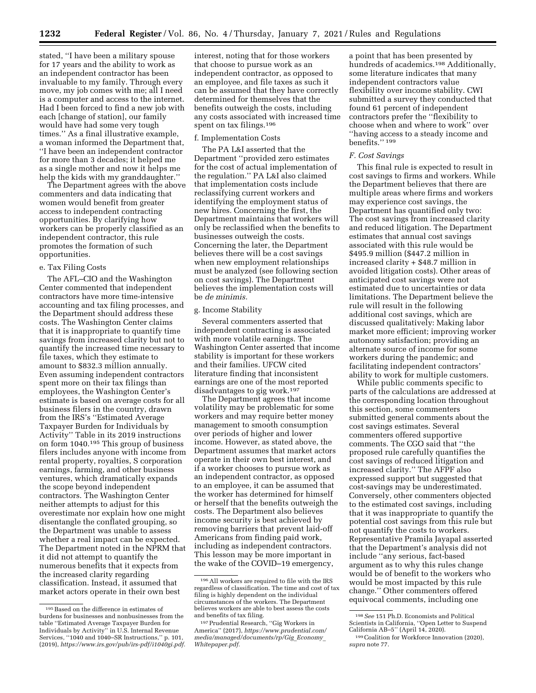**1232 Federal Register** / Vol. 86, No. 4 / Thursday, January 7, 2021 / Rules and Regulations

stated, ''I have been a military spouse for 17 years and the ability to work as an independent contractor has been invaluable to my family. Through every move, my job comes with me; all I need is a computer and access to the internet. Had I been forced to find a new job with each [change of station], our family would have had some very tough times.'' As a final illustrative example, a woman informed the Department that, ''I have been an independent contractor for more than 3 decades; it helped me as a single mother and now it helps me help the kids with my granddaughter.''

The Department agrees with the above commenters and data indicating that women would benefit from greater access to independent contracting opportunities. By clarifying how workers can be properly classified as an independent contractor, this rule promotes the formation of such opportunities.

# e. Tax Filing Costs

The AFL–CIO and the Washington Center commented that independent contractors have more time-intensive accounting and tax filing processes, and the Department should address these costs. The Washington Center claims that it is inappropriate to quantify time savings from increased clarity but not to quantify the increased time necessary to file taxes, which they estimate to amount to \$832.3 million annually. Even assuming independent contractors spent more on their tax filings than employees, the Washington Center's estimate is based on average costs for all business filers in the country, drawn from the IRS's ''Estimated Average Taxpayer Burden for Individuals by Activity'' Table in its 2019 instructions on form 1040.195 This group of business filers includes anyone with income from rental property, royalties, S corporation earnings, farming, and other business ventures, which dramatically expands the scope beyond independent contractors. The Washington Center neither attempts to adjust for this overestimate nor explain how one might disentangle the conflated grouping, so the Department was unable to assess whether a real impact can be expected. The Department noted in the NPRM that it did not attempt to quantify the numerous benefits that it expects from the increased clarity regarding classification. Instead, it assumed that market actors operate in their own best

interest, noting that for those workers that choose to pursue work as an independent contractor, as opposed to an employee, and file taxes as such it can be assumed that they have correctly determined for themselves that the benefits outweigh the costs, including any costs associated with increased time spent on tax filings.196

## f. Implementation Costs

The PA L&I asserted that the Department ''provided zero estimates for the cost of actual implementation of the regulation.'' PA L&I also claimed that implementation costs include reclassifying current workers and identifying the employment status of new hires. Concerning the first, the Department maintains that workers will only be reclassified when the benefits to businesses outweigh the costs. Concerning the later, the Department believes there will be a cost savings when new employment relationships must be analyzed (see following section on cost savings). The Department believes the implementation costs will be *de minimis.* 

### g. Income Stability

Several commenters asserted that independent contracting is associated with more volatile earnings. The Washington Center asserted that income stability is important for these workers and their families. UFCW cited literature finding that inconsistent earnings are one of the most reported disadvantages to gig work.197

The Department agrees that income volatility may be problematic for some workers and may require better money management to smooth consumption over periods of higher and lower income. However, as stated above, the Department assumes that market actors operate in their own best interest, and if a worker chooses to pursue work as an independent contractor, as opposed to an employee, it can be assumed that the worker has determined for himself or herself that the benefits outweigh the costs. The Department also believes income security is best achieved by removing barriers that prevent laid-off Americans from finding paid work, including as independent contractors. This lesson may be more important in the wake of the COVID–19 emergency,

a point that has been presented by hundreds of academics.198 Additionally, some literature indicates that many independent contractors value flexibility over income stability. CWI submitted a survey they conducted that found 61 percent of independent contractors prefer the ''flexibility to choose when and where to work'' over ''having access to a steady income and benefits.'' 199

#### *F. Cost Savings*

This final rule is expected to result in cost savings to firms and workers. While the Department believes that there are multiple areas where firms and workers may experience cost savings, the Department has quantified only two: The cost savings from increased clarity and reduced litigation. The Department estimates that annual cost savings associated with this rule would be \$495.9 million (\$447.2 million in increased clarity + \$48.7 million in avoided litigation costs). Other areas of anticipated cost savings were not estimated due to uncertainties or data limitations. The Department believe the rule will result in the following additional cost savings, which are discussed qualitatively: Making labor market more efficient; improving worker autonomy satisfaction; providing an alternate source of income for some workers during the pandemic; and facilitating independent contractors' ability to work for multiple customers.

While public comments specific to parts of the calculations are addressed at the corresponding location throughout this section, some commenters submitted general comments about the cost savings estimates. Several commenters offered supportive comments. The CGO said that ''the proposed rule carefully quantifies the cost savings of reduced litigation and increased clarity.'' The AFPF also expressed support but suggested that cost-savings may be underestimated. Conversely, other commenters objected to the estimated cost savings, including that it was inappropriate to quantify the potential cost savings from this rule but not quantify the costs to workers. Representative Pramila Jayapal asserted that the Department's analysis did not include ''any serious, fact-based argument as to why this rules change would be of benefit to the workers who would be most impacted by this rule change.'' Other commenters offered equivocal comments, including one

<sup>195</sup>Based on the difference in estimates of burdens for businesses and nonbusinesses from the table ''Estimated Average Taxpayer Burden for Individuals by Activity'' in U.S. Internal Revenue Services, ''1040 and 1040–SR Instructions,'' p. 101, (2019), *[https://www.irs.gov/pub/irs-pdf/i1040gi.pdf.](https://www.irs.gov/pub/irs-pdf/i1040gi.pdf)* 

 $^{196}\!\!\rm{All}$  workers are required to file with the IRS regardless of classification. The time and cost of tax filing is highly dependent on the individual circumstances of the workers. The Department believes workers are able to best assess the costs and benefits of tax filing.

<sup>197</sup>Prudential Research, ''Gig Workers in America'' (2017), *[https://www.prudential.com/](https://www.prudential.com/media/managed/documents/rp/Gig_Economy_Whitepaper.pdf) [media/managed/documents/rp/Gig](https://www.prudential.com/media/managed/documents/rp/Gig_Economy_Whitepaper.pdf)*\_*Economy*\_ *[Whitepaper.pdf.](https://www.prudential.com/media/managed/documents/rp/Gig_Economy_Whitepaper.pdf)* 

<sup>198</sup>*See* 151 Ph.D. Economists and Political Scientists in California, "Open Letter to Suspend<br>California AB-5" (April 14, 2020).

<sup>&</sup>lt;sup>199</sup> Coalition for Workforce Innovation (2020), *supra* note 77.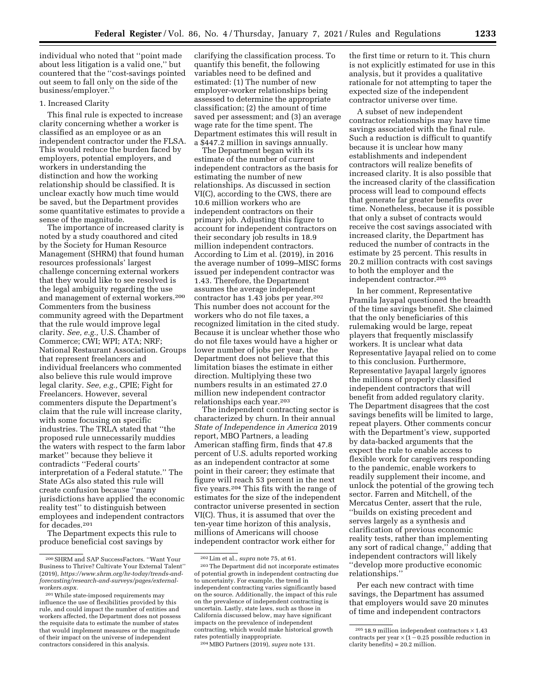individual who noted that ''point made about less litigation is a valid one,'' but countered that the ''cost-savings pointed out seem to fall only on the side of the business/employer.''

# 1. Increased Clarity

This final rule is expected to increase clarity concerning whether a worker is classified as an employee or as an independent contractor under the FLSA. This would reduce the burden faced by employers, potential employers, and workers in understanding the distinction and how the working relationship should be classified. It is unclear exactly how much time would be saved, but the Department provides some quantitative estimates to provide a sense of the magnitude.

The importance of increased clarity is noted by a study coauthored and cited by the Society for Human Resource Management (SHRM) that found human resources professionals' largest challenge concerning external workers that they would like to see resolved is the legal ambiguity regarding the use and management of external workers.200 Commenters from the business community agreed with the Department that the rule would improve legal clarity. *See, e.g.,* U.S. Chamber of Commerce; CWI; WPI; ATA; NRF; National Restaurant Association. Groups that represent freelancers and individual freelancers who commented also believe this rule would improve legal clarity. *See, e.g.,* CPIE; Fight for Freelancers. However, several commenters dispute the Department's claim that the rule will increase clarity, with some focusing on specific industries. The TRLA stated that ''the proposed rule unnecessarily muddies the waters with respect to the farm labor market'' because they believe it contradicts ''Federal courts' interpretation of a Federal statute.'' The State AGs also stated this rule will create confusion because ''many jurisdictions have applied the economic reality test'' to distinguish between employees and independent contractors for decades.201

The Department expects this rule to produce beneficial cost savings by

clarifying the classification process. To quantify this benefit, the following variables need to be defined and estimated: (1) The number of new employer-worker relationships being assessed to determine the appropriate classification; (2) the amount of time saved per assessment; and (3) an average wage rate for the time spent. The Department estimates this will result in a \$447.2 million in savings annually.

The Department began with its estimate of the number of current independent contractors as the basis for estimating the number of new relationships. As discussed in section VI(C), according to the CWS, there are 10.6 million workers who are independent contractors on their primary job. Adjusting this figure to account for independent contractors on their secondary job results in 18.9 million independent contractors. According to Lim et al. (2019), in 2016 the average number of 1099–MISC forms issued per independent contractor was 1.43. Therefore, the Department assumes the average independent contractor has 1.43 jobs per year.202 This number does not account for the workers who do not file taxes, a recognized limitation in the cited study. Because it is unclear whether those who do not file taxes would have a higher or lower number of jobs per year, the Department does not believe that this limitation biases the estimate in either direction. Multiplying these two numbers results in an estimated 27.0 million new independent contractor relationships each year.203

The independent contracting sector is characterized by churn. In their annual *State of Independence in America* 2019 report, MBO Partners, a leading American staffing firm, finds that 47.8 percent of U.S. adults reported working as an independent contractor at some point in their career; they estimate that figure will reach 53 percent in the next five years.204 This fits with the range of estimates for the size of the independent contractor universe presented in section VI(C). Thus, it is assumed that over the ten-year time horizon of this analysis, millions of Americans will choose independent contractor work either for

the first time or return to it. This churn is not explicitly estimated for use in this analysis, but it provides a qualitative rationale for not attempting to taper the expected size of the independent contractor universe over time.

A subset of new independent contractor relationships may have time savings associated with the final rule. Such a reduction is difficult to quantify because it is unclear how many establishments and independent contractors will realize benefits of increased clarity. It is also possible that the increased clarity of the classification process will lead to compound effects that generate far greater benefits over time. Nonetheless, because it is possible that only a subset of contracts would receive the cost savings associated with increased clarity, the Department has reduced the number of contracts in the estimate by 25 percent. This results in 20.2 million contracts with cost savings to both the employer and the independent contractor.205

In her comment, Representative Pramila Jayapal questioned the breadth of the time savings benefit. She claimed that the only beneficiaries of this rulemaking would be large, repeat players that frequently misclassify workers. It is unclear what data Representative Jayapal relied on to come to this conclusion. Furthermore, Representative Jayapal largely ignores the millions of properly classified independent contractors that will benefit from added regulatory clarity. The Department disagrees that the cost savings benefits will be limited to large, repeat players. Other comments concur with the Department's view, supported by data-backed arguments that the expect the rule to enable access to flexible work for caregivers responding to the pandemic, enable workers to readily supplement their income, and unlock the potential of the growing tech sector. Farren and Mitchell, of the Mercatus Center, assert that the rule, ''builds on existing precedent and serves largely as a synthesis and clarification of previous economic reality tests, rather than implementing any sort of radical change,'' adding that independent contractors will likely ''develop more productive economic relationships.''

Per each new contract with time savings, the Department has assumed that employers would save 20 minutes of time and independent contractors

<sup>200</sup>SHRM and SAP SuccessFactors. ''Want Your Business to Thrive? Cultivate Your External Talent'' (2019), *[https://www.shrm.org/hr-today/trends-and](https://www.shrm.org/hr-today/trends-and-forecasting/research-and-surveys/pages/external-workers.aspx)[forecasting/research-and-surveys/pages/external](https://www.shrm.org/hr-today/trends-and-forecasting/research-and-surveys/pages/external-workers.aspx)[workers.aspx.](https://www.shrm.org/hr-today/trends-and-forecasting/research-and-surveys/pages/external-workers.aspx)* 

<sup>201</sup>While state-imposed requirements may influence the use of flexibilities provided by this rule, and could impact the number of entities and workers affected, the Department does not possess the requisite data to estimate the number of states that would implement measures or the magnitude of their impact on the universe of independent contractors considered in this analysis.

<sup>202</sup>Lim et al., *supra* note 75, at 61.

<sup>203</sup>The Department did not incorporate estimates of potential growth in independent contracting due to uncertainty. For example, the trend in independent contracting varies significantly based on the source. Additionally, the impact of this rule on the prevalence of independent contracting is uncertain. Lastly, state laws, such as those in California discussed below, may have significant impacts on the prevalence of independent contracting, which would make historical growth rates potentially inappropriate.

<sup>204</sup>MBO Partners (2019), *supra* note 131.

 $205$  18.9 million independent contractors  $\times$  1.43 contracts per year  $\times$  (1 – 0.25 possible reduction in clarity benefits) = 20.2 million.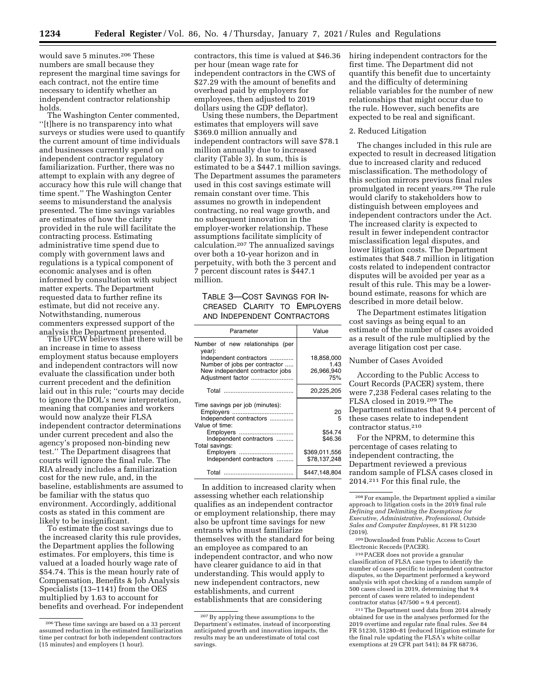would save 5 minutes.206 These numbers are small because they represent the marginal time savings for each contract, not the entire time necessary to identify whether an independent contractor relationship holds.

The Washington Center commented, ''[t]here is no transparency into what surveys or studies were used to quantify the current amount of time individuals and businesses currently spend on independent contractor regulatory familiarization. Further, there was no attempt to explain with any degree of accuracy how this rule will change that time spent.'' The Washington Center seems to misunderstand the analysis presented. The time savings variables are estimates of how the clarity provided in the rule will facilitate the contracting process. Estimating administrative time spend due to comply with government laws and regulations is a typical component of economic analyses and is often informed by consultation with subject matter experts. The Department requested data to further refine its estimate, but did not receive any. Notwithstanding, numerous commenters expressed support of the analysis the Department presented. The UFCW believes that there will be

an increase in time to assess employment status because employers and independent contractors will now evaluate the classification under both current precedent and the definition laid out in this rule; ''courts may decide to ignore the DOL's new interpretation, meaning that companies and workers would now analyze their FLSA independent contractor determinations under current precedent and also the agency's proposed non-binding new test.'' The Department disagrees that courts will ignore the final rule. The RIA already includes a familiarization cost for the new rule, and, in the baseline, establishments are assumed to be familiar with the status quo environment. Accordingly, additional costs as stated in this comment are

likely to be insignificant. To estimate the cost savings due to the increased clarity this rule provides, the Department applies the following estimates. For employers, this time is valued at a loaded hourly wage rate of \$54.74. This is the mean hourly rate of Compensation, Benefits & Job Analysis Specialists (13–1141) from the OES multiplied by 1.63 to account for benefits and overhead. For independent contractors, this time is valued at \$46.36 per hour (mean wage rate for independent contractors in the CWS of \$27.29 with the amount of benefits and overhead paid by employers for employees, then adjusted to 2019

dollars using the GDP deflator). Using these numbers, the Department estimates that employers will save \$369.0 million annually and independent contractors will save \$78.1 million annually due to increased clarity (Table 3). In sum, this is estimated to be a \$447.1 million savings. The Department assumes the parameters used in this cost savings estimate will remain constant over time. This assumes no growth in independent contracting, no real wage growth, and no subsequent innovation in the employer-worker relationship. These assumptions facilitate simplicity of calculation.207 The annualized savings over both a 10-year horizon and in perpetuity, with both the 3 percent and 7 percent discount rates is \$447.1 million.

TABLE 3—COST SAVINGS FOR IN-CREASED CLARITY TO EMPLOYERS AND INDEPENDENT CONTRACTORS

| Parameter                                  | Value         |
|--------------------------------------------|---------------|
| Number of new relationships (per<br>year): |               |
| Independent contractors                    | 18,858,000    |
| Number of jobs per contractor              | 1.43          |
| New independent contractor jobs            | 26,966,940    |
| Adjustment factor                          | 75%           |
|                                            | 20,225,205    |
| Time savings per job (minutes):            |               |
|                                            | 20            |
| Independent contractors                    | 5             |
| Value of time:                             |               |
| Employers                                  | \$54.74       |
| Independent contractors                    | \$46.36       |
| Total savings:                             |               |
|                                            |               |
| Employers                                  | \$369,011,556 |
| Independent contractors                    | \$78.137.248  |
| Total                                      | \$447.148.804 |

In addition to increased clarity when assessing whether each relationship qualifies as an independent contractor or employment relationship, there may also be upfront time savings for new entrants who must familiarize themselves with the standard for being an employee as compared to an independent contractor, and who now have clearer guidance to aid in that understanding. This would apply to new independent contractors, new establishments, and current establishments that are considering

hiring independent contractors for the first time. The Department did not quantify this benefit due to uncertainty and the difficulty of determining reliable variables for the number of new relationships that might occur due to the rule. However, such benefits are expected to be real and significant.

#### 2. Reduced Litigation

The changes included in this rule are expected to result in decreased litigation due to increased clarity and reduced misclassification. The methodology of this section mirrors previous final rules promulgated in recent years.208 The rule would clarify to stakeholders how to distinguish between employees and independent contractors under the Act. The increased clarity is expected to result in fewer independent contractor misclassification legal disputes, and lower litigation costs. The Department estimates that \$48.7 million in litigation costs related to independent contractor disputes will be avoided per year as a result of this rule. This may be a lowerbound estimate, reasons for which are described in more detail below.

The Department estimates litigation cost savings as being equal to an estimate of the number of cases avoided as a result of the rule multiplied by the average litigation cost per case.

#### Number of Cases Avoided

According to the Public Access to Court Records (PACER) system, there were 7,238 Federal cases relating to the FLSA closed in 2019.209 The Department estimates that 9.4 percent of these cases relate to independent contractor status.210

For the NPRM, to determine this percentage of cases relating to independent contracting, the Department reviewed a previous random sample of FLSA cases closed in 2014.211 For this final rule, the

210PACER does not provide a granular classification of FLSA case types to identify the number of cases specific to independent contractor disputes, so the Department performed a keyword analysis with spot checking of a random sample of 500 cases closed in 2019, determining that 9.4 percent of cases were related to independent contractor status  $(47/500 = 9.4$  percent).

 $211$  The Department used data from 2014 already. obtained for use in the analyses performed for the 2019 overtime and regular rate final rules. *See* 84 FR 51230, 51280–81 (reduced litigation estimate for the final rule updating the FLSA's white collar exemptions at 29 CFR part 541); 84 FR 68736,

<sup>206</sup>These time savings are based on a 33 percent assumed reduction in the estimated familiarization time per contract for both independent contractors (15 minutes) and employers (1 hour).

<sup>207</sup>By applying these assumptions to the Department's estimates, instead of incorporating anticipated growth and innovation impacts, the results may be an underestimate of total cost savings.

<sup>208</sup>For example, the Department applied a similar approach to litigation costs in the 2019 final rule *Defining and Delimiting the Exemptions for Executive, Administrative, Professional, Outside Sales and Computer Employees,* 81 FR 51230 (2019).

<sup>209</sup> Downloaded from Public Access to Court Electronic Records (PACER).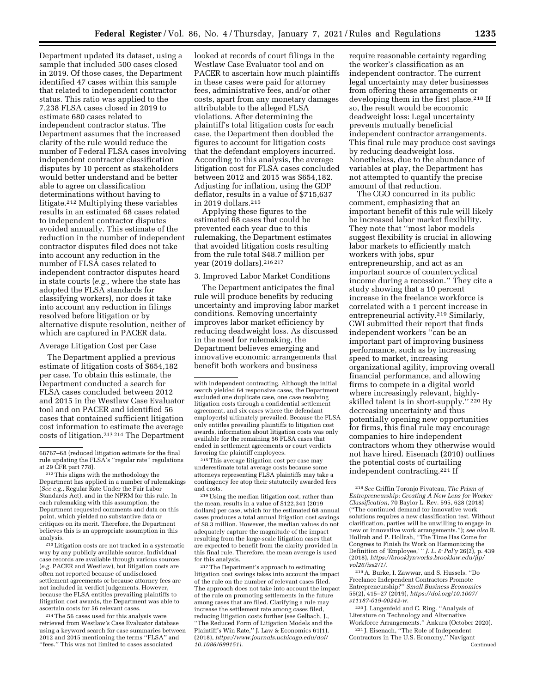Department updated its dataset, using a sample that included 500 cases closed in 2019. Of those cases, the Department identified 47 cases within this sample that related to independent contractor status. This ratio was applied to the 7,238 FLSA cases closed in 2019 to estimate 680 cases related to independent contractor status. The Department assumes that the increased clarity of the rule would reduce the number of Federal FLSA cases involving independent contractor classification disputes by 10 percent as stakeholders would better understand and be better able to agree on classification determinations without having to litigate.212 Multiplying these variables results in an estimated 68 cases related to independent contractor disputes avoided annually. This estimate of the reduction in the number of independent contractor disputes filed does not take into account any reduction in the number of FLSA cases related to

independent contractor disputes heard in state courts (*e.g.,* where the state has adopted the FLSA standards for classifying workers), nor does it take into account any reduction in filings resolved before litigation or by alternative dispute resolution, neither of which are captured in PACER data.

### Average Litigation Cost per Case

The Department applied a previous estimate of litigation costs of \$654,182 per case. To obtain this estimate, the Department conducted a search for FLSA cases concluded between 2012 and 2015 in the Westlaw Case Evaluator tool and on PACER and identified 56 cases that contained sufficient litigation cost information to estimate the average costs of litigation.213 214 The Department

 $\,{}^{213}\,$  Litigation costs are not tracked in a systematic way by any publicly available source. Individual case records are available through various sources (*e.g.* PACER and Westlaw), but litigation costs are often not reported because of undisclosed settlement agreements or because attorney fees are not included in verdict judgements. However, because the FLSA entitles prevailing plaintiffs to litigation cost awards, the Department was able to ascertain costs for 56 relevant cases.

214The 56 cases used for this analysis were retrieved from Westlaw's Case Evaluator database using a keyword search for case summaries between 2012 and 2015 mentioning the terms ''FLSA'' and ''fees.'' This was not limited to cases associated

looked at records of court filings in the Westlaw Case Evaluator tool and on PACER to ascertain how much plaintiffs in these cases were paid for attorney fees, administrative fees, and/or other costs, apart from any monetary damages attributable to the alleged FLSA violations. After determining the plaintiff's total litigation costs for each case, the Department then doubled the figures to account for litigation costs that the defendant employers incurred. According to this analysis, the average litigation cost for FLSA cases concluded between 2012 and 2015 was \$654,182. Adjusting for inflation, using the GDP deflator, results in a value of \$715,637 in 2019 dollars.215

Applying these figures to the estimated 68 cases that could be prevented each year due to this rulemaking, the Department estimates that avoided litigation costs resulting from the rule total \$48.7 million per year (2019 dollars).216 217

#### 3. Improved Labor Market Conditions

The Department anticipates the final rule will produce benefits by reducing uncertainty and improving labor market conditions. Removing uncertainty improves labor market efficiency by reducing deadweight loss. As discussed in the need for rulemaking, the Department believes emerging and innovative economic arrangements that benefit both workers and business

 $^{\rm 215}\rm{This}$  average litigation cost per case may underestimate total average costs because some attorneys representing FLSA plaintiffs may take a contingency fee atop their statutorily awarded fees and costs.

<sup>216</sup> Using the median litigation cost, rather than the mean, results in a value of \$122,341 (2019 dollars) per case, which for the estimated 68 annual cases produces a total annual litigation cost savings of \$8.3 million. However, the median values do not adequately capture the magnitude of the impact resulting from the large-scale litigation cases that are expected to benefit from the clarity provided in this final rule. Therefore, the mean average is used for this analysis.

217The Department's approach to estimating litigation cost savings takes into account the impact of the rule on the number of relevant cases filed. The approach does not take into account the impact of the rule on promoting settlements in the future among cases that are filed. Clarifying a rule may increase the settlement rate among cases filed, reducing litigation costs further (see Gelbach, J. ''The Reduced Form of Litigation Models and the Plaintiff's Win Rate,'' J. Law & Economics 61(1), (2018), *[https://www.journals.uchicago.edu/doi/](https://www.journals.uchicago.edu/doi/10.1086/699151)  [10.1086/699151\).](https://www.journals.uchicago.edu/doi/10.1086/699151)* 

require reasonable certainty regarding the worker's classification as an independent contractor. The current legal uncertainty may deter businesses from offering these arrangements or developing them in the first place.<sup>218</sup> If so, the result would be economic deadweight loss: Legal uncertainty prevents mutually beneficial independent contractor arrangements. This final rule may produce cost savings by reducing deadweight loss. Nonetheless, due to the abundance of variables at play, the Department has not attempted to quantify the precise amount of that reduction.

The CGO concurred in its public comment, emphasizing that an important benefit of this rule will likely be increased labor market flexibility. They note that ''most labor models suggest flexibility is crucial in allowing labor markets to efficiently match workers with jobs, spur entrepreneurship, and act as an important source of countercyclical income during a recession.'' They cite a study showing that a 10 percent increase in the freelance workforce is correlated with a 1 percent increase in entrepreneurial activity.219 Similarly, CWI submitted their report that finds independent workers ''can be an important part of improving business performance, such as by increasing speed to market, increasing organizational agility, improving overall financial performance, and allowing firms to compete in a digital world where increasingly relevant, highlyskilled talent is in short-supply.'' 220 By decreasing uncertainty and thus potentially opening new opportunities for firms, this final rule may encourage companies to hire independent contractors whom they otherwise would not have hired. Eisenach (2010) outlines the potential costs of curtailing independent contracting.221 If

219A. Burke, I. Zawwar, and S. Hussels. ''Do Freelance Independent Contractors Promote Entrepreneurship?'' *Small Business Economics*  55(2), 415–27 (2019), *[https://doi.org/10.1007/](https://doi.org/10.1007/s11187-019-00242-w)  [s11187-019-00242-w.](https://doi.org/10.1007/s11187-019-00242-w)* 

220 J. Langenfeld and C. Ring. ''Analysis of Literature on Technology and Alternative Workforce Arrangements.'' Ankura (October 2020).

221 J. Eisenach, ''The Role of Independent Contractors in The U.S. Economy,'' Navigant Continued

<sup>68767–68 (</sup>reduced litigation estimate for the final rule updating the FLSA's ''regular rate'' regulations at 29 CFR part 778).

<sup>212</sup>This aligns with the methodology the Department has applied in a number of rulemakings (*See e.g.,* Regular Rate Under the Fair Labor Standards Act), and in the NPRM for this rule. In each rulemaking with this assumption, the Department requested comments and data on this point, which yielded no substantive data or critiques on its merit. Therefore, the Department believes this is an appropriate assumption in this analysis.

with independent contracting. Although the initial search yielded 64 responsive cases, the Department excluded one duplicate case, one case resolving litigation costs through a confidential settlement agreement, and six cases where the defendant employer(s) ultimately prevailed. Because the FLSA only entitles prevailing plaintiffs to litigation cost awards, information about litigation costs was only available for the remaining 56 FLSA cases that ended in settlement agreements or court verdicts favoring the plaintiff employees.

<sup>218</sup>*See* Griffin Toronjo Pivateau, *The Prism of Entrepreneurship: Creating A New Lens for Worker Classification,* 70 Baylor L. Rev. 595, 628 (2018) (''The continued demand for innovative work solutions requires a new classification test. Without clarification, parties will be unwilling to engage in new or innovative work arrangements.''); *see also* R. Hollrah and P. Hollrah, ''The Time Has Come for Congress to Finish Its Work on Harmonizing the Definition of 'Employee,' '' *J. L. & Pol'y* 26(2), p. 439 (2018), *[https://brooklynworks.brooklaw.edu/jlp/](https://brooklynworks.brooklaw.edu/jlp/vol26/iss2/1/)  [vol26/iss2/1/.](https://brooklynworks.brooklaw.edu/jlp/vol26/iss2/1/)*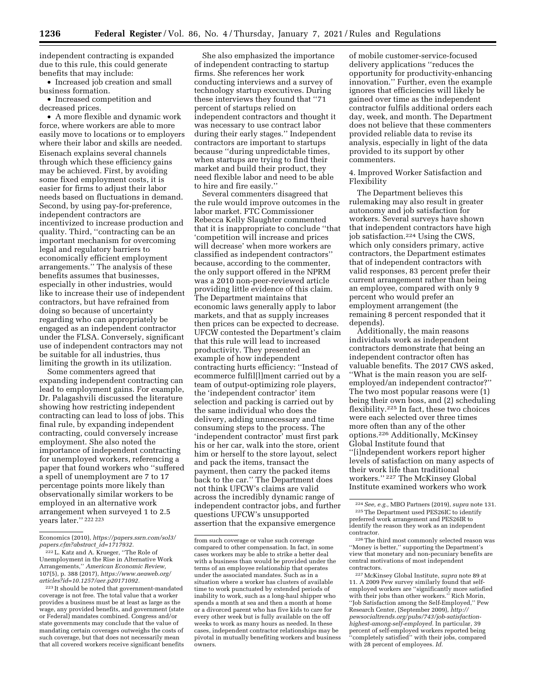independent contracting is expanded due to this rule, this could generate benefits that may include:

• Increased job creation and small business formation.

• Increased competition and decreased prices.

• A more flexible and dynamic work force, where workers are able to more easily move to locations or to employers where their labor and skills are needed. Eisenach explains several channels through which these efficiency gains may be achieved. First, by avoiding some fixed employment costs, it is easier for firms to adjust their labor needs based on fluctuations in demand. Second, by using pay-for-preference, independent contractors are incentivized to increase production and quality. Third, ''contracting can be an important mechanism for overcoming legal and regulatory barriers to economically efficient employment arrangements.'' The analysis of these benefits assumes that businesses, especially in other industries, would like to increase their use of independent contractors, but have refrained from doing so because of uncertainty regarding who can appropriately be engaged as an independent contractor under the FLSA. Conversely, significant use of independent contractors may not be suitable for all industries, thus limiting the growth in its utilization.

Some commenters agreed that expanding independent contracting can lead to employment gains. For example, Dr. Palagashvili discussed the literature showing how restricting independent contracting can lead to loss of jobs. This final rule, by expanding independent contracting, could conversely increase employment. She also noted the importance of independent contracting for unemployed workers, referencing a paper that found workers who ''suffered a spell of unemployment are 7 to 17 percentage points more likely than observationally similar workers to be employed in an alternative work arrangement when surveyed 1 to 2.5 years later.'' 222 223

223 It should be noted that government-mandated coverage is not free. The total value that a worker provides a business must be at least as large as the wage, any provided benefits, and government (state or Federal) mandates combined. Congress and/or state governments may conclude that the value of mandating certain coverages outweighs the costs of such coverage, but that does not necessarily mean that all covered workers receive significant benefits

She also emphasized the importance of independent contracting to startup firms. She references her work conducting interviews and a survey of technology startup executives. During these interviews they found that ''71 percent of startups relied on independent contractors and thought it was necessary to use contract labor during their early stages.'' Independent contractors are important to startups because ''during unpredictable times, when startups are trying to find their market and build their product, they need flexible labor and need to be able to hire and fire easily.''

Several commenters disagreed that the rule would improve outcomes in the labor market. FTC Commissioner Rebecca Kelly Slaughter commented that it is inappropriate to conclude ''that 'competition will increase and prices will decrease' when more workers are classified as independent contractors'' because, according to the commenter, the only support offered in the NPRM was a 2010 non-peer-reviewed article providing little evidence of this claim. The Department maintains that economic laws generally apply to labor markets, and that as supply increases then prices can be expected to decrease. UFCW contested the Department's claim that this rule will lead to increased productivity. They presented an example of how independent contracting hurts efficiency: ''Instead of ecommerce fulfil[l]ment carried out by a team of output-optimizing role players, the 'independent contractor' item selection and packing is carried out by the same individual who does the delivery, adding unnecessary and time consuming steps to the process. The 'independent contractor' must first park his or her car, walk into the store, orient him or herself to the store layout, select and pack the items, transact the payment, then carry the packed items back to the car.'' The Department does not think UFCW's claims are valid across the incredibly dynamic range of independent contractor jobs, and further questions UFCW's unsupported assertion that the expansive emergence

of mobile customer-service-focused delivery applications ''reduces the opportunity for productivity-enhancing innovation.'' Further, even the example ignores that efficiencies will likely be gained over time as the independent contractor fulfils additional orders each day, week, and month. The Department does not believe that these commenters provided reliable data to revise its analysis, especially in light of the data provided to its support by other commenters.

4. Improved Worker Satisfaction and Flexibility

The Department believes this rulemaking may also result in greater autonomy and job satisfaction for workers. Several surveys have shown that independent contractors have high job satisfaction.224 Using the CWS, which only considers primary, active contractors, the Department estimates that of independent contractors with valid responses, 83 percent prefer their current arrangement rather than being an employee, compared with only 9 percent who would prefer an employment arrangement (the remaining 8 percent responded that it depends).

Additionally, the main reasons individuals work as independent contractors demonstrate that being an independent contractor often has valuable benefits. The 2017 CWS asked, ''What is the main reason you are selfemployed/an independent contractor?'' The two most popular reasons were (1) being their own boss, and (2) scheduling flexibility.<sup>225</sup> In fact, these two choices were each selected over three times more often than any of the other options.226 Additionally, McKinsey Global Institute found that ''[i]ndependent workers report higher levels of satisfaction on many aspects of their work life than traditional workers.'' 227 The McKinsey Global Institute examined workers who work

Economics (2010), *[https://papers.ssrn.com/sol3/](https://papers.ssrn.com/sol3/papers.cfm?abstract_id=1717932)  [papers.cfm?abstract](https://papers.ssrn.com/sol3/papers.cfm?abstract_id=1717932)*\_*id=1717932.* 

<sup>222</sup>L. Katz and A. Krueger, ''The Role of Unemployment in the Rise in Alternative Work Arrangements,'' *American Economic Review,*  107(5), p. 388 (2017), *[https://www.aeaweb.org/](https://www.aeaweb.org/articles?id=10.1257/aer.p20171092) [articles?id=10.1257/aer.p20171092.](https://www.aeaweb.org/articles?id=10.1257/aer.p20171092)* 

from such coverage or value such coverage compared to other compensation. In fact, in some cases workers may be able to strike a better deal with a business than would be provided under the terms of an employee relationship that operates under the associated mandates. Such as in a situation where a worker has clusters of available time to work punctuated by extended periods of inability to work, such as a long-haul shipper who spends a month at sea and then a month at home or a divorced parent who has five kids to care for every other week but is fully available on the off weeks to work as many hours as needed. In these cases, independent contractor relationships may be pivotal in mutually benefiting workers and business owners.

<sup>224</sup>*See, e.g.,* MBO Partners (2019), *supra* note 131. 225The Department used PES26IC to identify preferred work arrangement and PES26IR to identify the reason they work as an independent contractor.<br><sup>226</sup> The third most commonly selected reason was

<sup>&#</sup>x27;'Money is better,'' supporting the Department's view that monetary and non-pecuniary benefits are central motivations of most independent

<sup>&</sup>lt;sup>227</sup> McKinsey Global Institute, *supra* note 89 at 11. A 2009 Pew survey similarly found that selfemployed workers are ''significantly more satisfied with their jobs than other workers.'' Rich Morin, ''Job Satisfaction among the Self-Employed,'' Pew Research Center, (September 2009), *[http://](http://pewsocialtrends.org/pubs/743/job-satisfaction-highest-among-self-employed) [pewsocialtrends.org/pubs/743/job-satisfaction](http://pewsocialtrends.org/pubs/743/job-satisfaction-highest-among-self-employed)[highest-among-self-employed.](http://pewsocialtrends.org/pubs/743/job-satisfaction-highest-among-self-employed)* In particular, 39 percent of self-employed workers reported being 'completely satisfied" with their jobs, compared with 28 percent of employees. *Id.*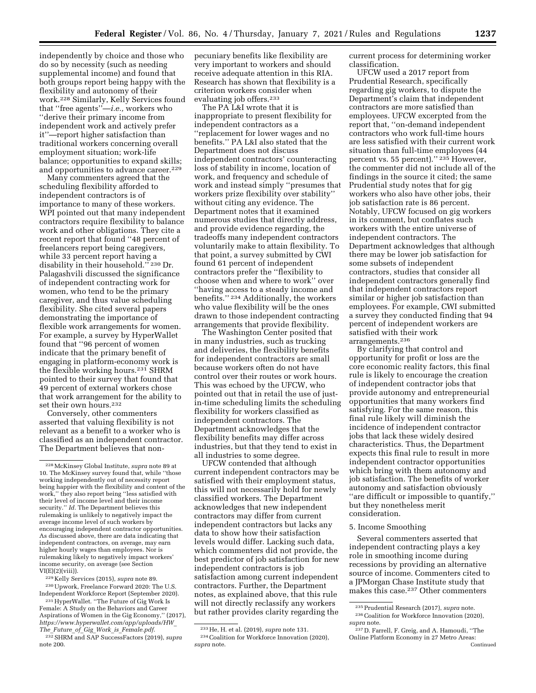independently by choice and those who do so by necessity (such as needing supplemental income) and found that both groups report being happy with the flexibility and autonomy of their work.228 Similarly, Kelly Services found that ''free agents''—*i.e.,* workers who ''derive their primary income from independent work and actively prefer it''—report higher satisfaction than traditional workers concerning overall employment situation; work-life balance; opportunities to expand skills; and opportunities to advance career.<sup>229</sup>

Many commenters agreed that the scheduling flexibility afforded to independent contractors is of importance to many of these workers. WPI pointed out that many independent contractors require flexibility to balance work and other obligations. They cite a recent report that found ''48 percent of freelancers report being caregivers, while 33 percent report having a disability in their household."<sup>230</sup> Dr. Palagashvili discussed the significance of independent contracting work for women, who tend to be the primary caregiver, and thus value scheduling flexibility. She cited several papers demonstrating the importance of flexible work arrangements for women. For example, a survey by HyperWallet found that ''96 percent of women indicate that the primary benefit of engaging in platform-economy work is the flexible working hours.231 SHRM pointed to their survey that found that 49 percent of external workers chose that work arrangement for the ability to set their own hours.<sup>232</sup>

Conversely, other commenters asserted that valuing flexibility is not relevant as a benefit to a worker who is classified as an independent contractor. The Department believes that non-

229 Kelly Services (2015), *supra* note 89.

230Upwork, Freelance Forward 2020: The U.S. Independent Workforce Report (September 2020).

231HyperWallet. ''The Future of Gig Work Is Female: A Study on the Behaviors and Career Aspirations of Women in the Gig Economy,'' (2017), *[https://www.hyperwallet.com/app/uploads/HW](https://www.hyperwallet.com/app/uploads/HW_The_Future_of_Gig_Work_is_Female.pdf)*\_ *The*\_*Future*\_*of*\_*Gig*\_*Work*\_*is*\_*[Female.pdf.](https://www.hyperwallet.com/app/uploads/HW_The_Future_of_Gig_Work_is_Female.pdf)* 

232SHRM and SAP SuccessFactors (2019), *supra*  note 200.

pecuniary benefits like flexibility are very important to workers and should receive adequate attention in this RIA. Research has shown that flexibility is a criterion workers consider when evaluating job offers.233

The PA L&I wrote that it is inappropriate to present flexibility for independent contractors as a ''replacement for lower wages and no benefits.'' PA L&I also stated that the Department does not discuss independent contractors' counteracting loss of stability in income, location of work, and frequency and schedule of work and instead simply ''presumes that workers prize flexibility over stability'' without citing any evidence. The Department notes that it examined numerous studies that directly address, and provide evidence regarding, the tradeoffs many independent contractors voluntarily make to attain flexibility. To that point, a survey submitted by CWI found 61 percent of independent contractors prefer the ''flexibility to choose when and where to work'' over ''having access to a steady income and benefits.'' 234 Additionally, the workers who value flexibility will be the ones drawn to those independent contracting arrangements that provide flexibility.

The Washington Center posited that in many industries, such as trucking and deliveries, the flexibility benefits for independent contractors are small because workers often do not have control over their routes or work hours. This was echoed by the UFCW, who pointed out that in retail the use of justin-time scheduling limits the scheduling flexibility for workers classified as independent contractors. The Department acknowledges that the flexibility benefits may differ across industries, but that they tend to exist in all industries to some degree.

UFCW contended that although current independent contractors may be satisfied with their employment status, this will not necessarily hold for newly classified workers. The Department acknowledges that new independent contractors may differ from current independent contractors but lacks any data to show how their satisfaction levels would differ. Lacking such data, which commenters did not provide, the best predictor of job satisfaction for new independent contractors is job satisfaction among current independent contractors. Further, the Department notes, as explained above, that this rule will not directly reclassify any workers but rather provides clarity regarding the

current process for determining worker classification.

UFCW used a 2017 report from Prudential Research, specifically regarding gig workers, to dispute the Department's claim that independent contractors are more satisfied than employees. UFCW excerpted from the report that, ''on-demand independent contractors who work full-time hours are less satisfied with their current work situation than full-time employees (44 percent vs. 55 percent)."<sup>235</sup> However, the commenter did not include all of the findings in the source it cited; the same Prudential study notes that for gig workers who also have other jobs, their job satisfaction rate is 86 percent. Notably, UFCW focused on gig workers in its comment, but conflates such workers with the entire universe of independent contractors. The Department acknowledges that although there may be lower job satisfaction for some subsets of independent contractors, studies that consider all independent contractors generally find that independent contractors report similar or higher job satisfaction than employees. For example, CWI submitted a survey they conducted finding that 94 percent of independent workers are satisfied with their work arrangements.236

By clarifying that control and opportunity for profit or loss are the core economic reality factors, this final rule is likely to encourage the creation of independent contractor jobs that provide autonomy and entrepreneurial opportunities that many workers find satisfying. For the same reason, this final rule likely will diminish the incidence of independent contractor jobs that lack these widely desired characteristics. Thus, the Department expects this final rule to result in more independent contractor opportunities which bring with them autonomy and job satisfaction. The benefits of worker autonomy and satisfaction obviously ''are difficult or impossible to quantify,'' but they nonetheless merit consideration.

# 5. Income Smoothing

Several commenters asserted that independent contracting plays a key role in smoothing income during recessions by providing an alternative source of income. Commenters cited to a JPMorgan Chase Institute study that makes this case.237 Other commenters

<sup>228</sup>McKinsey Global Institute, *supra* note 89 at 10. The McKinsey survey found that, while ''those working independently out of necessity report being happier with the flexibility and content of the work,'' they also report being ''less satisfied with their level of income level and their income security.'' *Id.* The Department believes this rulemaking is unlikely to negatively impact the average income level of such workers by encouraging independent contractor opportunities. As discussed above, there are data indicating that independent contractors, on average, may earn higher hourly wages than employees. Nor is rulemaking likely to negatively impact workers' income security, on average (see Section  $VI(E)(2)(viii)$ ).

<sup>233</sup>He, H. et al. (2019), *supra* note 131. 234Coalition for Workforce Innovation (2020), *supra* note.

<sup>235</sup>Prudential Research (2017), *supra* note. 236Coalition for Workforce Innovation (2020), *supra* note.

<sup>237</sup> D. Farrell, F. Greig, and A. Hamoudi, ''The Online Platform Economy in 27 Metro Areas: Continued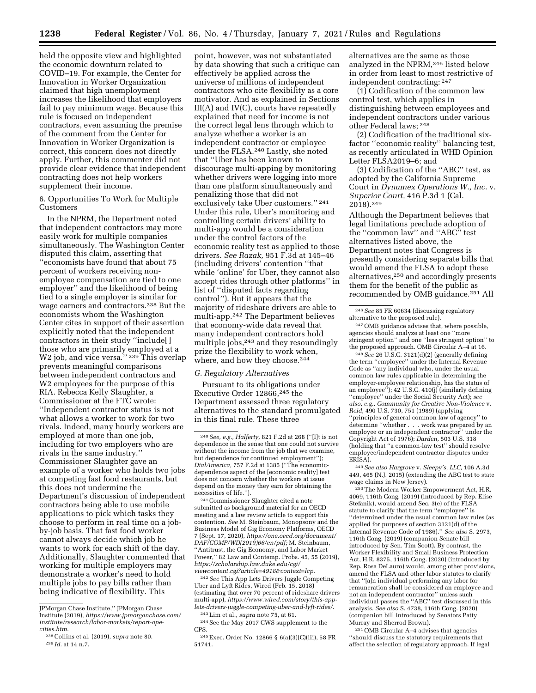held the opposite view and highlighted the economic downturn related to COVID–19. For example, the Center for Innovation in Worker Organization claimed that high unemployment increases the likelihood that employers fail to pay minimum wage. Because this rule is focused on independent contractors, even assuming the premise of the comment from the Center for Innovation in Worker Organization is correct, this concern does not directly apply. Further, this commenter did not provide clear evidence that independent contracting does not help workers supplement their income.

6. Opportunities To Work for Multiple Customers

In the NPRM, the Department noted that independent contractors may more easily work for multiple companies simultaneously. The Washington Center disputed this claim, asserting that ''economists have found that about 75 percent of workers receiving nonemployee compensation are tied to one employer'' and the likelihood of being tied to a single employer is similar for wage earners and contractors.238 But the economists whom the Washington Center cites in support of their assertion explicitly noted that the independent contractors in their study ''include[ ] those who are primarily employed at a W<sub>2</sub> job, and vice versa."<sup>239</sup>This overlap prevents meaningful comparisons between independent contractors and W2 employees for the purpose of this RIA. Rebecca Kelly Slaughter, a Commissioner at the FTC wrote: ''Independent contractor status is not what allows a worker to work for two rivals. Indeed, many hourly workers are employed at more than one job, including for two employers who are rivals in the same industry.'' Commissioner Slaughter gave an example of a worker who holds two jobs at competing fast food restaurants, but this does not undermine the Department's discussion of independent contractors being able to use mobile applications to pick which tasks they choose to perform in real time on a jobby-job basis. That fast food worker cannot always decide which job he wants to work for each shift of the day. Additionally, Slaughter commented that working for multiple employers may demonstrate a worker's need to hold multiple jobs to pay bills rather than being indicative of flexibility. This

point, however, was not substantiated by data showing that such a critique can effectively be applied across the universe of millions of independent contractors who cite flexibility as a core motivator. And as explained in Sections III(A) and IV(C), courts have repeatedly explained that need for income is not the correct legal lens through which to analyze whether a worker is an independent contractor or employee under the FLSA.240 Lastly, she noted that ''Uber has been known to discourage multi-apping by monitoring whether drivers were logging into more than one platform simultaneously and penalizing those that did not exclusively take Uber customers.'' 241 Under this rule, Uber's monitoring and controlling certain drivers' ability to multi-app would be a consideration under the control factors of the economic reality test as applied to those drivers. *See Razak,* 951 F.3d at 145–46 (including drivers' contention ''that while 'online' for Uber, they cannot also accept rides through other platforms'' in list of ''disputed facts regarding control''). But it appears that the majority of rideshare drivers are able to multi-app.242 The Department believes that economy-wide data reveal that many independent contractors hold multiple jobs,<sup>243</sup> and they resoundingly prize the flexibility to work when, where, and how they choose.<sup>244</sup>

# *G. Regulatory Alternatives*

Pursuant to its obligations under Executive Order 12866,<sup>245</sup> the Department assessed three regulatory alternatives to the standard promulgated in this final rule. These three

241Commissioner Slaughter cited a note submitted as background material for an OECD meeting and a law review article to support this contention. *See* M. Steinbaum, Monopsony and the Business Model of Gig Economy Platforms, OECD 7 (Sept. 17, 2020), *[https://one.oecd.org/document/](https://one.oecd.org/document/DAF/COMP/WD(2019)66/en/pdf)  [DAF/COMP/WD\(2019\)66/en/pdf;](https://one.oecd.org/document/DAF/COMP/WD(2019)66/en/pdf)* M. Steinbaum, ''Antitrust, the Gig Economy, and Labor Market Power,'' 82 Law and Contemp. Probs. 45, 55 (2019), *[https://scholarship.law.duke.edu/cgi/](https://scholarship.law.duke.edu/cgi/viewcontent.cgi?article=4918&context=lcp) [viewcontent.cgi?article=4918&context=lcp.](https://scholarship.law.duke.edu/cgi/viewcontent.cgi?article=4918&context=lcp)* 

242*See* This App Lets Drivers Juggle Competing Uber and Lyft Rides, Wired (Feb. 15, 2018) (estimating that over 70 percent of rideshare drivers multi-app), *[https://www.wired.com/story/this-app](https://www.wired.com/story/this-app-lets-drivers-juggle-competing-uber-and-lyft-rides/)[lets-drivers-juggle-competing-uber-and-lyft-rides/.](https://www.wired.com/story/this-app-lets-drivers-juggle-competing-uber-and-lyft-rides/)* 

244See the May 2017 CWS supplement to the CPS.

245Exec. Order No. 12866 § 6(a)(3)(C)(iii), 58 FR 51741.

alternatives are the same as those analyzed in the NPRM,246 listed below in order from least to most restrictive of independent contracting: 247

(1) Codification of the common law control test, which applies in distinguishing between employees and independent contractors under various other Federal laws; 248

(2) Codification of the traditional sixfactor ''economic reality'' balancing test, as recently articulated in WHD Opinion Letter FLSA2019–6; and

(3) Codification of the ''ABC'' test, as adopted by the California Supreme Court in *Dynamex Operations W., Inc.* v. *Superior Court,* 416 P.3d 1 (Cal. 2018).249

Although the Department believes that legal limitations preclude adoption of the ''common law'' and ''ABC'' test alternatives listed above, the Department notes that Congress is presently considering separate bills that would amend the FLSA to adopt these alternatives,250 and accordingly presents them for the benefit of the public as recommended by OMB guidance.251 All

246*See* 85 FR 60634 (discussing regulatory alternative to the proposed rule).

247OMB guidance advises that, where possible, agencies should analyze at least one ''more stringent option'' and one ''less stringent option'' to the proposed approach. OMB Circular A–4 at 16.

248*See* 26 U.S.C. 3121(d)(2) (generally defining the term ''employee'' under the Internal Revenue Code as ''any individual who, under the usual common law rules applicable in determining the employer-employee relationship, has the status of an employee''); 42 U.S.C. 410(j) (similarly defining ''employee'' under the Social Security Act); *see also, e.g., Community for Creative Non-Violence* v. *Reid,* 490 U.S. 730, 751 (1989) (applying ''principles of general common law of agency'' to determine ''whether . . . work was prepared by an employee or an independent contractor'' under the Copyright Act of 1976); *Darden,* 503 U.S. 318 (holding that ''a common-law test'' should resolve employee/independent contractor disputes under ERISA).

249*See also Hargrove* v. *Sleepy's, LLC,* 106 A.3d 449, 465 (N.J. 2015) (extending the ABC test to state wage claims in New Jersey).

250The Modern Worker Empowerment Act, H.R. 4069, 116th Cong. (2019) (introduced by Rep. Elise Stefanik), would amend Sec. 3(e) of the FLSA statute to clarify that the term ''employee'' is ''determined under the usual common law rules (as applied for purposes of section 3121(d) of the Internal Revenue Code of 1986).'' *See also* S. 2973, 116th Cong. (2019) (companion Senate bill introduced by Sen. Tim Scott). By contrast, the Worker Flexibility and Small Business Protection Act, H.R. 8375, 116th Cong. (2020) (introduced by Rep. Rosa DeLauro) would, among other provisions, amend the FLSA and other labor statutes to clarify that ''[a]n individual performing any labor for remuneration shall be considered an employee and not an independent contractor'' unless such individual passes the ''ABC'' test discussed in this analysis. *See also* S. 4738, 116th Cong. (2020) (companion bill introduced by Senators Patty Murray and Sherrod Brown).

251OMB Circular A–4 advises that agencies ''should discuss the statutory requirements that affect the selection of regulatory approach. If legal

JPMorgan Chase Institute,'' JPMorgan Chase Institute (2019), *[https://www.jpmorganchase.com/](https://www.jpmorganchase.com/institute/research/labor-markets/report-ope-cities.htm)  [institute/research/labor-markets/report-ope](https://www.jpmorganchase.com/institute/research/labor-markets/report-ope-cities.htm)[cities.htm.](https://www.jpmorganchase.com/institute/research/labor-markets/report-ope-cities.htm)* 

<sup>238</sup>Collins et al. (2019), *supra* note 80. 239 *Id.* at 14 n.7.

<sup>240</sup>*See, e.g., Halferty,* 821 F.2d at 268 (''[I]t is not dependence in the sense that one could not survive without the income from the job that we examine, but dependence for continued employment''); *DialAmerica,* 757 F.2d at 1385 (''The economicdependence aspect of the [economic reality] test does not concern whether the workers at issue depend on the money they earn for obtaining the necessities of life.'').

<sup>243</sup>Lim et al., *supra* note 75, at 61.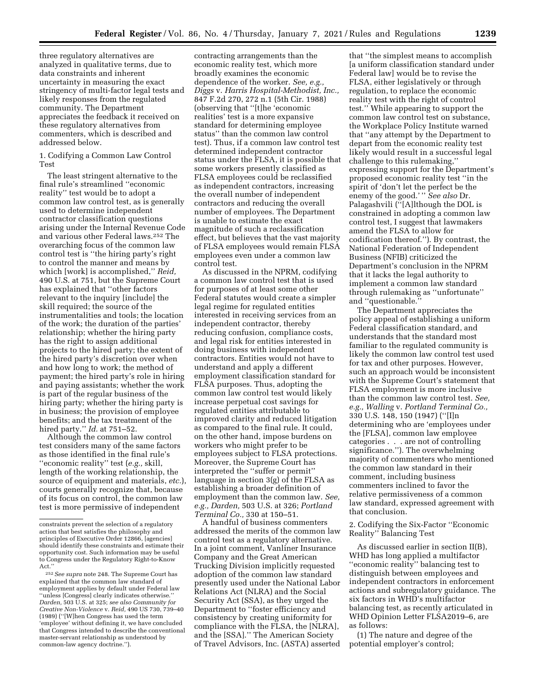three regulatory alternatives are analyzed in qualitative terms, due to data constraints and inherent uncertainty in measuring the exact stringency of multi-factor legal tests and likely responses from the regulated community. The Department appreciates the feedback it received on these regulatory alternatives from commenters, which is described and addressed below.

1. Codifying a Common Law Control Test

The least stringent alternative to the final rule's streamlined ''economic reality'' test would be to adopt a common law control test, as is generally used to determine independent contractor classification questions arising under the Internal Revenue Code and various other Federal laws.252 The overarching focus of the common law control test is ''the hiring party's right to control the manner and means by which [work] is accomplished,'' *Reid,*  490 U.S. at 751, but the Supreme Court has explained that ''other factors relevant to the inquiry [include] the skill required; the source of the instrumentalities and tools; the location of the work; the duration of the parties' relationship; whether the hiring party has the right to assign additional projects to the hired party; the extent of the hired party's discretion over when and how long to work; the method of payment; the hired party's role in hiring and paying assistants; whether the work is part of the regular business of the hiring party; whether the hiring party is in business; the provision of employee benefits; and the tax treatment of the hired party.'' *Id.* at 751–52.

Although the common law control test considers many of the same factors as those identified in the final rule's ''economic reality'' test (*e.g.,* skill, length of the working relationship, the source of equipment and materials, *etc.*), courts generally recognize that, because of its focus on control, the common law test is more permissive of independent

contracting arrangements than the economic reality test, which more broadly examines the economic dependence of the worker. *See, e.g., Diggs* v. *Harris Hospital-Methodist, Inc.,*  847 F.2d 270, 272 n.1 (5th Cir. 1988) (observing that ''[t]he 'economic realities' test is a more expansive standard for determining employee status'' than the common law control test). Thus, if a common law control test determined independent contractor status under the FLSA, it is possible that some workers presently classified as FLSA employees could be reclassified as independent contractors, increasing the overall number of independent contractors and reducing the overall number of employees. The Department is unable to estimate the exact magnitude of such a reclassification effect, but believes that the vast majority of FLSA employees would remain FLSA employees even under a common law control test.

As discussed in the NPRM, codifying a common law control test that is used for purposes of at least some other Federal statutes would create a simpler legal regime for regulated entities interested in receiving services from an independent contractor, thereby reducing confusion, compliance costs, and legal risk for entities interested in doing business with independent contractors. Entities would not have to understand and apply a different employment classification standard for FLSA purposes. Thus, adopting the common law control test would likely increase perpetual cost savings for regulated entities attributable to improved clarity and reduced litigation as compared to the final rule. It could, on the other hand, impose burdens on workers who might prefer to be employees subject to FLSA protections. Moreover, the Supreme Court has interpreted the ''suffer or permit'' language in section 3(g) of the FLSA as establishing a broader definition of employment than the common law. *See, e.g., Darden,* 503 U.S. at 326; *Portland Terminal Co.,* 330 at 150–51.

A handful of business commenters addressed the merits of the common law control test as a regulatory alternative. In a joint comment, Vanliner Insurance Company and the Great American Trucking Division implicitly requested adoption of the common law standard presently used under the National Labor Relations Act (NLRA) and the Social Security Act (SSA), as they urged the Department to ''foster efficiency and consistency by creating uniformity for compliance with the FLSA, the [NLRA], and the [SSA].'' The American Society of Travel Advisors, Inc. (ASTA) asserted

that ''the simplest means to accomplish [a uniform classification standard under Federal law] would be to revise the FLSA, either legislatively or through regulation, to replace the economic reality test with the right of control test.'' While appearing to support the common law control test on substance, the Workplace Policy Institute warned that ''any attempt by the Department to depart from the economic reality test likely would result in a successful legal challenge to this rulemaking,'' expressing support for the Department's proposed economic reality test ''in the spirit of 'don't let the perfect be the enemy of the good.' '' *See also* Dr. Palagashvili (''[A]lthough the DOL is constrained in adopting a common law control test, I suggest that lawmakers amend the FLSA to allow for codification thereof.''). By contrast, the National Federation of Independent Business (NFIB) criticized the Department's conclusion in the NPRM that it lacks the legal authority to implement a common law standard through rulemaking as ''unfortunate'' and ''questionable.''

The Department appreciates the policy appeal of establishing a uniform Federal classification standard, and understands that the standard most familiar to the regulated community is likely the common law control test used for tax and other purposes. However, such an approach would be inconsistent with the Supreme Court's statement that FLSA employment is more inclusive than the common law control test. *See, e.g., Walling* v. *Portland Terminal Co.,*  330 U.S. 148, 150 (1947) (''[I]n determining who are 'employees under the [FLSA], common law employee categories . . . are not of controlling significance.''). The overwhelming majority of commenters who mentioned the common law standard in their comment, including business commenters inclined to favor the relative permissiveness of a common law standard, expressed agreement with that conclusion.

2. Codifying the Six-Factor ''Economic Reality'' Balancing Test

As discussed earlier in section II(B), WHD has long applied a multifactor ''economic reality'' balancing test to distinguish between employees and independent contractors in enforcement actions and subregulatory guidance. The six factors in WHD's multifactor balancing test, as recently articulated in WHD Opinion Letter FLSA2019–6, are as follows:

(1) The nature and degree of the potential employer's control;

constraints prevent the selection of a regulatory action that best satisfies the philosophy and principles of Executive Order 12866, [agencies] should identify these constraints and estimate their opportunity cost. Such information may be useful to Congress under the Regulatory Right-to-Know Act.''

<sup>252</sup>*See supra* note 248. The Supreme Court has explained that the common law standard of employment applies by default under Federal law ''unless [Congress] clearly indicates otherwise.'' *Darden,* 503 U.S. at 325; *see also Community for Creative Non-Violence* v. *Reid,* 490 US 730, 739–40 (1989) (''[W]hen Congress has used the term 'employee' without defining it, we have concluded that Congress intended to describe the conventional master-servant relationship as understood by common-law agency doctrine.'').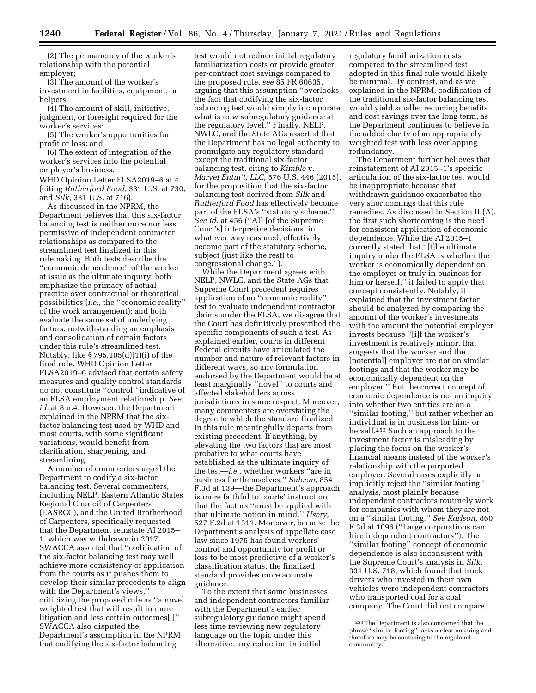(2) The permanency of the worker's relationship with the potential employer;

(3) The amount of the worker's investment in facilities, equipment, or helpers;

(4) The amount of skill, initiative, judgment, or foresight required for the worker's services;

(5) The worker's opportunities for profit or loss; and

(6) The extent of integration of the worker's services into the potential employer's business.

WHD Opinion Letter FLSA2019–6 at 4 (citing *Rutherford Food,* 331 U.S. at 730, and *Silk,* 331 U.S. at 716).

As discussed in the NPRM, the Department believes that this six-factor balancing test is neither more nor less permissive of independent contractor relationships as compared to the streamlined test finalized in this rulemaking. Both tests describe the ''economic dependence'' of the worker at issue as the ultimate inquiry; both emphasize the primacy of actual practice over contractual or theoretical possibilities (*i.e.,* the ''economic reality'' of the work arrangement); and both evaluate the same set of underlying factors, notwithstanding an emphasis and consolidation of certain factors under this rule's streamlined test. Notably, like § 795.105(d)(1)(i) of the final rule, WHD Opinion Letter FLSA2019–6 advised that certain safety measures and quality control standards do not constitute ''control'' indicative of an FLSA employment relationship. *See id.* at 8 n.4. However, the Department explained in the NPRM that the sixfactor balancing test used by WHD and most courts, with some significant variations, would benefit from clarification, sharpening, and streamlining.

A number of commenters urged the Department to codify a six-factor balancing test. Several commenters, including NELP, Eastern Atlantic States Regional Council of Carpenters (EASRCC), and the United Brotherhood of Carpenters, specifically requested that the Department reinstate AI 2015– 1, which was withdrawn in 2017. SWACCA asserted that ''codification of the six-factor balancing test may well achieve more consistency of application from the courts as it pushes them to develop their similar precedents to align with the Department's views,'' criticizing the proposed rule as ''a novel weighted test that will result in more litigation and less certain outcomes[.]'' SWACCA also disputed the Department's assumption in the NPRM that codifying the six-factor balancing

test would not reduce initial regulatory familiarization costs or provide greater per-contract cost savings compared to the proposed rule, *see* 85 FR 60635, arguing that this assumption ''overlooks the fact that codifying the six-factor balancing test would simply incorporate what is now subregulatory guidance at the regulatory level.'' Finally, NELP, NWLC, and the State AGs asserted that the Department has no legal authority to promulgate any regulatory standard except the traditional six-factor balancing test, citing to *Kimble* v. *Marvel Entm't, LLC,* 576 U.S. 446 (2015), for the proposition that the six-factor balancing test derived from *Silk* and *Rutherford Food* has effectively become part of the FLSA's ''statutory scheme.'' *See id.* at 456 (''All [of the Supreme Court's] interpretive decisions, in whatever way reasoned, effectively become part of the statutory scheme, subject (just like the rest) to congressional change.'').

While the Department agrees with NELP, NWLC, and the State AGs that Supreme Court precedent requires application of an ''economic reality'' test to evaluate independent contractor claims under the FLSA, we disagree that the Court has definitively prescribed the specific components of such a test. As explained earlier, courts in different Federal circuits have articulated the number and nature of relevant factors in different ways, so any formulation endorsed by the Department would be at least marginally ''novel'' to courts and affected stakeholders across jurisdictions in some respect. Moreover, many commenters are overstating the degree to which the standard finalized in this rule meaningfully departs from existing precedent. If anything, by elevating the two factors that are most probative to what courts have established as the ultimate inquiry of the test—*i.e.,* whether workers ''are in business for themselves,'' *Saleem,* 854 F.3d at 139—the Department's approach is more faithful to courts' instruction that the factors ''must be applied with that ultimate notion in mind.'' *Usery,*  527 F.2d at 1311. Moreover, because the Department's analysis of appellate case law since 1975 has found workers' control and opportunity for profit or loss to be most predictive of a worker's classification status, the finalized standard provides more accurate guidance.

To the extent that some businesses and independent contractors familiar with the Department's earlier subregulatory guidance might spend less time reviewing new regulatory language on the topic under this alternative, any reduction in initial

regulatory familiarization costs compared to the streamlined test adopted in this final rule would likely be minimal. By contrast, and as we explained in the NPRM, codification of the traditional six-factor balancing test would yield smaller recurring benefits and cost savings over the long term, as the Department continues to believe in the added clarity of an appropriately weighted test with less overlapping redundancy.

The Department further believes that reinstatement of AI 2015–1's specific articulation of the six-factor test would be inappropriate because that withdrawn guidance exacerbates the very shortcomings that this rule remedies. As discussed in Section III(A), the first such shortcoming is the need for consistent application of economic dependence. While the AI 2015–1 correctly stated that ''[t]he ultimate inquiry under the FLSA is whether the worker is economically dependent on the employer or truly in business for him or herself,'' it failed to apply that concept consistently. Notably, it explained that the investment factor should be analyzed by comparing the amount of the worker's investments with the amount the potential employer invests because ''[i]f the worker's investment is relatively minor, that suggests that the worker and the [potential] employer are not on similar footings and that the worker may be economically dependent on the employer.'' But the correct concept of economic dependence is not an inquiry into whether two entities are on a ''similar footing,'' but rather whether an individual is in business for him- or herself.253 Such an approach to the investment factor is misleading by placing the focus on the worker's financial means instead of the worker's relationship with the purported employer. Several cases explicitly or implicitly reject the ''similar footing'' analysis, most plainly because independent contractors routinely work for companies with whom they are not on a ''similar footing.'' *See Karlson,* 860 F.3d at 1096 (''Large corporations can hire independent contractors''). The ''similar footing'' concept of economic dependence is also inconsistent with the Supreme Court's analysis in *Silk,*  331 U.S. 718, which found that truck drivers who invested in their own vehicles were independent contractors who transported coal for a coal company. The Court did not compare

<sup>253</sup>The Department is also concerned that the phrase ''similar footing'' lacks a clear meaning and therefore may be confusing to the regulated community.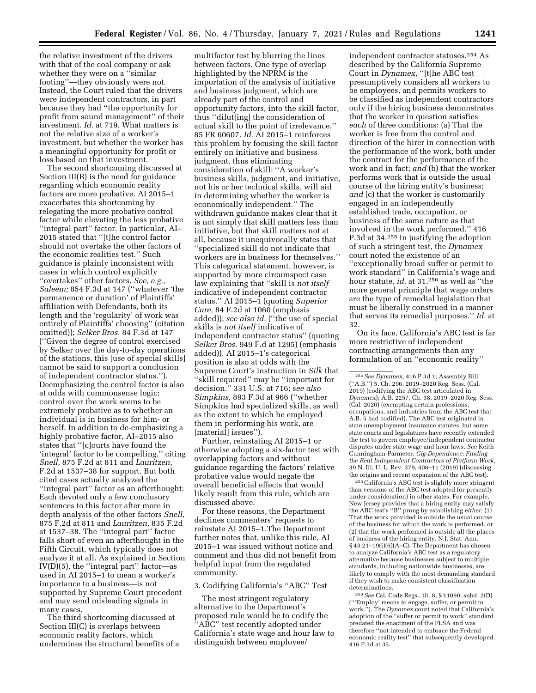the relative investment of the drivers with that of the coal company or ask whether they were on a "similar" footing''—they obviously were not. Instead, the Court ruled that the drivers were independent contractors, in part because they had ''the opportunity for profit from sound management'' of their investment. *Id.* at 719. What matters is not the relative size of a worker's investment, but whether the worker has a meaningful opportunity for profit or loss based on that investment.

The second shortcoming discussed at Section III(B) is the need for guidance regarding which economic reality factors are more probative. AI 2015–1 exacerbates this shortcoming by relegating the more probative control factor while elevating the less probative ''integral part'' factor. In particular, AI– 2015 stated that ''[t]he control factor should not overtake the other factors of the economic realities test.'' Such guidance is plainly inconsistent with cases in which control explicitly ''overtakes'' other factors. *See, e.g., Saleem;* 854 F.3d at 147 (''whatever 'the permanence or duration' of Plaintiffs' affiliation with Defendants, both its length and the 'regularity' of work was entirely of Plaintiffs' choosing'' (citation omitted)); *Selker Bros.* 84 F.3d at 147 (''Given the degree of control exercised by Selker over the day-to-day operations of the stations, this [use of special skills] cannot be said to support a conclusion of independent contractor status.''). Deemphasizing the control factor is also at odds with commonsense logic; control over the work seems to be extremely probative as to whether an individual is in business for him- or herself. In addition to de-emphasizing a highly probative factor, AI–2015 also states that ''[c]ourts have found the 'integral' factor to be compelling,'' citing *Snell,* 875 F.2d at 811 and *Lauritzen,*  F.2d at 1537–38 for support. But both cited cases actually analyzed the ''integral part'' factor as an afterthought: Each devoted only a few conclusory sentences to this factor after more in depth analysis of the other factors *Snell,*  875 F.2d at 811 and *Lauritzen,* 835 F.2d at 1537–38. The ''integral part'' factor falls short of even an afterthought in the Fifth Circuit, which typically does not analyze it at all. As explained in Section IV(D)(5), the ''integral part'' factor—as used in AI 2015–1 to mean a worker's importance to a business—is not supported by Supreme Court precedent and may send misleading signals in many cases.

The third shortcoming discussed at Section III(C) is overlaps between economic reality factors, which undermines the structural benefits of a

multifactor test by blurring the lines between factors. One type of overlap highlighted by the NPRM is the importation of the analysis of initiative and business judgment, which are already part of the control and opportunity factors, into the skill factor, thus ''dilut[ing] the consideration of actual skill to the point of irrelevance.'' 85 FR 60607. *Id.* AI 2015–1 reinforces this problem by focusing the skill factor entirely on initiative and business judgment, thus eliminating consideration of skill: ''A worker's business skills, judgment, and initiative, not his or her technical skills, will aid in determining whether the worker is economically independent.'' The withdrawn guidance makes clear that it is not simply that skill matters less than initiative, but that skill matters not at all, because it unequivocally states that ''specialized skill do not indicate that workers are in business for themselves.'' This categorical statement, however, is supported by more circumspect case law explaining that ''skill is *not itself*  indicative of independent contractor status.'' AI 2015–1 (quoting *Superior Care,* 84 F.2d at 1060 (emphasis added)); *see also id.* (''the use of special skills is *not itself* indicative of independent contractor status'' (quoting *Selker Bros.* 949 F.d at 1295) (emphasis added)). AI 2015–1's categorical position is also at odds with the Supreme Court's instruction in *Silk* that ''skill required'' may be ''important for decision.'' 331 U.S. at 716; s*ee also Simpkins,* 893 F.3d at 966 (''whether Simpkins had specialized skills, as well as the extent to which he employed them in performing his work, are [material] issues").

Further, reinstating AI 2015–1 or otherwise adopting a six-factor test with overlapping factors and without guidance regarding the factors' relative probative value would negate the overall beneficial effects that would likely result from this rule, which are discussed above.

For these reasons, the Department declines commenters' requests to reinstate AI 2015–1.The Department further notes that, unlike this rule, AI 2015–1 was issued without notice and comment and thus did not benefit from helpful input from the regulated community.

#### 3. Codifying California's ''ABC'' Test

The most stringent regulatory alternative to the Department's proposed rule would be to codify the ''ABC'' test recently adopted under California's state wage and hour law to distinguish between employee/

independent contractor statuses.254 As described by the California Supreme Court in *Dynamex,* ''[t]he ABC test presumptively considers all workers to be employees, and permits workers to be classified as independent contractors only if the hiring business demonstrates that the worker in question satisfies *each* of three conditions: (a) That the worker is free from the control and direction of the hirer in connection with the performance of the work, both under the contract for the performance of the work and in fact; *and* (b) that the worker performs work that is outside the usual course of the hiring entity's business; *and* (c) that the worker is customarily engaged in an independently established trade, occupation, or business of the same nature as that involved in the work performed.'' 416 P.3d at 34.255 In justifying the adoption of such a stringent test, the *Dynamex*  court noted the existence of an ''exceptionally broad suffer or permit to work standard'' in California's wage and hour statute, *id.* at 31,256 as well as ''the more general principle that wage orders are the type of remedial legislation that must be liberally construed in a manner that serves its remedial purposes.'' *Id.* at 32.

On its face, California's ABC test is far more restrictive of independent contracting arrangements than any formulation of an ''economic reality''

255California's ABC test is slightly more stringent than versions of the ABC test adopted (or presently under consideration) in other states. For example, New Jersey provides that a hiring entity may satisfy the ABC test's ''B'' prong by establishing *either:* (1) That the work provided is outside the usual course of the business for which the work is performed, or (2) that the work performed is outside all the places of business of the hiring entity. N.J. Stat. Ann. § 43:21–19(i)(6)(A–C). The Department has chosen to analyze California's ABC test as a regulatory alternative because businesses subject to multiple standards, including nationwide businesses, are likely to comply with the most demanding standard if they wish to make consistent classification determinations.

256*See* Cal. Code Regs., tit. 8, § 11090, subd. 2(D) ('''Employ' means to engage, suffer, or permit to work.''). The *Dynamex* court noted that California's adoption of the ''suffer or permit to work'' standard predated the enactment of the FLSA and was therefore ''not intended to embrace the Federal economic reality test'' that subsequently developed. 416 P.3d at 35.

<sup>254</sup>*See Dynamex,* 416 P.3d 1; Assembly Bill (''A.B.'') 5, Ch. 296, 2019–2020 Reg. Sess. (Cal. 2019) (codifying the ABC test articulated in *Dynamex*); A.B. 2257, Ch. 38, 2019–2020 Reg. Sess. (Cal. 2020) (exempting certain professions, occupations, and industries from the ABC test that A.B. 5 had codified). The ABC test originated in state unemployment insurance statutes, but some state courts and legislatures have recently extended the test to govern employee/independent contractor disputes under state wage and hour laws. *See* Keith Cunningham-Parmeter, *Gig-Dependence: Finding the Real Independent Contractors of Platform Work,*  39 N. Ill. U. L. Rev. 379, 408–11 (2019) (discussing the origins and recent expansion of the ABC test).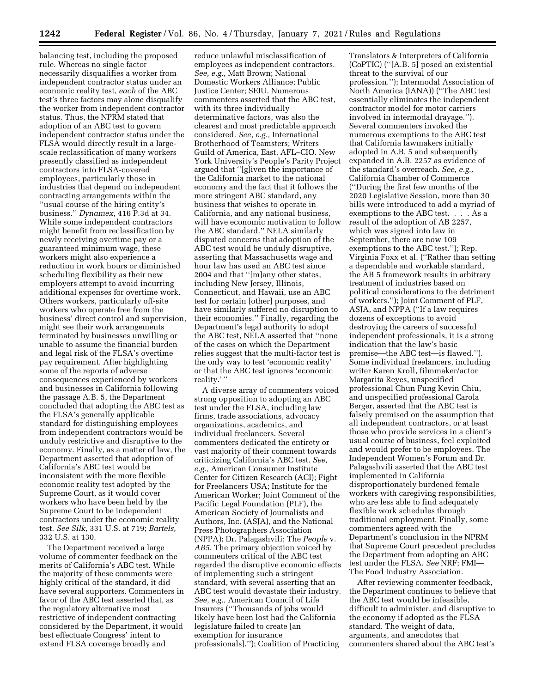balancing test, including the proposed rule. Whereas no single factor necessarily disqualifies a worker from independent contractor status under an economic reality test, *each* of the ABC test's three factors may alone disqualify the worker from independent contractor status. Thus, the NPRM stated that adoption of an ABC test to govern independent contractor status under the FLSA would directly result in a largescale reclassification of many workers presently classified as independent contractors into FLSA-covered employees, particularly those in industries that depend on independent contracting arrangements within the ''usual course of the hiring entity's business.'' *Dynamex,* 416 P.3d at 34. While some independent contractors might benefit from reclassification by newly receiving overtime pay or a guaranteed minimum wage, these workers might also experience a reduction in work hours or diminished scheduling flexibility as their new employers attempt to avoid incurring additional expenses for overtime work. Others workers, particularly off-site workers who operate free from the business' direct control and supervision, might see their work arrangements terminated by businesses unwilling or unable to assume the financial burden and legal risk of the FLSA's overtime pay requirement. After highlighting some of the reports of adverse consequences experienced by workers and businesses in California following the passage A.B. 5, the Department concluded that adopting the ABC test as the FLSA's generally applicable standard for distinguishing employees from independent contractors would be unduly restrictive and disruptive to the economy. Finally, as a matter of law, the Department asserted that adoption of California's ABC test would be inconsistent with the more flexible economic reality test adopted by the Supreme Court, as it would cover workers who have been held by the Supreme Court to be independent contractors under the economic reality test. *See Silk,* 331 U.S. at 719; *Bartels,*  332 U.S. at 130.

The Department received a large volume of commenter feedback on the merits of California's ABC test. While the majority of these comments were highly critical of the standard, it did have several supporters. Commenters in favor of the ABC test asserted that, as the regulatory alternative most restrictive of independent contracting considered by the Department, it would best effectuate Congress' intent to extend FLSA coverage broadly and

reduce unlawful misclassification of employees as independent contractors. *See, e.g.,* Matt Brown; National Domestic Workers Alliance; Public Justice Center; SEIU. Numerous commenters asserted that the ABC test, with its three individually determinative factors, was also the clearest and most predictable approach considered. *See, e.g.,* International Brotherhood of Teamsters; Writers Guild of America, East, AFL–CIO. New York University's People's Parity Project argued that ''[g]iven the importance of the California market to the national economy and the fact that it follows the more stringent ABC standard, any business that wishes to operate in California, and any national business, will have economic motivation to follow the ABC standard.'' NELA similarly disputed concerns that adoption of the ABC test would be unduly disruptive, asserting that Massachusetts wage and hour law has used an ABC test since 2004 and that ''[m]any other states, including New Jersey, Illinois, Connecticut, and Hawaii, use an ABC test for certain [other] purposes, and have similarly suffered no disruption to their economies.'' Finally, regarding the Department's legal authority to adopt the ABC test, NELA asserted that ''none of the cases on which the Department relies suggest that the multi-factor test is the only way to test 'economic reality' or that the ABC test ignores 'economic reality.' ''

A diverse array of commenters voiced strong opposition to adopting an ABC test under the FLSA, including law firms, trade associations, advocacy organizations, academics, and individual freelancers. Several commenters dedicated the entirety or vast majority of their comment towards criticizing California's ABC test. *See, e.g.,* American Consumer Institute Center for Citizen Research (ACI); Fight for Freelancers USA; Institute for the American Worker; Joint Comment of the Pacific Legal Foundation (PLF), the American Society of Journalists and Authors, Inc. (ASJA), and the National Press Photographers Association (NPPA); Dr. Palagashvili; The *People* v. *AB5*. The primary objection voiced by commenters critical of the ABC test regarded the disruptive economic effects of implementing such a stringent standard, with several asserting that an ABC test would devastate their industry. *See, e.g.,* American Council of Life Insurers (''Thousands of jobs would likely have been lost had the California legislature failed to create [an exemption for insurance professionals].''); Coalition of Practicing

Translators & Interpreters of California (CoPTIC) (''[A.B. 5] posed an existential threat to the survival of our profession.''); Intermodal Association of North America (IANA)) (''The ABC test essentially eliminates the independent contractor model for motor carriers involved in intermodal drayage.''). Several commenters invoked the numerous exemptions to the ABC test that California lawmakers initially adopted in A.B. 5 and subsequently expanded in A.B. 2257 as evidence of the standard's overreach. *See, e.g.,*  California Chamber of Commerce (''During the first few months of the 2020 Legislative Session, more than 30 bills were introduced to add a myriad of exemptions to the ABC test. . . . As a result of the adoption of AB 2257, which was signed into law in September, there are now 109 exemptions to the ABC test.''); Rep. Virginia Foxx et al. (''Rather than setting a dependable and workable standard, the AB 5 framework results in arbitrary treatment of industries based on political considerations to the detriment of workers.''); Joint Comment of PLF, ASJA, and NPPA (''If a law requires dozens of exceptions to avoid destroying the careers of successful independent professionals, it is a strong indication that the law's basic premise—the ABC test—is flawed.''). Some individual freelancers, including writer Karen Kroll, filmmaker/actor Margarita Reyes, unspecified professional Chun Fung Kevin Chiu, and unspecified professional Carola Berger, asserted that the ABC test is falsely premised on the assumption that all independent contractors, or at least those who provide services in a client's usual course of business, feel exploited and would prefer to be employees. The Independent Women's Forum and Dr. Palagashvili asserted that the ABC test implemented in California disproportionately burdened female workers with caregiving responsibilities, who are less able to find adequately flexible work schedules through traditional employment. Finally, some commenters agreed with the Department's conclusion in the NPRM that Supreme Court precedent precludes the Department from adopting an ABC test under the FLSA. *See* NRF; FMI— The Food Industry Association.

After reviewing commenter feedback, the Department continues to believe that the ABC test would be infeasible, difficult to administer, and disruptive to the economy if adopted as the FLSA standard. The weight of data, arguments, and anecdotes that commenters shared about the ABC test's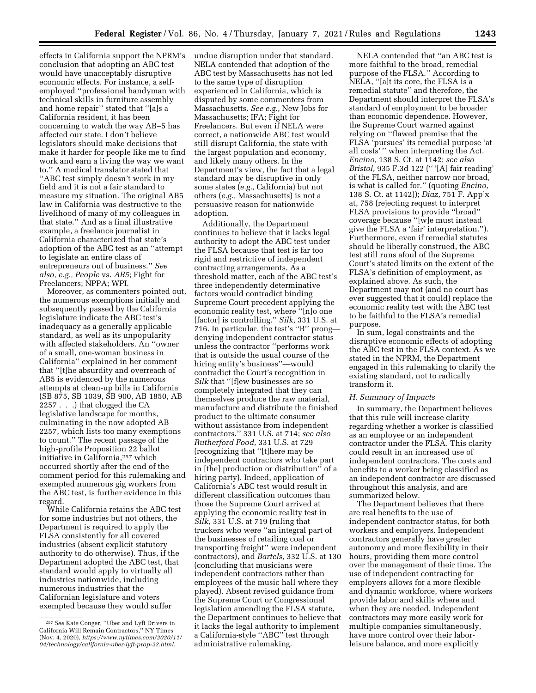effects in California support the NPRM's conclusion that adopting an ABC test would have unacceptably disruptive economic effects. For instance, a selfemployed ''professional handyman with technical skills in furniture assembly and home repair'' stated that ''[a]s a California resident, it has been concerning to watch the way AB–5 has affected our state. I don't believe legislators should make decisions that make it harder for people like me to find work and earn a living the way we want to.'' A medical translator stated that ''ABC test simply doesn't work in my field and it is not a fair standard to measure my situation. The original AB5 law in California was destructive to the livelihood of many of my colleagues in that state.'' And as a final illustrative example, a freelance journalist in California characterized that state's adoption of the ABC test as an ''attempt to legislate an entire class of entrepreneurs out of business.'' *See also, e.g., People* vs. *AB5*; Fight for Freelancers; NPPA; WPI.

Moreover, as commenters pointed out, the numerous exemptions initially and subsequently passed by the California legislature indicate the ABC test's inadequacy as a generally applicable standard, as well as its unpopularity with affected stakeholders. An ''owner of a small, one-woman business in California'' explained in her comment that ''[t]he absurdity and overreach of AB5 is evidenced by the numerous attempts at clean-up bills in California (SB 875, SB 1039, SB 900, AB 1850, AB 2257 . . .) that clogged the CA legislative landscape for months, culminating in the now adopted AB 2257, which lists too many exemptions to count.'' The recent passage of the high-profile Proposition 22 ballot initiative in California,257 which occurred shortly after the end of the comment period for this rulemaking and exempted numerous gig workers from the ABC test, is further evidence in this regard.

While California retains the ABC test for some industries but not others, the Department is required to apply the FLSA consistently for all covered industries (absent explicit statutory authority to do otherwise). Thus, if the Department adopted the ABC test, that standard would apply to virtually all industries nationwide, including numerous industries that the Californian legislature and voters exempted because they would suffer

undue disruption under that standard. NELA contended that adoption of the ABC test by Massachusetts has not led to the same type of disruption experienced in California, which is disputed by some commenters from Massachusetts. *See e.g.,* New Jobs for Massachusetts; IFA; Fight for Freelancers. But even if NELA were correct, a nationwide ABC test would still disrupt California, the state with the largest population and economy, and likely many others. In the Department's view, the fact that a legal standard may be disruptive in only some states (*e.g.,* California) but not others (*e.g.,* Massachusetts) is not a persuasive reason for nationwide adoption.

Additionally, the Department continues to believe that it lacks legal authority to adopt the ABC test under the FLSA because that test is far too rigid and restrictive of independent contracting arrangements. As a threshold matter, each of the ABC test's three independently determinative factors would contradict binding Supreme Court precedent applying the economic reality test, where ''[n]o one [factor] is controlling.'' *Silk,* 331 U.S. at 716. In particular, the test's ''B'' prong denying independent contractor status unless the contractor ''performs work that is outside the usual course of the hiring entity's business''—would contradict the Court's recognition in *Silk* that ''[f]ew businesses are so completely integrated that they can themselves produce the raw material, manufacture and distribute the finished product to the ultimate consumer without assistance from independent contractors.'' 331 U.S. at 714; *see also Rutherford Food,* 331 U.S. at 729 (recognizing that ''[t]here may be independent contractors who take part in [the] production or distribution'' of a hiring party). Indeed, application of California's ABC test would result in different classification outcomes than those the Supreme Court arrived at applying the economic reality test in *Silk,* 331 U.S. at 719 (ruling that truckers who were ''an integral part of the businesses of retailing coal or transporting freight'' were independent contractors), and *Bartels,* 332 U.S. at 130 (concluding that musicians were independent contractors rather than employees of the music hall where they played). Absent revised guidance from the Supreme Court or Congressional legislation amending the FLSA statute, the Department continues to believe that it lacks the legal authority to implement a California-style ''ABC'' test through administrative rulemaking.

NELA contended that ''an ABC test is more faithful to the broad, remedial purpose of the FLSA.'' According to NELA, ''[a]t its core, the FLSA is a remedial statute'' and therefore, the Department should interpret the FLSA's standard of employment to be broader than economic dependence. However, the Supreme Court warned against relying on ''flawed premise that the FLSA 'pursues' its remedial purpose 'at all costs' '' when interpreting the Act. *Encino,* 138 S. Ct. at 1142; *see also Bristol,* 935 F.3d 122 ('' '[A] fair reading' of the FLSA, neither narrow nor broad, is what is called for.'' (quoting *Encino,*  138 S. Ct. at 1142)); *Diaz,* 751 F. App'x at, 758 (rejecting request to interpret FLSA provisions to provide ''broad'' coverage because ''[w]e must instead give the FLSA a 'fair' interpretation.''). Furthermore, even if remedial statutes should be liberally construed, the ABC test still runs afoul of the Supreme Court's stated limits on the extent of the FLSA's definition of employment, as explained above. As such, the Department may not (and no court has ever suggested that it could) replace the economic reality test with the ABC test to be faithful to the FLSA's remedial purpose.

In sum, legal constraints and the disruptive economic effects of adopting the ABC test in the FLSA context. As we stated in the NPRM, the Department engaged in this rulemaking to clarify the existing standard, not to radically transform it.

#### *H. Summary of Impacts*

In summary, the Department believes that this rule will increase clarity regarding whether a worker is classified as an employee or an independent contractor under the FLSA. This clarity could result in an increased use of independent contractors. The costs and benefits to a worker being classified as an independent contractor are discussed throughout this analysis, and are summarized below.

The Department believes that there are real benefits to the use of independent contractor status, for both workers and employers. Independent contractors generally have greater autonomy and more flexibility in their hours, providing them more control over the management of their time. The use of independent contracting for employers allows for a more flexible and dynamic workforce, where workers provide labor and skills where and when they are needed. Independent contractors may more easily work for multiple companies simultaneously, have more control over their laborleisure balance, and more explicitly

<sup>257</sup>*See* Kate Conger, ''Uber and Lyft Drivers in California Will Remain Contractors,'' NY Times (Nov. 4, 2020), *[https://www.nytimes.com/2020/11/](https://www.nytimes.com/2020/11/04/technology/california-uber-lyft-prop-22.html)  [04/technology/california-uber-lyft-prop-22.html.](https://www.nytimes.com/2020/11/04/technology/california-uber-lyft-prop-22.html)*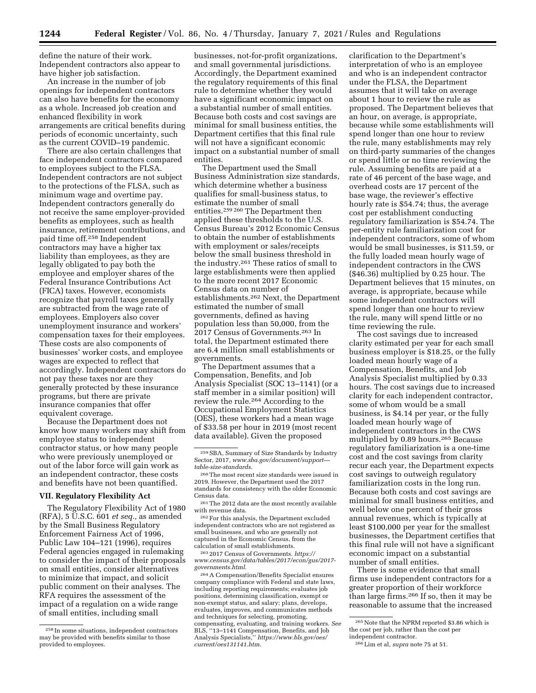define the nature of their work. Independent contractors also appear to have higher job satisfaction.

An increase in the number of job openings for independent contractors can also have benefits for the economy as a whole. Increased job creation and enhanced flexibility in work arrangements are critical benefits during periods of economic uncertainty, such as the current COVID–19 pandemic.

There are also certain challenges that face independent contractors compared to employees subject to the FLSA. Independent contractors are not subject to the protections of the FLSA, such as minimum wage and overtime pay. Independent contractors generally do not receive the same employer-provided benefits as employees, such as health insurance, retirement contributions, and paid time off.258 Independent contractors may have a higher tax liability than employees, as they are legally obligated to pay both the employee and employer shares of the Federal Insurance Contributions Act (FICA) taxes. However, economists recognize that payroll taxes generally are subtracted from the wage rate of employees. Employers also cover unemployment insurance and workers' compensation taxes for their employees. These costs are also components of businesses' worker costs, and employee wages are expected to reflect that accordingly. Independent contractors do not pay these taxes nor are they generally protected by these insurance programs, but there are private insurance companies that offer equivalent coverage.

Because the Department does not know how many workers may shift from employee status to independent contractor status, or how many people who were previously unemployed or out of the labor force will gain work as an independent contractor, these costs and benefits have not been quantified.

#### **VII. Regulatory Flexibility Act**

The Regulatory Flexibility Act of 1980 (RFA), 5 U.S.C. 601 *et seq.,* as amended by the Small Business Regulatory Enforcement Fairness Act of 1996, Public Law 104–121 (1996), requires Federal agencies engaged in rulemaking to consider the impact of their proposals on small entities, consider alternatives to minimize that impact, and solicit public comment on their analyses. The RFA requires the assessment of the impact of a regulation on a wide range of small entities, including small

businesses, not-for-profit organizations, and small governmental jurisdictions. Accordingly, the Department examined the regulatory requirements of this final rule to determine whether they would have a significant economic impact on a substantial number of small entities. Because both costs and cost savings are minimal for small business entities, the Department certifies that this final rule will not have a significant economic impact on a substantial number of small entities.

The Department used the Small Business Administration size standards, which determine whether a business qualifies for small-business status, to estimate the number of small entities.259 260 The Department then applied these thresholds to the U.S. Census Bureau's 2012 Economic Census to obtain the number of establishments with employment or sales/receipts below the small business threshold in the industry.261 These ratios of small to large establishments were then applied to the more recent 2017 Economic Census data on number of establishments.262 Next, the Department estimated the number of small governments, defined as having population less than 50,000, from the 2017 Census of Governments.263 In total, the Department estimated there are 6.4 million small establishments or governments.

The Department assumes that a Compensation, Benefits, and Job Analysis Specialist (SOC 13–1141) (or a staff member in a similar position) will review the rule.264 According to the Occupational Employment Statistics (OES), these workers had a mean wage of \$33.58 per hour in 2019 (most recent data available). Given the proposed

261The 2012 data are the most recently available with revenue data.

262For this analysis, the Department excluded independent contractors who are not registered as small businesses, and who are generally not captured in the Economic Census, from the calculation of small establishments.

263 2017 Census of Governments. *[https://](https://www.census.gov/data/tables/2017/econ/gus/2017-governments.html) [www.census.gov/data/tables/2017/econ/gus/2017](https://www.census.gov/data/tables/2017/econ/gus/2017-governments.html)  [governments.html.](https://www.census.gov/data/tables/2017/econ/gus/2017-governments.html)* 

264A Compensation/Benefits Specialist ensures company compliance with Federal and state laws, including reporting requirements; evaluates job positions, determining classification, exempt or non-exempt status, and salary; plans, develops, evaluates, improves, and communicates methods and techniques for selecting, promoting, compensating, evaluating, and training workers. *See*  BLS, ''13–1141 Compensation, Benefits, and Job Analysis Specialists,'' *[https://www.bls.gov/oes/](https://www.bls.gov/oes/current/oes131141.htm) [current/oes131141.htm.](https://www.bls.gov/oes/current/oes131141.htm)* 

clarification to the Department's interpretation of who is an employee and who is an independent contractor under the FLSA, the Department assumes that it will take on average about 1 hour to review the rule as proposed. The Department believes that an hour, on average, is appropriate, because while some establishments will spend longer than one hour to review the rule, many establishments may rely on third-party summaries of the changes or spend little or no time reviewing the rule. Assuming benefits are paid at a rate of 46 percent of the base wage, and overhead costs are 17 percent of the base wage, the reviewer's effective hourly rate is \$54.74; thus, the average cost per establishment conducting regulatory familiarization is \$54.74. The per-entity rule familiarization cost for independent contractors, some of whom would be small businesses, is \$11.59, or the fully loaded mean hourly wage of independent contractors in the CWS (\$46.36) multiplied by 0.25 hour. The Department believes that 15 minutes, on average, is appropriate, because while some independent contractors will spend longer than one hour to review the rule, many will spend little or no time reviewing the rule.

The cost savings due to increased clarity estimated per year for each small business employer is \$18.25, or the fully loaded mean hourly wage of a Compensation, Benefits, and Job Analysis Specialist multiplied by 0.33 hours. The cost savings due to increased clarity for each independent contractor, some of whom would be a small business, is \$4.14 per year, or the fully loaded mean hourly wage of independent contractors in the CWS multiplied by 0.89 hours.265 Because regulatory familiarization is a one-time cost and the cost savings from clarity recur each year, the Department expects cost savings to outweigh regulatory familiarization costs in the long run. Because both costs and cost savings are minimal for small business entities, and well below one percent of their gross annual revenues, which is typically at least \$100,000 per year for the smallest businesses, the Department certifies that this final rule will not have a significant economic impact on a substantial number of small entities.

There is some evidence that small firms use independent contractors for a greater proportion of their workforce than large firms.266 If so, then it may be reasonable to assume that the increased

<sup>258</sup> In some situations, independent contractors may be provided with benefits similar to those provided to employees.

<sup>259</sup>SBA, Summary of Size Standards by Industry Sector, 2017, *[www.sba.gov/document/support](http://www.sba.gov/document/support_table-size-standards)  [table-size-standards.](http://www.sba.gov/document/support_table-size-standards)* 

<sup>260</sup>The most recent size standards were issued in 2019. However, the Department used the 2017 standards for consistency with the older Economic Census data.

 $^{265}\rm{Note}$  that the NPRM reported  $\$3.86$  which is the cost per job, rather than the cost per independent contractor.

<sup>266</sup>Lim et al, *supra* note 75 at 51.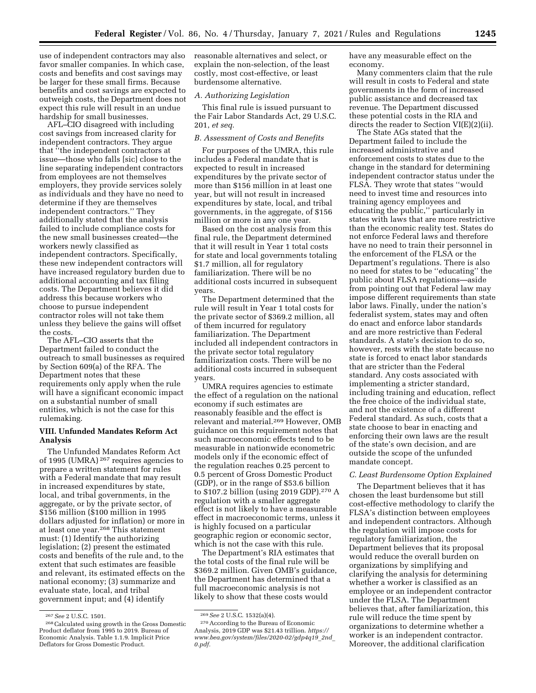use of independent contractors may also favor smaller companies. In which case, costs and benefits and cost savings may be larger for these small firms. Because benefits and cost savings are expected to outweigh costs, the Department does not expect this rule will result in an undue hardship for small businesses.

AFL–CIO disagreed with including cost savings from increased clarity for independent contractors. They argue that ''the independent contractors at issue—those who falls [sic] close to the line separating independent contractors from employees are not themselves employers, they provide services solely as individuals and they have no need to determine if they are themselves independent contractors.'' They additionally stated that the analysis failed to include compliance costs for the new small businesses created—the workers newly classified as independent contractors. Specifically, these new independent contractors will have increased regulatory burden due to additional accounting and tax filing costs. The Department believes it did address this because workers who choose to pursue independent contractor roles will not take them unless they believe the gains will offset the costs.

The AFL–CIO asserts that the Department failed to conduct the outreach to small businesses as required by Section 609(a) of the RFA. The Department notes that these requirements only apply when the rule will have a significant economic impact on a substantial number of small entities, which is not the case for this rulemaking.

# **VIII. Unfunded Mandates Reform Act Analysis**

The Unfunded Mandates Reform Act of 1995 (UMRA) 267 requires agencies to prepare a written statement for rules with a Federal mandate that may result in increased expenditures by state, local, and tribal governments, in the aggregate, or by the private sector, of \$156 million (\$100 million in 1995 dollars adjusted for inflation) or more in at least one year.268 This statement must: (1) Identify the authorizing legislation; (2) present the estimated costs and benefits of the rule and, to the extent that such estimates are feasible and relevant, its estimated effects on the national economy; (3) summarize and evaluate state, local, and tribal government input; and (4) identify

reasonable alternatives and select, or explain the non-selection, of the least costly, most cost-effective, or least burdensome alternative.

#### *A. Authorizing Legislation*

This final rule is issued pursuant to the Fair Labor Standards Act, 29 U.S.C. 201, *et seq.* 

# *B. Assessment of Costs and Benefits*

For purposes of the UMRA, this rule includes a Federal mandate that is expected to result in increased expenditures by the private sector of more than \$156 million in at least one year, but will not result in increased expenditures by state, local, and tribal governments, in the aggregate, of \$156 million or more in any one year.

Based on the cost analysis from this final rule, the Department determined that it will result in Year 1 total costs for state and local governments totaling \$1.7 million, all for regulatory familiarization. There will be no additional costs incurred in subsequent years.

The Department determined that the rule will result in Year 1 total costs for the private sector of \$369.2 million, all of them incurred for regulatory familiarization. The Department included all independent contractors in the private sector total regulatory familiarization costs. There will be no additional costs incurred in subsequent years.

UMRA requires agencies to estimate the effect of a regulation on the national economy if such estimates are reasonably feasible and the effect is relevant and material.269 However, OMB guidance on this requirement notes that such macroeconomic effects tend to be measurable in nationwide econometric models only if the economic effect of the regulation reaches 0.25 percent to 0.5 percent of Gross Domestic Product (GDP), or in the range of \$53.6 billion to \$107.2 billion (using 2019 GDP).270 A regulation with a smaller aggregate effect is not likely to have a measurable effect in macroeconomic terms, unless it is highly focused on a particular geographic region or economic sector, which is not the case with this rule.

The Department's RIA estimates that the total costs of the final rule will be \$369.2 million. Given OMB's guidance, the Department has determined that a full macroeconomic analysis is not likely to show that these costs would

have any measurable effect on the economy.

Many commenters claim that the rule will result in costs to Federal and state governments in the form of increased public assistance and decreased tax revenue. The Department discussed these potential costs in the RIA and directs the reader to Section VI(E)(2)(ii).

The State AGs stated that the Department failed to include the increased administrative and enforcement costs to states due to the change in the standard for determining independent contractor status under the FLSA. They wrote that states ''would need to invest time and resources into training agency employees and educating the public,'' particularly in states with laws that are more restrictive than the economic reality test. States do not enforce Federal laws and therefore have no need to train their personnel in the enforcement of the FLSA or the Department's regulations. There is also no need for states to be ''educating'' the public about FLSA regulations—aside from pointing out that Federal law may impose different requirements than state labor laws. Finally, under the nation's federalist system, states may and often do enact and enforce labor standards and are more restrictive than Federal standards. A state's decision to do so, however, rests with the state because no state is forced to enact labor standards that are stricter than the Federal standard. Any costs associated with implementing a stricter standard, including training and education, reflect the free choice of the individual state, and not the existence of a different Federal standard. As such, costs that a state choose to bear in enacting and enforcing their own laws are the result of the state's own decision, and are outside the scope of the unfunded mandate concept.

# *C. Least Burdensome Option Explained*

The Department believes that it has chosen the least burdensome but still cost-effective methodology to clarify the FLSA's distinction between employees and independent contractors. Although the regulation will impose costs for regulatory familiarization, the Department believes that its proposal would reduce the overall burden on organizations by simplifying and clarifying the analysis for determining whether a worker is classified as an employee or an independent contractor under the FLSA. The Department believes that, after familiarization, this rule will reduce the time spent by organizations to determine whether a worker is an independent contractor. Moreover, the additional clarification

<sup>&</sup>lt;sup>267</sup> See 2 U.S.C. 1501.<br><sup>268</sup> Calculated using growth in the Gross Domestic Product deflator from 1995 to 2019. Bureau of Economic Analysis. Table 1.1.9. Implicit Price Deflators for Gross Domestic Product.

<sup>269</sup>*See* 2 U.S.C. 1532(a)(4).

<sup>270</sup>According to the Bureau of Economic Analysis, 2019 GDP was \$21.43 trillion. *[https://](https://www.bea.gov/system/files/2020-02/gdp4q19_2nd_0.pdf) [www.bea.gov/system/files/2020-02/gdp4q19](https://www.bea.gov/system/files/2020-02/gdp4q19_2nd_0.pdf)*\_*2nd*\_ *[0.pdf.](https://www.bea.gov/system/files/2020-02/gdp4q19_2nd_0.pdf)*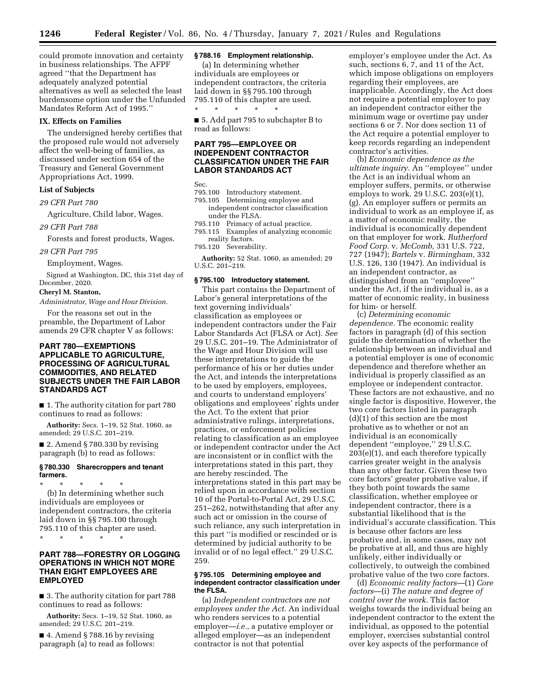could promote innovation and certainty in business relationships. The AFPF agreed ''that the Department has adequately analyzed potential alternatives as well as selected the least burdensome option under the Unfunded Mandates Reform Act of 1995.''

#### **IX. Effects on Families**

The undersigned hereby certifies that the proposed rule would not adversely affect the well-being of families, as discussed under section 654 of the Treasury and General Government Appropriations Act, 1999.

# **List of Subjects**

*29 CFR Part 780* 

Agriculture, Child labor, Wages.

*29 CFR Part 788* 

Forests and forest products, Wages.

#### *29 CFR Part 795*

Employment, Wages.

Signed at Washington, DC, this 31st day of December, 2020.

# **Cheryl M. Stanton,**

*Administrator, Wage and Hour Division.* 

For the reasons set out in the preamble, the Department of Labor amends 29 CFR chapter V as follows:

# **PART 780—EXEMPTIONS APPLICABLE TO AGRICULTURE, PROCESSING OF AGRICULTURAL COMMODITIES, AND RELATED SUBJECTS UNDER THE FAIR LABOR STANDARDS ACT**

■ 1. The authority citation for part 780 continues to read as follows:

**Authority:** Secs. 1–19, 52 Stat. 1060, as amended; 29 U.S.C. 201–219.

■ 2. Amend § 780.330 by revising paragraph (b) to read as follows:

#### **§ 780.330 Sharecroppers and tenant farmers.**

\* \* \* \* \* (b) In determining whether such individuals are employees or independent contractors, the criteria laid down in §§ 795.100 through 795.110 of this chapter are used.

\* \* \* \* \*

# **PART 788—FORESTRY OR LOGGING OPERATIONS IN WHICH NOT MORE THAN EIGHT EMPLOYEES ARE EMPLOYED**

■ 3. The authority citation for part 788 continues to read as follows:

**Authority:** Secs. 1–19, 52 Stat. 1060, as amended; 29 U.S.C. 201–219.

 $\blacksquare$  4. Amend § 788.16 by revising paragraph (a) to read as follows:

# **§ 788.16 Employment relationship.**

(a) In determining whether individuals are employees or independent contractors, the criteria laid down in §§ 795.100 through 795.110 of this chapter are used. \* \* \* \* \*

■ 5. Add part 795 to subchapter B to read as follows:

# **PART 795—EMPLOYEE OR INDEPENDENT CONTRACTOR CLASSIFICATION UNDER THE FAIR LABOR STANDARDS ACT**

Sec.

- 795.100 Introductory statement.
- 795.105 Determining employee and independent contractor classification under the FLSA.
- 795.110 Primacy of actual practice.
- 795.115 Examples of analyzing economic reality factors.
- 795.120 Severability.

**Authority:** 52 Stat. 1060, as amended; 29 U.S.C. 201–219.

# **§ 795.100 Introductory statement.**

This part contains the Department of Labor's general interpretations of the text governing individuals' classification as employees or independent contractors under the Fair Labor Standards Act (FLSA or Act). *See*  29 U.S.C. 201–19. The Administrator of the Wage and Hour Division will use these interpretations to guide the performance of his or her duties under the Act, and intends the interpretations to be used by employers, employees, and courts to understand employers' obligations and employees' rights under the Act. To the extent that prior administrative rulings, interpretations, practices, or enforcement policies relating to classification as an employee or independent contractor under the Act are inconsistent or in conflict with the interpretations stated in this part, they are hereby rescinded. The interpretations stated in this part may be relied upon in accordance with section 10 of the Portal-to-Portal Act, 29 U.S.C. 251–262, notwithstanding that after any such act or omission in the course of such reliance, any such interpretation in this part ''is modified or rescinded or is determined by judicial authority to be invalid or of no legal effect.'' 29 U.S.C. 259.

### **§ 795.105 Determining employee and independent contractor classification under the FLSA.**

(a) *Independent contractors are not employees under the Act.* An individual who renders services to a potential employer—*i.e.,* a putative employer or alleged employer—as an independent contractor is not that potential

employer's employee under the Act. As such, sections 6, 7, and 11 of the Act, which impose obligations on employers regarding their employees, are inapplicable. Accordingly, the Act does not require a potential employer to pay an independent contractor either the minimum wage or overtime pay under sections 6 or 7. Nor does section 11 of the Act require a potential employer to keep records regarding an independent contractor's activities.

(b) *Economic dependence as the ultimate inquiry.* An ''employee'' under the Act is an individual whom an employer suffers, permits, or otherwise employs to work. 29 U.S.C. 203(e)(1), (g). An employer suffers or permits an individual to work as an employee if, as a matter of economic reality, the individual is economically dependent on that employer for work. *Rutherford Food Corp.* v. *McComb,* 331 U.S. 722, 727 (1947); *Bartels* v. *Birmingham,* 332 U.S. 126, 130 (1947). An individual is an independent contractor, as distinguished from an ''employee'' under the Act, if the individual is, as a matter of economic reality, in business for him- or herself.

(c) *Determining economic dependence.* The economic reality factors in paragraph (d) of this section guide the determination of whether the relationship between an individual and a potential employer is one of economic dependence and therefore whether an individual is properly classified as an employee or independent contractor. These factors are not exhaustive, and no single factor is dispositive. However, the two core factors listed in paragraph (d)(1) of this section are the most probative as to whether or not an individual is an economically dependent ''employee,'' 29 U.S.C. 203(e)(1), and each therefore typically carries greater weight in the analysis than any other factor. Given these two core factors' greater probative value, if they both point towards the same classification, whether employee or independent contractor, there is a substantial likelihood that is the individual's accurate classification. This is because other factors are less probative and, in some cases, may not be probative at all, and thus are highly unlikely, either individually or collectively, to outweigh the combined probative value of the two core factors.

(d) *Economic reality factors*—(1) *Core factors*—(i) *The nature and degree of control over the work.* This factor weighs towards the individual being an independent contractor to the extent the individual, as opposed to the potential employer, exercises substantial control over key aspects of the performance of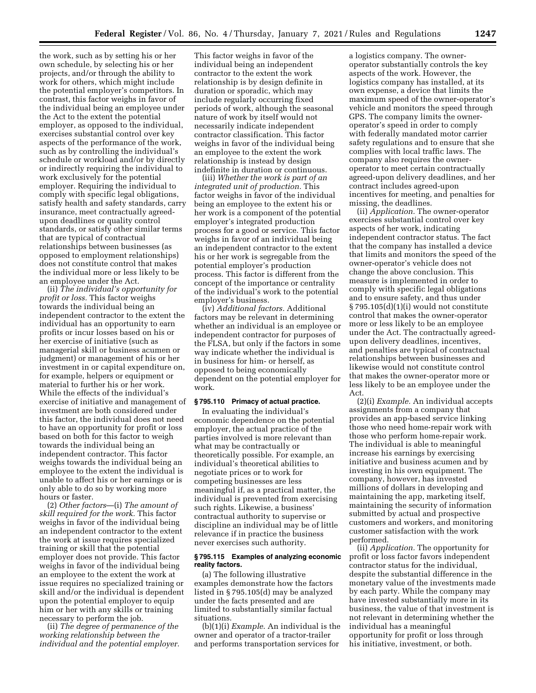the work, such as by setting his or her own schedule, by selecting his or her projects, and/or through the ability to work for others, which might include the potential employer's competitors. In contrast, this factor weighs in favor of the individual being an employee under the Act to the extent the potential employer, as opposed to the individual, exercises substantial control over key aspects of the performance of the work, such as by controlling the individual's schedule or workload and/or by directly or indirectly requiring the individual to work exclusively for the potential employer. Requiring the individual to comply with specific legal obligations, satisfy health and safety standards, carry insurance, meet contractually agreedupon deadlines or quality control standards, or satisfy other similar terms that are typical of contractual relationships between businesses (as opposed to employment relationships) does not constitute control that makes the individual more or less likely to be an employee under the Act.

(ii) *The individual's opportunity for profit or loss.* This factor weighs towards the individual being an independent contractor to the extent the individual has an opportunity to earn profits or incur losses based on his or her exercise of initiative (such as managerial skill or business acumen or judgment) or management of his or her investment in or capital expenditure on, for example, helpers or equipment or material to further his or her work. While the effects of the individual's exercise of initiative and management of investment are both considered under this factor, the individual does not need to have an opportunity for profit or loss based on both for this factor to weigh towards the individual being an independent contractor. This factor weighs towards the individual being an employee to the extent the individual is unable to affect his or her earnings or is only able to do so by working more hours or faster.

(2) *Other factors*—(i) *The amount of skill required for the work.* This factor weighs in favor of the individual being an independent contractor to the extent the work at issue requires specialized training or skill that the potential employer does not provide. This factor weighs in favor of the individual being an employee to the extent the work at issue requires no specialized training or skill and/or the individual is dependent upon the potential employer to equip him or her with any skills or training necessary to perform the job.

(ii) *The degree of permanence of the working relationship between the individual and the potential employer.* 

This factor weighs in favor of the individual being an independent contractor to the extent the work relationship is by design definite in duration or sporadic, which may include regularly occurring fixed periods of work, although the seasonal nature of work by itself would not necessarily indicate independent contractor classification. This factor weighs in favor of the individual being an employee to the extent the work relationship is instead by design indefinite in duration or continuous.

(iii) *Whether the work is part of an integrated unit of production.* This factor weighs in favor of the individual being an employee to the extent his or her work is a component of the potential employer's integrated production process for a good or service. This factor weighs in favor of an individual being an independent contractor to the extent his or her work is segregable from the potential employer's production process. This factor is different from the concept of the importance or centrality of the individual's work to the potential employer's business.

(iv) *Additional factors.* Additional factors may be relevant in determining whether an individual is an employee or independent contractor for purposes of the FLSA, but only if the factors in some way indicate whether the individual is in business for him- or herself, as opposed to being economically dependent on the potential employer for work.

### **§ 795.110 Primacy of actual practice.**

In evaluating the individual's economic dependence on the potential employer, the actual practice of the parties involved is more relevant than what may be contractually or theoretically possible. For example, an individual's theoretical abilities to negotiate prices or to work for competing businesses are less meaningful if, as a practical matter, the individual is prevented from exercising such rights. Likewise, a business' contractual authority to supervise or discipline an individual may be of little relevance if in practice the business never exercises such authority.

### **§ 795.115 Examples of analyzing economic reality factors.**

(a) The following illustrative examples demonstrate how the factors listed in § 795.105(d) may be analyzed under the facts presented and are limited to substantially similar factual situations.

(b)(1)(i) *Example*. An individual is the owner and operator of a tractor-trailer and performs transportation services for

a logistics company. The owneroperator substantially controls the key aspects of the work. However, the logistics company has installed, at its own expense, a device that limits the maximum speed of the owner-operator's vehicle and monitors the speed through GPS. The company limits the owneroperator's speed in order to comply with federally mandated motor carrier safety regulations and to ensure that she complies with local traffic laws. The company also requires the owneroperator to meet certain contractually agreed-upon delivery deadlines, and her contract includes agreed-upon incentives for meeting, and penalties for missing, the deadlines.

(ii) *Application.* The owner-operator exercises substantial control over key aspects of her work, indicating independent contractor status. The fact that the company has installed a device that limits and monitors the speed of the owner-operator's vehicle does not change the above conclusion. This measure is implemented in order to comply with specific legal obligations and to ensure safety, and thus under § 795.105(d)(1)(i) would not constitute control that makes the owner-operator more or less likely to be an employee under the Act. The contractually agreedupon delivery deadlines, incentives, and penalties are typical of contractual relationships between businesses and likewise would not constitute control that makes the owner-operator more or less likely to be an employee under the Act.

(2)(i) *Example.* An individual accepts assignments from a company that provides an app-based service linking those who need home-repair work with those who perform home-repair work. The individual is able to meaningful increase his earnings by exercising initiative and business acumen and by investing in his own equipment. The company, however, has invested millions of dollars in developing and maintaining the app, marketing itself, maintaining the security of information submitted by actual and prospective customers and workers, and monitoring customer satisfaction with the work performed.

(ii) *Application.* The opportunity for profit or loss factor favors independent contractor status for the individual, despite the substantial difference in the monetary value of the investments made by each party. While the company may have invested substantially more in its business, the value of that investment is not relevant in determining whether the individual has a meaningful opportunity for profit or loss through his initiative, investment, or both.